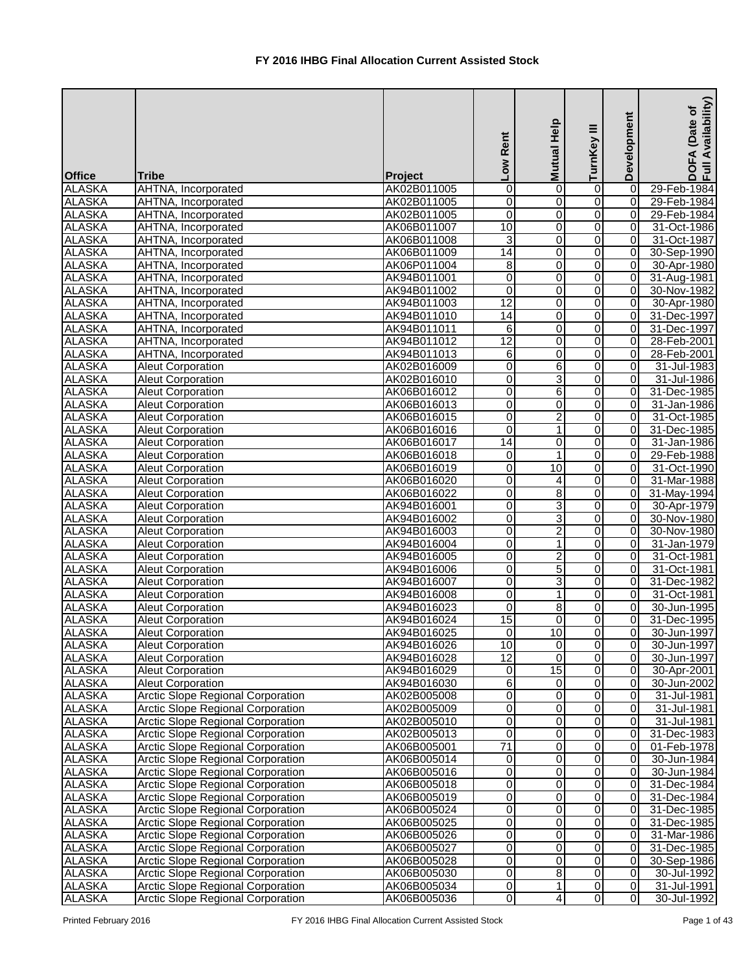| <b>Office</b> | <b>Tribe</b>                             | Project     | Low Rent                | Mutual Help       | ≡<br>TurnKey   | Development    | Availability)<br>Date of<br><b>DOFA</b><br>Full Av |
|---------------|------------------------------------------|-------------|-------------------------|-------------------|----------------|----------------|----------------------------------------------------|
| <b>ALASKA</b> | AHTNA, Incorporated                      | AK02B011005 | $\mathbf 0$             | 0                 | 0              | 0              | 29-Feb-1984                                        |
| <b>ALASKA</b> | AHTNA, Incorporated                      | AK02B011005 | 0                       | 0                 | 0              | 0              | 29-Feb-1984                                        |
| <b>ALASKA</b> | AHTNA, Incorporated                      | AK02B011005 | $\overline{0}$          | 0                 | 0              | $\overline{0}$ | 29-Feb-1984                                        |
| <b>ALASKA</b> | AHTNA, Incorporated                      | AK06B011007 | $\overline{10}$         | $\boldsymbol{0}$  | 0              | $\overline{0}$ | 31-Oct-1986                                        |
| <b>ALASKA</b> | AHTNA, Incorporated                      | AK06B011008 | ω                       | 0                 | 0              | 0              | 31-Oct-1987                                        |
| <b>ALASKA</b> | AHTNA, Incorporated                      | AK06B011009 | $\overline{14}$         | 0                 | 0              | 0              | 30-Sep-1990                                        |
| <b>ALASKA</b> | AHTNA, Incorporated                      | AK06P011004 | $\infty$                | $\pmb{0}$         | 0              | $\overline{0}$ | 30-Apr-1980                                        |
| <b>ALASKA</b> | AHTNA, Incorporated                      | AK94B011001 | $\overline{\mathsf{o}}$ | $\mathbf 0$       | 0              | $\overline{0}$ | 31-Aug-1981                                        |
| <b>ALASKA</b> | AHTNA, Incorporated                      | AK94B011002 | 0                       | $\pmb{0}$         | 0              | $\overline{0}$ | 30-Nov-1982                                        |
| <b>ALASKA</b> | AHTNA, Incorporated                      | AK94B011003 | $\overline{12}$         | 0                 | 0              | $\overline{0}$ | 30-Apr-1980                                        |
| <b>ALASKA</b> | AHTNA, Incorporated                      | AK94B011010 | 14                      | 0                 | 0              | 0              | 31-Dec-1997                                        |
| <b>ALASKA</b> | AHTNA, Incorporated                      | AK94B011011 | 6                       | $\pmb{0}$         | 0              | $\overline{0}$ | 31-Dec-1997                                        |
| <b>ALASKA</b> | <b>AHTNA, Incorporated</b>               | AK94B011012 | $\overline{12}$         | 0                 | 0              | 0              | 28-Feb-2001                                        |
| <b>ALASKA</b> | AHTNA, Incorporated                      | AK94B011013 | 6                       | $\mathbf 0$       | 0              | $\overline{0}$ | 28-Feb-2001                                        |
| <b>ALASKA</b> | <b>Aleut Corporation</b>                 | AK02B016009 | $\overline{\mathsf{o}}$ | 6                 | 0              | 0              | 31-Jul-1983                                        |
| <b>ALASKA</b> | <b>Aleut Corporation</b>                 | AK02B016010 | $\overline{0}$          | 3                 | 0              | 0              | 31-Jul-1986                                        |
| <b>ALASKA</b> | <b>Aleut Corporation</b>                 | AK06B016012 | $\overline{0}$          | 6                 | 0              | 0              | 31-Dec-1985                                        |
| <b>ALASKA</b> | <b>Aleut Corporation</b>                 | AK06B016013 | $\overline{0}$          | $\boldsymbol{0}$  | 0              | 0              | 31-Jan-1986                                        |
| <b>ALASKA</b> | <b>Aleut Corporation</b>                 | AK06B016015 | $\overline{0}$          | $\overline{2}$    | 0              | $\overline{0}$ | 31-Oct-1985                                        |
| <b>ALASKA</b> | <b>Aleut Corporation</b>                 | AK06B016016 | $\overline{0}$          | 1                 | 0              | $\overline{0}$ | 31-Dec-1985                                        |
| <b>ALASKA</b> | <b>Aleut Corporation</b>                 | AK06B016017 | $\overline{14}$         | $\pmb{0}$         | 0              | $\Omega$       | 31-Jan-1986                                        |
| <b>ALASKA</b> | <b>Aleut Corporation</b>                 | AK06B016018 | 0                       | $\mathbf{1}$      | 0              | 0              | 29-Feb-1988                                        |
| <b>ALASKA</b> | <b>Aleut Corporation</b>                 | AK06B016019 | 0                       | 10                | 0              | 0              | 31-Oct-1990                                        |
| <b>ALASKA</b> | <b>Aleut Corporation</b>                 | AK06B016020 | 0                       | 4                 | 0              | 0              | 31-Mar-1988                                        |
| <b>ALASKA</b> | <b>Aleut Corporation</b>                 | AK06B016022 | $\overline{\mathsf{o}}$ | $\overline{8}$    | 0              | $\overline{0}$ | $\overline{31}$ -May-1994                          |
| <b>ALASKA</b> | Aleut Corporation                        | AK94B016001 | $\overline{0}$          | 3                 | 0              | $\overline{0}$ | 30-Apr-1979                                        |
| <b>ALASKA</b> | <b>Aleut Corporation</b>                 | AK94B016002 | $\overline{0}$          | 3                 | 0              | $\overline{0}$ | 30-Nov-1980                                        |
| <b>ALASKA</b> | <b>Aleut Corporation</b>                 | AK94B016003 | O                       | $\overline{2}$    | 0              | 0              | 30-Nov-1980                                        |
| <b>ALASKA</b> | <b>Aleut Corporation</b>                 | AK94B016004 | $\overline{0}$          | $\mathbf{1}$      | 0              | $\overline{0}$ | 31-Jan-1979                                        |
| <b>ALASKA</b> | <b>Aleut Corporation</b>                 | AK94B016005 | O                       | $\overline{2}$    | 0              | $\overline{0}$ | 31-Oct-1981                                        |
| <b>ALASKA</b> | <b>Aleut Corporation</b>                 | AK94B016006 | $\overline{0}$          | $\overline{5}$    | $\overline{0}$ | $\overline{0}$ | 31-Oct-1981                                        |
| <b>ALASKA</b> | <b>Aleut Corporation</b>                 | AK94B016007 | $\overline{0}$          | $\mathbf{R}$<br>ັ | $\overline{0}$ | $\overline{0}$ | 31-Dec-1982                                        |
| <b>ALASKA</b> | <b>Aleut Corporation</b>                 | AK94B016008 | $\overline{0}$          | $\mathbf{1}$      | 0              | 01             | 31-Oct-1981                                        |
| <b>ALASKA</b> | <b>Aleut Corporation</b>                 | AK94B016023 | $\overline{0}$          | $\bf 8$           | 0              | $\overline{0}$ | 30-Jun-1995                                        |
| <b>ALASKA</b> | <b>Aleut Corporation</b>                 | AK94B016024 | $\overline{15}$         | 0                 | 0              | 0I             | 31-Dec-1995                                        |
| <b>ALASKA</b> | <b>Aleut Corporation</b>                 | AK94B016025 | $\overline{0}$          | 10                | 0              | $\overline{0}$ | 30-Jun-1997                                        |
| <b>ALASKA</b> | <b>Aleut Corporation</b>                 | AK94B016026 | $\overline{10}$         | 0                 | 0              | 0              | 30-Jun-1997                                        |
| <b>ALASKA</b> | <b>Aleut Corporation</b>                 | AK94B016028 | $\overline{12}$         | 0                 | 0              | 0              | 30-Jun-1997                                        |
| <b>ALASKA</b> | <b>Aleut Corporation</b>                 | AK94B016029 | $\overline{0}$          | $\overline{15}$   | 0              | 0              | 30-Apr-2001                                        |
| <b>ALASKA</b> | <b>Aleut Corporation</b>                 | AK94B016030 | 6                       | 0                 | 0              | 0              | 30-Jun-2002                                        |
| <b>ALASKA</b> | <b>Arctic Slope Regional Corporation</b> | AK02B005008 | O                       | $\boldsymbol{0}$  | 0              | 0              | 31-Jul-1981                                        |
| <b>ALASKA</b> | Arctic Slope Regional Corporation        | AK02B005009 | $\overline{\mathsf{o}}$ | $\boldsymbol{0}$  | 0              | $\overline{0}$ | 31-Jul-1981                                        |
| <b>ALASKA</b> | <b>Arctic Slope Regional Corporation</b> | AK02B005010 | $\overline{0}$          | 0                 | 0              | $\overline{0}$ | 31-Jul-1981                                        |
| <b>ALASKA</b> | <b>Arctic Slope Regional Corporation</b> | AK02B005013 | $\overline{0}$          | 0                 | 0              | $\overline{0}$ | 31-Dec-1983                                        |
| <b>ALASKA</b> | <b>Arctic Slope Regional Corporation</b> | AK06B005001 | 71                      | $\pmb{0}$         | 0              | $\overline{0}$ | 01-Feb-1978                                        |
| <b>ALASKA</b> | <b>Arctic Slope Regional Corporation</b> | AK06B005014 | 0                       | 0                 | 0              | $\Omega$       | 30-Jun-1984                                        |
| <b>ALASKA</b> | <b>Arctic Slope Regional Corporation</b> | AK06B005016 | 0                       | 0                 | 0              | $\overline{0}$ | 30-Jun-1984                                        |
| <b>ALASKA</b> | <b>Arctic Slope Regional Corporation</b> | AK06B005018 | $\overline{0}$          | $\pmb{0}$         | 0              | 0              | 31-Dec-1984                                        |
| <b>ALASKA</b> | <b>Arctic Slope Regional Corporation</b> | AK06B005019 | $\overline{0}$          | $\pmb{0}$         | 0              | 0              | 31-Dec-1984                                        |
| <b>ALASKA</b> | <b>Arctic Slope Regional Corporation</b> | AK06B005024 | 0                       | 0                 | 0              | 0              | 31-Dec-1985                                        |
| <b>ALASKA</b> | <b>Arctic Slope Regional Corporation</b> | AK06B005025 | $\overline{0}$          | 0                 | 0              | 0              | 31-Dec-1985                                        |
| <b>ALASKA</b> | <b>Arctic Slope Regional Corporation</b> | AK06B005026 | O                       | 0                 | 0              | 0              | 31-Mar-1986                                        |
| <b>ALASKA</b> | Arctic Slope Regional Corporation        | AK06B005027 | O                       | $\mathbf 0$       | 0              | $\overline{0}$ | 31-Dec-1985                                        |
| <b>ALASKA</b> | Arctic Slope Regional Corporation        | AK06B005028 | $\overline{0}$          | 0                 | 0              | $\overline{0}$ | 30-Sep-1986                                        |
| <b>ALASKA</b> | <b>Arctic Slope Regional Corporation</b> | AK06B005030 | $\overline{0}$          | $\bf 8$           | 0              | $\overline{0}$ | 30-Jul-1992                                        |
| <b>ALASKA</b> | <b>Arctic Slope Regional Corporation</b> | AK06B005034 | $\overline{0}$          | $\mathbf{1}$      | 0              | $\overline{0}$ | 31-Jul-1991                                        |
| <b>ALASKA</b> | Arctic Slope Regional Corporation        | AK06B005036 | $\overline{0}$          | 4                 | 0              | $\overline{0}$ | 30-Jul-1992                                        |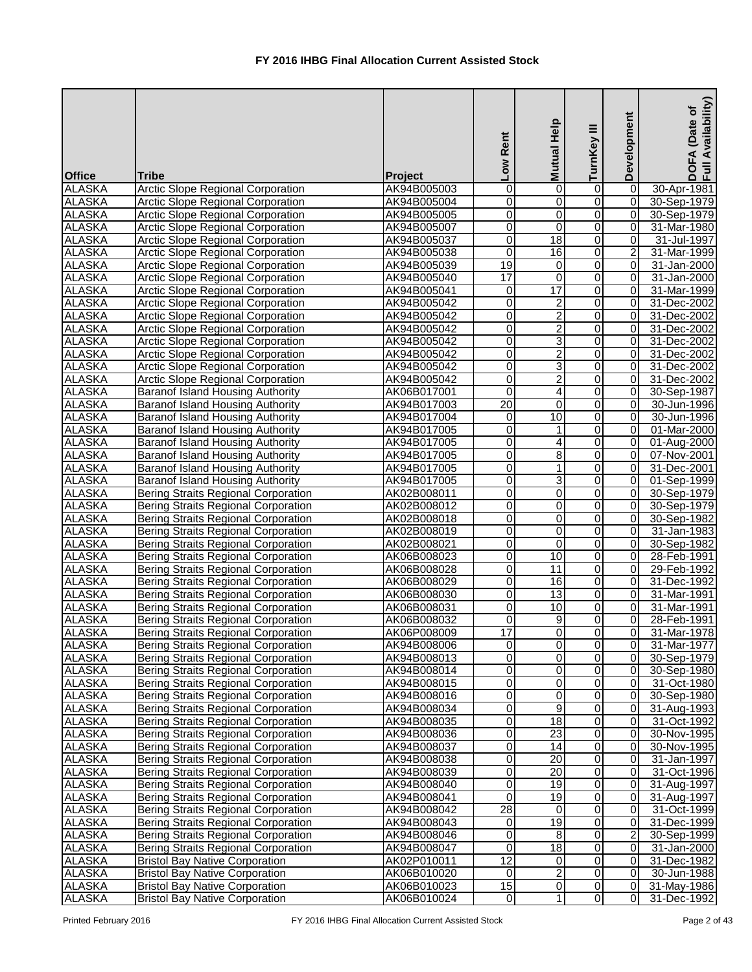| <b>Office</b> | <b>Tribe</b>                               | Project     | Low Rent                | Mutual Help             | ≡<br>TurnKey            | Development    | Availability)<br>(Date of<br>DOFA<br>Full Av |
|---------------|--------------------------------------------|-------------|-------------------------|-------------------------|-------------------------|----------------|----------------------------------------------|
| <b>ALASKA</b> | <b>Arctic Slope Regional Corporation</b>   | AK94B005003 | 0                       | 0                       | 0                       | 0              | 30-Apr-1981                                  |
| <b>ALASKA</b> | <b>Arctic Slope Regional Corporation</b>   | AK94B005004 | $\overline{0}$          | 0                       | 0                       | $\overline{0}$ | 30-Sep-1979                                  |
| <b>ALASKA</b> | <b>Arctic Slope Regional Corporation</b>   | AK94B005005 | $\overline{\mathsf{o}}$ | 0                       | 0                       | $\overline{0}$ | 30-Sep-1979                                  |
| <b>ALASKA</b> | <b>Arctic Slope Regional Corporation</b>   | AK94B005007 | $\overline{0}$          | 0                       | 0                       | $\overline{0}$ | 31-Mar-1980                                  |
| <b>ALASKA</b> | <b>Arctic Slope Regional Corporation</b>   | AK94B005037 | $\overline{0}$          | $\overline{18}$         | 0                       | 0              | 31-Jul-1997                                  |
| <b>ALASKA</b> | <b>Arctic Slope Regional Corporation</b>   | AK94B005038 | $\overline{\mathsf{o}}$ | 16                      | $\overline{0}$          | $\overline{2}$ | 31-Mar-1999                                  |
| <b>ALASKA</b> | <b>Arctic Slope Regional Corporation</b>   | AK94B005039 | 19                      | 0                       | $\overline{\mathsf{o}}$ | 0              | 31-Jan-2000                                  |
| <b>ALASKA</b> | <b>Arctic Slope Regional Corporation</b>   | AK94B005040 | $\overline{17}$         | 0                       | $\overline{0}$          | $\overline{0}$ | 31-Jan-2000                                  |
| <b>ALASKA</b> | <b>Arctic Slope Regional Corporation</b>   | AK94B005041 | $\overline{0}$          | 17                      | $\overline{\mathsf{o}}$ | $\overline{0}$ | 31-Mar-1999                                  |
| <b>ALASKA</b> | <b>Arctic Slope Regional Corporation</b>   | AK94B005042 | $\overline{0}$          | $\overline{c}$          | 0                       | $\overline{0}$ | 31-Dec-2002                                  |
| <b>ALASKA</b> | <b>Arctic Slope Regional Corporation</b>   | AK94B005042 | $\overline{0}$          | $\overline{c}$          | 0                       | $\overline{0}$ | 31-Dec-2002                                  |
| <b>ALASKA</b> | <b>Arctic Slope Regional Corporation</b>   | AK94B005042 | $\overline{0}$          | $\overline{c}$          | 0                       | $\overline{0}$ | 31-Dec-2002                                  |
| <b>ALASKA</b> | <b>Arctic Slope Regional Corporation</b>   | AK94B005042 | $\overline{0}$          | 3                       | 0                       | $\overline{0}$ | 31-Dec-2002                                  |
| <b>ALASKA</b> | <b>Arctic Slope Regional Corporation</b>   | AK94B005042 | $\overline{\mathsf{o}}$ | $\overline{2}$          | 0                       | $\Omega$       | 31-Dec-2002                                  |
| <b>ALASKA</b> | <b>Arctic Slope Regional Corporation</b>   | AK94B005042 | $\overline{0}$          | 3                       | 0                       | $\Omega$       | 31-Dec-2002                                  |
| <b>ALASKA</b> | <b>Arctic Slope Regional Corporation</b>   | AK94B005042 | $\overline{0}$          | $\overline{2}$          | $\overline{0}$          | 0              | 31-Dec-2002                                  |
| <b>ALASKA</b> | <b>Baranof Island Housing Authority</b>    | AK06B017001 | $\overline{0}$          | 4                       | $\overline{0}$          | $\overline{0}$ | 30-Sep-1987                                  |
| <b>ALASKA</b> | <b>Baranof Island Housing Authority</b>    | AK94B017003 | $\overline{20}$         | 0                       | 0                       | $\Omega$       | 30-Jun-1996                                  |
| <b>ALASKA</b> | Baranof Island Housing Authority           | AK94B017004 | $\overline{0}$          | $\overline{10}$         | 0                       | $\overline{0}$ | 30-Jun-1996                                  |
| <b>ALASKA</b> | <b>Baranof Island Housing Authority</b>    | AK94B017005 | $\overline{\mathsf{o}}$ | 1                       | 0                       | $\overline{0}$ | 01-Mar-2000                                  |
| <b>ALASKA</b> | <b>Baranof Island Housing Authority</b>    | AK94B017005 | $\overline{0}$          | 4                       | 0                       | $\overline{0}$ | 01-Aug-2000                                  |
| <b>ALASKA</b> | <b>Baranof Island Housing Authority</b>    | AK94B017005 | $\overline{0}$          | 8                       | 0                       | $\overline{0}$ | 07-Nov-2001                                  |
| <b>ALASKA</b> | <b>Baranof Island Housing Authority</b>    | AK94B017005 | $\overline{0}$          | 1                       | 0                       | $\overline{0}$ | 31-Dec-2001                                  |
| <b>ALASKA</b> | Baranof Island Housing Authority           | AK94B017005 | 0                       | 3                       | 0                       | $\overline{0}$ | 01-Sep-1999                                  |
| <b>ALASKA</b> | <b>Bering Straits Regional Corporation</b> | AK02B008011 | $\overline{0}$          | 0                       | 0                       | $\overline{0}$ | 30-Sep-1979                                  |
| <b>ALASKA</b> | <b>Bering Straits Regional Corporation</b> | AK02B008012 | $\overline{0}$          | $\overline{0}$          | $\overline{0}$          | $\overline{0}$ | 30-Sep-1979                                  |
| <b>ALASKA</b> | <b>Bering Straits Regional Corporation</b> | AK02B008018 | $\overline{0}$          | 0                       | 0                       | $\overline{0}$ | 30-Sep-1982                                  |
| <b>ALASKA</b> | <b>Bering Straits Regional Corporation</b> | AK02B008019 | $\overline{0}$          | 0                       | 0                       | $\Omega$       | 31-Jan-1983                                  |
| <b>ALASKA</b> | <b>Bering Straits Regional Corporation</b> | AK02B008021 | $\overline{0}$          | 0                       | 0                       | $\overline{0}$ | 30-Sep-1982                                  |
| <b>ALASKA</b> | <b>Bering Straits Regional Corporation</b> | AK06B008023 | $\overline{0}$          | 10                      | $\overline{\mathsf{o}}$ | $\overline{0}$ | 28-Feb-1991                                  |
| <b>ALASKA</b> | <b>Bering Straits Regional Corporation</b> | AK06B008028 | $\overline{\mathsf{o}}$ | 11                      | $\overline{0}$          | $\overline{0}$ | 29-Feb-1992                                  |
| <b>ALASKA</b> | <b>Bering Straits Regional Corporation</b> | AK06B008029 | $\overline{0}$          | 16                      | $\overline{0}$          | $\overline{0}$ | 31-Dec-1992                                  |
| <b>ALASKA</b> | Bering Straits Regional Corporation        | AK06B008030 | $\overline{0}$          | 13                      | $\overline{0}$          | ΟI             | 31-Mar-1991                                  |
| <b>ALASKA</b> | <b>Bering Straits Regional Corporation</b> | AK06B008031 | $\overline{0}$          | 10                      | 0                       | $\overline{0}$ | 31-Mar-1991                                  |
| <b>ALASKA</b> | <b>Bering Straits Regional Corporation</b> | AK06B008032 | $\overline{0}$          | 9                       | 0                       | ΟI             | 28-Feb-1991                                  |
| <b>ALASKA</b> | <b>Bering Straits Regional Corporation</b> | AK06P008009 | $\overline{17}$         | 0                       | 0                       | $\overline{0}$ | 31-Mar-1978                                  |
| <b>ALASKA</b> | <b>Bering Straits Regional Corporation</b> | AK94B008006 | $\overline{0}$          | 0                       | 0                       | $\overline{0}$ | 31-Mar-1977                                  |
| <b>ALASKA</b> | <b>Bering Straits Regional Corporation</b> | AK94B008013 | $\overline{0}$          | 0                       | 0                       | $\overline{0}$ | 30-Sep-1979                                  |
| <b>ALASKA</b> | <b>Bering Straits Regional Corporation</b> | AK94B008014 | $\overline{0}$          | 0                       | 0                       | $\overline{0}$ | 30-Sep-1980                                  |
| <b>ALASKA</b> | <b>Bering Straits Regional Corporation</b> | AK94B008015 | $\overline{0}$          | 0                       | $\overline{\mathsf{o}}$ | $\overline{0}$ | 31-Oct-1980                                  |
| <b>ALASKA</b> | <b>Bering Straits Regional Corporation</b> | AK94B008016 | $\overline{0}$          | 0                       | $\overline{\mathsf{o}}$ | $\overline{0}$ | 30-Sep-1980                                  |
| <b>ALASKA</b> | Bering Straits Regional Corporation        | AK94B008034 | $\overline{0}$          | 9                       | 0                       | $\overline{0}$ | 31-Aug-1993                                  |
| <b>ALASKA</b> | Bering Straits Regional Corporation        | AK94B008035 | $\overline{0}$          | 18                      | $\overline{\mathsf{o}}$ | 0              | 31-Oct-1992                                  |
| <b>ALASKA</b> | <b>Bering Straits Regional Corporation</b> | AK94B008036 | $\overline{0}$          | 23                      | 0                       | $\overline{0}$ | 30-Nov-1995                                  |
| <b>ALASKA</b> | <b>Bering Straits Regional Corporation</b> | AK94B008037 | $\overline{0}$          | 14                      | 0                       | $\overline{0}$ | 30-Nov-1995                                  |
| <b>ALASKA</b> | <b>Bering Straits Regional Corporation</b> | AK94B008038 | $\overline{0}$          | 20                      | 0                       | $\overline{0}$ | 31-Jan-1997                                  |
| <b>ALASKA</b> | <b>Bering Straits Regional Corporation</b> | AK94B008039 | $\overline{0}$          | 20                      | 0                       | $\overline{0}$ | 31-Oct-1996                                  |
| <b>ALASKA</b> | <b>Bering Straits Regional Corporation</b> | AK94B008040 | $\overline{0}$          | 19                      | 0                       | $\Omega$       | 31-Aug-1997                                  |
| <b>ALASKA</b> | <b>Bering Straits Regional Corporation</b> | AK94B008041 | $\overline{0}$          | 19                      | 0                       | $\overline{0}$ | 31-Aug-1997                                  |
| <b>ALASKA</b> | <b>Bering Straits Regional Corporation</b> | AK94B008042 | 28                      | $\mathbf 0$             | 0                       | 0              | 31-Oct-1999                                  |
| <b>ALASKA</b> | <b>Bering Straits Regional Corporation</b> | AK94B008043 | $\overline{0}$          | 19                      | 0                       | $\overline{0}$ | 31-Dec-1999                                  |
| <b>ALASKA</b> | <b>Bering Straits Regional Corporation</b> | AK94B008046 | $\overline{0}$          | 8                       | 0                       | $\overline{2}$ | 30-Sep-1999                                  |
| <b>ALASKA</b> | <b>Bering Straits Regional Corporation</b> | AK94B008047 | $\overline{0}$          | 18                      | 0                       | $\overline{0}$ | 31-Jan-2000                                  |
| <b>ALASKA</b> | <b>Bristol Bay Native Corporation</b>      | AK02P010011 | $\overline{12}$         | 0                       | $\overline{\mathsf{o}}$ | $\overline{0}$ | 31-Dec-1982                                  |
| <b>ALASKA</b> | <b>Bristol Bay Native Corporation</b>      | AK06B010020 | $\overline{0}$          | $\overline{\mathbf{c}}$ | 0                       | $\overline{0}$ | 30-Jun-1988                                  |
| <b>ALASKA</b> | <b>Bristol Bay Native Corporation</b>      | AK06B010023 | 15                      | 0                       | 0                       | $\overline{0}$ | 31-May-1986                                  |
| <b>ALASKA</b> | <b>Bristol Bay Native Corporation</b>      | AK06B010024 | $\overline{0}$          | $\mathbf{1}$            | 0                       | 0              | 31-Dec-1992                                  |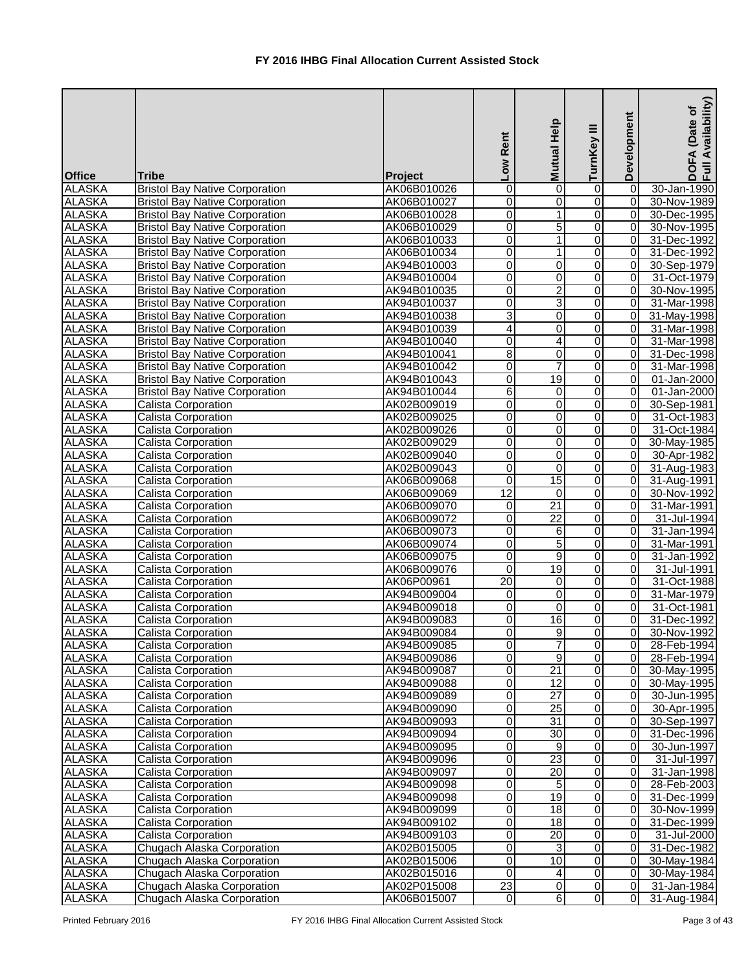| <b>Office</b> | <b>Tribe</b>                          | Project     | Low Rent                | <b>Mutual Help</b> | TurnKey III             | Development    | Availability)<br>(Date of<br>DOFA<br>Full Av |
|---------------|---------------------------------------|-------------|-------------------------|--------------------|-------------------------|----------------|----------------------------------------------|
| <b>ALASKA</b> | <b>Bristol Bay Native Corporation</b> | AK06B010026 | 0                       | 0                  | 0                       | 0              | 30-Jan-1990                                  |
| <b>ALASKA</b> | <b>Bristol Bay Native Corporation</b> | AK06B010027 | $\overline{0}$          | 0                  | 0                       | 0              | 30-Nov-1989                                  |
| <b>ALASKA</b> | <b>Bristol Bay Native Corporation</b> | AK06B010028 | $\overline{\mathsf{o}}$ | 1                  | 0                       | $\overline{0}$ | 30-Dec-1995                                  |
| <b>ALASKA</b> | <b>Bristol Bay Native Corporation</b> | AK06B010029 | $\overline{0}$          | 5                  | 0                       | $\overline{0}$ | 30-Nov-1995                                  |
| <b>ALASKA</b> | <b>Bristol Bay Native Corporation</b> | AK06B010033 | $\overline{0}$          | 1                  | $\overline{0}$          | $\overline{0}$ | 31-Dec-1992                                  |
| <b>ALASKA</b> | <b>Bristol Bay Native Corporation</b> | AK06B010034 | $\overline{0}$          | $\mathbf 1$        | $\overline{0}$          | $\overline{0}$ | 31-Dec-1992                                  |
| <b>ALASKA</b> | <b>Bristol Bay Native Corporation</b> | AK94B010003 | $\overline{0}$          | 0                  | $\overline{\mathsf{o}}$ | $\overline{0}$ | 30-Sep-1979                                  |
| <b>ALASKA</b> | <b>Bristol Bay Native Corporation</b> | AK94B010004 | O                       | $\overline{0}$     | $\overline{0}$          | $\overline{0}$ | 31-Oct-1979                                  |
| <b>ALASKA</b> | <b>Bristol Bay Native Corporation</b> | AK94B010035 | O                       | $\overline{2}$     | O                       | $\overline{0}$ | 30-Nov-1995                                  |
| <b>ALASKA</b> | <b>Bristol Bay Native Corporation</b> | AK94B010037 | $\overline{0}$          | 3                  | $\overline{0}$          | $\overline{0}$ | 31-Mar-1998                                  |
| <b>ALASKA</b> | <b>Bristol Bay Native Corporation</b> | AK94B010038 | 3                       | 0                  | 0                       | $\overline{0}$ | 31-May-1998                                  |
| <b>ALASKA</b> | <b>Bristol Bay Native Corporation</b> | AK94B010039 | 4                       | 0                  | 0                       | $\Omega$       | 31-Mar-1998                                  |
| <b>ALASKA</b> | <b>Bristol Bay Native Corporation</b> | AK94B010040 | $\overline{0}$          | 4                  | 0                       | 0              | 31-Mar-1998                                  |
| <b>ALASKA</b> | <b>Bristol Bay Native Corporation</b> | AK94B010041 | $\overline{8}$          | 0                  | 0                       | $\Omega$       | 31-Dec-1998                                  |
| <b>ALASKA</b> | <b>Bristol Bay Native Corporation</b> | AK94B010042 | $\overline{0}$          | $\overline{7}$     | 0                       | $\Omega$       | 31-Mar-1998                                  |
| <b>ALASKA</b> | <b>Bristol Bay Native Corporation</b> | AK94B010043 | $\overline{\mathsf{o}}$ | $\overline{19}$    | 0                       | 0              | 01-Jan-2000                                  |
| <b>ALASKA</b> | <b>Bristol Bay Native Corporation</b> | AK94B010044 | 6                       | 0                  | $\overline{0}$          | $\overline{0}$ | 01-Jan-2000                                  |
| <b>ALASKA</b> | <b>Calista Corporation</b>            | AK02B009019 | $\overline{\mathsf{o}}$ | 0                  | 0                       | $\overline{0}$ | 30-Sep-1981                                  |
| <b>ALASKA</b> | Calista Corporation                   | AK02B009025 | $\overline{0}$          | 0                  | 0                       | $\overline{0}$ | 31-Oct-1983                                  |
| <b>ALASKA</b> | Calista Corporation                   | AK02B009026 | $\overline{\mathsf{o}}$ | 0                  | 0                       | $\overline{0}$ | 31-Oct-1984                                  |
| <b>ALASKA</b> | Calista Corporation                   | AK02B009029 | $\overline{0}$          | 0                  | 0                       | $\overline{0}$ | 30-May-1985                                  |
| <b>ALASKA</b> | Calista Corporation                   | AK02B009040 | $\overline{0}$          | 0                  | 0                       | $\overline{0}$ | 30-Apr-1982                                  |
| <b>ALASKA</b> | Calista Corporation                   | AK02B009043 | 0                       | 0                  | 0                       | $\overline{0}$ | 31-Aug-1983                                  |
| <b>ALASKA</b> | Calista Corporation                   | AK06B009068 | 0                       | 15                 | 0                       | $\overline{0}$ | 31-Aug-1991                                  |
| <b>ALASKA</b> | Calista Corporation                   | AK06B009069 | $\overline{12}$         | 0                  | 0                       | $\overline{0}$ | 30-Nov-1992                                  |
| <b>ALASKA</b> | Calista Corporation                   | AK06B009070 | $\overline{\mathsf{o}}$ | $\overline{21}$    | $\overline{0}$          | $\overline{0}$ | $31$ -Mar-1991                               |
| <b>ALASKA</b> | Calista Corporation                   | AK06B009072 | $\overline{0}$          | $\overline{22}$    | $\overline{0}$          | $\overline{0}$ | 31-Jul-1994                                  |
| <b>ALASKA</b> | <b>Calista Corporation</b>            | AK06B009073 | $\overline{0}$          | 6                  | $\overline{0}$          | $\Omega$       | 31-Jan-1994                                  |
| <b>ALASKA</b> | <b>Calista Corporation</b>            | AK06B009074 | $\overline{0}$          | $\overline{5}$     | 0                       | $\overline{0}$ | 31-Mar-1991                                  |
| <b>ALASKA</b> | <b>Calista Corporation</b>            | AK06B009075 | $\overline{0}$          | $\overline{9}$     | $\overline{0}$          | $\overline{0}$ | 31-Jan-1992                                  |
| <b>ALASKA</b> | Calista Corporation                   | AK06B009076 | $\overline{\mathsf{o}}$ | $\overline{19}$    | $\overline{0}$          | $\overline{0}$ | 31-Jul-1991                                  |
| <b>ALASKA</b> | Calista Corporation                   | AK06P00961  | 20                      | $\overline{0}$     | $\overline{0}$          | $\overline{0}$ | 31-Oct-1988                                  |
| <b>ALASKA</b> | Calista Corporation                   | AK94B009004 | $\overline{0}$          | 0                  | $\overline{0}$          | $\overline{0}$ | 31-Mar-1979                                  |
| <b>ALASKA</b> | <b>Calista Corporation</b>            | AK94B009018 | $\overline{0}$          | 0                  | 0                       | 0I             | 31-Oct-1981                                  |
| <b>ALASKA</b> | Calista Corporation                   | AK94B009083 | $\overline{0}$          | 16                 | 0                       | $\overline{0}$ | 31-Dec-1992                                  |
| <b>ALASKA</b> | <b>Calista Corporation</b>            | AK94B009084 | $\overline{0}$          | 9                  | 0                       | $\overline{0}$ | 30-Nov-1992                                  |
| <b>ALASKA</b> | Calista Corporation                   | AK94B009085 | $\overline{0}$          | 7                  | $\overline{\mathsf{o}}$ | $\overline{0}$ | 28-Feb-1994                                  |
| <b>ALASKA</b> | Calista Corporation                   | AK94B009086 | $\overline{0}$          | $\overline{9}$     | $\overline{0}$          | $\overline{0}$ | 28-Feb-1994                                  |
| <b>ALASKA</b> | Calista Corporation                   | AK94B009087 | $\overline{0}$          | $\overline{21}$    | 0                       | $\overline{0}$ | 30-May-1995                                  |
| <b>ALASKA</b> | <b>Calista Corporation</b>            | AK94B009088 | $\overline{0}$          | 12                 | $\overline{0}$          | $\overline{0}$ | 30-May-1995                                  |
| <b>ALASKA</b> | Calista Corporation                   | AK94B009089 | $\overline{0}$          | $\overline{27}$    | $\overline{\mathsf{o}}$ | $\overline{0}$ | 30-Jun-1995                                  |
| <b>ALASKA</b> | <b>Calista Corporation</b>            | AK94B009090 | $\overline{0}$          | $\overline{25}$    | 0                       | $\overline{0}$ | 30-Apr-1995                                  |
| <b>ALASKA</b> | <b>Calista Corporation</b>            | AK94B009093 | $\overline{\mathsf{o}}$ | $\overline{31}$    | $\overline{\mathsf{o}}$ | $\overline{0}$ | 30-Sep-1997                                  |
| <b>ALASKA</b> | <b>Calista Corporation</b>            | AK94B009094 | $\overline{0}$          | 30                 | $\overline{0}$          | $\overline{0}$ | 31-Dec-1996                                  |
| <b>ALASKA</b> | <b>Calista Corporation</b>            | AK94B009095 | $\overline{0}$          | 9                  | 0                       | $\overline{0}$ | 30-Jun-1997                                  |
| <b>ALASKA</b> | <b>Calista Corporation</b>            | AK94B009096 | $\overline{0}$          | 23                 | 0                       | $\overline{0}$ | 31-Jul-1997                                  |
| <b>ALASKA</b> | Calista Corporation                   | AK94B009097 | $\overline{0}$          | 20                 | 0                       | $\overline{0}$ | 31-Jan-1998                                  |
| <b>ALASKA</b> | Calista Corporation                   | AK94B009098 | $\overline{0}$          | 5                  | 0                       | $\overline{0}$ | 28-Feb-2003                                  |
| <b>ALASKA</b> | Calista Corporation                   | AK94B009098 | $\overline{0}$          | 19                 | 0                       | $\overline{0}$ | 31-Dec-1999                                  |
| <b>ALASKA</b> | Calista Corporation                   | AK94B009099 | $\overline{0}$          | 18                 | 0                       | 0              | 30-Nov-1999                                  |
| <b>ALASKA</b> | Calista Corporation                   | AK94B009102 | $\overline{0}$          | 18                 | $\overline{\mathsf{o}}$ | 0              | 31-Dec-1999                                  |
| <b>ALASKA</b> | Calista Corporation                   | AK94B009103 | $\overline{0}$          | 20                 | 0                       | 0              | 31-Jul-2000                                  |
| <b>ALASKA</b> | Chugach Alaska Corporation            | AK02B015005 | $\overline{0}$          | 3                  | $\overline{0}$          | 0              | 31-Dec-1982                                  |
| <b>ALASKA</b> | Chugach Alaska Corporation            | AK02B015006 | $\overline{0}$          | 10                 | $\overline{\mathsf{o}}$ | $\overline{0}$ | 30-May-1984                                  |
| <b>ALASKA</b> | Chugach Alaska Corporation            | AK02B015016 | $\overline{0}$          | $\overline{4}$     | 0                       | $\overline{0}$ | 30-May-1984                                  |
| <b>ALASKA</b> | Chugach Alaska Corporation            | AK02P015008 | 23                      | 0                  | 0                       | $\overline{0}$ | 31-Jan-1984                                  |
| <b>ALASKA</b> | Chugach Alaska Corporation            | AK06B015007 | $\overline{0}$          | $6 \overline{6}$   | $\overline{0}$          | 0              | 31-Aug-1984                                  |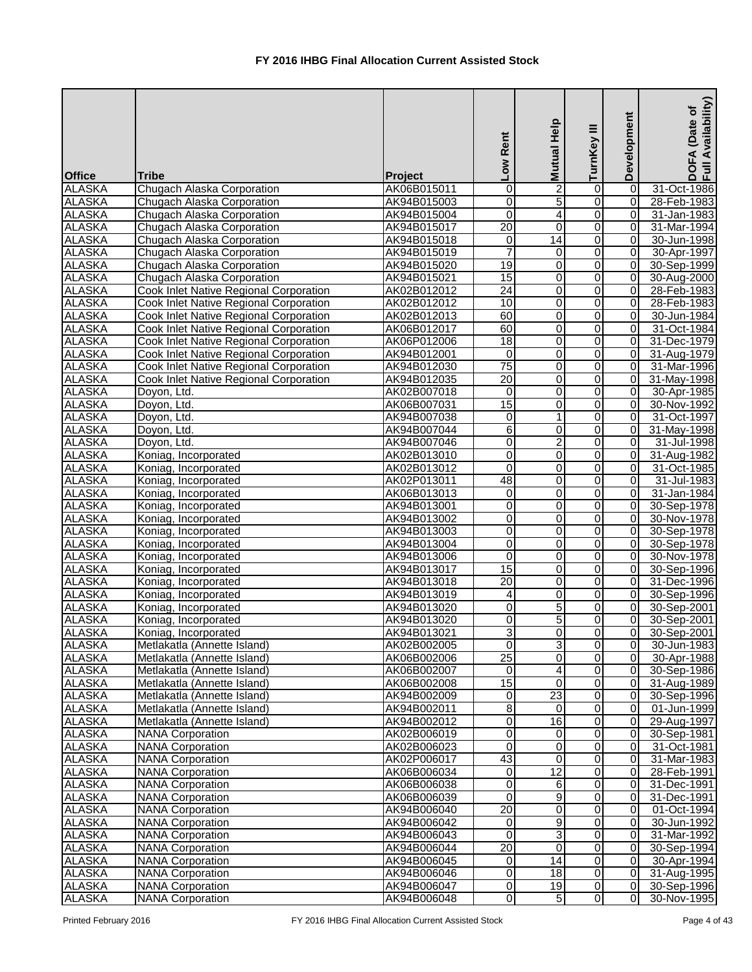| <b>Office</b> | <b>Tribe</b>                                  | Project     | Low Rent                | Mutual Help      | TurnKey III    | Development    | Availability)<br>(Date of<br><b>DOFA</b><br>Full Av |
|---------------|-----------------------------------------------|-------------|-------------------------|------------------|----------------|----------------|-----------------------------------------------------|
| <b>ALASKA</b> | Chugach Alaska Corporation                    | AK06B015011 | $\mathbf 0$             | $\overline{2}$   | 0              | 0              | 31-Oct-1986                                         |
| <b>ALASKA</b> | Chugach Alaska Corporation                    | AK94B015003 | $\overline{0}$          | $\overline{5}$   | 0              | 0              | 28-Feb-1983                                         |
| <b>ALASKA</b> | Chugach Alaska Corporation                    | AK94B015004 | $\overline{0}$          | $\overline{4}$   | 0              | $\overline{0}$ | 31-Jan-1983                                         |
| <b>ALASKA</b> | Chugach Alaska Corporation                    | AK94B015017 | 20                      | $\mathbf 0$      | 0              | $\overline{0}$ | 31-Mar-1994                                         |
| <b>ALASKA</b> | Chugach Alaska Corporation                    | AK94B015018 | $\overline{0}$          | $\overline{14}$  | 0              | 0              | 30-Jun-1998                                         |
| <b>ALASKA</b> | Chugach Alaska Corporation                    | AK94B015019 | $\overline{7}$          | 0                | 0              | $\overline{0}$ | 30-Apr-1997                                         |
| <b>ALASKA</b> | Chugach Alaska Corporation                    | AK94B015020 | 19                      | $\pmb{0}$        | 0              | $\overline{0}$ | 30-Sep-1999                                         |
| <b>ALASKA</b> | Chugach Alaska Corporation                    | AK94B015021 | 15                      | $\mathbf 0$      | 0              | $\overline{0}$ | 30-Aug-2000                                         |
| <b>ALASKA</b> | Cook Inlet Native Regional Corporation        | AK02B012012 | $\overline{24}$         | 0                | 0              | $\overline{0}$ | 28-Feb-1983                                         |
| <b>ALASKA</b> | Cook Inlet Native Regional Corporation        | AK02B012012 | 10                      | 0                | 0              | $\overline{0}$ | 28-Feb-1983                                         |
| <b>ALASKA</b> | Cook Inlet Native Regional Corporation        | AK02B012013 | 60                      | 0                | 0              | 0              | 30-Jun-1984                                         |
| <b>ALASKA</b> | Cook Inlet Native Regional Corporation        | AK06B012017 | 60                      | $\pmb{0}$        | 0              | $\Omega$       | 31-Oct-1984                                         |
| <b>ALASKA</b> | Cook Inlet Native Regional Corporation        | AK06P012006 | $\overline{18}$         | 0                | 0              | 0              | 31-Dec-1979                                         |
| <b>ALASKA</b> | <b>Cook Inlet Native Regional Corporation</b> | AK94B012001 | $\overline{\mathsf{o}}$ | $\mathbf 0$      | 0              | $\overline{0}$ | 31-Aug-1979                                         |
| <b>ALASKA</b> | Cook Inlet Native Regional Corporation        | AK94B012030 | $\overline{75}$         | $\mathbf 0$      | 0              | $\overline{0}$ | 31-Mar-1996                                         |
| <b>ALASKA</b> | Cook Inlet Native Regional Corporation        | AK94B012035 | $\overline{20}$         | 0                | 0              | $\overline{0}$ | 31-May-1998                                         |
| <b>ALASKA</b> | Doyon, Ltd.                                   | AK02B007018 | 0                       | 0                | 0              | $\overline{0}$ | 30-Apr-1985                                         |
| <b>ALASKA</b> | Doyon, Ltd.                                   | AK06B007031 | 15                      | $\boldsymbol{0}$ | 0              | 0              | 30-Nov-1992                                         |
| <b>ALASKA</b> | Doyon, Ltd.                                   | AK94B007038 | $\overline{\mathsf{o}}$ | $\mathbf{1}$     | 0              | $\overline{0}$ | 31-Oct-1997                                         |
| <b>ALASKA</b> |                                               | AK94B007044 | $\overline{6}$          |                  |                | $\overline{0}$ |                                                     |
|               | Doyon, Ltd.                                   |             |                         | 0                | 0              | $\overline{0}$ | 31-May-1998                                         |
| <b>ALASKA</b> | Doyon, Ltd.                                   | AK94B007046 | $\overline{0}$          | $\overline{c}$   | 0              |                | 31-Jul-1998                                         |
| <b>ALASKA</b> | Koniag, Incorporated                          | AK02B013010 | 0                       | 0                | 0              | $\overline{0}$ | 31-Aug-1982                                         |
| <b>ALASKA</b> | Koniag, Incorporated                          | AK02B013012 | 0                       | 0                | 0              | $\Omega$       | 31-Oct-1985                                         |
| <b>ALASKA</b> | Koniag, Incorporated                          | AK02P013011 | 48                      | $\boldsymbol{0}$ | 0              | $\overline{0}$ | 31-Jul-1983                                         |
| <b>ALASKA</b> | Koniag, Incorporated                          | AK06B013013 | $\overline{0}$          | 0                | 0              | $\overline{0}$ | 31-Jan-1984                                         |
| <b>ALASKA</b> | Koniag, Incorporated                          | AK94B013001 | $\overline{0}$          | 0                | 0              | $\overline{0}$ | 30-Sep-1978                                         |
| <b>ALASKA</b> | Koniag, Incorporated                          | AK94B013002 | $\overline{0}$          | $\pmb{0}$        | 0              | $\overline{0}$ | 30-Nov-1978                                         |
| <b>ALASKA</b> | Koniag, Incorporated                          | AK94B013003 | $\overline{\mathsf{o}}$ | $\boldsymbol{0}$ | 0              | $\overline{0}$ | 30-Sep-1978                                         |
| <b>ALASKA</b> | Koniag, Incorporated                          | AK94B013004 | $\overline{0}$          | $\pmb{0}$        | 0              | $\overline{0}$ | 30-Sep-1978                                         |
| <b>ALASKA</b> | Koniag, Incorporated                          | AK94B013006 | $\overline{\mathsf{o}}$ | 0                | 0              | $\overline{0}$ | 30-Nov-1978                                         |
| <b>ALASKA</b> | Koniag, Incorporated                          | AK94B013017 | 15                      | $\mathbf 0$      | $\overline{0}$ | $\overline{0}$ | 30-Sep-1996                                         |
| <b>ALASKA</b> | Koniag, Incorporated                          | AK94B013018 | 20                      | $\overline{0}$   | $\overline{0}$ | $\overline{0}$ | 31-Dec-1996                                         |
| <b>ALASKA</b> | Koniag, Incorporated                          | AK94B013019 | 4                       | 0                | 0              | ΟI             | 30-Sep-1996                                         |
| <b>ALASKA</b> | Koniag, Incorporated                          | AK94B013020 | $\overline{0}$          | 5                | 0              | $\overline{0}$ | 30-Sep-2001                                         |
| <b>ALASKA</b> | Koniag, Incorporated                          | AK94B013020 | 0                       | 5                | 0              | $\overline{0}$ | 30-Sep-2001                                         |
| <b>ALASKA</b> | Koniag, Incorporated                          | AK94B013021 | دن                      | $\mathbf 0$      | 0              | 0              | 30-Sep-2001                                         |
| <b>ALASKA</b> | Metlakatla (Annette Island)                   | AK02B002005 | $\overline{\mathsf{o}}$ | 3                | 0              | $\overline{0}$ | 30-Jun-1983                                         |
| <b>ALASKA</b> | Metlakatla (Annette Island)                   | AK06B002006 | 25                      | $\pmb{0}$        | 0              | $\overline{0}$ | 30-Apr-1988                                         |
| <b>ALASKA</b> | Metlakatla (Annette Island)                   | AK06B002007 | $\overline{0}$          | 4                | 0              | $\overline{0}$ | 30-Sep-1986                                         |
| <b>ALASKA</b> | Metlakatla (Annette Island)                   | AK06B002008 | $\overline{15}$         | 0                | 0              | $\overline{0}$ | 31-Aug-1989                                         |
| <b>ALASKA</b> | Metlakatla (Annette Island)                   | AK94B002009 | $\overline{0}$          | $\overline{23}$  | $\overline{0}$ | $\overline{0}$ | 30-Sep-1996                                         |
| <b>ALASKA</b> | Metlakatla (Annette Island)                   | AK94B002011 | 8                       | 0                | $\overline{0}$ | $\overline{0}$ | 01-Jun-1999                                         |
| <b>ALASKA</b> | Metlakatla (Annette Island)                   | AK94B002012 | $\overline{0}$          | 16               | 0              | $\overline{0}$ | 29-Aug-1997                                         |
| <b>ALASKA</b> | <b>NANA Corporation</b>                       | AK02B006019 | $\overline{0}$          | 0                | 0              | $\overline{0}$ | 30-Sep-1981                                         |
| <b>ALASKA</b> | <b>NANA Corporation</b>                       | AK02B006023 | 0                       | $\pmb{0}$        | 0              | $\overline{0}$ | 31-Oct-1981                                         |
| <b>ALASKA</b> | <b>NANA Corporation</b>                       | AK02P006017 | 43                      | $\pmb{0}$        | 0              | $\overline{0}$ | 31-Mar-1983                                         |
| <b>ALASKA</b> | <b>NANA Corporation</b>                       | AK06B006034 | 0                       | $\overline{12}$  | 0              | $\overline{0}$ | 28-Feb-1991                                         |
| <b>ALASKA</b> | <b>NANA</b> Corporation                       | AK06B006038 | $\overline{0}$          | 6                | 0              | 0              | 31-Dec-1991                                         |
| <b>ALASKA</b> | <b>NANA Corporation</b>                       | AK06B006039 | $\overline{0}$          | 9                | 0              | 0              | 31-Dec-1991                                         |
| <b>ALASKA</b> | <b>NANA Corporation</b>                       | AK94B006040 | 20                      | 0                | 0              | 0              | 01-Oct-1994                                         |
| <b>ALASKA</b> | <b>NANA</b> Corporation                       | AK94B006042 | $\overline{0}$          | 9                | 0              | 0              | 30-Jun-1992                                         |
| <b>ALASKA</b> | <b>NANA Corporation</b>                       | AK94B006043 | $\overline{\mathsf{o}}$ | $\overline{3}$   | 0              | 0              | 31-Mar-1992                                         |
| <b>ALASKA</b> | <b>NANA</b> Corporation                       | AK94B006044 | $\overline{20}$         | $\mathbf 0$      | 0              | $\overline{0}$ | 30-Sep-1994                                         |
| <b>ALASKA</b> | <b>NANA Corporation</b>                       | AK94B006045 | $\overline{0}$          | 14               | 0              | $\overline{0}$ | 30-Apr-1994                                         |
| <b>ALASKA</b> | <b>NANA</b> Corporation                       | AK94B006046 | $\overline{0}$          | 18               | 0              | $\overline{0}$ | 31-Aug-1995                                         |
| <b>ALASKA</b> | <b>NANA Corporation</b>                       | AK94B006047 | $\overline{0}$          | 19               | 0              | $\overline{0}$ | 30-Sep-1996                                         |
| <b>ALASKA</b> | <b>NANA Corporation</b>                       | AK94B006048 | $\overline{0}$          | 5                | 0              | $\overline{0}$ | 30-Nov-1995                                         |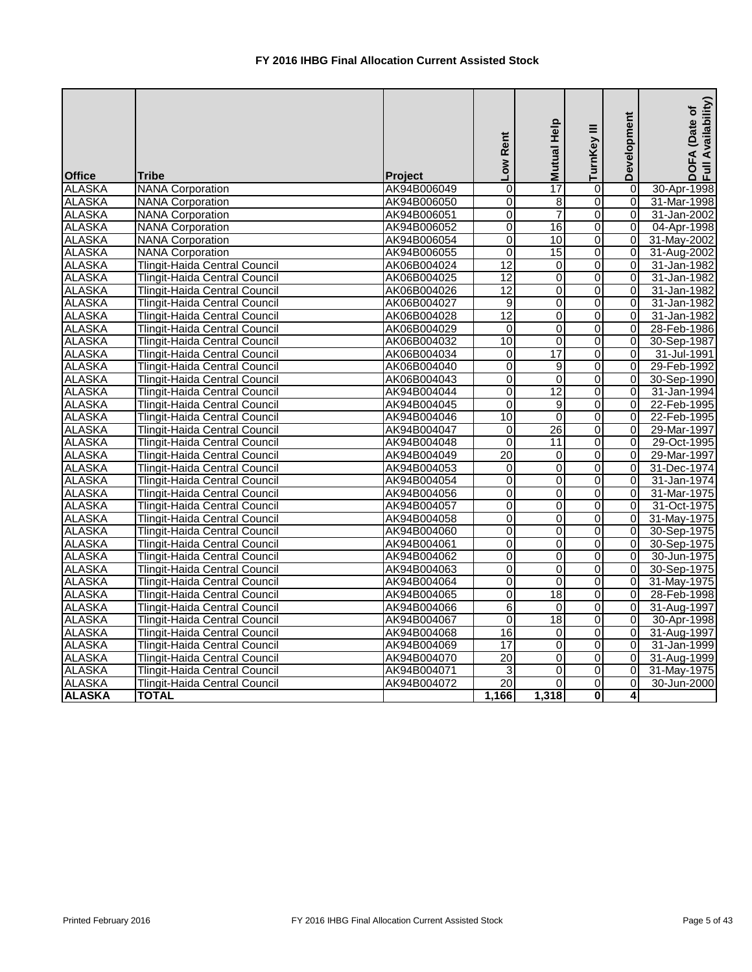| <b>Office</b> | <b>Tribe</b>                         | Project     | Rent<br>Low     | <b>Mutual Help</b> | TurnKey III             | Development    | Availability)<br>(Date of<br>DOFA<br>Full Av |
|---------------|--------------------------------------|-------------|-----------------|--------------------|-------------------------|----------------|----------------------------------------------|
| <b>ALASKA</b> | <b>NANA Corporation</b>              | AK94B006049 | $\mathbf 0$     | $\overline{17}$    | 0                       | 0              | 30-Apr-1998                                  |
| <b>ALASKA</b> | <b>NANA</b> Corporation              | AK94B006050 | 0               | 8                  | 0                       | $\overline{0}$ | 31-Mar-1998                                  |
| <b>ALASKA</b> | <b>NANA</b> Corporation              | AK94B006051 | 0               | 7                  | 0                       | $\overline{0}$ | 31-Jan-2002                                  |
| <b>ALASKA</b> | <b>NANA</b> Corporation              | AK94B006052 | $\overline{0}$  | 16                 | 0                       | $\overline{0}$ | 04-Apr-1998                                  |
| <b>ALASKA</b> | <b>NANA Corporation</b>              | AK94B006054 | $\mathsf 0$     | 10                 | $\overline{0}$          | $\overline{0}$ | 31-May-2002                                  |
| <b>ALASKA</b> | <b>NANA Corporation</b>              | AK94B006055 | 0               | $\overline{15}$    | 0                       | $\overline{0}$ | 31-Aug-2002                                  |
| <b>ALASKA</b> | Tlingit-Haida Central Council        | AK06B004024 | 12              | 0                  | $\overline{\mathsf{o}}$ | 0              | 31-Jan-1982                                  |
| <b>ALASKA</b> | <b>Tlingit-Haida Central Council</b> | AK06B004025 | $\overline{12}$ | 0                  | $\overline{0}$          | 0              | 31-Jan-1982                                  |
| <b>ALASKA</b> | <b>Tlingit-Haida Central Council</b> | AK06B004026 | 12              | $\overline{0}$     | $\overline{0}$          | $\overline{0}$ | 31-Jan-1982                                  |
| <b>ALASKA</b> | <b>Tlingit-Haida Central Council</b> | AK06B004027 | 9               | 0                  | 0                       | $\overline{0}$ | 31-Jan-1982                                  |
| <b>ALASKA</b> | <b>Tlingit-Haida Central Council</b> | AK06B004028 | 12              | 0                  | $\overline{0}$          | $\overline{0}$ | 31-Jan-1982                                  |
| <b>ALASKA</b> | <b>Tlingit-Haida Central Council</b> | AK06B004029 | 0               | 0                  | 0                       | $\Omega$       | 28-Feb-1986                                  |
| <b>ALASKA</b> | Tlingit-Haida Central Council        | AK06B004032 | $\overline{10}$ | 0                  | 0                       | 0              | 30-Sep-1987                                  |
| <b>ALASKA</b> | Tlingit-Haida Central Council        | AK06B004034 | 0               | 17                 | 0                       | $\overline{0}$ | 31-Jul-1991                                  |
| <b>ALASKA</b> | <b>Tlingit-Haida Central Council</b> | AK06B004040 | $\overline{0}$  | 9                  | 0                       | $\Omega$       | 29-Feb-1992                                  |
| <b>ALASKA</b> | <b>Tlingit-Haida Central Council</b> | AK06B004043 | 0               | $\mathbf 0$        | $\overline{0}$          | $\Omega$       | 30-Sep-1990                                  |
| <b>ALASKA</b> | <b>Tlingit-Haida Central Council</b> | AK94B004044 | $\overline{0}$  | $\overline{12}$    | 0                       | $\overline{0}$ | 31-Jan-1994                                  |
| <b>ALASKA</b> | Tlingit-Haida Central Council        | AK94B004045 | $\overline{0}$  | 9                  | $\overline{0}$          | $\Omega$       | 22-Feb-1995                                  |
| <b>ALASKA</b> | <b>Tlingit-Haida Central Council</b> | AK94B004046 | 10              | $\mathbf 0$        | $\overline{\mathsf{o}}$ | $\Omega$       | 22-Feb-1995                                  |
| <b>ALASKA</b> | <b>Tlingit-Haida Central Council</b> | AK94B004047 | 0               | $\overline{26}$    | 0                       | $\Omega$       | 29-Mar-1997                                  |
| <b>ALASKA</b> | <b>Tlingit-Haida Central Council</b> | AK94B004048 | $\overline{0}$  | 11                 | 0                       | $\overline{0}$ | 29-Oct-1995                                  |
| <b>ALASKA</b> | <b>Tlingit-Haida Central Council</b> | AK94B004049 | 20              | 0                  | 0                       | $\overline{0}$ | 29-Mar-1997                                  |
| <b>ALASKA</b> | <b>Tlingit-Haida Central Council</b> | AK94B004053 | 0               | 0                  | 0                       | $\overline{0}$ | 31-Dec-1974                                  |
| <b>ALASKA</b> | <b>Tlingit-Haida Central Council</b> | AK94B004054 | 0               | 0                  | 0                       | $\Omega$       | 31-Jan-1974                                  |
| <b>ALASKA</b> | Tlingit-Haida Central Council        | AK94B004056 | 0               | 0                  | 0                       | $\overline{0}$ | 31-Mar-1975                                  |
| <b>ALASKA</b> | <b>Tlingit-Haida Central Council</b> | AK94B004057 | $\overline{0}$  | 0                  | 0                       | $\overline{0}$ | 31-Oct-1975                                  |
| <b>ALASKA</b> | <b>Tlingit-Haida Central Council</b> | AK94B004058 | $\overline{0}$  | 0                  | $\overline{0}$          | $\overline{0}$ | 31-May-1975                                  |
| <b>ALASKA</b> | <b>Tlingit-Haida Central Council</b> | AK94B004060 | $\overline{0}$  | 0                  | $\overline{0}$          | $\overline{0}$ | 30-Sep-1975                                  |
| <b>ALASKA</b> | Tlingit-Haida Central Council        | AK94B004061 | $\overline{0}$  | 0                  | $\overline{0}$          | $\overline{0}$ | 30-Sep-1975                                  |
| <b>ALASKA</b> | Tlingit-Haida Central Council        | AK94B004062 | $\overline{0}$  | 0                  | 0                       | $\overline{0}$ | 30-Jun-1975                                  |
| <b>ALASKA</b> | <b>Tlingit-Haida Central Council</b> | AK94B004063 | $\overline{0}$  | 0                  | $\overline{0}$          | $\overline{0}$ | 30-Sep-1975                                  |
| <b>ALASKA</b> | Tlingit-Haida Central Council        | AK94B004064 | $\overline{0}$  | $\overline{0}$     | $\overline{0}$          | $\overline{0}$ | 31-May-1975                                  |
| <b>ALASKA</b> | <b>Tlingit-Haida Central Council</b> | AK94B004065 | 0               | $\overline{18}$    | 0                       | 01             | 28-Feb-1998                                  |
| <b>ALASKA</b> | <b>Tlingit-Haida Central Council</b> | AK94B004066 | 6               | 0                  | 0                       | $\overline{0}$ | 31-Aug-1997                                  |
| <b>ALASKA</b> | <b>Tlingit-Haida Central Council</b> | AK94B004067 | 0               | $\overline{18}$    | 0                       | $\overline{0}$ | 30-Apr-1998                                  |
| <b>ALASKA</b> | <b>Tlingit-Haida Central Council</b> | AK94B004068 | 16              | 0                  | 0                       | $\overline{0}$ | 31-Aug-1997                                  |
| <b>ALASKA</b> | <b>Tlingit-Haida Central Council</b> | AK94B004069 | $\overline{17}$ | 0                  | 0                       | $\overline{0}$ | 31-Jan-1999                                  |
| <b>ALASKA</b> | Tlingit-Haida Central Council        | AK94B004070 | $\overline{20}$ | 0                  | $\overline{0}$          | $\overline{0}$ | 31-Aug-1999                                  |
| <b>ALASKA</b> | <b>Tlingit-Haida Central Council</b> | AK94B004071 | 3               | 0                  | $\overline{0}$          | $\overline{0}$ | 31-May-1975                                  |
| <b>ALASKA</b> | Tlingit-Haida Central Council        | AK94B004072 | 20              | 0                  | $\overline{0}$          | 0              | 30-Jun-2000                                  |
| <b>ALASKA</b> | <b>TOTAL</b>                         |             | 1,166           | 1,318              | $\mathbf{0}$            | $\frac{4}{ }$  |                                              |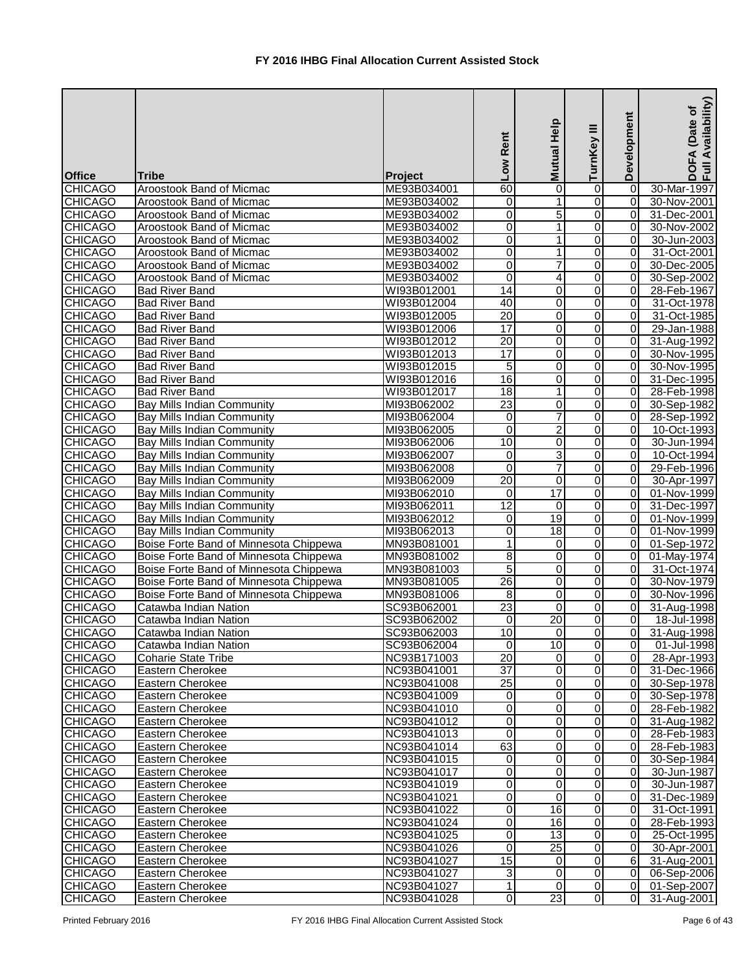| <b>Office</b>  | <b>Tribe</b>                           | Project     | Rent<br><b>NOT</b> | Mutual Help     | Ξ<br>TurnKey        | Development     | Availability)<br>Date of<br><b>DOFA</b><br>Full Av |
|----------------|----------------------------------------|-------------|--------------------|-----------------|---------------------|-----------------|----------------------------------------------------|
| <b>CHICAGO</b> | Aroostook Band of Micmac               | ME93B034001 | 60                 | $\mathbf 0$     | $\boldsymbol{0}$    | $\overline{0}$  | 30-Mar-1997                                        |
| <b>CHICAGO</b> | Aroostook Band of Micmac               | ME93B034002 | 0                  | 1               | 0                   | 0               | 30-Nov-2001                                        |
| <b>CHICAGO</b> | Aroostook Band of Micmac               | ME93B034002 | 0                  | 5               | $\mathbf 0$         | $\overline{0}$  | 31-Dec-2001                                        |
| <b>CHICAGO</b> | Aroostook Band of Micmac               | ME93B034002 | $\overline{0}$     | 1               | $\overline{0}$      | 0               | 30-Nov-2002                                        |
| <b>CHICAGO</b> | Aroostook Band of Micmac               | ME93B034002 | $\mathsf 0$        | 1               | $\overline{0}$      | 0               | 30-Jun-2003                                        |
| <b>CHICAGO</b> | Aroostook Band of Micmac               | ME93B034002 | 0                  | 1               | 0                   | $\Omega$        | 31-Oct-2001                                        |
| <b>CHICAGO</b> | Aroostook Band of Micmac               | ME93B034002 | $\overline{0}$     | $\overline{7}$  | $\boldsymbol{0}$    | $\overline{0}$  | 30-Dec-2005                                        |
| <b>CHICAGO</b> | Aroostook Band of Micmac               | ME93B034002 | $\overline{0}$     | 4               | $\overline{0}$      | $\overline{0}$  | 30-Sep-2002                                        |
| <b>CHICAGO</b> | <b>Bad River Band</b>                  | WI93B012001 | $\overline{14}$    | 0               | $\overline{0}$      | $\overline{0}$  | 28-Feb-1967                                        |
| <b>CHICAGO</b> | <b>Bad River Band</b>                  | WI93B012004 | 40                 | 0               | 0                   | 0               | 31-Oct-1978                                        |
| <b>CHICAGO</b> | <b>Bad River Band</b>                  | WI93B012005 | $\overline{20}$    | $\mathbf 0$     | 0                   | $\Omega$        | 31-Oct-1985                                        |
| <b>CHICAGO</b> | <b>Bad River Band</b>                  | WI93B012006 | $\overline{17}$    | 0               | 0                   | 0               | 29-Jan-1988                                        |
| <b>CHICAGO</b> | <b>Bad River Band</b>                  | WI93B012012 | $\overline{20}$    | $\mathbf 0$     | 0                   | 0               | 31-Aug-1992                                        |
| <b>CHICAGO</b> | <b>Bad River Band</b>                  | WI93B012013 | 17                 | $\mathbf 0$     | $\overline{0}$      | 0               | 30-Nov-1995                                        |
| <b>CHICAGO</b> | <b>Bad River Band</b>                  | WI93B012015 | 5                  | 0               | $\overline{0}$      | 0               | 30-Nov-1995                                        |
| <b>CHICAGO</b> | <b>Bad River Band</b>                  | WI93B012016 | 16                 | 0               | $\overline{0}$      | 0               | 31-Dec-1995                                        |
| <b>CHICAGO</b> | <b>Bad River Band</b>                  | WI93B012017 | 18                 | 1               | $\overline{0}$      | 0               | 28-Feb-1998                                        |
| <b>CHICAGO</b> | <b>Bay Mills Indian Community</b>      | MI93B062002 | $\overline{23}$    | $\mathbf 0$     | 0                   | $\overline{0}$  | 30-Sep-1982                                        |
| <b>CHICAGO</b> | <b>Bay Mills Indian Community</b>      | MI93B062004 | 0                  | $\overline{7}$  | $\overline{0}$      | $\overline{0}$  | 28-Sep-1992                                        |
| <b>CHICAGO</b> | <b>Bay Mills Indian Community</b>      | MI93B062005 | 0                  | $\overline{2}$  | $\overline{0}$      | $\overline{0}$  | 10-Oct-1993                                        |
| <b>CHICAGO</b> | <b>Bay Mills Indian Community</b>      | MI93B062006 | 10                 | 0               | $\overline{0}$      | $\overline{0}$  | 30-Jun-1994                                        |
| <b>CHICAGO</b> | <b>Bay Mills Indian Community</b>      | MI93B062007 | 0                  | 3               | 0                   | $\Omega$        | 10-Oct-1994                                        |
| <b>CHICAGO</b> | <b>Bay Mills Indian Community</b>      | MI93B062008 | 0                  | $\overline{7}$  | 0                   | 0               | 29-Feb-1996                                        |
| <b>CHICAGO</b> | <b>Bay Mills Indian Community</b>      | MI93B062009 | 20                 | $\mathbf 0$     | 0                   | 0               | 30-Apr-1997                                        |
| <b>CHICAGO</b> | <b>Bay Mills Indian Community</b>      | MI93B062010 | 0                  | 17              | $\overline{0}$      | $\overline{0}$  | 01-Nov-1999                                        |
| <b>CHICAGO</b> | <b>Bay Mills Indian Community</b>      | MI93B062011 | $\overline{12}$    | $\mathbf 0$     | $\overline{0}$      | 0               | 31-Dec-1997                                        |
| <b>CHICAGO</b> | Bay Mills Indian Community             | MI93B062012 | 0                  | 19              | $\mathbf 0$         | 0               | 01-Nov-1999                                        |
| <b>CHICAGO</b> | Bay Mills Indian Community             | MI93B062013 | $\overline{0}$     | $\frac{1}{8}$   | $\overline{0}$      | $\overline{0}$  | 01-Nov-1999                                        |
| <b>CHICAGO</b> | Boise Forte Band of Minnesota Chippewa | MN93B081001 | $\mathbf{1}$       | 0               | $\overline{0}$      | $\overline{0}$  | 01-Sep-1972                                        |
| <b>CHICAGO</b> | Boise Forte Band of Minnesota Chippewa | MN93B081002 | 8                  | 0               | $\overline{0}$      | $\overline{0}$  | 01-May-1974                                        |
| <b>CHICAGO</b> | Boise Forte Band of Minnesota Chippewa | MN93B081003 | 5                  | 0               | $\overline{0}$      | $\overline{0}$  | 31-Oct-1974                                        |
| <b>CHICAGO</b> | Boise Forte Band of Minnesota Chippewa | MN93B081005 | 26                 | $\overline{0}$  | $\overline{0}$      | $\overline{0}$  | 30-Nov-1979                                        |
| <b>CHICAGO</b> | Boise Forte Band of Minnesota Chippewa | MN93B081006 | 8                  | 0               | $\overline{0}$      | ΟI              | 30-Nov-1996                                        |
| <b>CHICAGO</b> | Catawba Indian Nation                  | SC93B062001 | 23                 | 0               | $\overline{0}$      | $\overline{0}$  | 31-Aug-1998                                        |
| <b>CHICAGO</b> | Catawba Indian Nation                  | SC93B062002 | 0                  | 20              | $\overline{0}$      | $\overline{0}$  | 18-Jul-1998                                        |
| <b>CHICAGO</b> | Catawba Indian Nation                  | SC93B062003 | 10                 | $\mathbf 0$     | $\overline{0}$      | $\overline{0}$  | 31-Aug-1998                                        |
| <b>CHICAGO</b> | Catawba Indian Nation                  | SC93B062004 | 0                  | $\overline{10}$ | $\overline{0}$      | $\overline{0}$  | 01-Jul-1998                                        |
| <b>CHICAGO</b> | <b>Coharie State Tribe</b>             | NC93B171003 | 20                 | $\mathbf 0$     | $\overline{0}$      | 0               | 28-Apr-1993                                        |
| <b>CHICAGO</b> | Eastern Cherokee                       | NC93B041001 | $\overline{37}$    | $\mathbf 0$     | $\overline{0}$      | $\overline{0}$  | 31-Dec-1966                                        |
| <b>CHICAGO</b> | Eastern Cherokee                       | NC93B041008 | 25                 | 0               | $\overline{0}$      | $\overline{0}$  | 30-Sep-1978                                        |
| <b>CHICAGO</b> | Eastern Cherokee                       | NC93B041009 | 0                  | 0               | $\mathsf{O}\xspace$ | $\overline{0}$  | 30-Sep-1978                                        |
| <b>CHICAGO</b> | Eastern Cherokee                       | NC93B041010 | $\overline{0}$     | $\mathbf 0$     | $\overline{0}$      | $\overline{0}$  | 28-Feb-1982                                        |
| <b>CHICAGO</b> | Eastern Cherokee                       | NC93B041012 | 0                  | 0               | $\overline{0}$      | $\overline{0}$  | 31-Aug-1982                                        |
| <b>CHICAGO</b> | Eastern Cherokee                       | NC93B041013 | $\Omega$           | 0               | $\overline{0}$      | $\overline{0}$  | 28-Feb-1983                                        |
| <b>CHICAGO</b> | Eastern Cherokee                       | NC93B041014 | 63                 | 0               | $\overline{0}$      | $\overline{0}$  | 28-Feb-1983                                        |
| <b>CHICAGO</b> | Eastern Cherokee                       | NC93B041015 | 0                  | 0               | 0                   | $\overline{0}$  | 30-Sep-1984                                        |
| <b>CHICAGO</b> | Eastern Cherokee                       | NC93B041017 | 0                  | 0               | 0                   | 0               | 30-Jun-1987                                        |
| <b>CHICAGO</b> | Eastern Cherokee                       | NC93B041019 | $\overline{0}$     | $\mathbf 0$     | $\mathbf 0$         | $\overline{0}$  | 30-Jun-1987                                        |
| <b>CHICAGO</b> | Eastern Cherokee                       | NC93B041021 | $\overline{0}$     | 0               | $\mathbf 0$         | $\overline{0}$  | 31-Dec-1989                                        |
| <b>CHICAGO</b> | Eastern Cherokee                       | NC93B041022 | $\overline{0}$     | 16              | $\overline{0}$      | 0               | 31-Oct-1991                                        |
| <b>CHICAGO</b> | Eastern Cherokee                       | NC93B041024 | 0                  | 16              | $\mathsf{O}\xspace$ | 0               | 28-Feb-1993                                        |
| <b>CHICAGO</b> | Eastern Cherokee                       | NC93B041025 | 0                  | 13              | $\mathsf{O}\xspace$ | $\overline{0}$  | 25-Oct-1995                                        |
| <b>CHICAGO</b> | Eastern Cherokee                       | NC93B041026 | $\overline{0}$     | $\overline{25}$ | Ō                   | $\overline{0}$  | 30-Apr-2001                                        |
| <b>CHICAGO</b> | Eastern Cherokee                       | NC93B041027 | 15                 | $\Omega$        | $\overline{0}$      | $6\overline{6}$ | 31-Aug-2001                                        |
| <b>CHICAGO</b> | Eastern Cherokee                       | NC93B041027 | 3                  | 0               | $\overline{0}$      | $\overline{0}$  | 06-Sep-2006                                        |
| <b>CHICAGO</b> | Eastern Cherokee                       | NC93B041027 | 1                  | $\mathbf 0$     | $\overline{0}$      | $\overline{0}$  | 01-Sep-2007                                        |
| <b>CHICAGO</b> | Eastern Cherokee                       | NC93B041028 | $\overline{0}$     | 23              | $\overline{0}$      | $\overline{0}$  | 31-Aug-2001                                        |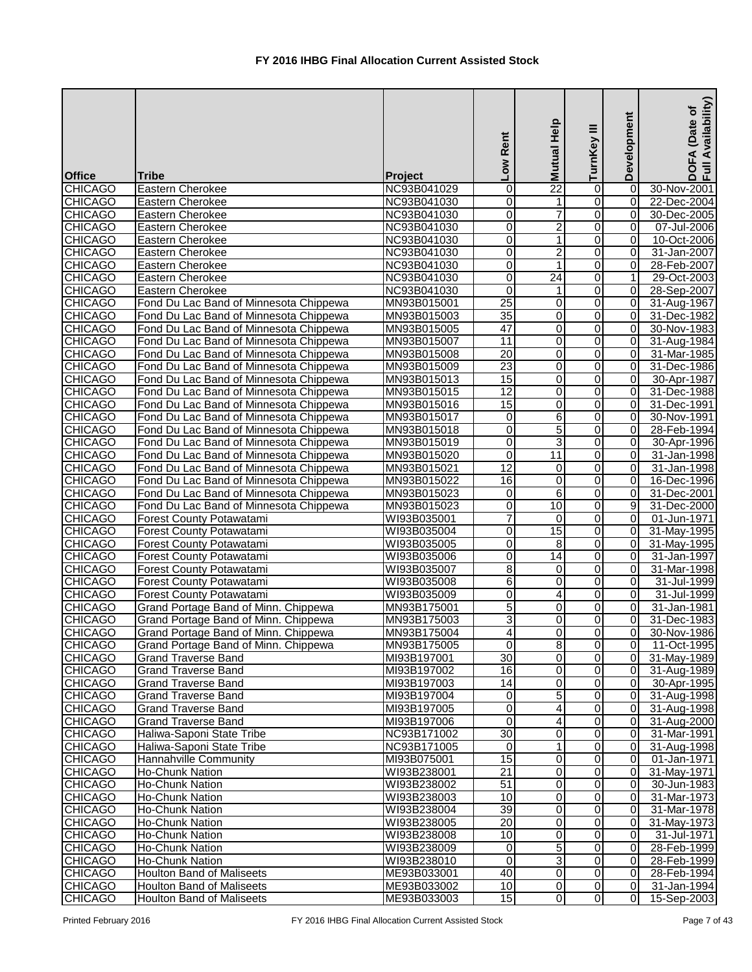| <b>Office</b>  | <b>Tribe</b>                           | Project     | Rent<br><b>NOT</b> | <b>Mutual Help</b>      | ≡<br>TurnKey            | Development    | Availability)<br>Date of<br>DOFA<br>Full Av |
|----------------|----------------------------------------|-------------|--------------------|-------------------------|-------------------------|----------------|---------------------------------------------|
| <b>CHICAGO</b> | Eastern Cherokee                       | NC93B041029 | 0                  | $\overline{22}$         | $\boldsymbol{0}$        | 0              | 30-Nov-2001                                 |
| <b>CHICAGO</b> | Eastern Cherokee                       | NC93B041030 | 0                  | 1                       | $\overline{0}$          | $\overline{0}$ | 22-Dec-2004                                 |
| <b>CHICAGO</b> | <b>Eastern Cherokee</b>                | NC93B041030 | 0                  | $\overline{7}$          | $\mathbf 0$             | 0              | 30-Dec-2005                                 |
| <b>CHICAGO</b> | Eastern Cherokee                       | NC93B041030 | $\overline{0}$     | $\overline{c}$          | $\mathbf 0$             | 0              | 07-Jul-2006                                 |
| <b>CHICAGO</b> | Eastern Cherokee                       | NC93B041030 | 0                  | 1                       | $\overline{0}$          | 0              | 10-Oct-2006                                 |
| <b>CHICAGO</b> | Eastern Cherokee                       | NC93B041030 | 0                  | $\overline{2}$          | 0                       | 0              | 31-Jan-2007                                 |
| <b>CHICAGO</b> | Eastern Cherokee                       | NC93B041030 | $\overline{0}$     | $\mathbf{1}$            | $\overline{\mathsf{o}}$ | $\overline{0}$ | 28-Feb-2007                                 |
| <b>CHICAGO</b> | Eastern Cherokee                       | NC93B041030 | $\overline{0}$     | $\overline{24}$         | Ō                       | 1              | 29-Oct-2003                                 |
| <b>CHICAGO</b> | <b>Eastern Cherokee</b>                | NC93B041030 | 0                  | 1                       | $\boldsymbol{0}$        | $\overline{0}$ | 28-Sep-2007                                 |
| <b>CHICAGO</b> | Fond Du Lac Band of Minnesota Chippewa | MN93B015001 | $\overline{25}$    | 0                       | 0                       | $\overline{0}$ | 31-Aug-1967                                 |
| <b>CHICAGO</b> | Fond Du Lac Band of Minnesota Chippewa | MN93B015003 | 35                 | $\mathbf 0$             | 0                       | 0              | 31-Dec-1982                                 |
| <b>CHICAGO</b> | Fond Du Lac Band of Minnesota Chippewa | MN93B015005 | 47                 | 0                       | 0                       | 0              | 30-Nov-1983                                 |
| <b>CHICAGO</b> | Fond Du Lac Band of Minnesota Chippewa | MN93B015007 | $\overline{11}$    | $\mathbf 0$             | 0                       | 0              | 31-Aug-1984                                 |
| <b>CHICAGO</b> | Fond Du Lac Band of Minnesota Chippewa | MN93B015008 | $\overline{20}$    | $\mathbf 0$             | $\overline{0}$          | $\Omega$       | 31-Mar-1985                                 |
| <b>CHICAGO</b> | Fond Du Lac Band of Minnesota Chippewa | MN93B015009 | 23                 | 0                       | $\overline{0}$          | $\Omega$       | 31-Dec-1986                                 |
| <b>CHICAGO</b> | Fond Du Lac Band of Minnesota Chippewa | MN93B015013 | 15                 | 0                       | $\overline{0}$          | 0              | 30-Apr-1987                                 |
| <b>CHICAGO</b> | Fond Du Lac Band of Minnesota Chippewa | MN93B015015 | $\overline{12}$    | $\mathbf 0$             | $\boldsymbol{0}$        | 0              | 31-Dec-1988                                 |
| <b>CHICAGO</b> | Fond Du Lac Band of Minnesota Chippewa | MN93B015016 | 15                 | 0                       | 0                       | 0              | 31-Dec-1991                                 |
| <b>CHICAGO</b> | Fond Du Lac Band of Minnesota Chippewa | MN93B015017 | $\overline{0}$     | $\overline{6}$          | Ō                       | 0              | 30-Nov-1991                                 |
| <b>CHICAGO</b> | Fond Du Lac Band of Minnesota Chippewa | MN93B015018 | 0                  | 5                       | $\overline{0}$          | 0              | 28-Feb-1994                                 |
| <b>CHICAGO</b> | Fond Du Lac Band of Minnesota Chippewa | MN93B015019 | 0                  | 3                       | $\overline{0}$          | 0              | 30-Apr-1996                                 |
| <b>CHICAGO</b> | Fond Du Lac Band of Minnesota Chippewa | MN93B015020 | 0                  | 11                      | 0                       | 0              | 31-Jan-1998                                 |
| <b>CHICAGO</b> | Fond Du Lac Band of Minnesota Chippewa | MN93B015021 | $\overline{12}$    | 0                       | 0                       | 0              | 31-Jan-1998                                 |
| <b>CHICAGO</b> | Fond Du Lac Band of Minnesota Chippewa | MN93B015022 | 16                 | $\boldsymbol{0}$        | 0                       | 0              | 16-Dec-1996                                 |
| <b>CHICAGO</b> | Fond Du Lac Band of Minnesota Chippewa | MN93B015023 | 0                  | $\overline{6}$          | $\overline{0}$          | 0              | 31-Dec-2001                                 |
| <b>CHICAGO</b> | Fond Du Lac Band of Minnesota Chippewa | MN93B015023 | 0                  | 10                      | $\mathbf 0$             | $\overline{9}$ | 31-Dec-2000                                 |
| <b>CHICAGO</b> | Forest County Potawatami               | WI93B035001 | $\overline{7}$     | 0                       | $\mathbf 0$             | 0              | 01-Jun-1971                                 |
| <b>CHICAGO</b> | <b>Forest County Potawatami</b>        | WI93B035004 | 0                  | 15                      | $\boldsymbol{0}$        | $\overline{0}$ | 31-May-1995                                 |
| <b>CHICAGO</b> | <b>Forest County Potawatami</b>        | WI93B035005 | $\mathsf 0$        | 8                       | $\overline{0}$          | 0              | 31-May-1995                                 |
| <b>CHICAGO</b> | Forest County Potawatami               | WI93B035006 | $\overline{0}$     | 14                      | $\overline{0}$          | 0              | 31-Jan-1997                                 |
| <b>CHICAGO</b> | <b>Forest County Potawatami</b>        | WI93B035007 | $\overline{8}$     | 0                       | $\overline{0}$          | $\overline{0}$ | 31-Mar-1998                                 |
| <b>CHICAGO</b> | Forest County Potawatami               | WI93B035008 | $6 \overline{6}$   | $\overline{0}$          | $\overline{0}$          | $\overline{0}$ | 31-Jul-1999                                 |
| <b>CHICAGO</b> | <b>Forest County Potawatami</b>        | WI93B035009 | 0                  | 4                       | $\overline{O}$          | $\overline{0}$ | 31-Jul-1999                                 |
| <b>CHICAGO</b> | Grand Portage Band of Minn. Chippewa   | MN93B175001 | 5                  | 0                       | $\overline{0}$          | $\overline{0}$ | 31-Jan-1981                                 |
| <b>CHICAGO</b> | Grand Portage Band of Minn. Chippewa   | MN93B175003 | 3                  | 0                       | $\overline{0}$          | $\overline{0}$ | 31-Dec-1983                                 |
| <b>CHICAGO</b> | Grand Portage Band of Minn. Chippewa   | MN93B175004 | 4                  | $\mathbf 0$             | $\overline{0}$          | $\overline{0}$ | 30-Nov-1986                                 |
| <b>CHICAGO</b> | Grand Portage Band of Minn. Chippewa   | MN93B175005 | 0                  | $\overline{8}$          | $\overline{0}$          | $\overline{0}$ | 11-Oct-1995                                 |
| <b>CHICAGO</b> | <b>Grand Traverse Band</b>             | MI93B197001 | 30                 | $\pmb{0}$               | $\overline{0}$          | $\overline{0}$ | 31-May-1989                                 |
| <b>CHICAGO</b> | <b>Grand Traverse Band</b>             | MI93B197002 | 16                 | $\mathbf 0$             | $\overline{0}$          | $\overline{0}$ | 31-Aug-1989                                 |
| <b>CHICAGO</b> | Grand Traverse Band                    | MI93B197003 | 14                 | 0                       | $\overline{0}$          | $\overline{0}$ | 30-Apr-1995                                 |
| <b>CHICAGO</b> | <b>Grand Traverse Band</b>             | MI93B197004 | 0                  | $\overline{5}$          | $\overline{\mathsf{o}}$ | $\overline{0}$ | 31-Aug-1998                                 |
| <b>CHICAGO</b> | <b>Grand Traverse Band</b>             | MI93B197005 | $\overline{0}$     | $\overline{\mathbf{4}}$ | $\overline{0}$          | $\overline{0}$ | 31-Aug-1998                                 |
| <b>CHICAGO</b> | <b>Grand Traverse Band</b>             | MI93B197006 | 0                  | 4                       | $\boldsymbol{0}$        | $\overline{0}$ | 31-Aug-2000                                 |
| <b>CHICAGO</b> | Haliwa-Saponi State Tribe              | NC93B171002 | 30                 | 0                       | $\overline{0}$          | $\overline{0}$ | 31-Mar-1991                                 |
| <b>CHICAGO</b> | Haliwa-Saponi State Tribe              | NC93B171005 | 0                  | 1                       | 0                       | $\overline{0}$ | 31-Aug-1998                                 |
| <b>CHICAGO</b> | Hannahville Community                  | MI93B075001 | 15                 | 0                       | 0                       | $\overline{0}$ | 01-Jan-1971                                 |
| <b>CHICAGO</b> | Ho-Chunk Nation                        | WI93B238001 | $\overline{21}$    | $\mathbf 0$             | 0                       | $\overline{0}$ | 31-May-1971                                 |
| <b>CHICAGO</b> | Ho-Chunk Nation                        | WI93B238002 | 51                 | $\mathbf 0$             | $\mathbf 0$             | $\overline{0}$ | 30-Jun-1983                                 |
| <b>CHICAGO</b> | Ho-Chunk Nation                        | WI93B238003 | 10                 | 0                       | $\overline{0}$          | $\overline{0}$ | 31-Mar-1973                                 |
| <b>CHICAGO</b> | Ho-Chunk Nation                        | WI93B238004 | 39                 | 0                       | $\mathbf 0$             | $\overline{0}$ | 31-Mar-1978                                 |
| <b>CHICAGO</b> | Ho-Chunk Nation                        | WI93B238005 | 20                 | $\mathbf 0$             | $\boldsymbol{0}$        | $\overline{0}$ | 31-May-1973                                 |
| <b>CHICAGO</b> | Ho-Chunk Nation                        | WI93B238008 | 10                 | 0                       | Ō                       | $\overline{0}$ | 31-Jul-1971                                 |
| <b>CHICAGO</b> | Ho-Chunk Nation                        | WI93B238009 | 0                  | $\overline{5}$          | Ō                       | $\overline{0}$ | 28-Feb-1999                                 |
| <b>CHICAGO</b> | Ho-Chunk Nation                        | WI93B238010 | 0                  | دن                      | $\boldsymbol{0}$        | $\overline{0}$ | 28-Feb-1999                                 |
| <b>CHICAGO</b> | <b>Houlton Band of Maliseets</b>       | ME93B033001 | 40                 | $\pmb{0}$               | $\overline{0}$          | $\overline{0}$ | 28-Feb-1994                                 |
| <b>CHICAGO</b> | <b>Houlton Band of Maliseets</b>       | ME93B033002 | 10                 | 0                       | $\overline{0}$          | 0I             | 31-Jan-1994                                 |
| <b>CHICAGO</b> | <b>Houlton Band of Maliseets</b>       | ME93B033003 | 15                 | $\mathbf 0$             | $\overline{0}$          | $\overline{0}$ | 15-Sep-2003                                 |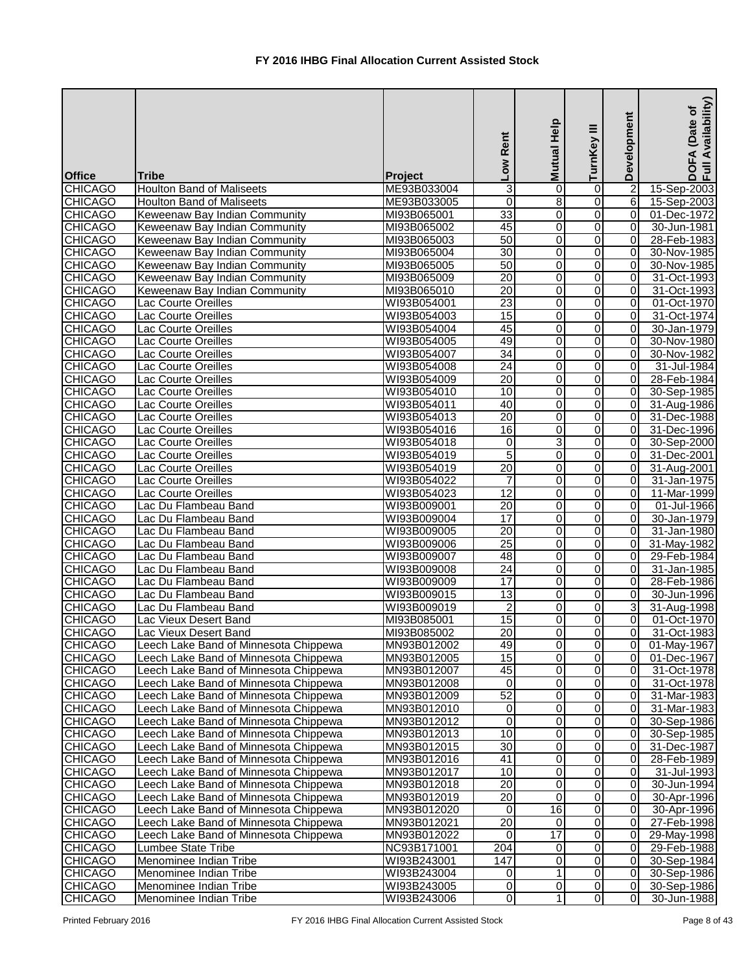| <b>Office</b>  | <b>Tribe</b>                          | Project     | Low Rent        | Mutual Help     | Ξ<br>TurnKey     | Development    | Availability)<br>(Date of<br>FA<br>$rac{1}{2}$ |
|----------------|---------------------------------------|-------------|-----------------|-----------------|------------------|----------------|------------------------------------------------|
| <b>CHICAGO</b> | <b>Houlton Band of Maliseets</b>      | ME93B033004 | 3               | 0               | 0                | $\mathbf{2}$   | 15-Sep-2003                                    |
| <b>CHICAGO</b> | <b>Houlton Band of Maliseets</b>      | ME93B033005 | 0               | 8               | 0                | 6              | 15-Sep-2003                                    |
| <b>CHICAGO</b> | Keweenaw Bay Indian Community         | MI93B065001 | 33              | $\overline{0}$  | $\overline{0}$   | $\overline{0}$ | 01-Dec-1972                                    |
| <b>CHICAGO</b> | Keweenaw Bay Indian Community         | MI93B065002 | 45              | 0               | $\overline{0}$   | 0              | 30-Jun-1981                                    |
| <b>CHICAGO</b> | Keweenaw Bay Indian Community         | MI93B065003 | 50              | 0               | $\mathbf 0$      | 0              | 28-Feb-1983                                    |
| <b>CHICAGO</b> | Keweenaw Bay Indian Community         | MI93B065004 | 30              | $\mathbf 0$     | $\overline{0}$   | $\Omega$       | 30-Nov-1985                                    |
| <b>CHICAGO</b> | Keweenaw Bay Indian Community         | MI93B065005 | 50              | $\mathbf 0$     | $\overline{0}$   | $\Omega$       | 30-Nov-1985                                    |
| <b>CHICAGO</b> | Keweenaw Bay Indian Community         | MI93B065009 | 20              | $\mathbf 0$     | $\overline{0}$   | 0              | 31-Oct-1993                                    |
| <b>CHICAGO</b> | Keweenaw Bay Indian Community         | MI93B065010 | 20              | $\overline{0}$  | $\overline{0}$   | 0              | 31-Oct-1993                                    |
| <b>CHICAGO</b> | Lac Courte Oreilles                   | WI93B054001 | 23              | $\mathbf 0$     | $\overline{0}$   | 0              | 01-Oct-1970                                    |
| <b>CHICAGO</b> | <b>Lac Courte Oreilles</b>            | WI93B054003 | $\overline{15}$ | 0               | 0                | 0              | 31-Oct-1974                                    |
| <b>CHICAGO</b> | <b>Lac Courte Oreilles</b>            | WI93B054004 | 45              | $\mathbf 0$     | 0                | 0              | 30-Jan-1979                                    |
| <b>CHICAGO</b> | Lac Courte Oreilles                   | WI93B054005 | 49              | 0               | 0                | 0              | 30-Nov-1980                                    |
| <b>CHICAGO</b> | Lac Courte Oreilles                   | WI93B054007 | 34              | $\mathbf 0$     | 0                | 0              | 30-Nov-1982                                    |
| <b>CHICAGO</b> | Lac Courte Oreilles                   | WI93B054008 | $\overline{24}$ | 0               | $\overline{0}$   | 0              | 31-Jul-1984                                    |
| <b>CHICAGO</b> | Lac Courte Oreilles                   | WI93B054009 | 20              | 0               | $\overline{0}$   | $\Omega$       | 28-Feb-1984                                    |
| <b>CHICAGO</b> | Lac Courte Oreilles                   | WI93B054010 | 10              | $\mathbf 0$     | $\overline{0}$   | 0              | 30-Sep-1985                                    |
| <b>CHICAGO</b> | Lac Courte Oreilles                   | WI93B054011 | 40              | 0               | 0                | $\overline{0}$ | 31-Aug-1986                                    |
| <b>CHICAGO</b> | Lac Courte Oreilles                   | WI93B054013 | $\overline{20}$ | $\mathbf 0$     | $\overline{0}$   | $\overline{0}$ | 31-Dec-1988                                    |
| <b>CHICAGO</b> | Lac Courte Oreilles                   | WI93B054016 | 16              | $\mathbf 0$     | $\overline{0}$   | $\overline{0}$ | 31-Dec-1996                                    |
| <b>CHICAGO</b> | Lac Courte Oreilles                   | WI93B054018 | 0               | 3               | $\overline{0}$   | $\overline{0}$ | 30-Sep-2000                                    |
| <b>CHICAGO</b> | Lac Courte Oreilles                   | WI93B054019 | 5               | 0               | $\overline{0}$   | $\overline{0}$ | 31-Dec-2001                                    |
| <b>CHICAGO</b> | Lac Courte Oreilles                   | WI93B054019 | $\overline{20}$ | $\mathbf 0$     | 0                | 0              | 31-Aug-2001                                    |
| <b>CHICAGO</b> | Lac Courte Oreilles                   | WI93B054022 | 7               | 0               | 0                | 0              | 31-Jan-1975                                    |
| <b>CHICAGO</b> | Lac Courte Oreilles                   | WI93B054023 | $\overline{12}$ | $\mathbf 0$     | 0                | 0              | 11-Mar-1999                                    |
| <b>CHICAGO</b> | Lac Du Flambeau Band                  | WI93B009001 | $\overline{20}$ | $\overline{0}$  | $\overline{0}$   | $\Omega$       | 01-Jul-1966                                    |
| <b>CHICAGO</b> | Lac Du Flambeau Band                  | WI93B009004 | 17              | $\mathbf 0$     | $\overline{0}$   | 0              | 30-Jan-1979                                    |
| <b>CHICAGO</b> | Lac Du Flambeau Band                  | WI93B009005 | 20              | 0               | $\overline{0}$   | $\Omega$       | 31-Jan-1980                                    |
| <b>CHICAGO</b> | Lac Du Flambeau Band                  | WI93B009006 | $\overline{25}$ | $\mathbf 0$     | $\overline{0}$   | $\overline{0}$ | 31-May-1982                                    |
| <b>CHICAGO</b> | Lac Du Flambeau Band                  | WI93B009007 | 48              | 0               | $\overline{0}$   | $\overline{0}$ | 29-Feb-1984                                    |
| <b>CHICAGO</b> | Lac Du Flambeau Band                  | WI93B009008 | 24              | 0               | $\overline{O}$   | $\overline{0}$ | 31-Jan-1985                                    |
| <b>CHICAGO</b> | Lac Du Flambeau Band                  | WI93B009009 | 17              | $\overline{0}$  | $\overline{0}$   | $\overline{0}$ | 28-Feb-1986                                    |
| <b>CHICAGO</b> | Lac Du Flambeau Band                  | WI93B009015 | $\overline{13}$ | 0               | Ō                | $\overline{0}$ | 30-Jun-1996                                    |
| <b>CHICAGO</b> | Lac Du Flambeau Band                  | WI93B009019 | $\overline{2}$  | 0               | $\Omega$         | 3 <sup>1</sup> | 31-Aug-1998                                    |
| <b>CHICAGO</b> | Lac Vieux Desert Band                 | MI93B085001 | $\overline{15}$ | 0               | 0                | $\overline{0}$ | 01-Oct-1970                                    |
| <b>CHICAGO</b> | Lac Vieux Desert Band                 | MI93B085002 | 20              | 0               | 0                | 0              | 31-Oct-1983                                    |
| <b>CHICAGO</b> | Leech Lake Band of Minnesota Chippewa | MN93B012002 | 49              | $\mathbf 0$     | $\mathbf 0$      | 0              | 01-May-1967                                    |
| <b>CHICAGO</b> | Leech Lake Band of Minnesota Chippewa | MN93B012005 | 15              | 0               | $\overline{0}$   | $\overline{0}$ | 01-Dec-1967                                    |
| <b>CHICAGO</b> | Leech Lake Band of Minnesota Chippewa | MN93B012007 | 45              | 0               | $\overline{0}$   | 0              | 31-Oct-1978                                    |
| <b>CHICAGO</b> | Leech Lake Band of Minnesota Chippewa | MN93B012008 | $\overline{0}$  | $\mathbf 0$     | $\boldsymbol{0}$ | $\overline{0}$ | 31-Oct-1978                                    |
| <b>CHICAGO</b> | Leech Lake Band of Minnesota Chippewa | MN93B012009 | 52              | 0               | $\boldsymbol{0}$ | 0              | 31-Mar-1983                                    |
| <b>CHICAGO</b> | Leech Lake Band of Minnesota Chippewa | MN93B012010 | 0               | $\mathbf 0$     | O                | 0              | 31-Mar-1983                                    |
| <b>CHICAGO</b> | Leech Lake Band of Minnesota Chippewa | MN93B012012 | $\overline{0}$  | 0               | $\overline{0}$   | $\overline{0}$ | 30-Sep-1986                                    |
| <b>CHICAGO</b> | Leech Lake Band of Minnesota Chippewa | MN93B012013 | 10              | 0               | $\overline{0}$   | $\overline{0}$ | 30-Sep-1985                                    |
| <b>CHICAGO</b> | Leech Lake Band of Minnesota Chippewa | MN93B012015 | 30              | 0               | 0                | 01             | 31-Dec-1987                                    |
| <b>CHICAGO</b> | Leech Lake Band of Minnesota Chippewa | MN93B012016 | 41              | 0               | 0                | 0              | 28-Feb-1989                                    |
| <b>CHICAGO</b> | Leech Lake Band of Minnesota Chippewa | MN93B012017 | 10              | 0               | 0                | 0              | 31-Jul-1993                                    |
| <b>CHICAGO</b> | Leech Lake Band of Minnesota Chippewa | MN93B012018 | $\overline{20}$ | $\mathbf 0$     | 0                | 0              | 30-Jun-1994                                    |
| <b>CHICAGO</b> | Leech Lake Band of Minnesota Chippewa | MN93B012019 | $\overline{20}$ | 0               | $\mathbf 0$      | $\overline{0}$ | 30-Apr-1996                                    |
| <b>CHICAGO</b> | Leech Lake Band of Minnesota Chippewa | MN93B012020 | $\overline{0}$  | 16              | $\overline{0}$   | $\overline{0}$ | 30-Apr-1996                                    |
| <b>CHICAGO</b> | Leech Lake Band of Minnesota Chippewa | MN93B012021 | 20              | 0               | $\boldsymbol{0}$ | 0              | 27-Feb-1998                                    |
| <b>CHICAGO</b> | Leech Lake Band of Minnesota Chippewa | MN93B012022 | $\Omega$        | $\overline{17}$ | $\boldsymbol{0}$ | $\overline{0}$ | 29-May-1998                                    |
| <b>CHICAGO</b> | <b>Lumbee State Tribe</b>             | NC93B171001 | 204             | 0               | O                | $\overline{0}$ | 29-Feb-1988                                    |
| <b>CHICAGO</b> | Menominee Indian Tribe                | WI93B243001 | 147             | 0               | $\overline{0}$   | $\overline{0}$ | 30-Sep-1984                                    |
| <b>CHICAGO</b> | Menominee Indian Tribe                | WI93B243004 | 0               | 1               | $\overline{0}$   | $\overline{0}$ | 30-Sep-1986                                    |
| <b>CHICAGO</b> | Menominee Indian Tribe                | WI93B243005 | 0               | 0               | $\overline{0}$   | $\overline{0}$ | 30-Sep-1986                                    |
| <b>CHICAGO</b> | Menominee Indian Tribe                | WI93B243006 | $\overline{0}$  | $\mathbf{1}$    | $\overline{0}$   | $\overline{0}$ | 30-Jun-1988                                    |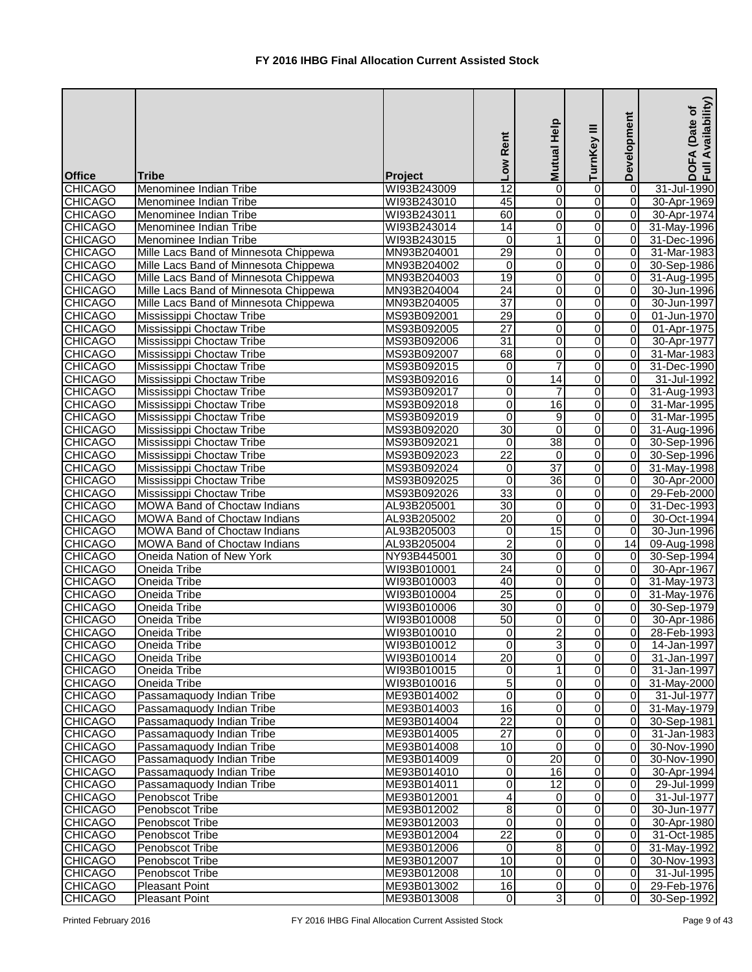|                                  |                                                           |                            | Low Rent                         | Mutual Help              | ≡<br>TurnKey   | Development                      | Availability)<br>(Date of<br>DOFA<br>Full Av |
|----------------------------------|-----------------------------------------------------------|----------------------------|----------------------------------|--------------------------|----------------|----------------------------------|----------------------------------------------|
| <b>Office</b><br><b>CHICAGO</b>  | <b>Tribe</b><br>Menominee Indian Tribe                    | Project<br>WI93B243009     | $\overline{12}$                  | 0                        | 0              | 0                                | 31-Jul-1990                                  |
| <b>CHICAGO</b>                   | Menominee Indian Tribe                                    | WI93B243010                | 45                               | $\mathbf 0$              | 0              | $\overline{0}$                   | 30-Apr-1969                                  |
| <b>CHICAGO</b>                   | Menominee Indian Tribe                                    | WI93B243011                | 60                               | 0                        | 0              | $\overline{0}$                   | 30-Apr-1974                                  |
| <b>CHICAGO</b>                   | Menominee Indian Tribe                                    | WI93B243014                | 14                               | $\pmb{0}$                | 0              | $\overline{0}$                   | 31-May-1996                                  |
| <b>CHICAGO</b>                   | Menominee Indian Tribe                                    | WI93B243015                | $\mathbf 0$                      | $\mathbf{1}$             | 0              | $\overline{0}$                   | 31-Dec-1996                                  |
| <b>CHICAGO</b>                   | Mille Lacs Band of Minnesota Chippewa                     | MN93B204001                | 29                               | $\pmb{0}$                | 0              | $\overline{0}$                   | 31-Mar-1983                                  |
| <b>CHICAGO</b>                   | Mille Lacs Band of Minnesota Chippewa                     | MN93B204002                | $\overline{0}$                   | $\overline{0}$           | 0              | $\overline{0}$                   | 30-Sep-1986                                  |
| <b>CHICAGO</b>                   | Mille Lacs Band of Minnesota Chippewa                     | MN93B204003                | 19                               | $\pmb{0}$                | 0              | $\overline{0}$                   | 31-Aug-1995                                  |
| <b>CHICAGO</b>                   | Mille Lacs Band of Minnesota Chippewa                     | MN93B204004                | $\overline{24}$                  | $\boldsymbol{0}$         | 0              | $\overline{0}$                   | 30-Jun-1996                                  |
| <b>CHICAGO</b>                   | Mille Lacs Band of Minnesota Chippewa                     | MN93B204005                | $\overline{37}$                  | 0                        | 0              | 0                                | 30-Jun-1997                                  |
| <b>CHICAGO</b>                   | Mississippi Choctaw Tribe                                 | MS93B092001                | 29                               | $\pmb{0}$                | 0              | 0                                | 01-Jun-1970                                  |
| <b>CHICAGO</b>                   | Mississippi Choctaw Tribe                                 | MS93B092005                | $\overline{27}$                  | $\pmb{0}$                | 0              | $\overline{0}$                   | 01-Apr-1975                                  |
| <b>CHICAGO</b>                   | Mississippi Choctaw Tribe                                 | MS93B092006                | $\overline{31}$                  | $\mathbf 0$              | 0              | $\overline{0}$                   | 30-Apr-1977                                  |
| <b>CHICAGO</b>                   | Mississippi Choctaw Tribe                                 | MS93B092007                | 68                               | $\pmb{0}$                | 0              | $\overline{0}$                   | 31-Mar-1983                                  |
| <b>CHICAGO</b>                   | Mississippi Choctaw Tribe                                 | MS93B092015                | $\overline{0}$                   | $\overline{7}$           | 0              | $\overline{0}$                   | 31-Dec-1990                                  |
| <b>CHICAGO</b>                   | Mississippi Choctaw Tribe                                 | MS93B092016                | $\overline{\mathsf{o}}$          | $\overline{14}$          | 0              | $\overline{0}$                   | 31-Jul-1992                                  |
| <b>CHICAGO</b>                   | Mississippi Choctaw Tribe                                 | MS93B092017                | $\mathbf 0$                      | $\overline{7}$           | 0              | $\overline{0}$                   | 31-Aug-1993                                  |
| <b>CHICAGO</b>                   | Mississippi Choctaw Tribe                                 | MS93B092018                | $\overline{0}$                   | $\overline{16}$          | 0              | $\overline{0}$                   | 31-Mar-1995                                  |
| <b>CHICAGO</b>                   | Mississippi Choctaw Tribe                                 | MS93B092019                | $\overline{0}$                   | 9                        | 0              | $\overline{0}$                   | 31-Mar-1995                                  |
| <b>CHICAGO</b>                   | Mississippi Choctaw Tribe                                 | MS93B092020                | $\overline{30}$                  | $\mathbf 0$              | 0              | $\overline{0}$                   | 31-Aug-1996                                  |
| <b>CHICAGO</b>                   | Mississippi Choctaw Tribe                                 | MS93B092021                | $\Omega$                         | 38                       | 0              | $\overline{0}$                   | 30-Sep-1996                                  |
| <b>CHICAGO</b>                   | Mississippi Choctaw Tribe                                 | MS93B092023                | 22                               | 0                        | 0              | $\overline{0}$                   | 30-Sep-1996                                  |
| <b>CHICAGO</b>                   | Mississippi Choctaw Tribe                                 | MS93B092024                | 0                                | $\overline{37}$          | 0              | $\overline{0}$                   | 31-May-1998                                  |
| <b>CHICAGO</b>                   | Mississippi Choctaw Tribe                                 | MS93B092025                | $\mathbf 0$                      | $\overline{36}$          | 0              | $\overline{0}$                   | 30-Apr-2000                                  |
| <b>CHICAGO</b>                   | Mississippi Choctaw Tribe                                 | MS93B092026                | 33                               | $\mathbf 0$              | 0              | $\overline{0}$                   | 29-Feb-2000                                  |
| <b>CHICAGO</b>                   | <b>MOWA Band of Choctaw Indians</b>                       | AL93B205001                | 30                               | $\boldsymbol{0}$         | 0              | $\overline{0}$                   | 31-Dec-1993                                  |
| <b>CHICAGO</b>                   | <b>MOWA Band of Choctaw Indians</b>                       | AL93B205002                | $\overline{20}$                  | $\mathbf 0$              | 0              | $\overline{0}$                   | 30-Oct-1994                                  |
| <b>CHICAGO</b>                   | <b>MOWA Band of Choctaw Indians</b>                       | AL93B205003                | $\overline{0}$<br>$\overline{2}$ | $\overline{15}$          | 0              | $\overline{0}$<br>14             | 30-Jun-1996                                  |
| <b>CHICAGO</b><br><b>CHICAGO</b> | MOWA Band of Choctaw Indians<br>Oneida Nation of New York | AL93B205004<br>NY93B445001 | 30                               | $\pmb{0}$<br>$\mathbf 0$ | 0<br>0         | $\overline{0}$                   | 09-Aug-1998<br>30-Sep-1994                   |
| <b>CHICAGO</b>                   | Oneida Tribe                                              | WI93B010001                | $\overline{24}$                  | 0                        | 0              | $\overline{0}$                   | 30-Apr-1967                                  |
| <b>CHICAGO</b>                   | Oneida Tribe                                              | WI93B010003                | 40                               | $\overline{0}$           | $\overline{0}$ | $\overline{0}$                   | 31-May-1973                                  |
| <b>CHICAGO</b>                   | Oneida Tribe                                              | WI93B010004                | $\overline{25}$                  | $\overline{0}$           | $\overline{0}$ | $\overline{0}$                   | 31-May-1976                                  |
| <b>CHICAGO</b>                   | Oneida Tribe                                              | WI93B010006                | 30 <sup>°</sup>                  | 0                        | 0              | $\overline{0}$                   | 30-Sep-1979                                  |
| <b>CHICAGO</b>                   | Oneida Tribe                                              | WI93B010008                | 50                               | 0                        | 0              | $\overline{0}$                   | 30-Apr-1986                                  |
| <b>CHICAGO</b>                   | Oneida Tribe                                              | WI93B010010                | $\overline{0}$                   | $\overline{2}$           | 0              | $\overline{0}$                   | 28-Feb-1993                                  |
| <b>CHICAGO</b>                   | Oneida Tribe                                              | WI93B010012                | $\overline{0}$                   | 3                        | 0              | $\overline{0}$                   | 14-Jan-1997                                  |
| <b>CHICAGO</b>                   | Oneida Tribe                                              | WI93B010014                | $\overline{20}$                  | 0                        | 0              | $\overline{0}$                   | 31-Jan-1997                                  |
| <b>CHICAGO</b>                   | Oneida Tribe                                              | WI93B010015                | $\overline{0}$                   | $\mathbf{1}$             | 0              | $\overline{0}$                   | 31-Jan-1997                                  |
| <b>CHICAGO</b>                   | Oneida Tribe                                              | WI93B010016                | 5                                | $\pmb{0}$                | 0              | $\overline{0}$                   | 31-May-2000                                  |
| <b>CHICAGO</b>                   | Passamaquody Indian Tribe                                 | ME93B014002                | $\overline{\mathsf{o}}$          | $\mathbf 0$              | 0              | $\overline{0}$                   | 31-Jul-1977                                  |
| <b>CHICAGO</b>                   | Passamaquody Indian Tribe                                 | ME93B014003                | 16                               | $\mathbf 0$              | 0              | $\overline{0}$                   | 31-May-1979                                  |
| <b>CHICAGO</b>                   | Passamaquody Indian Tribe                                 | ME93B014004                | $\overline{22}$                  | 0                        | 0              | $\overline{0}$                   | 30-Sep-1981                                  |
| <b>CHICAGO</b>                   | Passamaquody Indian Tribe                                 | ME93B014005                | $\overline{27}$                  | 0                        | 0              | $\overline{0}$                   | 31-Jan-1983                                  |
| <b>CHICAGO</b>                   | Passamaquody Indian Tribe                                 | ME93B014008                | 10                               | 0                        | 0              | $\overline{0}$                   | 30-Nov-1990                                  |
| <b>CHICAGO</b>                   | Passamaquody Indian Tribe                                 | ME93B014009                | 0                                | 20                       | 0              | $\overline{0}$                   | 30-Nov-1990                                  |
| <b>CHICAGO</b>                   | Passamaquody Indian Tribe                                 | ME93B014010                | $\overline{0}$                   | $\overline{16}$          | 0              | 0                                | 30-Apr-1994                                  |
| <b>CHICAGO</b>                   | Passamaquody Indian Tribe                                 | ME93B014011                | $\overline{0}$                   | $\overline{12}$          | 0              | $\overline{0}$                   | 29-Jul-1999                                  |
| <b>CHICAGO</b>                   | Penobscot Tribe                                           | ME93B012001                | 4                                | 0                        | 0              | $\overline{0}$                   | 31-Jul-1977                                  |
| <b>CHICAGO</b>                   | Penobscot Tribe                                           | ME93B012002                | 8                                | $\pmb{0}$                | 0              | 0                                | 30-Jun-1977                                  |
| <b>CHICAGO</b>                   | Penobscot Tribe                                           | ME93B012003                | $\overline{0}$                   | 0                        | 0              | 0                                | 30-Apr-1980                                  |
| <b>CHICAGO</b>                   | Penobscot Tribe                                           | ME93B012004                | $\overline{22}$                  | 0                        | 0              | $\overline{0}$                   | 31-Oct-1985                                  |
| <b>CHICAGO</b>                   | Penobscot Tribe                                           | ME93B012006                | $\overline{0}$                   | 8                        | $\overline{0}$ | $\overline{0}$                   | 31-May-1992                                  |
| <b>CHICAGO</b>                   | Penobscot Tribe                                           | ME93B012007                | $\overline{10}$<br>10            | 0                        | 0              | $\overline{0}$<br>$\overline{0}$ | 30-Nov-1993                                  |
| <b>CHICAGO</b><br><b>CHICAGO</b> | Penobscot Tribe<br><b>Pleasant Point</b>                  | ME93B012008<br>ME93B013002 | 16                               | 0<br>0                   | 0<br>0         | $\overline{0}$                   | 31-Jul-1995<br>29-Feb-1976                   |
| <b>CHICAGO</b>                   | <b>Pleasant Point</b>                                     | ME93B013008                | $\overline{0}$                   | $\overline{3}$           | 0              | $\overline{0}$                   | 30-Sep-1992                                  |
|                                  |                                                           |                            |                                  |                          |                |                                  |                                              |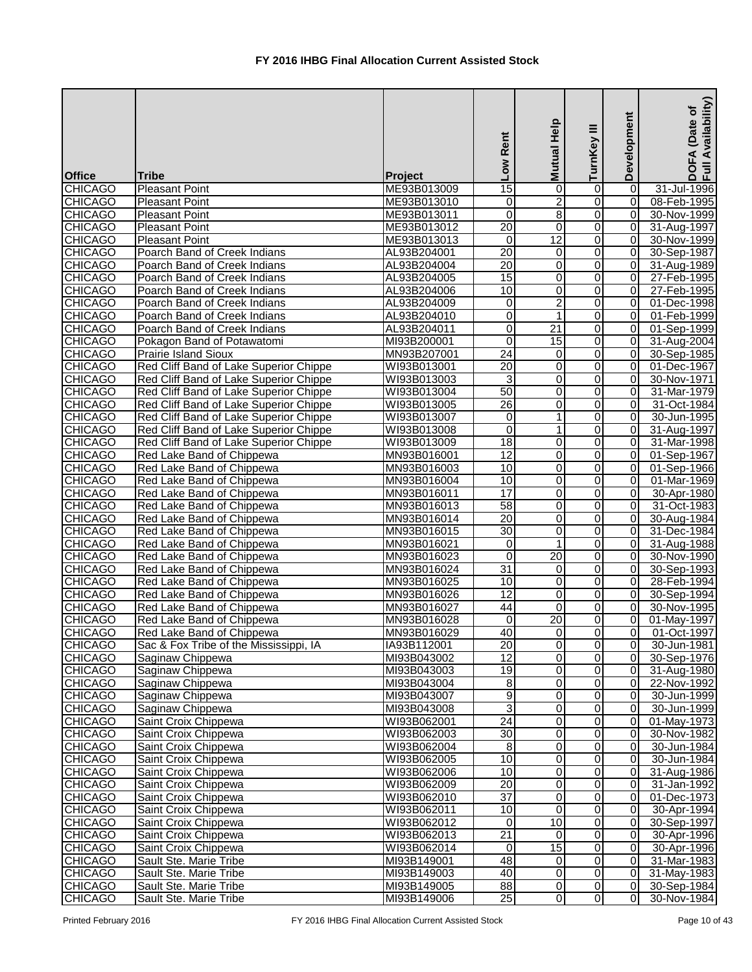|                                  |                                                |                            | Low Rent                     | Mutual Help                      | Ξ<br>TurnKey   | Development                 | Availability)<br>(Date of<br><b>DOFA</b><br>Full Av |
|----------------------------------|------------------------------------------------|----------------------------|------------------------------|----------------------------------|----------------|-----------------------------|-----------------------------------------------------|
| <b>Office</b>                    | <b>Tribe</b>                                   | Project                    |                              |                                  |                |                             |                                                     |
| <b>CHICAGO</b>                   | <b>Pleasant Point</b>                          | ME93B013009                | $\overline{15}$              | 0                                | 0              | $\vert$ 0<br>$\overline{0}$ | 31-Jul-1996                                         |
| <b>CHICAGO</b><br><b>CHICAGO</b> | <b>Pleasant Point</b><br><b>Pleasant Point</b> | ME93B013010                | 0<br>$\overline{\mathsf{o}}$ | $\overline{2}$<br>$\overline{8}$ | 0<br>0         | $\overline{0}$              | 08-Feb-1995<br>30-Nov-1999                          |
| <b>CHICAGO</b>                   | <b>Pleasant Point</b>                          | ME93B013011<br>ME93B013012 | $\overline{20}$              | 0                                | 0              | $\overline{0}$              |                                                     |
| <b>CHICAGO</b>                   | <b>Pleasant Point</b>                          | ME93B013013                | 0                            | $\overline{12}$                  | 0              | $\overline{0}$              | 31-Aug-1997<br>30-Nov-1999                          |
| <b>CHICAGO</b>                   | Poarch Band of Creek Indians                   | AL93B204001                | $\overline{20}$              | 0                                | 0              | $\overline{0}$              | 30-Sep-1987                                         |
| <b>CHICAGO</b>                   | Poarch Band of Creek Indians                   | AL93B204004                | $\overline{20}$              | $\overline{0}$                   | 0              | $\overline{0}$              | 31-Aug-1989                                         |
| <b>CHICAGO</b>                   | Poarch Band of Creek Indians                   | AL93B204005                | $\overline{15}$              | 0                                | 0              | $\overline{0}$              | 27-Feb-1995                                         |
| <b>CHICAGO</b>                   | Poarch Band of Creek Indians                   | AL93B204006                | 10                           | 0                                | 0              | $\overline{0}$              | 27-Feb-1995                                         |
| <b>CHICAGO</b>                   | Poarch Band of Creek Indians                   | AL93B204009                | 0                            | $\overline{2}$                   | 0              | $\overline{0}$              | 01-Dec-1998                                         |
| <b>CHICAGO</b>                   | Poarch Band of Creek Indians                   | AL93B204010                | 0                            | 1                                | 0              | $\overline{0}$              | 01-Feb-1999                                         |
| <b>CHICAGO</b>                   | Poarch Band of Creek Indians                   | AL93B204011                | 0                            | 21                               | 0              | $\overline{0}$              | 01-Sep-1999                                         |
| <b>CHICAGO</b>                   | Pokagon Band of Potawatomi                     | MI93B200001                | 0                            | 15                               | 0              | $\overline{0}$              | 31-Aug-2004                                         |
| <b>CHICAGO</b>                   | <b>Prairie Island Sioux</b>                    | MN93B207001                | 24                           | 0                                | 0              | $\overline{0}$              | 30-Sep-1985                                         |
| <b>CHICAGO</b>                   | Red Cliff Band of Lake Superior Chippe         | WI93B013001                | $\overline{20}$              | 0                                | 0              | $\overline{0}$              | 01-Dec-1967                                         |
| <b>CHICAGO</b>                   | Red Cliff Band of Lake Superior Chippe         | WI93B013003                | 3                            | $\mathbf 0$                      | 0              | 0                           | 30-Nov-1971                                         |
| <b>CHICAGO</b>                   | Red Cliff Band of Lake Superior Chippe         | WI93B013004                | 50                           | 0                                | 0              | $\overline{0}$              | 31-Mar-1979                                         |
| <b>CHICAGO</b>                   | Red Cliff Band of Lake Superior Chippe         | WI93B013005                | $\overline{26}$              | 0                                | 0              | 0                           | 31-Oct-1984                                         |
| <b>CHICAGO</b>                   | Red Cliff Band of Lake Superior Chippe         | WI93B013007                | 0                            | $\mathbf{1}$                     | 0              | $\overline{0}$              | 30-Jun-1995                                         |
| <b>CHICAGO</b>                   | Red Cliff Band of Lake Superior Chippe         | WI93B013008                | 0                            | 1                                | $\Omega$       | $\overline{0}$              | 31-Aug-1997                                         |
| <b>CHICAGO</b>                   | Red Cliff Band of Lake Superior Chippe         | WI93B013009                | $\overline{18}$              | 0                                | 0              | $\Omega$                    | 31-Mar-1998                                         |
| <b>CHICAGO</b>                   | Red Lake Band of Chippewa                      | MN93B016001                | 12                           | 0                                | 0              | $\overline{0}$              | 01-Sep-1967                                         |
| <b>CHICAGO</b>                   | Red Lake Band of Chippewa                      | MN93B016003                | 10                           | 0                                | 0              | $\overline{0}$              | 01-Sep-1966                                         |
| <b>CHICAGO</b>                   | Red Lake Band of Chippewa                      | MN93B016004                | 10                           | $\mathbf 0$                      | 0              | 0                           | 01-Mar-1969                                         |
| <b>CHICAGO</b>                   | Red Lake Band of Chippewa                      | MN93B016011                | $\overline{17}$              | 0                                | 0              | $\overline{0}$              | 30-Apr-1980                                         |
| <b>CHICAGO</b>                   | Red Lake Band of Chippewa                      | MN93B016013                | 58                           | 0                                | 0              | $\overline{0}$              | 31-Oct-1983                                         |
| <b>CHICAGO</b>                   | Red Lake Band of Chippewa                      | MN93B016014                | $\overline{20}$              | 0                                | 0              | $\overline{0}$              | 30-Aug-1984                                         |
| <b>CHICAGO</b>                   | Red Lake Band of Chippewa                      | MN93B016015                | 30                           | 0                                | 0              | $\overline{0}$              | 31-Dec-1984                                         |
| <b>CHICAGO</b>                   | Red Lake Band of Chippewa                      | MN93B016021                | 0                            | $\mathbf{1}$                     | 0              | $\overline{0}$              | 31-Aug-1988                                         |
| <b>CHICAGO</b>                   | Red Lake Band of Chippewa                      | MN93B016023                | $\overline{0}$               | $\overline{20}$                  | $\Omega$       | $\overline{0}$              | 30-Nov-1990                                         |
| <b>CHICAGO</b>                   | Red Lake Band of Chippewa                      | MN93B016024                | 31                           | $\mathbf 0$                      | 0              | $\overline{0}$              | 30-Sep-1993                                         |
| <b>CHICAGO</b>                   | Red Lake Band of Chippewa                      | MN93B016025                | 10                           | $\overline{0}$                   | $\overline{0}$ | $\overline{0}$              | 28-Feb-1994                                         |
| <b>CHICAGO</b>                   | Red Lake Band of Chippewa                      | MN93B016026                | $\overline{12}$              | $\overline{0}$                   | 0              | $\overline{0}$              | 30-Sep-1994                                         |
| <b>CHICAGO</b>                   | Red Lake Band of Chippewa                      | MN93B016027                | 44                           | 0                                | 0              | $\overline{0}$              | 30-Nov-1995                                         |
| <b>CHICAGO</b>                   | Red Lake Band of Chippewa                      | MN93B016028                | 0                            | $\overline{20}$                  | 0              | $\overline{0}$              | 01-May-1997                                         |
| <b>CHICAGO</b>                   | Red Lake Band of Chippewa                      | MN93B016029                | 40                           | $\pmb{0}$                        | 0              | $\overline{0}$              | 01-Oct-1997                                         |
| <b>CHICAGO</b>                   | Sac & Fox Tribe of the Mississippi, IA         | IA93B112001                | 20                           | 0                                | $\overline{0}$ | $\overline{0}$              | 30-Jun-1981                                         |
| <b>CHICAGO</b>                   | Saginaw Chippewa                               | MI93B043002                | $\overline{12}$              | 0                                | 0              | 0                           | 30-Sep-1976                                         |
| <b>CHICAGO</b>                   | Saginaw Chippewa                               | MI93B043003                | 19                           | 0                                | 0              | $\overline{0}$              | 31-Aug-1980                                         |
| <b>CHICAGO</b>                   | Saginaw Chippewa                               | MI93B043004                | 8                            | 0                                | 0              | 0                           | 22-Nov-1992                                         |
| <b>CHICAGO</b>                   | Saginaw Chippewa                               | MI93B043007                | $\overline{9}$               | $\overline{0}$                   | O              | $\overline{0}$              | 30-Jun-1999                                         |
| <b>CHICAGO</b>                   | Saginaw Chippewa                               | MI93B043008                | 3                            | 0                                | $\overline{0}$ | $\overline{0}$              | 30-Jun-1999                                         |
| <b>CHICAGO</b>                   | Saint Croix Chippewa                           | WI93B062001                | $\overline{24}$              | 0                                | 0              | $\overline{0}$              | 01-May-1973                                         |
| <b>CHICAGO</b>                   | Saint Croix Chippewa                           | WI93B062003                | 30                           | 0                                | 0              | $\overline{0}$              | 30-Nov-1982                                         |
| <b>CHICAGO</b>                   | Saint Croix Chippewa                           | WI93B062004                | 8                            | 0                                | 0              | $\overline{0}$              | 30-Jun-1984                                         |
| <b>CHICAGO</b>                   | Saint Croix Chippewa                           | WI93B062005                | 10                           | 0                                | 0              | $\overline{0}$              | 30-Jun-1984                                         |
| <b>CHICAGO</b>                   | Saint Croix Chippewa                           | WI93B062006                | 10                           | 0                                | 0              | 0                           | 31-Aug-1986                                         |
| <b>CHICAGO</b>                   | Saint Croix Chippewa                           | WI93B062009                | 20                           | 0                                | 0              | $\overline{0}$              | 31-Jan-1992                                         |
| <b>CHICAGO</b>                   | Saint Croix Chippewa                           | WI93B062010                | $\overline{37}$              | 0                                | 0              | 0                           | 01-Dec-1973                                         |
| <b>CHICAGO</b>                   | Saint Croix Chippewa                           | WI93B062011                | 10                           | 0                                | 0              | 0                           | 30-Apr-1994                                         |
| CHICAGO                          | Saint Croix Chippewa                           | WI93B062012                | 0                            | 10                               | 0              | $\overline{0}$              | 30-Sep-1997                                         |
| <b>CHICAGO</b>                   | Saint Croix Chippewa                           | WI93B062013                | $\overline{21}$              | 0                                | 0              | $\overline{0}$              | 30-Apr-1996                                         |
| <b>CHICAGO</b>                   | Saint Croix Chippewa                           | WI93B062014                | $\mathbf 0$                  | $\overline{15}$                  | 0              | $\overline{0}$              | 30-Apr-1996                                         |
| <b>CHICAGO</b>                   | Sault Ste. Marie Tribe                         | MI93B149001                | 48                           | $\mathbf 0$                      | $\overline{0}$ | $\overline{0}$              | 31-Mar-1983                                         |
| <b>CHICAGO</b>                   | Sault Ste. Marie Tribe                         | MI93B149003                | 40                           | 0                                | 0              | $\overline{0}$              | 31-May-1983                                         |
| <b>CHICAGO</b>                   | Sault Ste. Marie Tribe                         | MI93B149005                | 88                           | 0                                | 0              | $\overline{0}$              | 30-Sep-1984                                         |
| <b>CHICAGO</b>                   | Sault Ste. Marie Tribe                         | MI93B149006                | 25                           | $\overline{0}$                   | $\overline{0}$ | $\overline{0}$              | 30-Nov-1984                                         |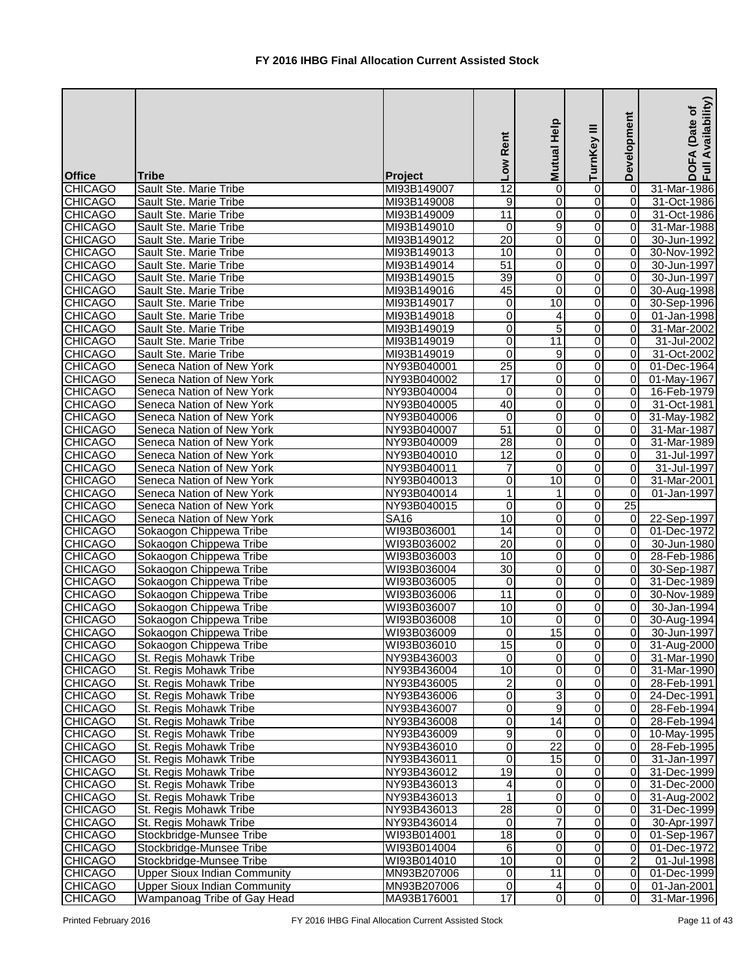| <b>Office</b>                    | <b>Tribe</b>                                                               | Project                    | Low Rent        | Mutual Help             | TurnKey III                        | Development                      | Availability)<br>Date of<br>DOFA<br>Full Av |
|----------------------------------|----------------------------------------------------------------------------|----------------------------|-----------------|-------------------------|------------------------------------|----------------------------------|---------------------------------------------|
| <b>CHICAGO</b>                   | Sault Ste. Marie Tribe                                                     | MI93B149007                | $\overline{12}$ | $\mathbf 0$             | $\boldsymbol{0}$                   | $\overline{0}$                   | 31-Mar-1986                                 |
| <b>CHICAGO</b>                   | Sault Ste. Marie Tribe                                                     | MI93B149008                | 9               | $\mathbf 0$             | $\overline{O}$                     | $\Omega$                         | 31-Oct-1986                                 |
| <b>CHICAGO</b>                   | Sault Ste. Marie Tribe                                                     | MI93B149009                | $\overline{11}$ | $\overline{\mathsf{o}}$ | $\mathbf 0$                        | 0                                | 31-Oct-1986                                 |
| <b>CHICAGO</b>                   | Sault Ste. Marie Tribe                                                     | MI93B149010                | $\overline{0}$  | 9                       | $\overline{0}$                     | 0                                | 31-Mar-1988                                 |
| <b>CHICAGO</b>                   | Sault Ste. Marie Tribe                                                     | MI93B149012                | $\overline{20}$ | $\mathbf 0$             | $\mathbf 0$                        | 0                                | 30-Jun-1992                                 |
| <b>CHICAGO</b>                   | Sault Ste. Marie Tribe                                                     | MI93B149013                | 10              | 0                       | $\mathbf 0$                        | $\overline{0}$                   | 30-Nov-1992                                 |
| <b>CHICAGO</b>                   | Sault Ste. Marie Tribe                                                     | MI93B149014                | 51              | $\pmb{0}$               | $\overline{\mathsf{o}}$            | $\Omega$                         | 30-Jun-1997                                 |
| <b>CHICAGO</b>                   | Sault Ste. Marie Tribe                                                     | MI93B149015                | 39              | $\overline{0}$          | $\mathbf 0$                        | $\overline{0}$                   | 30-Jun-1997                                 |
| <b>CHICAGO</b>                   | Sault Ste. Marie Tribe                                                     | MI93B149016                | 45              | 0                       | $\mathbf 0$                        | $\overline{0}$                   | 30-Aug-1998                                 |
| <b>CHICAGO</b>                   | Sault Ste. Marie Tribe                                                     | MI93B149017                | 0               | $\overline{10}$         | $\overline{0}$                     | $\overline{0}$                   | 30-Sep-1996                                 |
| <b>CHICAGO</b>                   | Sault Ste. Marie Tribe                                                     | MI93B149018                | 0               | $\overline{\mathbf{4}}$ | 0                                  | 0                                | 01-Jan-1998                                 |
| <b>CHICAGO</b>                   | Sault Ste. Marie Tribe                                                     | MI93B149019                | 0               | $\overline{5}$          | 0                                  | 0                                | 31-Mar-2002                                 |
| <b>CHICAGO</b>                   | Sault Ste. Marie Tribe                                                     | MI93B149019                | 0               | $\overline{11}$         | $\mathbf 0$                        | 01                               | 31-Jul-2002                                 |
| <b>CHICAGO</b>                   | Sault Ste. Marie Tribe                                                     | MI93B149019                | 0               | $\overline{9}$          | $\mathbf 0$                        | 0                                | 31-Oct-2002                                 |
| <b>CHICAGO</b>                   | Seneca Nation of New York                                                  | NY93B040001                | $\overline{25}$ | 0                       | $\mathbf 0$                        | $\Omega$                         | 01-Dec-1964                                 |
| <b>CHICAGO</b>                   | Seneca Nation of New York                                                  | NY93B040002                | $\overline{17}$ | 0                       | $\overline{0}$                     | 0                                | 01-May-1967                                 |
| <b>CHICAGO</b>                   | Seneca Nation of New York                                                  | NY93B040004                | 0               | $\mathbf 0$             | $\mathbf 0$                        | $\overline{0}$                   | 16-Feb-1979                                 |
| <b>CHICAGO</b>                   | Seneca Nation of New York                                                  | NY93B040005                | 40              | $\mathbf 0$             | $\mathbf 0$                        | $\overline{0}$                   | 31-Oct-1981                                 |
| <b>CHICAGO</b>                   | Seneca Nation of New York                                                  | NY93B040006                | $\overline{0}$  | 0                       | $\mathbf 0$                        | $\overline{0}$                   | 31-May-1982                                 |
| <b>CHICAGO</b>                   | Seneca Nation of New York                                                  | NY93B040007                | $\overline{51}$ | 0                       | $\mathbf 0$                        | $\overline{0}$                   | 31-Mar-1987                                 |
| <b>CHICAGO</b>                   | Seneca Nation of New York                                                  | NY93B040009                | 28              | 0                       | $\mathbf 0$                        | $\overline{0}$                   | 31-Mar-1989                                 |
| <b>CHICAGO</b>                   | Seneca Nation of New York                                                  | NY93B040010                | 12              | $\mathbf 0$             | 0                                  | 0                                | 31-Jul-1997                                 |
| <b>CHICAGO</b>                   | Seneca Nation of New York                                                  | NY93B040011                | 7               | 0                       | $\overline{0}$                     | 0                                | 31-Jul-1997                                 |
| <b>CHICAGO</b>                   | Seneca Nation of New York                                                  | NY93B040013                | 0               | 10                      | 0                                  | 0                                | 31-Mar-2001                                 |
| <b>CHICAGO</b>                   | Seneca Nation of New York                                                  | NY93B040014                | $\mathbf{1}$    | 1                       | $\mathbf 0$                        | 0                                | 01-Jan-1997                                 |
| <b>CHICAGO</b>                   | Seneca Nation of New York                                                  | NY93B040015                | $\overline{0}$  | $\mathbf 0$             | $\overline{0}$                     | 25                               |                                             |
| <b>CHICAGO</b>                   | Seneca Nation of New York                                                  | <b>SA16</b>                | 10              | 0                       | $\overline{0}$                     | $\overline{0}$                   | 22-Sep-1997                                 |
| <b>CHICAGO</b>                   | Sokaogon Chippewa Tribe                                                    | WI93B036001                | $\overline{14}$ | $\mathbf 0$             | $\overline{\mathsf{o}}$            | $\overline{0}$                   | 01-Dec-1972                                 |
| <b>CHICAGO</b>                   | Sokaogon Chippewa Tribe                                                    | WI93B036002                | 20              | 0                       | $\mathbf 0$                        | $\overline{O}$                   | 30-Jun-1980                                 |
| <b>CHICAGO</b>                   | Sokaogon Chippewa Tribe                                                    | WI93B036003                | 10              | 0                       | $\overline{0}$                     | $\overline{0}$                   | 28-Feb-1986                                 |
| <b>CHICAGO</b>                   | Sokaogon Chippewa Tribe                                                    | WI93B036004                | 30              | 0                       | $\overline{0}$                     | $\overline{0}$                   | 30-Sep-1987                                 |
| <b>CHICAGO</b>                   | Sokaogon Chippewa Tribe                                                    | WI93B036005                | $\overline{0}$  | $\overline{0}$          | $\overline{0}$                     | $\overline{0}$                   | 31-Dec-1989                                 |
| <b>CHICAGO</b>                   | Sokaogon Chippewa Tribe                                                    | WI93B036006                | 11              | 0                       | $\overline{0}$                     | ΟI                               | 30-Nov-1989                                 |
| <b>CHICAGO</b>                   | Sokaogon Chippewa Tribe                                                    | WI93B036007                | 10              | 0                       | $\overline{0}$                     | $\overline{0}$                   | 30-Jan-1994                                 |
| <b>CHICAGO</b>                   | Sokaogon Chippewa Tribe                                                    | WI93B036008                | 10              | 0                       | $\overline{0}$                     | $\overline{0}$                   | 30-Aug-1994                                 |
| <b>CHICAGO</b>                   | Sokaogon Chippewa Tribe                                                    | WI93B036009                | 0               | 15                      | $\mathsf{O}\xspace$                | $\overline{0}$                   | 30-Jun-1997                                 |
| <b>CHICAGO</b>                   | Sokaogon Chippewa Tribe                                                    | WI93B036010                | 15              | $\mathbf 0$             | $\overline{0}$                     | $\overline{0}$                   | 31-Aug-2000                                 |
| <b>CHICAGO</b>                   | St. Regis Mohawk Tribe                                                     | NY93B436003                | $\Omega$        | 0                       | $\overline{0}$                     | 0                                | 31-Mar-1990                                 |
| <b>CHICAGO</b>                   | St. Regis Mohawk Tribe                                                     | NY93B436004                | 10              | 0                       | $\overline{0}$                     | $\overline{0}$                   | 31-Mar-1990                                 |
| <b>CHICAGO</b>                   | St. Regis Mohawk Tribe                                                     | NY93B436005                | $\overline{2}$  | $\pmb{0}$               | $\mathsf{O}\xspace$                | $\overline{0}$                   | 28-Feb-1991                                 |
| <b>CHICAGO</b>                   | St. Regis Mohawk Tribe                                                     | NY93B436006                | $\overline{0}$  | 3                       | $\mathsf{O}\xspace$                | 0                                | 24-Dec-1991                                 |
| <b>CHICAGO</b>                   | <b>St. Regis Mohawk Tribe</b>                                              | NY93B436007                | $\overline{0}$  | $\overline{9}$          | $\overline{0}$                     | $\overline{0}$                   | 28-Feb-1994                                 |
| <b>CHICAGO</b>                   | St. Regis Mohawk Tribe                                                     | NY93B436008                | 0               | 14                      | $\overline{0}$                     | $\overline{0}$                   | 28-Feb-1994                                 |
| <b>CHICAGO</b>                   | St. Regis Mohawk Tribe                                                     | NY93B436009                | 9               | $\mathbf 0$             | $\mathsf{O}\xspace$                | $\overline{0}$                   | 10-May-1995                                 |
| <b>CHICAGO</b>                   | St. Regis Mohawk Tribe                                                     | NY93B436010                | 0               | $\overline{22}$         | $\mathsf{O}\xspace$                | $\overline{0}$                   | 28-Feb-1995                                 |
| <b>CHICAGO</b>                   | St. Regis Mohawk Tribe                                                     | NY93B436011                | 0               | 15                      | 0                                  | $\overline{0}$                   | 31-Jan-1997                                 |
| <b>CHICAGO</b>                   | St. Regis Mohawk Tribe                                                     | NY93B436012                | 19              | 0                       | $\mathbf 0$                        | $\overline{0}$                   | 31-Dec-1999                                 |
| <b>CHICAGO</b>                   | St. Regis Mohawk Tribe                                                     | NY93B436013                | 4               | $\pmb{0}$               | $\mathbf 0$                        | $\overline{0}$                   | 31-Dec-2000                                 |
| <b>CHICAGO</b>                   | St. Regis Mohawk Tribe                                                     | NY93B436013                |                 | 0                       | $\overline{0}$                     | $\overline{0}$                   | 31-Aug-2002                                 |
| <b>CHICAGO</b>                   | St. Regis Mohawk Tribe                                                     | NY93B436013                | $\overline{28}$ | 0                       | $\mathbf 0$                        | $\overline{0}$                   | 31-Dec-1999                                 |
| <b>CHICAGO</b>                   | St. Regis Mohawk Tribe                                                     | NY93B436014                | 0               | $\overline{7}$          | $\boldsymbol{0}$<br>$\overline{0}$ | $\overline{0}$<br>$\overline{0}$ | 30-Apr-1997                                 |
| <b>CHICAGO</b>                   | Stockbridge-Munsee Tribe                                                   | WI93B014001                | $\overline{18}$ | 0<br>$\overline{0}$     | O                                  | $\overline{0}$                   | 01-Sep-1967                                 |
| <b>CHICAGO</b>                   | Stockbridge-Munsee Tribe                                                   | WI93B014004                | 6<br>10         | $\overline{\mathsf{o}}$ | $\overline{0}$                     | $\overline{2}$                   | 01-Dec-1972                                 |
| <b>CHICAGO</b>                   | Stockbridge-Munsee Tribe                                                   | WI93B014010                | $\Omega$        |                         | $\overline{0}$                     | $\overline{0}$                   | 01-Jul-1998                                 |
| <b>CHICAGO</b><br><b>CHICAGO</b> | <b>Upper Sioux Indian Community</b><br><b>Upper Sioux Indian Community</b> | MN93B207006<br>MN93B207006 | $\overline{0}$  | 11                      | $\overline{0}$                     | $\overline{0}$                   | 01-Dec-1999                                 |
| <b>CHICAGO</b>                   | Wampanoag Tribe of Gay Head                                                | MA93B176001                | 17              | 4<br>0                  | $\overline{0}$                     | $\overline{0}$                   | 01-Jan-2001<br>31-Mar-1996                  |
|                                  |                                                                            |                            |                 |                         |                                    |                                  |                                             |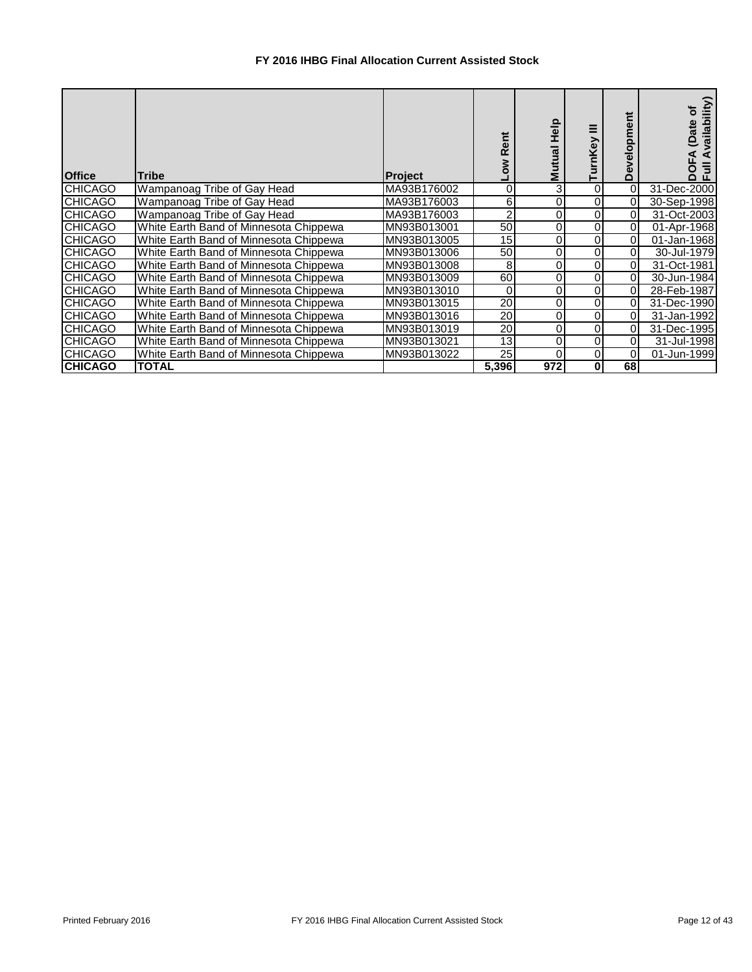## **FY 2016 IHBG Final Allocation Current Assisted Stock**

| <b>Office</b>  | <b>Tribe</b>                           | <b>Project</b> | Rent            | Help<br><b>Mutual</b> | Ξ<br>rnKey | velopment<br>۵<br>≏ | ailability)<br>៑<br>(Date<br>⋖<br>ō<br>تا ہ |
|----------------|----------------------------------------|----------------|-----------------|-----------------------|------------|---------------------|---------------------------------------------|
| <b>CHICAGO</b> | Wampanoag Tribe of Gay Head            | MA93B176002    | 0               | 3                     | 0          | 0                   | 31-Dec-2000                                 |
| <b>CHICAGO</b> | Wampanoag Tribe of Gay Head            | MA93B176003    | 6               |                       |            | 01                  | 30-Sep-1998                                 |
| <b>CHICAGO</b> | Wampanoag Tribe of Gay Head            | MA93B176003    | 2               |                       | 0          | 01                  | 31-Oct-2003                                 |
| <b>CHICAGO</b> | White Earth Band of Minnesota Chippewa | MN93B013001    | 50              | 0                     |            |                     | 01-Apr-1968                                 |
| <b>CHICAGO</b> | White Earth Band of Minnesota Chippewa | MN93B013005    | 15              | 0                     |            | $\Omega$            | 01-Jan-1968                                 |
| <b>CHICAGO</b> | White Earth Band of Minnesota Chippewa | MN93B013006    | 50              |                       | 0          | 01                  | 30-Jul-1979                                 |
| <b>CHICAGO</b> | White Earth Band of Minnesota Chippewa | MN93B013008    | 8               | 0                     | 0          | 0                   | 31-Oct-1981                                 |
| <b>CHICAGO</b> | White Earth Band of Minnesota Chippewa | MN93B013009    | 60              |                       |            | Οl                  | 30-Jun-1984                                 |
| <b>CHICAGO</b> | White Earth Band of Minnesota Chippewa | MN93B013010    | 0               |                       |            | 01                  | 28-Feb-1987                                 |
| <b>CHICAGO</b> | White Earth Band of Minnesota Chippewa | MN93B013015    | 20              | 0                     | 0          | 0                   | 31-Dec-1990                                 |
| <b>CHICAGO</b> | White Earth Band of Minnesota Chippewa | MN93B013016    | 20              | 0                     |            | 0                   | 31-Jan-1992                                 |
| <b>CHICAGO</b> | White Earth Band of Minnesota Chippewa | MN93B013019    | $\overline{20}$ |                       |            | 0                   | 31-Dec-1995                                 |
| <b>CHICAGO</b> | White Earth Band of Minnesota Chippewa | MN93B013021    | 13              | 0                     |            | 01                  | 31-Jul-1998                                 |
| <b>CHICAGO</b> | White Earth Band of Minnesota Chippewa | MN93B013022    | 25              |                       |            |                     | 01-Jun-1999                                 |
| <b>CHICAGO</b> | <b>TOTAL</b>                           |                | 5,396           | 972                   | 0          | 68                  |                                             |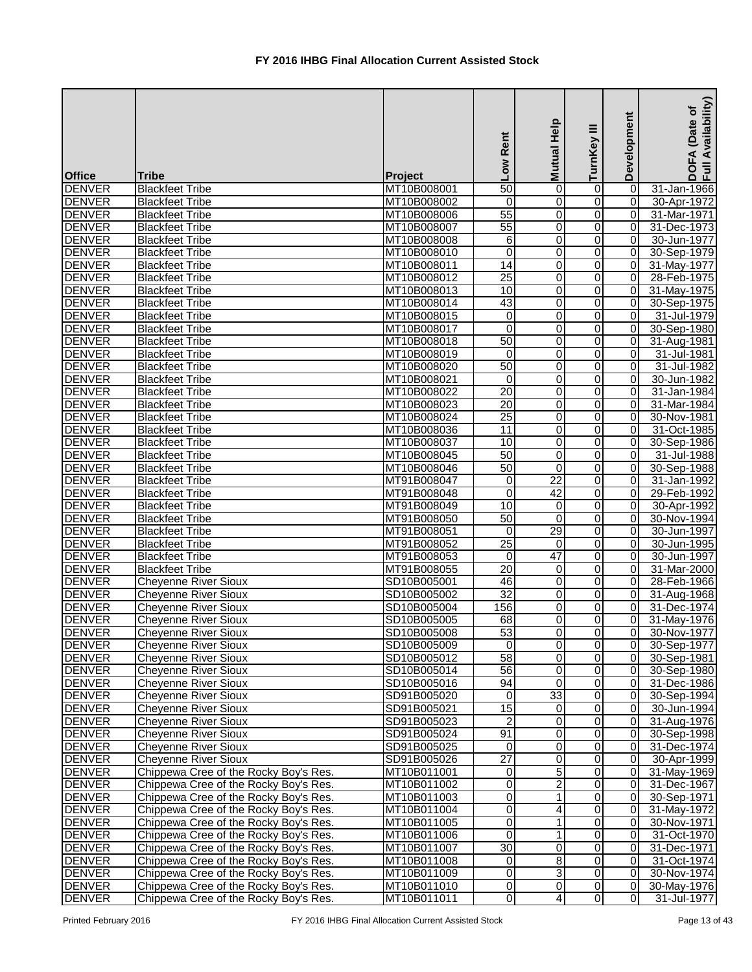| <b>DENVER</b><br><b>Blackfeet Tribe</b><br>50<br>$\pmb{0}$<br>31-Jan-1966<br>MT10B008001<br>0<br> 0 <br><b>DENVER</b><br>0<br>$\overline{0}$<br>MT10B008002<br>0<br><b>Blackfeet Tribe</b><br>0<br>30-Apr-1972<br>$\overline{55}$<br>0<br><b>DENVER</b><br>0<br><b>Blackfeet Tribe</b><br>MT10B008006<br>$\overline{0}$<br>31-Mar-1971<br>$\overline{55}$<br>0<br><b>DENVER</b><br><b>Blackfeet Tribe</b><br>MT10B008007<br>$\overline{0}$<br>$\overline{0}$<br>31-Dec-1973<br>$\,6$<br><b>DENVER</b><br>0<br><b>Blackfeet Tribe</b><br>MT10B008008<br>0<br>$\overline{0}$<br>30-Jun-1977<br>$\mathbf 0$<br>0<br><b>DENVER</b><br><b>Blackfeet Tribe</b><br>MT10B008010<br>0<br>$\overline{0}$<br>30-Sep-1979<br><b>DENVER</b><br>$\overline{14}$<br>0<br>$\overline{0}$<br><b>Blackfeet Tribe</b><br>MT10B008011<br>0<br>31-May-1977<br>25<br>$\overline{0}$<br>$\overline{0}$<br>MT10B008012<br>$\overline{0}$<br><b>Blackfeet Tribe</b><br>28-Feb-1975<br>10<br>MT10B008013<br>0<br>0<br>$\overline{0}$<br>31-May-1975<br><b>Blackfeet Tribe</b><br>43<br>$\overline{0}$<br><b>Blackfeet Tribe</b><br>0<br>0<br>MT10B008014<br>30-Sep-1975<br>$\overline{0}$<br>31-Jul-1979<br><b>Blackfeet Tribe</b><br>MT10B008015<br>0<br>0<br>0<br><b>Blackfeet Tribe</b><br>0<br>0<br>30-Sep-1980<br>MT10B008017<br>0<br>$\Omega$<br><b>DENVER</b><br>50<br>0<br>$\overline{0}$<br><b>Blackfeet Tribe</b><br>MT10B008018<br>0<br>31-Aug-1981<br>0<br>MT10B008019<br>0<br>$\overline{0}$<br><b>Blackfeet Tribe</b><br>$\mathbf 0$<br>31-Jul-1981<br>50<br><b>Blackfeet Tribe</b><br>0<br>0<br>$\overline{0}$<br>31-Jul-1982<br>MT10B008020<br><b>Blackfeet Tribe</b><br>MT10B008021<br>0<br>0<br>30-Jun-1982<br>0<br>0<br><b>DENVER</b><br>20<br>0<br><b>Blackfeet Tribe</b><br>MT10B008022<br>0<br>0<br>31-Jan-1984<br>$\overline{20}$<br><b>DENVER</b><br>0<br>0<br><b>Blackfeet Tribe</b><br>MT10B008023<br>0<br>31-Mar-1984<br>$\overline{25}$<br>$\overline{0}$<br><b>DENVER</b><br>0<br><b>Blackfeet Tribe</b><br>MT10B008024<br>$\Omega$<br>30-Nov-1981<br><b>DENVER</b><br>MT10B008036<br>11<br>0<br>0<br>$\overline{0}$<br>31-Oct-1985<br><b>Blackfeet Tribe</b><br><b>DENVER</b><br>$\overline{0}$<br>MT10B008037<br>10<br>0<br>$\Omega$<br><b>Blackfeet Tribe</b><br>30-Sep-1986<br><b>DENVER</b><br>MT10B008045<br>50<br>0<br><b>Blackfeet Tribe</b><br>0<br>$\Omega$<br>31-Jul-1988<br><b>DENVER</b><br>50<br>0<br>30-Sep-1988<br><b>Blackfeet Tribe</b><br>MT10B008046<br>0<br>$\Omega$<br>22<br><b>DENVER</b><br>0<br>$\overline{0}$<br><b>Blackfeet Tribe</b><br>MT91B008047<br>0<br>31-Jan-1992<br>42<br>0<br><b>DENVER</b><br>MT91B008048<br>0<br>0<br>29-Feb-1992<br><b>Blackfeet Tribe</b><br>10<br><b>DENVER</b><br>$\pmb{0}$<br>0<br>$\overline{0}$<br><b>Blackfeet Tribe</b><br>MT91B008049<br>30-Apr-1992<br>50<br>$\mathbf 0$<br><b>DENVER</b><br><b>Blackfeet Tribe</b><br>$\overline{0}$<br>MT91B008050<br>0<br>30-Nov-1994<br>29<br>MT91B008051<br>$\overline{0}$<br><b>DENVER</b><br><b>Blackfeet Tribe</b><br>0<br>0<br>30-Jun-1997<br><b>DENVER</b><br>25<br><b>Blackfeet Tribe</b><br>MT91B008052<br>0<br>0<br>$\overline{0}$<br>30-Jun-1995<br>$\overline{0}$<br><b>DENVER</b><br>$\mathbf{0}$<br>$\overline{47}$<br><b>Blackfeet Tribe</b><br>MT91B008053<br>0<br>30-Jun-1997<br><b>DENVER</b><br>$\overline{0}$<br>MT91B008055<br>$\overline{20}$<br>31-Mar-2000<br><b>Blackfeet Tribe</b><br>$\mathbf 0$<br>0<br><b>DENVER</b><br>46<br>$\overline{0}$<br>$\overline{0}$<br>$\overline{0}$<br><b>Cheyenne River Sioux</b><br>SD10B005001<br>$\overline{32}$<br>$\overline{0}$<br><b>DENVER</b><br>0<br><b>Cheyenne River Sioux</b><br>SD10B005002<br>31-Aug-1968<br>01<br><b>DENVER</b><br>$\overline{0}$<br><b>Cheyenne River Sioux</b><br>SD10B005004<br>156<br>0<br>0<br>31-Dec-1974<br>0<br><b>DENVER</b><br><b>Cheyenne River Sioux</b><br>68<br>0<br>$\overline{0}$<br>SD10B005005<br>31-May-1976<br>53<br>0<br><b>DENVER</b><br>0<br>$\overline{0}$<br><b>Cheyenne River Sioux</b><br>SD10B005008<br>0<br>0<br>$\overline{0}$<br>$\mathbf 0$<br>30-Sep-1977<br><b>Cheyenne River Sioux</b><br>SD10B005009<br>58<br>0<br>$\overline{0}$<br>SD10B005012<br>0<br><b>Cheyenne River Sioux</b><br>30-Sep-1981<br>56<br>0<br>0<br>$\overline{0}$<br><b>Cheyenne River Sioux</b><br>SD10B005014<br>30-Sep-1980<br>$\overline{0}$<br>94<br>0<br>$\overline{0}$<br><b>Cheyenne River Sioux</b><br>SD10B005016<br>31-Dec-1986<br>33<br>$\pmb{0}$<br>$\overline{0}$<br>$\overline{0}$<br><b>Cheyenne River Sioux</b><br>SD91B005020<br>30-Sep-1994<br>15<br>$\overline{\mathsf{o}}$<br> 0 <br><b>Cheyenne River Sioux</b><br>$\boldsymbol{0}$<br>SD91B005021<br>30-Jun-1994<br><b>DENVER</b><br>2<br>0<br>0<br>$\overline{0}$<br><b>Cheyenne River Sioux</b><br>SD91B005023<br>31-Aug-1976<br>91<br><b>DENVER</b><br>0<br>0<br>$\overline{0}$<br><b>Cheyenne River Sioux</b><br>SD91B005024<br>30-Sep-1998<br><b>DENVER</b><br>0<br>0<br>$\overline{0}$<br><b>Cheyenne River Sioux</b><br>SD91B005025<br>$\mathbf 0$<br>31-Dec-1974<br><b>Cheyenne River Sioux</b><br>27<br><b>DENVER</b><br>0<br>0<br>$\overline{0}$<br>SD91B005026<br>30-Apr-1999<br>5<br><b>DENVER</b><br>$\overline{0}$<br>Chippewa Cree of the Rocky Boy's Res.<br>0<br>0<br>MT10B011001<br>31-May-1969<br>$\overline{2}$<br><b>DENVER</b><br>$\overline{0}$<br>$\overline{0}$<br>Chippewa Cree of the Rocky Boy's Res.<br>MT10B011002<br>0<br>31-Dec-1967<br>$\overline{0}$<br>1<br>0<br>$\overline{0}$<br><b>DENVER</b><br>Chippewa Cree of the Rocky Boy's Res.<br>MT10B011003<br>30-Sep-1971<br><b>DENVER</b><br>$\overline{0}$<br>Chippewa Cree of the Rocky Boy's Res.<br>MT10B011004<br>$\overline{0}$<br>4<br>0<br>0<br>0<br>$\overline{0}$<br><b>DENVER</b><br>Chippewa Cree of the Rocky Boy's Res.<br>MT10B011005<br>$\mathbf 1$<br>30-Nov-1971<br>$\mathbf{0}$<br><b>DENVER</b><br>1<br>0<br>$\overline{0}$<br>Chippewa Cree of the Rocky Boy's Res.<br>MT10B011006<br>31-Oct-1970<br>$\overline{30}$<br>0<br>$\overline{0}$<br>$\overline{0}$<br><b>DENVER</b><br>Chippewa Cree of the Rocky Boy's Res.<br>MT10B011007<br>31-Dec-1971<br>$\overline{0}$<br>8 <sup>1</sup><br>0<br>$\overline{0}$<br><b>DENVER</b><br>Chippewa Cree of the Rocky Boy's Res.<br>MT10B011008<br>31-Oct-1974<br>$\overline{0}$<br>دى<br><b>DENVER</b><br>$\overline{0}$<br>$\overline{0}$<br>Chippewa Cree of the Rocky Boy's Res.<br>MT10B011009<br><b>DENVER</b><br>Chippewa Cree of the Rocky Boy's Res.<br>$\overline{0}$<br>0<br>$\overline{0}$<br>$\overline{0}$<br>MT10B011010 | <b>Office</b> | <b>Tribe</b>                          | Project     | Low Rent       | Mutual Help | $\equiv$<br>TurnKey | Development    | Availability)<br>Date of<br><b>DOFA</b><br>Full Av |
|----------------------------------------------------------------------------------------------------------------------------------------------------------------------------------------------------------------------------------------------------------------------------------------------------------------------------------------------------------------------------------------------------------------------------------------------------------------------------------------------------------------------------------------------------------------------------------------------------------------------------------------------------------------------------------------------------------------------------------------------------------------------------------------------------------------------------------------------------------------------------------------------------------------------------------------------------------------------------------------------------------------------------------------------------------------------------------------------------------------------------------------------------------------------------------------------------------------------------------------------------------------------------------------------------------------------------------------------------------------------------------------------------------------------------------------------------------------------------------------------------------------------------------------------------------------------------------------------------------------------------------------------------------------------------------------------------------------------------------------------------------------------------------------------------------------------------------------------------------------------------------------------------------------------------------------------------------------------------------------------------------------------------------------------------------------------------------------------------------------------------------------------------------------------------------------------------------------------------------------------------------------------------------------------------------------------------------------------------------------------------------------------------------------------------------------------------------------------------------------------------------------------------------------------------------------------------------------------------------------------------------------------------------------------------------------------------------------------------------------------------------------------------------------------------------------------------------------------------------------------------------------------------------------------------------------------------------------------------------------------------------------------------------------------------------------------------------------------------------------------------------------------------------------------------------------------------------------------------------------------------------------------------------------------------------------------------------------------------------------------------------------------------------------------------------------------------------------------------------------------------------------------------------------------------------------------------------------------------------------------------------------------------------------------------------------------------------------------------------------------------------------------------------------------------------------------------------------------------------------------------------------------------------------------------------------------------------------------------------------------------------------------------------------------------------------------------------------------------------------------------------------------------------------------------------------------------------------------------------------------------------------------------------------------------------------------------------------------------------------------------------------------------------------------------------------------------------------------------------------------------------------------------------------------------------------------------------------------------------------------------------------------------------------------------------------------------------------------------------------------------------------------------------------------------------------------------------------------------------------------------------------------------------------------------------------------------------------------------------------------------------------------------------------------------------------------------------------------------------------------------------------------------------------------------------------------------------------------------------------------------------------------------------------------------------------------------------------------------------------------------------------------------------------------------------------------------------------------------------------------------------------------------------------------------------------------------------------------------------------------------------------------------------------------------------------------------------------------------------------------------------------------------------------------------------------------------------------------------------------------------------------------------------------------------------------------------------------------------------------------------------------------------------------------------------------------------------------------------------------------------------------------------------------------------------------------------------------------------------------------------------------------------------------------------------------------------------------------------------------------------------------------------------------------------------------------------------------------------------------------------------------------------------------------------------------------------|---------------|---------------------------------------|-------------|----------------|-------------|---------------------|----------------|----------------------------------------------------|
|                                                                                                                                                                                                                                                                                                                                                                                                                                                                                                                                                                                                                                                                                                                                                                                                                                                                                                                                                                                                                                                                                                                                                                                                                                                                                                                                                                                                                                                                                                                                                                                                                                                                                                                                                                                                                                                                                                                                                                                                                                                                                                                                                                                                                                                                                                                                                                                                                                                                                                                                                                                                                                                                                                                                                                                                                                                                                                                                                                                                                                                                                                                                                                                                                                                                                                                                                                                                                                                                                                                                                                                                                                                                                                                                                                                                                                                                                                                                                                                                                                                                                                                                                                                                                                                                                                                                                                                                                                                                                                                                                                                                                                                                                                                                                                                                                                                                                                                                                                                                                                                                                                                                                                                                                                                                                                                                                                                                                                                                                                                                                                                                                                                                                                                                                                                                                                                                                                                                                                                                                                                                                                                                                                                                                                                                                                                                                                                                                                                                                                                                                                            |               |                                       |             |                |             |                     |                |                                                    |
| 28-Feb-1966<br>30-Nov-1977<br>31-May-1972<br>30-Nov-1974<br>30-May-1976                                                                                                                                                                                                                                                                                                                                                                                                                                                                                                                                                                                                                                                                                                                                                                                                                                                                                                                                                                                                                                                                                                                                                                                                                                                                                                                                                                                                                                                                                                                                                                                                                                                                                                                                                                                                                                                                                                                                                                                                                                                                                                                                                                                                                                                                                                                                                                                                                                                                                                                                                                                                                                                                                                                                                                                                                                                                                                                                                                                                                                                                                                                                                                                                                                                                                                                                                                                                                                                                                                                                                                                                                                                                                                                                                                                                                                                                                                                                                                                                                                                                                                                                                                                                                                                                                                                                                                                                                                                                                                                                                                                                                                                                                                                                                                                                                                                                                                                                                                                                                                                                                                                                                                                                                                                                                                                                                                                                                                                                                                                                                                                                                                                                                                                                                                                                                                                                                                                                                                                                                                                                                                                                                                                                                                                                                                                                                                                                                                                                                                    |               |                                       |             |                |             |                     |                |                                                    |
|                                                                                                                                                                                                                                                                                                                                                                                                                                                                                                                                                                                                                                                                                                                                                                                                                                                                                                                                                                                                                                                                                                                                                                                                                                                                                                                                                                                                                                                                                                                                                                                                                                                                                                                                                                                                                                                                                                                                                                                                                                                                                                                                                                                                                                                                                                                                                                                                                                                                                                                                                                                                                                                                                                                                                                                                                                                                                                                                                                                                                                                                                                                                                                                                                                                                                                                                                                                                                                                                                                                                                                                                                                                                                                                                                                                                                                                                                                                                                                                                                                                                                                                                                                                                                                                                                                                                                                                                                                                                                                                                                                                                                                                                                                                                                                                                                                                                                                                                                                                                                                                                                                                                                                                                                                                                                                                                                                                                                                                                                                                                                                                                                                                                                                                                                                                                                                                                                                                                                                                                                                                                                                                                                                                                                                                                                                                                                                                                                                                                                                                                                                            |               |                                       |             |                |             |                     |                |                                                    |
|                                                                                                                                                                                                                                                                                                                                                                                                                                                                                                                                                                                                                                                                                                                                                                                                                                                                                                                                                                                                                                                                                                                                                                                                                                                                                                                                                                                                                                                                                                                                                                                                                                                                                                                                                                                                                                                                                                                                                                                                                                                                                                                                                                                                                                                                                                                                                                                                                                                                                                                                                                                                                                                                                                                                                                                                                                                                                                                                                                                                                                                                                                                                                                                                                                                                                                                                                                                                                                                                                                                                                                                                                                                                                                                                                                                                                                                                                                                                                                                                                                                                                                                                                                                                                                                                                                                                                                                                                                                                                                                                                                                                                                                                                                                                                                                                                                                                                                                                                                                                                                                                                                                                                                                                                                                                                                                                                                                                                                                                                                                                                                                                                                                                                                                                                                                                                                                                                                                                                                                                                                                                                                                                                                                                                                                                                                                                                                                                                                                                                                                                                                            |               |                                       |             |                |             |                     |                |                                                    |
|                                                                                                                                                                                                                                                                                                                                                                                                                                                                                                                                                                                                                                                                                                                                                                                                                                                                                                                                                                                                                                                                                                                                                                                                                                                                                                                                                                                                                                                                                                                                                                                                                                                                                                                                                                                                                                                                                                                                                                                                                                                                                                                                                                                                                                                                                                                                                                                                                                                                                                                                                                                                                                                                                                                                                                                                                                                                                                                                                                                                                                                                                                                                                                                                                                                                                                                                                                                                                                                                                                                                                                                                                                                                                                                                                                                                                                                                                                                                                                                                                                                                                                                                                                                                                                                                                                                                                                                                                                                                                                                                                                                                                                                                                                                                                                                                                                                                                                                                                                                                                                                                                                                                                                                                                                                                                                                                                                                                                                                                                                                                                                                                                                                                                                                                                                                                                                                                                                                                                                                                                                                                                                                                                                                                                                                                                                                                                                                                                                                                                                                                                                            |               |                                       |             |                |             |                     |                |                                                    |
|                                                                                                                                                                                                                                                                                                                                                                                                                                                                                                                                                                                                                                                                                                                                                                                                                                                                                                                                                                                                                                                                                                                                                                                                                                                                                                                                                                                                                                                                                                                                                                                                                                                                                                                                                                                                                                                                                                                                                                                                                                                                                                                                                                                                                                                                                                                                                                                                                                                                                                                                                                                                                                                                                                                                                                                                                                                                                                                                                                                                                                                                                                                                                                                                                                                                                                                                                                                                                                                                                                                                                                                                                                                                                                                                                                                                                                                                                                                                                                                                                                                                                                                                                                                                                                                                                                                                                                                                                                                                                                                                                                                                                                                                                                                                                                                                                                                                                                                                                                                                                                                                                                                                                                                                                                                                                                                                                                                                                                                                                                                                                                                                                                                                                                                                                                                                                                                                                                                                                                                                                                                                                                                                                                                                                                                                                                                                                                                                                                                                                                                                                                            |               |                                       |             |                |             |                     |                |                                                    |
|                                                                                                                                                                                                                                                                                                                                                                                                                                                                                                                                                                                                                                                                                                                                                                                                                                                                                                                                                                                                                                                                                                                                                                                                                                                                                                                                                                                                                                                                                                                                                                                                                                                                                                                                                                                                                                                                                                                                                                                                                                                                                                                                                                                                                                                                                                                                                                                                                                                                                                                                                                                                                                                                                                                                                                                                                                                                                                                                                                                                                                                                                                                                                                                                                                                                                                                                                                                                                                                                                                                                                                                                                                                                                                                                                                                                                                                                                                                                                                                                                                                                                                                                                                                                                                                                                                                                                                                                                                                                                                                                                                                                                                                                                                                                                                                                                                                                                                                                                                                                                                                                                                                                                                                                                                                                                                                                                                                                                                                                                                                                                                                                                                                                                                                                                                                                                                                                                                                                                                                                                                                                                                                                                                                                                                                                                                                                                                                                                                                                                                                                                                            |               |                                       |             |                |             |                     |                |                                                    |
|                                                                                                                                                                                                                                                                                                                                                                                                                                                                                                                                                                                                                                                                                                                                                                                                                                                                                                                                                                                                                                                                                                                                                                                                                                                                                                                                                                                                                                                                                                                                                                                                                                                                                                                                                                                                                                                                                                                                                                                                                                                                                                                                                                                                                                                                                                                                                                                                                                                                                                                                                                                                                                                                                                                                                                                                                                                                                                                                                                                                                                                                                                                                                                                                                                                                                                                                                                                                                                                                                                                                                                                                                                                                                                                                                                                                                                                                                                                                                                                                                                                                                                                                                                                                                                                                                                                                                                                                                                                                                                                                                                                                                                                                                                                                                                                                                                                                                                                                                                                                                                                                                                                                                                                                                                                                                                                                                                                                                                                                                                                                                                                                                                                                                                                                                                                                                                                                                                                                                                                                                                                                                                                                                                                                                                                                                                                                                                                                                                                                                                                                                                            | <b>DENVER</b> |                                       |             |                |             |                     |                |                                                    |
|                                                                                                                                                                                                                                                                                                                                                                                                                                                                                                                                                                                                                                                                                                                                                                                                                                                                                                                                                                                                                                                                                                                                                                                                                                                                                                                                                                                                                                                                                                                                                                                                                                                                                                                                                                                                                                                                                                                                                                                                                                                                                                                                                                                                                                                                                                                                                                                                                                                                                                                                                                                                                                                                                                                                                                                                                                                                                                                                                                                                                                                                                                                                                                                                                                                                                                                                                                                                                                                                                                                                                                                                                                                                                                                                                                                                                                                                                                                                                                                                                                                                                                                                                                                                                                                                                                                                                                                                                                                                                                                                                                                                                                                                                                                                                                                                                                                                                                                                                                                                                                                                                                                                                                                                                                                                                                                                                                                                                                                                                                                                                                                                                                                                                                                                                                                                                                                                                                                                                                                                                                                                                                                                                                                                                                                                                                                                                                                                                                                                                                                                                                            | <b>DENVER</b> |                                       |             |                |             |                     |                |                                                    |
|                                                                                                                                                                                                                                                                                                                                                                                                                                                                                                                                                                                                                                                                                                                                                                                                                                                                                                                                                                                                                                                                                                                                                                                                                                                                                                                                                                                                                                                                                                                                                                                                                                                                                                                                                                                                                                                                                                                                                                                                                                                                                                                                                                                                                                                                                                                                                                                                                                                                                                                                                                                                                                                                                                                                                                                                                                                                                                                                                                                                                                                                                                                                                                                                                                                                                                                                                                                                                                                                                                                                                                                                                                                                                                                                                                                                                                                                                                                                                                                                                                                                                                                                                                                                                                                                                                                                                                                                                                                                                                                                                                                                                                                                                                                                                                                                                                                                                                                                                                                                                                                                                                                                                                                                                                                                                                                                                                                                                                                                                                                                                                                                                                                                                                                                                                                                                                                                                                                                                                                                                                                                                                                                                                                                                                                                                                                                                                                                                                                                                                                                                                            | <b>DENVER</b> |                                       |             |                |             |                     |                |                                                    |
|                                                                                                                                                                                                                                                                                                                                                                                                                                                                                                                                                                                                                                                                                                                                                                                                                                                                                                                                                                                                                                                                                                                                                                                                                                                                                                                                                                                                                                                                                                                                                                                                                                                                                                                                                                                                                                                                                                                                                                                                                                                                                                                                                                                                                                                                                                                                                                                                                                                                                                                                                                                                                                                                                                                                                                                                                                                                                                                                                                                                                                                                                                                                                                                                                                                                                                                                                                                                                                                                                                                                                                                                                                                                                                                                                                                                                                                                                                                                                                                                                                                                                                                                                                                                                                                                                                                                                                                                                                                                                                                                                                                                                                                                                                                                                                                                                                                                                                                                                                                                                                                                                                                                                                                                                                                                                                                                                                                                                                                                                                                                                                                                                                                                                                                                                                                                                                                                                                                                                                                                                                                                                                                                                                                                                                                                                                                                                                                                                                                                                                                                                                            | <b>DENVER</b> |                                       |             |                |             |                     |                |                                                    |
|                                                                                                                                                                                                                                                                                                                                                                                                                                                                                                                                                                                                                                                                                                                                                                                                                                                                                                                                                                                                                                                                                                                                                                                                                                                                                                                                                                                                                                                                                                                                                                                                                                                                                                                                                                                                                                                                                                                                                                                                                                                                                                                                                                                                                                                                                                                                                                                                                                                                                                                                                                                                                                                                                                                                                                                                                                                                                                                                                                                                                                                                                                                                                                                                                                                                                                                                                                                                                                                                                                                                                                                                                                                                                                                                                                                                                                                                                                                                                                                                                                                                                                                                                                                                                                                                                                                                                                                                                                                                                                                                                                                                                                                                                                                                                                                                                                                                                                                                                                                                                                                                                                                                                                                                                                                                                                                                                                                                                                                                                                                                                                                                                                                                                                                                                                                                                                                                                                                                                                                                                                                                                                                                                                                                                                                                                                                                                                                                                                                                                                                                                                            | <b>DENVER</b> |                                       |             |                |             |                     |                |                                                    |
|                                                                                                                                                                                                                                                                                                                                                                                                                                                                                                                                                                                                                                                                                                                                                                                                                                                                                                                                                                                                                                                                                                                                                                                                                                                                                                                                                                                                                                                                                                                                                                                                                                                                                                                                                                                                                                                                                                                                                                                                                                                                                                                                                                                                                                                                                                                                                                                                                                                                                                                                                                                                                                                                                                                                                                                                                                                                                                                                                                                                                                                                                                                                                                                                                                                                                                                                                                                                                                                                                                                                                                                                                                                                                                                                                                                                                                                                                                                                                                                                                                                                                                                                                                                                                                                                                                                                                                                                                                                                                                                                                                                                                                                                                                                                                                                                                                                                                                                                                                                                                                                                                                                                                                                                                                                                                                                                                                                                                                                                                                                                                                                                                                                                                                                                                                                                                                                                                                                                                                                                                                                                                                                                                                                                                                                                                                                                                                                                                                                                                                                                                                            |               |                                       |             |                |             |                     |                |                                                    |
|                                                                                                                                                                                                                                                                                                                                                                                                                                                                                                                                                                                                                                                                                                                                                                                                                                                                                                                                                                                                                                                                                                                                                                                                                                                                                                                                                                                                                                                                                                                                                                                                                                                                                                                                                                                                                                                                                                                                                                                                                                                                                                                                                                                                                                                                                                                                                                                                                                                                                                                                                                                                                                                                                                                                                                                                                                                                                                                                                                                                                                                                                                                                                                                                                                                                                                                                                                                                                                                                                                                                                                                                                                                                                                                                                                                                                                                                                                                                                                                                                                                                                                                                                                                                                                                                                                                                                                                                                                                                                                                                                                                                                                                                                                                                                                                                                                                                                                                                                                                                                                                                                                                                                                                                                                                                                                                                                                                                                                                                                                                                                                                                                                                                                                                                                                                                                                                                                                                                                                                                                                                                                                                                                                                                                                                                                                                                                                                                                                                                                                                                                                            | <b>DENVER</b> |                                       |             |                |             |                     |                |                                                    |
|                                                                                                                                                                                                                                                                                                                                                                                                                                                                                                                                                                                                                                                                                                                                                                                                                                                                                                                                                                                                                                                                                                                                                                                                                                                                                                                                                                                                                                                                                                                                                                                                                                                                                                                                                                                                                                                                                                                                                                                                                                                                                                                                                                                                                                                                                                                                                                                                                                                                                                                                                                                                                                                                                                                                                                                                                                                                                                                                                                                                                                                                                                                                                                                                                                                                                                                                                                                                                                                                                                                                                                                                                                                                                                                                                                                                                                                                                                                                                                                                                                                                                                                                                                                                                                                                                                                                                                                                                                                                                                                                                                                                                                                                                                                                                                                                                                                                                                                                                                                                                                                                                                                                                                                                                                                                                                                                                                                                                                                                                                                                                                                                                                                                                                                                                                                                                                                                                                                                                                                                                                                                                                                                                                                                                                                                                                                                                                                                                                                                                                                                                                            | <b>DENVER</b> |                                       |             |                |             |                     |                |                                                    |
|                                                                                                                                                                                                                                                                                                                                                                                                                                                                                                                                                                                                                                                                                                                                                                                                                                                                                                                                                                                                                                                                                                                                                                                                                                                                                                                                                                                                                                                                                                                                                                                                                                                                                                                                                                                                                                                                                                                                                                                                                                                                                                                                                                                                                                                                                                                                                                                                                                                                                                                                                                                                                                                                                                                                                                                                                                                                                                                                                                                                                                                                                                                                                                                                                                                                                                                                                                                                                                                                                                                                                                                                                                                                                                                                                                                                                                                                                                                                                                                                                                                                                                                                                                                                                                                                                                                                                                                                                                                                                                                                                                                                                                                                                                                                                                                                                                                                                                                                                                                                                                                                                                                                                                                                                                                                                                                                                                                                                                                                                                                                                                                                                                                                                                                                                                                                                                                                                                                                                                                                                                                                                                                                                                                                                                                                                                                                                                                                                                                                                                                                                                            | <b>DENVER</b> |                                       |             |                |             |                     |                |                                                    |
|                                                                                                                                                                                                                                                                                                                                                                                                                                                                                                                                                                                                                                                                                                                                                                                                                                                                                                                                                                                                                                                                                                                                                                                                                                                                                                                                                                                                                                                                                                                                                                                                                                                                                                                                                                                                                                                                                                                                                                                                                                                                                                                                                                                                                                                                                                                                                                                                                                                                                                                                                                                                                                                                                                                                                                                                                                                                                                                                                                                                                                                                                                                                                                                                                                                                                                                                                                                                                                                                                                                                                                                                                                                                                                                                                                                                                                                                                                                                                                                                                                                                                                                                                                                                                                                                                                                                                                                                                                                                                                                                                                                                                                                                                                                                                                                                                                                                                                                                                                                                                                                                                                                                                                                                                                                                                                                                                                                                                                                                                                                                                                                                                                                                                                                                                                                                                                                                                                                                                                                                                                                                                                                                                                                                                                                                                                                                                                                                                                                                                                                                                                            |               |                                       |             |                |             |                     |                |                                                    |
|                                                                                                                                                                                                                                                                                                                                                                                                                                                                                                                                                                                                                                                                                                                                                                                                                                                                                                                                                                                                                                                                                                                                                                                                                                                                                                                                                                                                                                                                                                                                                                                                                                                                                                                                                                                                                                                                                                                                                                                                                                                                                                                                                                                                                                                                                                                                                                                                                                                                                                                                                                                                                                                                                                                                                                                                                                                                                                                                                                                                                                                                                                                                                                                                                                                                                                                                                                                                                                                                                                                                                                                                                                                                                                                                                                                                                                                                                                                                                                                                                                                                                                                                                                                                                                                                                                                                                                                                                                                                                                                                                                                                                                                                                                                                                                                                                                                                                                                                                                                                                                                                                                                                                                                                                                                                                                                                                                                                                                                                                                                                                                                                                                                                                                                                                                                                                                                                                                                                                                                                                                                                                                                                                                                                                                                                                                                                                                                                                                                                                                                                                                            |               |                                       |             |                |             |                     |                |                                                    |
|                                                                                                                                                                                                                                                                                                                                                                                                                                                                                                                                                                                                                                                                                                                                                                                                                                                                                                                                                                                                                                                                                                                                                                                                                                                                                                                                                                                                                                                                                                                                                                                                                                                                                                                                                                                                                                                                                                                                                                                                                                                                                                                                                                                                                                                                                                                                                                                                                                                                                                                                                                                                                                                                                                                                                                                                                                                                                                                                                                                                                                                                                                                                                                                                                                                                                                                                                                                                                                                                                                                                                                                                                                                                                                                                                                                                                                                                                                                                                                                                                                                                                                                                                                                                                                                                                                                                                                                                                                                                                                                                                                                                                                                                                                                                                                                                                                                                                                                                                                                                                                                                                                                                                                                                                                                                                                                                                                                                                                                                                                                                                                                                                                                                                                                                                                                                                                                                                                                                                                                                                                                                                                                                                                                                                                                                                                                                                                                                                                                                                                                                                                            |               |                                       |             |                |             |                     |                |                                                    |
|                                                                                                                                                                                                                                                                                                                                                                                                                                                                                                                                                                                                                                                                                                                                                                                                                                                                                                                                                                                                                                                                                                                                                                                                                                                                                                                                                                                                                                                                                                                                                                                                                                                                                                                                                                                                                                                                                                                                                                                                                                                                                                                                                                                                                                                                                                                                                                                                                                                                                                                                                                                                                                                                                                                                                                                                                                                                                                                                                                                                                                                                                                                                                                                                                                                                                                                                                                                                                                                                                                                                                                                                                                                                                                                                                                                                                                                                                                                                                                                                                                                                                                                                                                                                                                                                                                                                                                                                                                                                                                                                                                                                                                                                                                                                                                                                                                                                                                                                                                                                                                                                                                                                                                                                                                                                                                                                                                                                                                                                                                                                                                                                                                                                                                                                                                                                                                                                                                                                                                                                                                                                                                                                                                                                                                                                                                                                                                                                                                                                                                                                                                            |               |                                       |             |                |             |                     |                |                                                    |
|                                                                                                                                                                                                                                                                                                                                                                                                                                                                                                                                                                                                                                                                                                                                                                                                                                                                                                                                                                                                                                                                                                                                                                                                                                                                                                                                                                                                                                                                                                                                                                                                                                                                                                                                                                                                                                                                                                                                                                                                                                                                                                                                                                                                                                                                                                                                                                                                                                                                                                                                                                                                                                                                                                                                                                                                                                                                                                                                                                                                                                                                                                                                                                                                                                                                                                                                                                                                                                                                                                                                                                                                                                                                                                                                                                                                                                                                                                                                                                                                                                                                                                                                                                                                                                                                                                                                                                                                                                                                                                                                                                                                                                                                                                                                                                                                                                                                                                                                                                                                                                                                                                                                                                                                                                                                                                                                                                                                                                                                                                                                                                                                                                                                                                                                                                                                                                                                                                                                                                                                                                                                                                                                                                                                                                                                                                                                                                                                                                                                                                                                                                            |               |                                       |             |                |             |                     |                |                                                    |
|                                                                                                                                                                                                                                                                                                                                                                                                                                                                                                                                                                                                                                                                                                                                                                                                                                                                                                                                                                                                                                                                                                                                                                                                                                                                                                                                                                                                                                                                                                                                                                                                                                                                                                                                                                                                                                                                                                                                                                                                                                                                                                                                                                                                                                                                                                                                                                                                                                                                                                                                                                                                                                                                                                                                                                                                                                                                                                                                                                                                                                                                                                                                                                                                                                                                                                                                                                                                                                                                                                                                                                                                                                                                                                                                                                                                                                                                                                                                                                                                                                                                                                                                                                                                                                                                                                                                                                                                                                                                                                                                                                                                                                                                                                                                                                                                                                                                                                                                                                                                                                                                                                                                                                                                                                                                                                                                                                                                                                                                                                                                                                                                                                                                                                                                                                                                                                                                                                                                                                                                                                                                                                                                                                                                                                                                                                                                                                                                                                                                                                                                                                            |               |                                       |             |                |             |                     |                |                                                    |
|                                                                                                                                                                                                                                                                                                                                                                                                                                                                                                                                                                                                                                                                                                                                                                                                                                                                                                                                                                                                                                                                                                                                                                                                                                                                                                                                                                                                                                                                                                                                                                                                                                                                                                                                                                                                                                                                                                                                                                                                                                                                                                                                                                                                                                                                                                                                                                                                                                                                                                                                                                                                                                                                                                                                                                                                                                                                                                                                                                                                                                                                                                                                                                                                                                                                                                                                                                                                                                                                                                                                                                                                                                                                                                                                                                                                                                                                                                                                                                                                                                                                                                                                                                                                                                                                                                                                                                                                                                                                                                                                                                                                                                                                                                                                                                                                                                                                                                                                                                                                                                                                                                                                                                                                                                                                                                                                                                                                                                                                                                                                                                                                                                                                                                                                                                                                                                                                                                                                                                                                                                                                                                                                                                                                                                                                                                                                                                                                                                                                                                                                                                            |               |                                       |             |                |             |                     |                |                                                    |
|                                                                                                                                                                                                                                                                                                                                                                                                                                                                                                                                                                                                                                                                                                                                                                                                                                                                                                                                                                                                                                                                                                                                                                                                                                                                                                                                                                                                                                                                                                                                                                                                                                                                                                                                                                                                                                                                                                                                                                                                                                                                                                                                                                                                                                                                                                                                                                                                                                                                                                                                                                                                                                                                                                                                                                                                                                                                                                                                                                                                                                                                                                                                                                                                                                                                                                                                                                                                                                                                                                                                                                                                                                                                                                                                                                                                                                                                                                                                                                                                                                                                                                                                                                                                                                                                                                                                                                                                                                                                                                                                                                                                                                                                                                                                                                                                                                                                                                                                                                                                                                                                                                                                                                                                                                                                                                                                                                                                                                                                                                                                                                                                                                                                                                                                                                                                                                                                                                                                                                                                                                                                                                                                                                                                                                                                                                                                                                                                                                                                                                                                                                            |               |                                       |             |                |             |                     |                |                                                    |
|                                                                                                                                                                                                                                                                                                                                                                                                                                                                                                                                                                                                                                                                                                                                                                                                                                                                                                                                                                                                                                                                                                                                                                                                                                                                                                                                                                                                                                                                                                                                                                                                                                                                                                                                                                                                                                                                                                                                                                                                                                                                                                                                                                                                                                                                                                                                                                                                                                                                                                                                                                                                                                                                                                                                                                                                                                                                                                                                                                                                                                                                                                                                                                                                                                                                                                                                                                                                                                                                                                                                                                                                                                                                                                                                                                                                                                                                                                                                                                                                                                                                                                                                                                                                                                                                                                                                                                                                                                                                                                                                                                                                                                                                                                                                                                                                                                                                                                                                                                                                                                                                                                                                                                                                                                                                                                                                                                                                                                                                                                                                                                                                                                                                                                                                                                                                                                                                                                                                                                                                                                                                                                                                                                                                                                                                                                                                                                                                                                                                                                                                                                            |               |                                       |             |                |             |                     |                |                                                    |
|                                                                                                                                                                                                                                                                                                                                                                                                                                                                                                                                                                                                                                                                                                                                                                                                                                                                                                                                                                                                                                                                                                                                                                                                                                                                                                                                                                                                                                                                                                                                                                                                                                                                                                                                                                                                                                                                                                                                                                                                                                                                                                                                                                                                                                                                                                                                                                                                                                                                                                                                                                                                                                                                                                                                                                                                                                                                                                                                                                                                                                                                                                                                                                                                                                                                                                                                                                                                                                                                                                                                                                                                                                                                                                                                                                                                                                                                                                                                                                                                                                                                                                                                                                                                                                                                                                                                                                                                                                                                                                                                                                                                                                                                                                                                                                                                                                                                                                                                                                                                                                                                                                                                                                                                                                                                                                                                                                                                                                                                                                                                                                                                                                                                                                                                                                                                                                                                                                                                                                                                                                                                                                                                                                                                                                                                                                                                                                                                                                                                                                                                                                            |               |                                       |             |                |             |                     |                |                                                    |
|                                                                                                                                                                                                                                                                                                                                                                                                                                                                                                                                                                                                                                                                                                                                                                                                                                                                                                                                                                                                                                                                                                                                                                                                                                                                                                                                                                                                                                                                                                                                                                                                                                                                                                                                                                                                                                                                                                                                                                                                                                                                                                                                                                                                                                                                                                                                                                                                                                                                                                                                                                                                                                                                                                                                                                                                                                                                                                                                                                                                                                                                                                                                                                                                                                                                                                                                                                                                                                                                                                                                                                                                                                                                                                                                                                                                                                                                                                                                                                                                                                                                                                                                                                                                                                                                                                                                                                                                                                                                                                                                                                                                                                                                                                                                                                                                                                                                                                                                                                                                                                                                                                                                                                                                                                                                                                                                                                                                                                                                                                                                                                                                                                                                                                                                                                                                                                                                                                                                                                                                                                                                                                                                                                                                                                                                                                                                                                                                                                                                                                                                                                            |               |                                       |             |                |             |                     |                |                                                    |
|                                                                                                                                                                                                                                                                                                                                                                                                                                                                                                                                                                                                                                                                                                                                                                                                                                                                                                                                                                                                                                                                                                                                                                                                                                                                                                                                                                                                                                                                                                                                                                                                                                                                                                                                                                                                                                                                                                                                                                                                                                                                                                                                                                                                                                                                                                                                                                                                                                                                                                                                                                                                                                                                                                                                                                                                                                                                                                                                                                                                                                                                                                                                                                                                                                                                                                                                                                                                                                                                                                                                                                                                                                                                                                                                                                                                                                                                                                                                                                                                                                                                                                                                                                                                                                                                                                                                                                                                                                                                                                                                                                                                                                                                                                                                                                                                                                                                                                                                                                                                                                                                                                                                                                                                                                                                                                                                                                                                                                                                                                                                                                                                                                                                                                                                                                                                                                                                                                                                                                                                                                                                                                                                                                                                                                                                                                                                                                                                                                                                                                                                                                            |               |                                       |             |                |             |                     |                |                                                    |
|                                                                                                                                                                                                                                                                                                                                                                                                                                                                                                                                                                                                                                                                                                                                                                                                                                                                                                                                                                                                                                                                                                                                                                                                                                                                                                                                                                                                                                                                                                                                                                                                                                                                                                                                                                                                                                                                                                                                                                                                                                                                                                                                                                                                                                                                                                                                                                                                                                                                                                                                                                                                                                                                                                                                                                                                                                                                                                                                                                                                                                                                                                                                                                                                                                                                                                                                                                                                                                                                                                                                                                                                                                                                                                                                                                                                                                                                                                                                                                                                                                                                                                                                                                                                                                                                                                                                                                                                                                                                                                                                                                                                                                                                                                                                                                                                                                                                                                                                                                                                                                                                                                                                                                                                                                                                                                                                                                                                                                                                                                                                                                                                                                                                                                                                                                                                                                                                                                                                                                                                                                                                                                                                                                                                                                                                                                                                                                                                                                                                                                                                                                            |               |                                       |             |                |             |                     |                |                                                    |
|                                                                                                                                                                                                                                                                                                                                                                                                                                                                                                                                                                                                                                                                                                                                                                                                                                                                                                                                                                                                                                                                                                                                                                                                                                                                                                                                                                                                                                                                                                                                                                                                                                                                                                                                                                                                                                                                                                                                                                                                                                                                                                                                                                                                                                                                                                                                                                                                                                                                                                                                                                                                                                                                                                                                                                                                                                                                                                                                                                                                                                                                                                                                                                                                                                                                                                                                                                                                                                                                                                                                                                                                                                                                                                                                                                                                                                                                                                                                                                                                                                                                                                                                                                                                                                                                                                                                                                                                                                                                                                                                                                                                                                                                                                                                                                                                                                                                                                                                                                                                                                                                                                                                                                                                                                                                                                                                                                                                                                                                                                                                                                                                                                                                                                                                                                                                                                                                                                                                                                                                                                                                                                                                                                                                                                                                                                                                                                                                                                                                                                                                                                            |               |                                       |             |                |             |                     |                |                                                    |
|                                                                                                                                                                                                                                                                                                                                                                                                                                                                                                                                                                                                                                                                                                                                                                                                                                                                                                                                                                                                                                                                                                                                                                                                                                                                                                                                                                                                                                                                                                                                                                                                                                                                                                                                                                                                                                                                                                                                                                                                                                                                                                                                                                                                                                                                                                                                                                                                                                                                                                                                                                                                                                                                                                                                                                                                                                                                                                                                                                                                                                                                                                                                                                                                                                                                                                                                                                                                                                                                                                                                                                                                                                                                                                                                                                                                                                                                                                                                                                                                                                                                                                                                                                                                                                                                                                                                                                                                                                                                                                                                                                                                                                                                                                                                                                                                                                                                                                                                                                                                                                                                                                                                                                                                                                                                                                                                                                                                                                                                                                                                                                                                                                                                                                                                                                                                                                                                                                                                                                                                                                                                                                                                                                                                                                                                                                                                                                                                                                                                                                                                                                            |               |                                       |             |                |             |                     |                |                                                    |
|                                                                                                                                                                                                                                                                                                                                                                                                                                                                                                                                                                                                                                                                                                                                                                                                                                                                                                                                                                                                                                                                                                                                                                                                                                                                                                                                                                                                                                                                                                                                                                                                                                                                                                                                                                                                                                                                                                                                                                                                                                                                                                                                                                                                                                                                                                                                                                                                                                                                                                                                                                                                                                                                                                                                                                                                                                                                                                                                                                                                                                                                                                                                                                                                                                                                                                                                                                                                                                                                                                                                                                                                                                                                                                                                                                                                                                                                                                                                                                                                                                                                                                                                                                                                                                                                                                                                                                                                                                                                                                                                                                                                                                                                                                                                                                                                                                                                                                                                                                                                                                                                                                                                                                                                                                                                                                                                                                                                                                                                                                                                                                                                                                                                                                                                                                                                                                                                                                                                                                                                                                                                                                                                                                                                                                                                                                                                                                                                                                                                                                                                                                            |               |                                       |             |                |             |                     |                |                                                    |
|                                                                                                                                                                                                                                                                                                                                                                                                                                                                                                                                                                                                                                                                                                                                                                                                                                                                                                                                                                                                                                                                                                                                                                                                                                                                                                                                                                                                                                                                                                                                                                                                                                                                                                                                                                                                                                                                                                                                                                                                                                                                                                                                                                                                                                                                                                                                                                                                                                                                                                                                                                                                                                                                                                                                                                                                                                                                                                                                                                                                                                                                                                                                                                                                                                                                                                                                                                                                                                                                                                                                                                                                                                                                                                                                                                                                                                                                                                                                                                                                                                                                                                                                                                                                                                                                                                                                                                                                                                                                                                                                                                                                                                                                                                                                                                                                                                                                                                                                                                                                                                                                                                                                                                                                                                                                                                                                                                                                                                                                                                                                                                                                                                                                                                                                                                                                                                                                                                                                                                                                                                                                                                                                                                                                                                                                                                                                                                                                                                                                                                                                                                            |               |                                       |             |                |             |                     |                |                                                    |
|                                                                                                                                                                                                                                                                                                                                                                                                                                                                                                                                                                                                                                                                                                                                                                                                                                                                                                                                                                                                                                                                                                                                                                                                                                                                                                                                                                                                                                                                                                                                                                                                                                                                                                                                                                                                                                                                                                                                                                                                                                                                                                                                                                                                                                                                                                                                                                                                                                                                                                                                                                                                                                                                                                                                                                                                                                                                                                                                                                                                                                                                                                                                                                                                                                                                                                                                                                                                                                                                                                                                                                                                                                                                                                                                                                                                                                                                                                                                                                                                                                                                                                                                                                                                                                                                                                                                                                                                                                                                                                                                                                                                                                                                                                                                                                                                                                                                                                                                                                                                                                                                                                                                                                                                                                                                                                                                                                                                                                                                                                                                                                                                                                                                                                                                                                                                                                                                                                                                                                                                                                                                                                                                                                                                                                                                                                                                                                                                                                                                                                                                                                            |               |                                       |             |                |             |                     |                |                                                    |
|                                                                                                                                                                                                                                                                                                                                                                                                                                                                                                                                                                                                                                                                                                                                                                                                                                                                                                                                                                                                                                                                                                                                                                                                                                                                                                                                                                                                                                                                                                                                                                                                                                                                                                                                                                                                                                                                                                                                                                                                                                                                                                                                                                                                                                                                                                                                                                                                                                                                                                                                                                                                                                                                                                                                                                                                                                                                                                                                                                                                                                                                                                                                                                                                                                                                                                                                                                                                                                                                                                                                                                                                                                                                                                                                                                                                                                                                                                                                                                                                                                                                                                                                                                                                                                                                                                                                                                                                                                                                                                                                                                                                                                                                                                                                                                                                                                                                                                                                                                                                                                                                                                                                                                                                                                                                                                                                                                                                                                                                                                                                                                                                                                                                                                                                                                                                                                                                                                                                                                                                                                                                                                                                                                                                                                                                                                                                                                                                                                                                                                                                                                            |               |                                       |             |                |             |                     |                |                                                    |
|                                                                                                                                                                                                                                                                                                                                                                                                                                                                                                                                                                                                                                                                                                                                                                                                                                                                                                                                                                                                                                                                                                                                                                                                                                                                                                                                                                                                                                                                                                                                                                                                                                                                                                                                                                                                                                                                                                                                                                                                                                                                                                                                                                                                                                                                                                                                                                                                                                                                                                                                                                                                                                                                                                                                                                                                                                                                                                                                                                                                                                                                                                                                                                                                                                                                                                                                                                                                                                                                                                                                                                                                                                                                                                                                                                                                                                                                                                                                                                                                                                                                                                                                                                                                                                                                                                                                                                                                                                                                                                                                                                                                                                                                                                                                                                                                                                                                                                                                                                                                                                                                                                                                                                                                                                                                                                                                                                                                                                                                                                                                                                                                                                                                                                                                                                                                                                                                                                                                                                                                                                                                                                                                                                                                                                                                                                                                                                                                                                                                                                                                                                            | <b>DENVER</b> |                                       |             |                |             |                     |                |                                                    |
|                                                                                                                                                                                                                                                                                                                                                                                                                                                                                                                                                                                                                                                                                                                                                                                                                                                                                                                                                                                                                                                                                                                                                                                                                                                                                                                                                                                                                                                                                                                                                                                                                                                                                                                                                                                                                                                                                                                                                                                                                                                                                                                                                                                                                                                                                                                                                                                                                                                                                                                                                                                                                                                                                                                                                                                                                                                                                                                                                                                                                                                                                                                                                                                                                                                                                                                                                                                                                                                                                                                                                                                                                                                                                                                                                                                                                                                                                                                                                                                                                                                                                                                                                                                                                                                                                                                                                                                                                                                                                                                                                                                                                                                                                                                                                                                                                                                                                                                                                                                                                                                                                                                                                                                                                                                                                                                                                                                                                                                                                                                                                                                                                                                                                                                                                                                                                                                                                                                                                                                                                                                                                                                                                                                                                                                                                                                                                                                                                                                                                                                                                                            | <b>DENVER</b> |                                       |             |                |             |                     |                |                                                    |
|                                                                                                                                                                                                                                                                                                                                                                                                                                                                                                                                                                                                                                                                                                                                                                                                                                                                                                                                                                                                                                                                                                                                                                                                                                                                                                                                                                                                                                                                                                                                                                                                                                                                                                                                                                                                                                                                                                                                                                                                                                                                                                                                                                                                                                                                                                                                                                                                                                                                                                                                                                                                                                                                                                                                                                                                                                                                                                                                                                                                                                                                                                                                                                                                                                                                                                                                                                                                                                                                                                                                                                                                                                                                                                                                                                                                                                                                                                                                                                                                                                                                                                                                                                                                                                                                                                                                                                                                                                                                                                                                                                                                                                                                                                                                                                                                                                                                                                                                                                                                                                                                                                                                                                                                                                                                                                                                                                                                                                                                                                                                                                                                                                                                                                                                                                                                                                                                                                                                                                                                                                                                                                                                                                                                                                                                                                                                                                                                                                                                                                                                                                            | <b>DENVER</b> |                                       |             |                |             |                     |                |                                                    |
|                                                                                                                                                                                                                                                                                                                                                                                                                                                                                                                                                                                                                                                                                                                                                                                                                                                                                                                                                                                                                                                                                                                                                                                                                                                                                                                                                                                                                                                                                                                                                                                                                                                                                                                                                                                                                                                                                                                                                                                                                                                                                                                                                                                                                                                                                                                                                                                                                                                                                                                                                                                                                                                                                                                                                                                                                                                                                                                                                                                                                                                                                                                                                                                                                                                                                                                                                                                                                                                                                                                                                                                                                                                                                                                                                                                                                                                                                                                                                                                                                                                                                                                                                                                                                                                                                                                                                                                                                                                                                                                                                                                                                                                                                                                                                                                                                                                                                                                                                                                                                                                                                                                                                                                                                                                                                                                                                                                                                                                                                                                                                                                                                                                                                                                                                                                                                                                                                                                                                                                                                                                                                                                                                                                                                                                                                                                                                                                                                                                                                                                                                                            | <b>DENVER</b> |                                       |             |                |             |                     |                |                                                    |
|                                                                                                                                                                                                                                                                                                                                                                                                                                                                                                                                                                                                                                                                                                                                                                                                                                                                                                                                                                                                                                                                                                                                                                                                                                                                                                                                                                                                                                                                                                                                                                                                                                                                                                                                                                                                                                                                                                                                                                                                                                                                                                                                                                                                                                                                                                                                                                                                                                                                                                                                                                                                                                                                                                                                                                                                                                                                                                                                                                                                                                                                                                                                                                                                                                                                                                                                                                                                                                                                                                                                                                                                                                                                                                                                                                                                                                                                                                                                                                                                                                                                                                                                                                                                                                                                                                                                                                                                                                                                                                                                                                                                                                                                                                                                                                                                                                                                                                                                                                                                                                                                                                                                                                                                                                                                                                                                                                                                                                                                                                                                                                                                                                                                                                                                                                                                                                                                                                                                                                                                                                                                                                                                                                                                                                                                                                                                                                                                                                                                                                                                                                            | <b>DENVER</b> |                                       |             |                |             |                     |                |                                                    |
|                                                                                                                                                                                                                                                                                                                                                                                                                                                                                                                                                                                                                                                                                                                                                                                                                                                                                                                                                                                                                                                                                                                                                                                                                                                                                                                                                                                                                                                                                                                                                                                                                                                                                                                                                                                                                                                                                                                                                                                                                                                                                                                                                                                                                                                                                                                                                                                                                                                                                                                                                                                                                                                                                                                                                                                                                                                                                                                                                                                                                                                                                                                                                                                                                                                                                                                                                                                                                                                                                                                                                                                                                                                                                                                                                                                                                                                                                                                                                                                                                                                                                                                                                                                                                                                                                                                                                                                                                                                                                                                                                                                                                                                                                                                                                                                                                                                                                                                                                                                                                                                                                                                                                                                                                                                                                                                                                                                                                                                                                                                                                                                                                                                                                                                                                                                                                                                                                                                                                                                                                                                                                                                                                                                                                                                                                                                                                                                                                                                                                                                                                                            | <b>DENVER</b> |                                       |             |                |             |                     |                |                                                    |
|                                                                                                                                                                                                                                                                                                                                                                                                                                                                                                                                                                                                                                                                                                                                                                                                                                                                                                                                                                                                                                                                                                                                                                                                                                                                                                                                                                                                                                                                                                                                                                                                                                                                                                                                                                                                                                                                                                                                                                                                                                                                                                                                                                                                                                                                                                                                                                                                                                                                                                                                                                                                                                                                                                                                                                                                                                                                                                                                                                                                                                                                                                                                                                                                                                                                                                                                                                                                                                                                                                                                                                                                                                                                                                                                                                                                                                                                                                                                                                                                                                                                                                                                                                                                                                                                                                                                                                                                                                                                                                                                                                                                                                                                                                                                                                                                                                                                                                                                                                                                                                                                                                                                                                                                                                                                                                                                                                                                                                                                                                                                                                                                                                                                                                                                                                                                                                                                                                                                                                                                                                                                                                                                                                                                                                                                                                                                                                                                                                                                                                                                                                            |               |                                       |             |                |             |                     |                |                                                    |
|                                                                                                                                                                                                                                                                                                                                                                                                                                                                                                                                                                                                                                                                                                                                                                                                                                                                                                                                                                                                                                                                                                                                                                                                                                                                                                                                                                                                                                                                                                                                                                                                                                                                                                                                                                                                                                                                                                                                                                                                                                                                                                                                                                                                                                                                                                                                                                                                                                                                                                                                                                                                                                                                                                                                                                                                                                                                                                                                                                                                                                                                                                                                                                                                                                                                                                                                                                                                                                                                                                                                                                                                                                                                                                                                                                                                                                                                                                                                                                                                                                                                                                                                                                                                                                                                                                                                                                                                                                                                                                                                                                                                                                                                                                                                                                                                                                                                                                                                                                                                                                                                                                                                                                                                                                                                                                                                                                                                                                                                                                                                                                                                                                                                                                                                                                                                                                                                                                                                                                                                                                                                                                                                                                                                                                                                                                                                                                                                                                                                                                                                                                            |               |                                       |             |                |             |                     |                |                                                    |
|                                                                                                                                                                                                                                                                                                                                                                                                                                                                                                                                                                                                                                                                                                                                                                                                                                                                                                                                                                                                                                                                                                                                                                                                                                                                                                                                                                                                                                                                                                                                                                                                                                                                                                                                                                                                                                                                                                                                                                                                                                                                                                                                                                                                                                                                                                                                                                                                                                                                                                                                                                                                                                                                                                                                                                                                                                                                                                                                                                                                                                                                                                                                                                                                                                                                                                                                                                                                                                                                                                                                                                                                                                                                                                                                                                                                                                                                                                                                                                                                                                                                                                                                                                                                                                                                                                                                                                                                                                                                                                                                                                                                                                                                                                                                                                                                                                                                                                                                                                                                                                                                                                                                                                                                                                                                                                                                                                                                                                                                                                                                                                                                                                                                                                                                                                                                                                                                                                                                                                                                                                                                                                                                                                                                                                                                                                                                                                                                                                                                                                                                                                            |               |                                       |             |                |             |                     |                |                                                    |
|                                                                                                                                                                                                                                                                                                                                                                                                                                                                                                                                                                                                                                                                                                                                                                                                                                                                                                                                                                                                                                                                                                                                                                                                                                                                                                                                                                                                                                                                                                                                                                                                                                                                                                                                                                                                                                                                                                                                                                                                                                                                                                                                                                                                                                                                                                                                                                                                                                                                                                                                                                                                                                                                                                                                                                                                                                                                                                                                                                                                                                                                                                                                                                                                                                                                                                                                                                                                                                                                                                                                                                                                                                                                                                                                                                                                                                                                                                                                                                                                                                                                                                                                                                                                                                                                                                                                                                                                                                                                                                                                                                                                                                                                                                                                                                                                                                                                                                                                                                                                                                                                                                                                                                                                                                                                                                                                                                                                                                                                                                                                                                                                                                                                                                                                                                                                                                                                                                                                                                                                                                                                                                                                                                                                                                                                                                                                                                                                                                                                                                                                                                            |               |                                       |             |                |             |                     |                |                                                    |
|                                                                                                                                                                                                                                                                                                                                                                                                                                                                                                                                                                                                                                                                                                                                                                                                                                                                                                                                                                                                                                                                                                                                                                                                                                                                                                                                                                                                                                                                                                                                                                                                                                                                                                                                                                                                                                                                                                                                                                                                                                                                                                                                                                                                                                                                                                                                                                                                                                                                                                                                                                                                                                                                                                                                                                                                                                                                                                                                                                                                                                                                                                                                                                                                                                                                                                                                                                                                                                                                                                                                                                                                                                                                                                                                                                                                                                                                                                                                                                                                                                                                                                                                                                                                                                                                                                                                                                                                                                                                                                                                                                                                                                                                                                                                                                                                                                                                                                                                                                                                                                                                                                                                                                                                                                                                                                                                                                                                                                                                                                                                                                                                                                                                                                                                                                                                                                                                                                                                                                                                                                                                                                                                                                                                                                                                                                                                                                                                                                                                                                                                                                            |               |                                       |             |                |             |                     |                |                                                    |
|                                                                                                                                                                                                                                                                                                                                                                                                                                                                                                                                                                                                                                                                                                                                                                                                                                                                                                                                                                                                                                                                                                                                                                                                                                                                                                                                                                                                                                                                                                                                                                                                                                                                                                                                                                                                                                                                                                                                                                                                                                                                                                                                                                                                                                                                                                                                                                                                                                                                                                                                                                                                                                                                                                                                                                                                                                                                                                                                                                                                                                                                                                                                                                                                                                                                                                                                                                                                                                                                                                                                                                                                                                                                                                                                                                                                                                                                                                                                                                                                                                                                                                                                                                                                                                                                                                                                                                                                                                                                                                                                                                                                                                                                                                                                                                                                                                                                                                                                                                                                                                                                                                                                                                                                                                                                                                                                                                                                                                                                                                                                                                                                                                                                                                                                                                                                                                                                                                                                                                                                                                                                                                                                                                                                                                                                                                                                                                                                                                                                                                                                                                            |               |                                       |             |                |             |                     |                |                                                    |
|                                                                                                                                                                                                                                                                                                                                                                                                                                                                                                                                                                                                                                                                                                                                                                                                                                                                                                                                                                                                                                                                                                                                                                                                                                                                                                                                                                                                                                                                                                                                                                                                                                                                                                                                                                                                                                                                                                                                                                                                                                                                                                                                                                                                                                                                                                                                                                                                                                                                                                                                                                                                                                                                                                                                                                                                                                                                                                                                                                                                                                                                                                                                                                                                                                                                                                                                                                                                                                                                                                                                                                                                                                                                                                                                                                                                                                                                                                                                                                                                                                                                                                                                                                                                                                                                                                                                                                                                                                                                                                                                                                                                                                                                                                                                                                                                                                                                                                                                                                                                                                                                                                                                                                                                                                                                                                                                                                                                                                                                                                                                                                                                                                                                                                                                                                                                                                                                                                                                                                                                                                                                                                                                                                                                                                                                                                                                                                                                                                                                                                                                                                            |               |                                       |             |                |             |                     |                |                                                    |
|                                                                                                                                                                                                                                                                                                                                                                                                                                                                                                                                                                                                                                                                                                                                                                                                                                                                                                                                                                                                                                                                                                                                                                                                                                                                                                                                                                                                                                                                                                                                                                                                                                                                                                                                                                                                                                                                                                                                                                                                                                                                                                                                                                                                                                                                                                                                                                                                                                                                                                                                                                                                                                                                                                                                                                                                                                                                                                                                                                                                                                                                                                                                                                                                                                                                                                                                                                                                                                                                                                                                                                                                                                                                                                                                                                                                                                                                                                                                                                                                                                                                                                                                                                                                                                                                                                                                                                                                                                                                                                                                                                                                                                                                                                                                                                                                                                                                                                                                                                                                                                                                                                                                                                                                                                                                                                                                                                                                                                                                                                                                                                                                                                                                                                                                                                                                                                                                                                                                                                                                                                                                                                                                                                                                                                                                                                                                                                                                                                                                                                                                                                            |               |                                       |             |                |             |                     |                |                                                    |
|                                                                                                                                                                                                                                                                                                                                                                                                                                                                                                                                                                                                                                                                                                                                                                                                                                                                                                                                                                                                                                                                                                                                                                                                                                                                                                                                                                                                                                                                                                                                                                                                                                                                                                                                                                                                                                                                                                                                                                                                                                                                                                                                                                                                                                                                                                                                                                                                                                                                                                                                                                                                                                                                                                                                                                                                                                                                                                                                                                                                                                                                                                                                                                                                                                                                                                                                                                                                                                                                                                                                                                                                                                                                                                                                                                                                                                                                                                                                                                                                                                                                                                                                                                                                                                                                                                                                                                                                                                                                                                                                                                                                                                                                                                                                                                                                                                                                                                                                                                                                                                                                                                                                                                                                                                                                                                                                                                                                                                                                                                                                                                                                                                                                                                                                                                                                                                                                                                                                                                                                                                                                                                                                                                                                                                                                                                                                                                                                                                                                                                                                                                            |               |                                       |             |                |             |                     |                |                                                    |
|                                                                                                                                                                                                                                                                                                                                                                                                                                                                                                                                                                                                                                                                                                                                                                                                                                                                                                                                                                                                                                                                                                                                                                                                                                                                                                                                                                                                                                                                                                                                                                                                                                                                                                                                                                                                                                                                                                                                                                                                                                                                                                                                                                                                                                                                                                                                                                                                                                                                                                                                                                                                                                                                                                                                                                                                                                                                                                                                                                                                                                                                                                                                                                                                                                                                                                                                                                                                                                                                                                                                                                                                                                                                                                                                                                                                                                                                                                                                                                                                                                                                                                                                                                                                                                                                                                                                                                                                                                                                                                                                                                                                                                                                                                                                                                                                                                                                                                                                                                                                                                                                                                                                                                                                                                                                                                                                                                                                                                                                                                                                                                                                                                                                                                                                                                                                                                                                                                                                                                                                                                                                                                                                                                                                                                                                                                                                                                                                                                                                                                                                                                            |               |                                       |             |                |             |                     |                |                                                    |
|                                                                                                                                                                                                                                                                                                                                                                                                                                                                                                                                                                                                                                                                                                                                                                                                                                                                                                                                                                                                                                                                                                                                                                                                                                                                                                                                                                                                                                                                                                                                                                                                                                                                                                                                                                                                                                                                                                                                                                                                                                                                                                                                                                                                                                                                                                                                                                                                                                                                                                                                                                                                                                                                                                                                                                                                                                                                                                                                                                                                                                                                                                                                                                                                                                                                                                                                                                                                                                                                                                                                                                                                                                                                                                                                                                                                                                                                                                                                                                                                                                                                                                                                                                                                                                                                                                                                                                                                                                                                                                                                                                                                                                                                                                                                                                                                                                                                                                                                                                                                                                                                                                                                                                                                                                                                                                                                                                                                                                                                                                                                                                                                                                                                                                                                                                                                                                                                                                                                                                                                                                                                                                                                                                                                                                                                                                                                                                                                                                                                                                                                                                            |               |                                       |             |                |             |                     |                |                                                    |
|                                                                                                                                                                                                                                                                                                                                                                                                                                                                                                                                                                                                                                                                                                                                                                                                                                                                                                                                                                                                                                                                                                                                                                                                                                                                                                                                                                                                                                                                                                                                                                                                                                                                                                                                                                                                                                                                                                                                                                                                                                                                                                                                                                                                                                                                                                                                                                                                                                                                                                                                                                                                                                                                                                                                                                                                                                                                                                                                                                                                                                                                                                                                                                                                                                                                                                                                                                                                                                                                                                                                                                                                                                                                                                                                                                                                                                                                                                                                                                                                                                                                                                                                                                                                                                                                                                                                                                                                                                                                                                                                                                                                                                                                                                                                                                                                                                                                                                                                                                                                                                                                                                                                                                                                                                                                                                                                                                                                                                                                                                                                                                                                                                                                                                                                                                                                                                                                                                                                                                                                                                                                                                                                                                                                                                                                                                                                                                                                                                                                                                                                                                            |               |                                       |             |                |             |                     |                |                                                    |
|                                                                                                                                                                                                                                                                                                                                                                                                                                                                                                                                                                                                                                                                                                                                                                                                                                                                                                                                                                                                                                                                                                                                                                                                                                                                                                                                                                                                                                                                                                                                                                                                                                                                                                                                                                                                                                                                                                                                                                                                                                                                                                                                                                                                                                                                                                                                                                                                                                                                                                                                                                                                                                                                                                                                                                                                                                                                                                                                                                                                                                                                                                                                                                                                                                                                                                                                                                                                                                                                                                                                                                                                                                                                                                                                                                                                                                                                                                                                                                                                                                                                                                                                                                                                                                                                                                                                                                                                                                                                                                                                                                                                                                                                                                                                                                                                                                                                                                                                                                                                                                                                                                                                                                                                                                                                                                                                                                                                                                                                                                                                                                                                                                                                                                                                                                                                                                                                                                                                                                                                                                                                                                                                                                                                                                                                                                                                                                                                                                                                                                                                                                            |               |                                       |             |                |             |                     |                |                                                    |
|                                                                                                                                                                                                                                                                                                                                                                                                                                                                                                                                                                                                                                                                                                                                                                                                                                                                                                                                                                                                                                                                                                                                                                                                                                                                                                                                                                                                                                                                                                                                                                                                                                                                                                                                                                                                                                                                                                                                                                                                                                                                                                                                                                                                                                                                                                                                                                                                                                                                                                                                                                                                                                                                                                                                                                                                                                                                                                                                                                                                                                                                                                                                                                                                                                                                                                                                                                                                                                                                                                                                                                                                                                                                                                                                                                                                                                                                                                                                                                                                                                                                                                                                                                                                                                                                                                                                                                                                                                                                                                                                                                                                                                                                                                                                                                                                                                                                                                                                                                                                                                                                                                                                                                                                                                                                                                                                                                                                                                                                                                                                                                                                                                                                                                                                                                                                                                                                                                                                                                                                                                                                                                                                                                                                                                                                                                                                                                                                                                                                                                                                                                            | <b>DENVER</b> | Chippewa Cree of the Rocky Boy's Res. | MT10B011011 | $\overline{0}$ | 4           | 0                   | $\overline{0}$ | 31-Jul-1977                                        |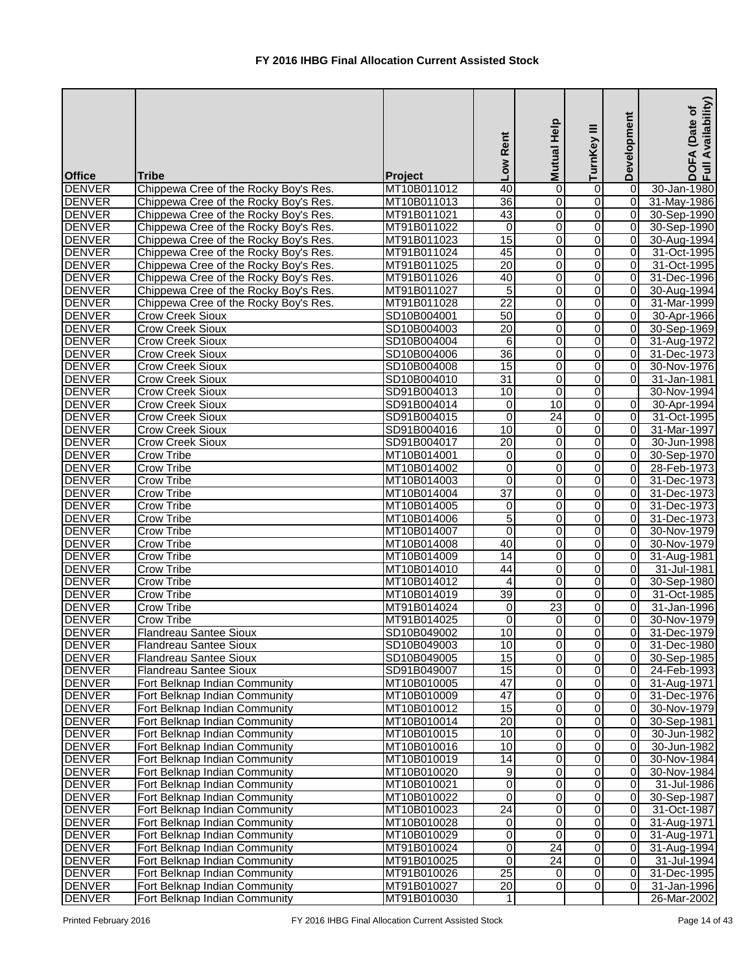| <b>Office</b>                  | <b>Tribe</b>                           | Project                    | Low Rent                | Mutual Help         | TurnKey III         | Development                      | Availability)<br>(Date of<br><b>DOFA</b><br>Full Av |
|--------------------------------|----------------------------------------|----------------------------|-------------------------|---------------------|---------------------|----------------------------------|-----------------------------------------------------|
| <b>DENVER</b>                  | Chippewa Cree of the Rocky Boy's Res.  | MT10B011012                | 40                      | 0                   | 0                   | 0                                | 30-Jan-1980                                         |
| <b>DENVER</b>                  | Chippewa Cree of the Rocky Boy's Res.  | MT10B011013                | 36                      | 0                   | 0                   | $\overline{0}$                   | 31-May-1986                                         |
| <b>DENVER</b>                  | Chippewa Cree of the Rocky Boy's Res.  | MT91B011021                | 43                      | 0                   | 0                   | $\overline{0}$                   | 30-Sep-1990                                         |
| <b>DENVER</b>                  | Chippewa Cree of the Rocky Boy's Res.  | MT91B011022                | $\overline{\mathsf{o}}$ | 0                   | 0                   | $\overline{0}$                   | 30-Sep-1990                                         |
| <b>DENVER</b>                  | Chippewa Cree of the Rocky Boy's Res.  | MT91B011023                | $\overline{15}$         | 0                   | 0                   | $\overline{0}$                   | 30-Aug-1994                                         |
| <b>DENVER</b>                  | Chippewa Cree of the Rocky Boy's Res.  | MT91B011024                | 45                      | 0                   | 0                   | $\overline{0}$                   | 31-Oct-1995                                         |
| <b>DENVER</b>                  | Chippewa Cree of the Rocky Boy's Res.  | MT91B011025                | $\overline{20}$         | 0                   | 0                   | $\overline{0}$                   | 31-Oct-1995                                         |
| <b>DENVER</b>                  | Chippewa Cree of the Rocky Boy's Res.  | MT91B011026                | 40                      | $\overline{0}$      | 0                   | $\overline{0}$                   | 31-Dec-1996                                         |
| <b>DENVER</b>                  | Chippewa Cree of the Rocky Boy's Res.  | MT91B011027                | 5                       | 0                   | 0                   | $\overline{0}$                   | 30-Aug-1994                                         |
| <b>DENVER</b>                  | Chippewa Cree of the Rocky Boy's Res.  | MT91B011028                | $\overline{22}$         | 0                   | 0                   | $\overline{0}$                   | 31-Mar-1999                                         |
| <b>DENVER</b>                  | <b>Crow Creek Sioux</b>                | SD10B004001                | 50                      | 0                   | 0                   | $\overline{0}$                   | 30-Apr-1966                                         |
| <b>DENVER</b>                  | <b>Crow Creek Sioux</b>                | SD10B004003                | $\overline{20}$         | 0                   | 0                   | $\overline{0}$                   | 30-Sep-1969                                         |
| <b>DENVER</b>                  | Crow Creek Sioux                       | SD10B004004                | 6                       | 0                   | 0                   | $\overline{0}$                   | 31-Aug-1972                                         |
| <b>DENVER</b>                  | <b>Crow Creek Sioux</b>                | SD10B004006                | 36                      | 0                   | 0                   | $\overline{0}$                   | 31-Dec-1973                                         |
| <b>DENVER</b>                  | <b>Crow Creek Sioux</b>                | SD10B004008                | 15                      | 0                   | 0                   | $\overline{0}$                   | 30-Nov-1976                                         |
| <b>DENVER</b>                  | Crow Creek Sioux                       | SD10B004010                | $\overline{31}$         | 0                   | 0                   | 0                                | 31-Jan-1981                                         |
| <b>DENVER</b>                  | <b>Crow Creek Sioux</b>                | SD91B004013                | 10                      | 0                   | 0                   |                                  | 30-Nov-1994                                         |
| <b>DENVER</b>                  | <b>Crow Creek Sioux</b>                | SD91B004014                | $\pmb{0}$               | 10                  | 0                   | $\overline{0}$                   | 30-Apr-1994                                         |
| <b>DENVER</b>                  | <b>Crow Creek Sioux</b>                | SD91B004015                | $\overline{0}$          | $\overline{24}$     | 0                   | $\overline{0}$                   | 31-Oct-1995                                         |
| <b>DENVER</b>                  | <b>Crow Creek Sioux</b>                | SD91B004016                | 10                      | $\Omega$            | 0                   | $\overline{0}$                   | 31-Mar-1997                                         |
| <b>DENVER</b>                  | <b>Crow Creek Sioux</b>                | SD91B004017                | $\overline{20}$         | 0                   | 0                   | $\overline{0}$                   | 30-Jun-1998                                         |
| <b>DENVER</b>                  | <b>Crow Tribe</b>                      | MT10B014001                | 0                       | 0                   | 0                   | $\overline{0}$                   | 30-Sep-1970                                         |
| <b>DENVER</b>                  | <b>Crow Tribe</b>                      | MT10B014002                | 0                       | 0                   | 0                   | $\overline{0}$                   | 28-Feb-1973                                         |
| <b>DENVER</b>                  | Crow Tribe                             | MT10B014003                | 0                       | 0                   | 0                   | $\overline{0}$                   | 31-Dec-1973                                         |
| <b>DENVER</b>                  | <b>Crow Tribe</b>                      | MT10B014004                | $\overline{37}$         | 0                   | 0                   | $\Omega$                         | 31-Dec-1973                                         |
| <b>DENVER</b>                  | <b>Crow Tribe</b>                      | MT10B014005                | $\pmb{0}$               | 0                   | 0                   | $\overline{0}$                   | 31-Dec-1973                                         |
| <b>DENVER</b>                  | Crow Tribe                             | MT10B014006                | 5                       | 0                   | 0                   | $\overline{0}$                   | 31-Dec-1973                                         |
| <b>DENVER</b>                  | <b>Crow Tribe</b>                      | MT10B014007                | $\overline{0}$          | 0                   | 0                   | $\overline{0}$                   | 30-Nov-1979                                         |
| <b>DENVER</b>                  | Crow Tribe                             | MT10B014008                | 40                      | 0                   | 0                   | $\overline{0}$<br>$\overline{0}$ | 30-Nov-1979                                         |
| <b>DENVER</b><br><b>DENVER</b> | <b>Crow Tribe</b><br><b>Crow Tribe</b> | MT10B014009                | $\overline{14}$         | 0                   | 0                   | $\overline{0}$                   | 31-Aug-1981                                         |
|                                |                                        | MT10B014010<br>MT10B014012 | 44<br>$\overline{4}$    | 0<br>$\overline{0}$ | 0                   | $\overline{0}$                   | 31-Jul-1981                                         |
| <b>DENVER</b><br><b>DENVER</b> | <b>Crow Tribe</b><br>Crow Tribe        | MT10B014019                | $\overline{39}$         | 0                   | $\overline{0}$<br>0 | $\overline{0}$                   | 30-Sep-1980<br>31-Oct-1985                          |
| <b>DENVER</b>                  | <b>Crow Tribe</b>                      | MT91B014024                | 0                       | 23                  | 0                   | $\overline{0}$                   | 31-Jan-1996                                         |
| <b>DENVER</b>                  | <b>Crow Tribe</b>                      | MT91B014025                | 0                       | 0                   | 0                   | $\overline{0}$                   | 30-Nov-1979                                         |
| <b>DENVER</b>                  | Flandreau Santee Sioux                 | SD10B049002                | 10                      | 0                   | 0                   | $\overline{0}$                   | 31-Dec-1979                                         |
| <b>DENVER</b>                  | <b>Flandreau Santee Sioux</b>          | SD10B049003                | $\overline{10}$         | 0                   | 0                   | $\overline{0}$                   | 31-Dec-1980                                         |
| <b>DENVER</b>                  | <b>Flandreau Santee Sioux</b>          | SD10B049005                | 15                      | 0                   | 0                   | 0                                | 30-Sep-1985                                         |
| <b>DENVER</b>                  | Flandreau Santee Sioux                 | SD91B049007                | $\overline{15}$         | 0                   | 0                   | 0                                | 24-Feb-1993                                         |
| <b>DENVER</b>                  | Fort Belknap Indian Community          | MT10B010005                | $\overline{47}$         | 0                   | 0                   | $\overline{0}$                   | 31-Aug-1971                                         |
| <b>DENVER</b>                  | Fort Belknap Indian Community          | MT10B010009                | $\overline{47}$         | 0                   | 0                   | $\overline{0}$                   | 31-Dec-1976                                         |
| <b>DENVER</b>                  | Fort Belknap Indian Community          | MT10B010012                | 15                      | 0                   | $\overline{0}$      | $\overline{0}$                   | 30-Nov-1979                                         |
| <b>DENVER</b>                  | Fort Belknap Indian Community          | MT10B010014                | $\overline{20}$         | 0                   | 0                   | $\overline{0}$                   | 30-Sep-1981                                         |
| <b>DENVER</b>                  | Fort Belknap Indian Community          | MT10B010015                | 10                      | 0                   | 0                   | $\overline{0}$                   | 30-Jun-1982                                         |
| <b>DENVER</b>                  | Fort Belknap Indian Community          | MT10B010016                | 10                      | 0                   | 0                   | $\overline{0}$                   | 30-Jun-1982                                         |
| <b>DENVER</b>                  | Fort Belknap Indian Community          | MT10B010019                | 14                      | 0                   | 0                   | $\Omega$                         | 30-Nov-1984                                         |
| <b>DENVER</b>                  | Fort Belknap Indian Community          | MT10B010020                | 9                       | 0                   | 0                   | $\overline{0}$                   | 30-Nov-1984                                         |
| <b>DENVER</b>                  | Fort Belknap Indian Community          | MT10B010021                | $\overline{\mathsf{o}}$ | 0                   | 0                   | $\overline{0}$                   | 31-Jul-1986                                         |
| <b>DENVER</b>                  | Fort Belknap Indian Community          | MT10B010022                | $\overline{0}$          | 0                   | 0                   | 0                                | 30-Sep-1987                                         |
| <b>DENVER</b>                  | Fort Belknap Indian Community          | MT10B010023                | $\overline{24}$         | 0                   | 0                   | $\overline{0}$                   | 31-Oct-1987                                         |
| <b>DENVER</b>                  | Fort Belknap Indian Community          | MT10B010028                | 0                       | 0                   | 0                   | 0                                | 31-Aug-1971                                         |
| <b>DENVER</b>                  | Fort Belknap Indian Community          | MT10B010029                | 0                       | $\mathbf 0$         | 0                   | $\overline{0}$                   | 31-Aug-1971                                         |
| <b>DENVER</b>                  | Fort Belknap Indian Community          | MT91B010024                | $\overline{0}$          | $\overline{24}$     | 0                   | $\overline{0}$                   | 31-Aug-1994                                         |
| <b>DENVER</b>                  | Fort Belknap Indian Community          | MT91B010025                | $\overline{\mathsf{o}}$ | 24                  | 0                   | $\overline{0}$                   | 31-Jul-1994                                         |
| <b>DENVER</b>                  | Fort Belknap Indian Community          | MT91B010026                | $\overline{25}$         | $\mathbf 0$         | 0                   | $\overline{0}$                   | 31-Dec-1995                                         |
| <b>DENVER</b>                  | Fort Belknap Indian Community          | MT91B010027                | 20                      | 0                   | 0                   | $\overline{0}$                   | 31-Jan-1996                                         |
| <b>DENVER</b>                  | Fort Belknap Indian Community          | MT91B010030                | 1                       |                     |                     |                                  | 26-Mar-2002                                         |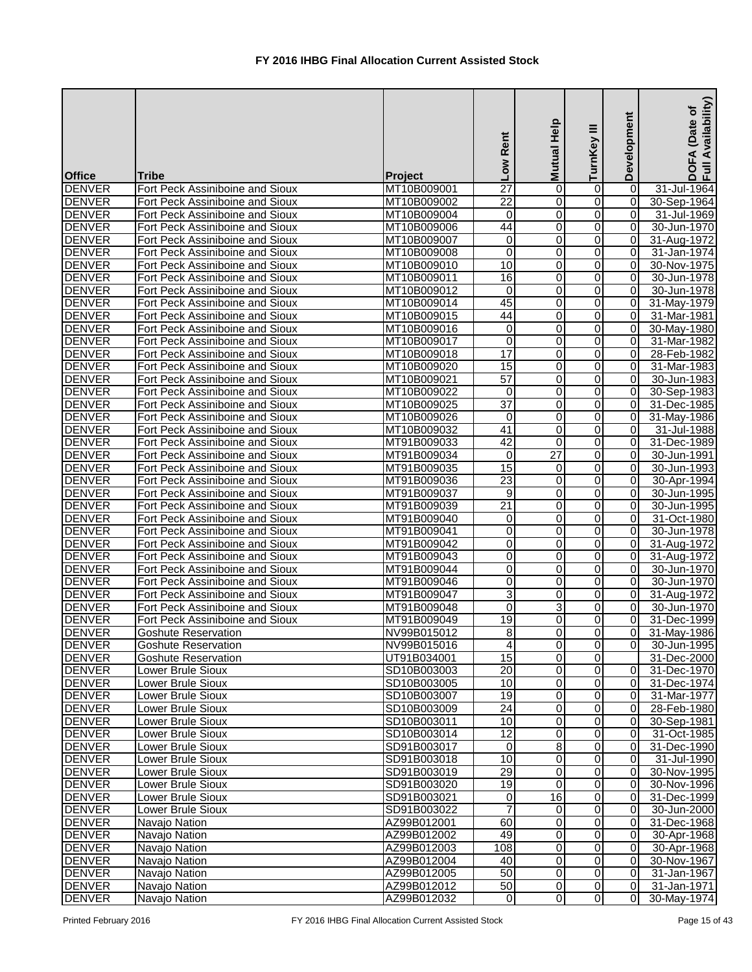| <b>Office</b>                  | <b>Tribe</b>                    | Project     | Low Rent        | Mutual Help    | Ξ<br>TurnKey   | Development    | Availability)<br>(Date of<br>EA<br>$rac{1}{2}$ |
|--------------------------------|---------------------------------|-------------|-----------------|----------------|----------------|----------------|------------------------------------------------|
| <b>DENVER</b>                  | Fort Peck Assiniboine and Sioux | MT10B009001 | 27              | 0              | 0              | $\Omega$       | 31-Jul-1964                                    |
| <b>DENVER</b>                  | Fort Peck Assiniboine and Sioux | MT10B009002 | 22              | 0              | 0              | $\Omega$       | 30-Sep-1964                                    |
| <b>DENVER</b>                  | Fort Peck Assiniboine and Sioux | MT10B009004 | 0               | $\mathbf 0$    | $\overline{0}$ | 0              | 31-Jul-1969                                    |
| <b>DENVER</b>                  | Fort Peck Assiniboine and Sioux | MT10B009006 | 44              | 0              | $\overline{0}$ | 0              | 30-Jun-1970                                    |
| <b>DENVER</b>                  | Fort Peck Assiniboine and Sioux | MT10B009007 | 0               | 0              | $\mathbf 0$    | 0              | 31-Aug-1972                                    |
| <b>DENVER</b>                  | Fort Peck Assiniboine and Sioux | MT10B009008 | $\overline{0}$  | $\mathbf 0$    | $\overline{0}$ | 0              | 31-Jan-1974                                    |
| <b>DENVER</b>                  | Fort Peck Assiniboine and Sioux | MT10B009010 | 10              | $\mathbf 0$    | $\overline{0}$ | $\overline{0}$ | 30-Nov-1975                                    |
| <b>DENVER</b>                  | Fort Peck Assiniboine and Sioux | MT10B009011 | 16              | $\mathbf 0$    | 0              | 0              | 30-Jun-1978                                    |
| <b>DENVER</b>                  | Fort Peck Assiniboine and Sioux | MT10B009012 | $\overline{0}$  | $\overline{0}$ | $\overline{0}$ | 0              | 30-Jun-1978                                    |
| <b>DENVER</b>                  | Fort Peck Assiniboine and Sioux | MT10B009014 | 45              | 0              | $\overline{0}$ | 0              | 31-May-1979                                    |
| <b>DENVER</b>                  | Fort Peck Assiniboine and Sioux | MT10B009015 | 44              | 0              | 0              | 0              | 31-Mar-1981                                    |
| <b>DENVER</b>                  | Fort Peck Assiniboine and Sioux | MT10B009016 | 0               | $\mathbf 0$    | 0              | 0              | 30-May-1980                                    |
| <b>DENVER</b>                  | Fort Peck Assiniboine and Sioux | MT10B009017 | 0               | 0              | 0              | 0              | 31-Mar-1982                                    |
| <b>DENVER</b>                  | Fort Peck Assiniboine and Sioux | MT10B009018 | 17              | $\mathbf 0$    | 0              | 0              | 28-Feb-1982                                    |
| <b>DENVER</b>                  | Fort Peck Assiniboine and Sioux | MT10B009020 | 15              | 0              | $\overline{0}$ | $\Omega$       | 31-Mar-1983                                    |
| <b>DENVER</b>                  | Fort Peck Assiniboine and Sioux | MT10B009021 | 57              | 0              | $\overline{0}$ | $\Omega$       | 30-Jun-1983                                    |
| <b>DENVER</b>                  | Fort Peck Assiniboine and Sioux | MT10B009022 | 0               | $\mathbf 0$    | $\overline{0}$ | 0              | 30-Sep-1983                                    |
| <b>DENVER</b>                  | Fort Peck Assiniboine and Sioux | MT10B009025 | $\overline{37}$ | 0              | 0              | 0              | 31-Dec-1985                                    |
| <b>DENVER</b>                  | Fort Peck Assiniboine and Sioux | MT10B009026 | 0               | 0              | 0              | 0              | 31-May-1986                                    |
| <b>DENVER</b>                  | Fort Peck Assiniboine and Sioux | MT10B009032 | $\overline{41}$ | $\mathbf 0$    | $\overline{0}$ | Οl             | 31-Jul-1988                                    |
| <b>DENVER</b>                  | Fort Peck Assiniboine and Sioux | MT91B009033 | $\overline{42}$ | 0              | $\overline{0}$ | Οl             |                                                |
|                                |                                 |             |                 |                |                |                | 31-Dec-1989                                    |
| <b>DENVER</b><br><b>DENVER</b> | Fort Peck Assiniboine and Sioux | MT91B009034 | 0<br>15         | 27             | $\overline{0}$ | 0<br>0         | 30-Jun-1991                                    |
|                                | Fort Peck Assiniboine and Sioux | MT91B009035 |                 | 0              | 0              |                | 30-Jun-1993                                    |
| <b>DENVER</b>                  | Fort Peck Assiniboine and Sioux | MT91B009036 | 23              | 0              | 0              | 0              | 30-Apr-1994                                    |
| <b>DENVER</b>                  | Fort Peck Assiniboine and Sioux | MT91B009037 | 9               | $\mathbf 0$    | 0              | 0              | 30-Jun-1995                                    |
| <b>DENVER</b>                  | Fort Peck Assiniboine and Sioux | MT91B009039 | $\overline{21}$ | $\mathbf 0$    | $\overline{0}$ | 0              | 30-Jun-1995                                    |
| <b>DENVER</b>                  | Fort Peck Assiniboine and Sioux | MT91B009040 | 0               | $\mathbf 0$    | $\overline{0}$ | 0              | 31-Oct-1980                                    |
| <b>DENVER</b>                  | Fort Peck Assiniboine and Sioux | MT91B009041 | 0               | 0              | $\overline{0}$ | 0              | 30-Jun-1978                                    |
| <b>DENVER</b>                  | Fort Peck Assiniboine and Sioux | MT91B009042 | $\mathsf 0$     | $\mathbf 0$    | $\overline{0}$ | $\overline{0}$ | 31-Aug-1972                                    |
| <b>DENVER</b>                  | Fort Peck Assiniboine and Sioux | MT91B009043 | $\overline{0}$  | 0              | $\overline{0}$ | $\overline{0}$ | 31-Aug-1972                                    |
| <b>DENVER</b>                  | Fort Peck Assiniboine and Sioux | MT91B009044 | $\overline{0}$  | $\mathbf 0$    | $\Omega$       | $\overline{0}$ | 30-Jun-1970                                    |
| <b>DENVER</b>                  | Fort Peck Assiniboine and Sioux | MT91B009046 | $\overline{0}$  | $\overline{0}$ | $\overline{0}$ | $\overline{0}$ | 30-Jun-1970                                    |
| <b>DENVER</b>                  | Fort Peck Assiniboine and Sioux | MT91B009047 | 3               | 0              | $\overline{O}$ | ΟI             | 31-Aug-1972                                    |
| <b>DENVER</b>                  | Fort Peck Assiniboine and Sioux | MT91B009048 | $\overline{0}$  | 3              | 0              | $\overline{O}$ | 30-Jun-1970                                    |
| <b>DENVER</b>                  | Fort Peck Assiniboine and Sioux | MT91B009049 | 19              | 0              | 0              | $\overline{0}$ | 31-Dec-1999                                    |
| <b>DENVER</b>                  | <b>Goshute Reservation</b>      | NV99B015012 | 8               | 0              | $\overline{0}$ | 0I             | 31-May-1986                                    |
| <b>DENVER</b>                  | <b>Goshute Reservation</b>      | NV99B015016 | 4               | $\mathbf 0$    | $\overline{0}$ | $\overline{0}$ | 30-Jun-1995                                    |
| <b>DENVER</b>                  | <b>Goshute Reservation</b>      | UT91B034001 | 15              | 0              | $\overline{0}$ |                | 31-Dec-2000                                    |
| <b>DENVER</b>                  | Lower Brule Sioux               | SD10B003003 | 20              | 0              | $\overline{0}$ | $\overline{0}$ | 31-Dec-1970                                    |
| <b>DENVER</b>                  | Lower Brule Sioux               | SD10B003005 | 10              | 0              | $\overline{0}$ | $\overline{0}$ | 31-Dec-1974                                    |
| <b>DENVER</b>                  | Lower Brule Sioux               | SD10B003007 | 19              | 0              | $\overline{0}$ | $\overline{0}$ | 31-Mar-1977                                    |
| <b>DENVER</b>                  | Lower Brule Sioux               | SD10B003009 | $\overline{24}$ | $\mathbf 0$    | $\overline{0}$ | $\overline{0}$ | 28-Feb-1980                                    |
| <b>DENVER</b>                  | Lower Brule Sioux               | SD10B003011 | 10              | $\mathbf 0$    | $\overline{0}$ | $\overline{0}$ | 30-Sep-1981                                    |
| <b>DENVER</b>                  | Lower Brule Sioux               | SD10B003014 | $\overline{12}$ | 0              | $\overline{0}$ | $\overline{0}$ | 31-Oct-1985                                    |
| <b>DENVER</b>                  | <b>Lower Brule Sioux</b>        | SD91B003017 | $\Omega$        | 8              | $\Omega$       | $\overline{0}$ | 31-Dec-1990                                    |
| <b>DENVER</b>                  | Lower Brule Sioux               | SD91B003018 | 10              | 0              | 0              | $\overline{0}$ | 31-Jul-1990                                    |
| <b>DENVER</b>                  | Lower Brule Sioux               | SD91B003019 | 29              | 0              | 0              | $\overline{0}$ | 30-Nov-1995                                    |
| <b>DENVER</b>                  | Lower Brule Sioux               | SD91B003020 | 19              | $\Omega$       | 0              | 0              | 30-Nov-1996                                    |
| <b>DENVER</b>                  | Lower Brule Sioux               | SD91B003021 | 0               | 16             | $\overline{0}$ | $\overline{0}$ | 31-Dec-1999                                    |
| <b>DENVER</b>                  | Lower Brule Sioux               | SD91B003022 |                 | 0              | $\overline{0}$ | $\overline{0}$ | 30-Jun-2000                                    |
| <b>DENVER</b>                  | Navajo Nation                   | AZ99B012001 | 60              | 0              | $\overline{0}$ | 0              | 31-Dec-1968                                    |
| <b>DENVER</b>                  | Navajo Nation                   | AZ99B012002 | 49              | 0              | $\overline{0}$ | $\overline{0}$ | 30-Apr-1968                                    |
| <b>DENVER</b>                  | Navajo Nation                   | AZ99B012003 | 108             | 0              | $\mathbf 0$    | $\overline{0}$ | 30-Apr-1968                                    |
| <b>DENVER</b>                  | Navajo Nation                   | AZ99B012004 | 40              | 0              | $\overline{0}$ | $\overline{0}$ | 30-Nov-1967                                    |
| <b>DENVER</b>                  | Navajo Nation                   | AZ99B012005 | 50              | $\mathbf 0$    | $\overline{0}$ | $\overline{0}$ | 31-Jan-1967                                    |
| <b>DENVER</b>                  | Navajo Nation                   | AZ99B012012 | 50              | 0              | $\overline{0}$ | $\overline{0}$ | 31-Jan-1971                                    |
| <b>DENVER</b>                  | Navajo Nation                   | AZ99B012032 | $\overline{0}$  | 0              | $\overline{0}$ | $\overline{0}$ | 30-May-1974                                    |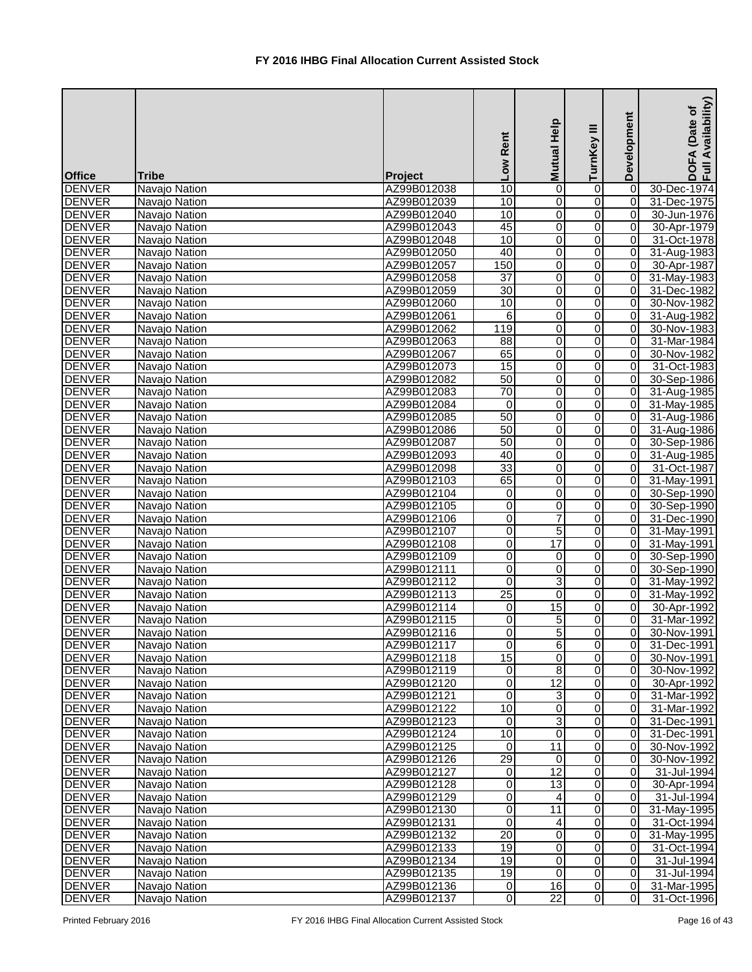|                                |                                |                            | Low Rent                | Mutual Help         | ≡<br>TurnKey            | Development                      | Availability)<br>Date of<br><b>DOFA</b><br>Full Av |
|--------------------------------|--------------------------------|----------------------------|-------------------------|---------------------|-------------------------|----------------------------------|----------------------------------------------------|
| <b>Office</b>                  | <b>Tribe</b>                   | <b>Project</b>             |                         |                     |                         |                                  |                                                    |
| <b>DENVER</b>                  | Navajo Nation                  | AZ99B012038                | $\overline{10}$         | 0                   | 0                       | $\vert$ 0                        | 30-Dec-1974                                        |
| <b>DENVER</b>                  | Navajo Nation                  | AZ99B012039                | 10                      | 0                   | $\overline{\mathsf{o}}$ | $\vert$ 0                        | 31-Dec-1975                                        |
| <b>DENVER</b>                  | Navajo Nation                  | AZ99B012040                | $\overline{10}$         | 0                   | $\overline{\mathsf{o}}$ | 0                                | 30-Jun-1976                                        |
| <b>DENVER</b>                  | Navajo Nation                  | AZ99B012043                | 45                      | 0                   | 0                       | 0                                | 30-Apr-1979                                        |
| <b>DENVER</b>                  | Navajo Nation                  | AZ99B012048                | 10                      | 0                   | 0                       | $\overline{0}$                   | 31-Oct-1978                                        |
| <b>DENVER</b>                  | Navajo Nation                  | AZ99B012050                | 40                      | 0                   | 0                       | $\overline{0}$<br>$\overline{0}$ | 31-Aug-1983                                        |
| <b>DENVER</b><br><b>DENVER</b> | Navajo Nation                  | AZ99B012057<br>AZ99B012058 | 150<br>$\overline{37}$  | $\overline{0}$<br>0 | 0                       | $\overline{0}$                   | 30-Apr-1987                                        |
| <b>DENVER</b>                  | Navajo Nation                  | AZ99B012059                | $\overline{30}$         | 0                   | 0<br>0                  | $\overline{0}$                   | 31-May-1983<br>31-Dec-1982                         |
| <b>DENVER</b>                  | Navajo Nation<br>Navajo Nation | AZ99B012060                | 10                      | 0                   | 0                       | $\overline{0}$                   | 30-Nov-1982                                        |
| <b>DENVER</b>                  | Navajo Nation                  | AZ99B012061                | 6                       | 0                   | 0                       | $\overline{0}$                   | 31-Aug-1982                                        |
| <b>DENVER</b>                  | Navajo Nation                  | AZ99B012062                | 119                     | 0                   | 0                       | $\overline{0}$                   | 30-Nov-1983                                        |
| <b>DENVER</b>                  | Navajo Nation                  | AZ99B012063                | 88                      | 0                   | 0                       | $\overline{0}$                   | 31-Mar-1984                                        |
| <b>DENVER</b>                  | Navajo Nation                  | AZ99B012067                | 65                      | 0                   | 0                       | $\overline{0}$                   | 30-Nov-1982                                        |
| <b>DENVER</b>                  | Navajo Nation                  | AZ99B012073                | 15                      | 0                   | 0                       | $\overline{0}$                   | 31-Oct-1983                                        |
| <b>DENVER</b>                  | Navajo Nation                  | AZ99B012082                | 50                      | $\overline{0}$      | 0                       | $\overline{0}$                   | 30-Sep-1986                                        |
| <b>DENVER</b>                  | Navajo Nation                  | AZ99B012083                | 70                      | 0                   | 0                       | $\overline{0}$                   | 31-Aug-1985                                        |
| <b>DENVER</b>                  | Navajo Nation                  | AZ99B012084                | $\mathbf 0$             | 0                   | 0                       | $\overline{0}$                   | 31-May-1985                                        |
| <b>DENVER</b>                  | Navajo Nation                  | AZ99B012085                | 50                      | 0                   | $\overline{0}$          | $\overline{0}$                   | 31-Aug-1986                                        |
| <b>DENVER</b>                  | Navajo Nation                  | AZ99B012086                | 50                      | 0                   | 0                       | $\overline{0}$                   | 31-Aug-1986                                        |
| <b>DENVER</b>                  | Navajo Nation                  | AZ99B012087                | 50                      | 0                   | 0                       | $\overline{0}$                   | 30-Sep-1986                                        |
| <b>DENVER</b>                  | Navajo Nation                  | AZ99B012093                | 40                      | 0                   | 0                       | $\overline{0}$                   | 31-Aug-1985                                        |
| <b>DENVER</b>                  | Navajo Nation                  | AZ99B012098                | 33                      | 0                   | 0                       | $\overline{0}$                   | 31-Oct-1987                                        |
| <b>DENVER</b>                  | Navajo Nation                  | AZ99B012103                | 65                      | 0                   | 0                       | $\overline{0}$                   | 31-May-1991                                        |
| <b>DENVER</b>                  | Navajo Nation                  | AZ99B012104                | $\pmb{0}$               | 0                   | 0                       | $\overline{0}$                   | 30-Sep-1990                                        |
| <b>DENVER</b>                  | Navajo Nation                  | AZ99B012105                | 0                       | 0                   | $\overline{0}$          | $\overline{0}$                   | 30-Sep-1990                                        |
| <b>DENVER</b>                  | Navajo Nation                  | AZ99B012106                | $\overline{0}$          | $\overline{7}$      | $\overline{0}$          | $\overline{0}$                   | 31-Dec-1990                                        |
| <b>DENVER</b>                  | Navajo Nation                  | AZ99B012107                | $\overline{0}$          | $\overline{5}$      | 0                       | $\overline{0}$                   | 31-May-1991                                        |
| <b>DENVER</b>                  | Navajo Nation                  | AZ99B012108                | $\overline{0}$          | $\overline{17}$     | $\overline{0}$          | $\overline{0}$                   | 31-May-1991                                        |
| <b>DENVER</b>                  | Navajo Nation                  | AZ99B012109                | Ō                       | 0                   | $\overline{0}$          | $\overline{0}$                   | 30-Sep-1990                                        |
| <b>DENVER</b>                  | Navajo Nation                  | AZ99B012111                | $\overline{0}$          | 0                   | 0                       | $\overline{0}$                   | 30-Sep-1990                                        |
| <b>DENVER</b>                  | Navajo Nation                  | AZ99B012112                | $\Omega$                | $\overline{3}$      | $\overline{0}$          | $\overline{0}$                   | 31-May-1992                                        |
| <b>DENVER</b>                  | Navajo Nation                  | AZ99B012113                | $\overline{25}$         | $\overline{0}$      | $\overline{0}$          | $\overline{0}$                   | 31-May-1992                                        |
| <b>DENVER</b>                  | Navajo Nation                  | AZ99B012114                | 0                       | 15                  | 0                       | $\overline{0}$                   | 30-Apr-1992                                        |
| <b>DENVER</b>                  | Navajo Nation                  | AZ99B012115                | 0                       | 5                   | 0                       | $\overline{0}$                   | 31-Mar-1992                                        |
| <b>DENVER</b>                  | Navajo Nation                  | AZ99B012116                | $\overline{0}$          | $\overline{5}$      | 0                       | $\overline{0}$                   | 30-Nov-1991                                        |
| <b>DENVER</b>                  | Navajo Nation                  | AZ99B012117                | $\overline{\mathsf{o}}$ | 6                   | $\overline{0}$          | $\overline{0}$                   | 31-Dec-1991                                        |
| <b>DENVER</b>                  | Navajo Nation                  | AZ99B012118                | 15                      | 0                   | 0                       | 0                                | 30-Nov-1991                                        |
| <b>DENVER</b>                  | Navajo Nation                  | AZ99B012119                | $\overline{0}$          | $\infty$            | 0                       | $\overline{0}$                   | 30-Nov-1992                                        |
| <b>DENVER</b>                  | Navajo Nation                  | AZ99B012120                | $\overline{0}$          | $\overline{12}$     | 0                       | $\overline{0}$                   | 30-Apr-1992                                        |
| <b>DENVER</b>                  | Navajo Nation                  | AZ99B012121                | $\overline{0}$          | دى                  | O                       | $\overline{0}$                   | 31-Mar-1992                                        |
| <b>DENVER</b>                  | Navajo Nation                  | AZ99B012122                | 10                      | 0                   | 0                       | $\overline{0}$                   | 31-Mar-1992                                        |
| <b>DENVER</b>                  | Navajo Nation                  | AZ99B012123                | $\Omega$                | 3                   | 0                       | $\overline{0}$                   | 31-Dec-1991                                        |
| <b>DENVER</b>                  | Navajo Nation                  | AZ99B012124                | 10                      | 0                   | 0                       | $\overline{0}$                   | 31-Dec-1991                                        |
| <b>DENVER</b>                  | Navajo Nation                  | AZ99B012125                | 0                       | 11                  | 0                       | $\overline{0}$                   | 30-Nov-1992                                        |
| <b>DENVER</b>                  | Navajo Nation                  | AZ99B012126                | 29                      | 0                   | 0                       | $\overline{0}$                   | 30-Nov-1992                                        |
| <b>DENVER</b>                  | Navajo Nation                  | AZ99B012127                | 0                       | $\overline{12}$     | 0                       | $\overline{0}$                   | 31-Jul-1994                                        |
| <b>DENVER</b>                  | Navajo Nation                  | AZ99B012128                | 0                       | 13                  | 0                       | $\overline{0}$                   | 30-Apr-1994                                        |
| <b>DENVER</b>                  | Navajo Nation                  | AZ99B012129                | 0                       | 4                   | 0                       | $\overline{0}$                   | 31-Jul-1994                                        |
| <b>DENVER</b>                  | Navajo Nation                  | AZ99B012130                | $\overline{0}$          | $\overline{11}$     | 0                       | 0                                | 31-May-1995                                        |
| <b>DENVER</b>                  | Navajo Nation                  | AZ99B012131                | $\mathbf{0}$            | 4                   | 0                       | $\overline{0}$                   | 31-Oct-1994                                        |
| <b>DENVER</b>                  | Navajo Nation                  | AZ99B012132                | $\overline{20}$         | 0                   | 0                       | $\overline{0}$                   | 31-May-1995                                        |
| <b>DENVER</b>                  | Navajo Nation                  | AZ99B012133                | 19                      | 0                   | 0                       | $\overline{0}$                   | 31-Oct-1994                                        |
| <b>DENVER</b>                  | Navajo Nation                  | AZ99B012134                | 19                      | 0                   | $\overline{0}$          | $\overline{0}$                   | 31-Jul-1994                                        |
| <b>DENVER</b>                  | Navajo Nation                  | AZ99B012135                | 19                      | 0                   | $\Omega$                | $\overline{0}$                   | 31-Jul-1994                                        |
| <b>DENVER</b>                  | Navajo Nation                  | AZ99B012136                | 0                       | 16                  | $\overline{0}$          | $\overline{0}$                   | 31-Mar-1995                                        |
| <b>DENVER</b>                  | Navajo Nation                  | AZ99B012137                | $\overline{0}$          | $\overline{22}$     | $\overline{0}$          | $\overline{0}$                   | 31-Oct-1996                                        |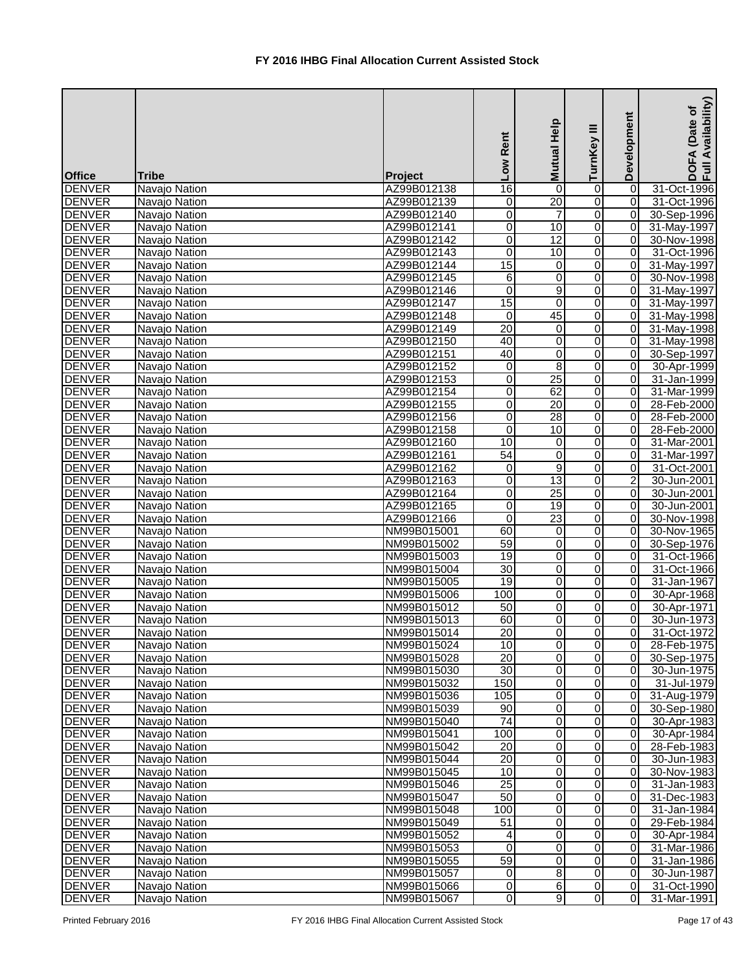| <b>Office</b> | <b>Tribe</b>  | Project     | Rent<br>Low     | Mutual Help     | Ξ<br>TurnKey   | Development      | Availability)<br>Date of<br><b>DOFA</b><br>Full Av |
|---------------|---------------|-------------|-----------------|-----------------|----------------|------------------|----------------------------------------------------|
| <b>DENVER</b> | Navajo Nation | AZ99B012138 | 16              | 0               | 0              | $\vert 0 \vert$  | 31-Oct-1996                                        |
| <b>DENVER</b> | Navajo Nation | AZ99B012139 | 0               | $\overline{20}$ | 0              | $\overline{0}$   | 31-Oct-1996                                        |
| <b>DENVER</b> | Navajo Nation | AZ99B012140 | 0               | 7               | 0              | $\overline{0}$   | 30-Sep-1996                                        |
| <b>DENVER</b> | Navajo Nation | AZ99B012141 | $\overline{0}$  | $\overline{10}$ | $\overline{0}$ | $\overline{0}$   | 31-May-1997                                        |
| <b>DENVER</b> | Navajo Nation | AZ99B012142 | $\overline{0}$  | $\overline{12}$ | $\overline{0}$ | $\overline{0}$   | 30-Nov-1998                                        |
| <b>DENVER</b> | Navajo Nation | AZ99B012143 | 0               | 10              | 0              | $\overline{0}$   | 31-Oct-1996                                        |
| <b>DENVER</b> | Navajo Nation | AZ99B012144 | 15              | $\pmb{0}$       | 0              | $\overline{0}$   | 31-May-1997                                        |
| <b>DENVER</b> | Navajo Nation | AZ99B012145 | 6               | $\overline{0}$  | $\overline{0}$ | $\overline{0}$   | 30-Nov-1998                                        |
| <b>DENVER</b> | Navajo Nation | AZ99B012146 | 0               | $\overline{9}$  | 0              | $\overline{0}$   | 31-May-1997                                        |
| <b>DENVER</b> | Navajo Nation | AZ99B012147 | 15              | 0               | 0              | $\overline{0}$   | 31-May-1997                                        |
| <b>DENVER</b> | Navajo Nation | AZ99B012148 | $\Omega$        | 45              | 0              | $\overline{0}$   | 31-May-1998                                        |
| <b>DENVER</b> | Navajo Nation | AZ99B012149 | 20              | 0               | 0              | $\overline{0}$   | 31-May-1998                                        |
| <b>DENVER</b> | Navajo Nation | AZ99B012150 | 40              | 0               | 0              | $\overline{0}$   | 31-May-1998                                        |
| <b>DENVER</b> | Navajo Nation | AZ99B012151 | 40              | 0               | 0              | $\overline{0}$   | 30-Sep-1997                                        |
| <b>DENVER</b> | Navajo Nation | AZ99B012152 | 0               | $\overline{8}$  | 0              | $\overline{0}$   | 30-Apr-1999                                        |
| <b>DENVER</b> | Navajo Nation | AZ99B012153 | $\overline{0}$  | $\overline{25}$ | 0              | 0                | 31-Jan-1999                                        |
| <b>DENVER</b> | Navajo Nation | AZ99B012154 | 0               | 62              | 0              | 0                | 31-Mar-1999                                        |
| <b>DENVER</b> | Navajo Nation | AZ99B012155 | 0               | $\overline{20}$ | 0              | $\overline{0}$   | 28-Feb-2000                                        |
| <b>DENVER</b> | Navajo Nation | AZ99B012156 | $\overline{0}$  | $\overline{28}$ | 0              | $\overline{0}$   | 28-Feb-2000                                        |
| <b>DENVER</b> | Navajo Nation | AZ99B012158 | 0               | 10              | 0              | $\overline{0}$   | 28-Feb-2000                                        |
| <b>DENVER</b> | Navajo Nation | AZ99B012160 | 10              | $\pmb{0}$       | 0              | $\overline{0}$   | 31-Mar-2001                                        |
| <b>DENVER</b> | Navajo Nation | AZ99B012161 | 54              | 0               | 0              | 0                | 31-Mar-1997                                        |
| <b>DENVER</b> | Navajo Nation | AZ99B012162 | 0               | $\overline{9}$  | 0              | 0                | 31-Oct-2001                                        |
| <b>DENVER</b> | Navajo Nation | AZ99B012163 | 0               | $\overline{13}$ | 0              | $\boldsymbol{2}$ | 30-Jun-2001                                        |
| <b>DENVER</b> | Navajo Nation | AZ99B012164 | 0               | $\overline{25}$ | 0              | 0                | 30-Jun-2001                                        |
| <b>DENVER</b> | Navajo Nation | AZ99B012165 | 0               | $\overline{19}$ | 0              | $\overline{0}$   | 30-Jun-2001                                        |
| <b>DENVER</b> | Navajo Nation | AZ99B012166 | 0               | $\overline{23}$ | 0              | $\overline{0}$   | 30-Nov-1998                                        |
| <b>DENVER</b> | Navajo Nation | NM99B015001 | 60              | $\pmb{0}$       | 0              | 0                | 30-Nov-1965                                        |
| <b>DENVER</b> | Navajo Nation | NM99B015002 | 59              | 0               | 0              | $\overline{0}$   | 30-Sep-1976                                        |
| <b>DENVER</b> | Navajo Nation | NM99B015003 | 19              | $\overline{0}$  | $\overline{0}$ | $\overline{0}$   | 31-Oct-1966                                        |
| <b>DENVER</b> | Navajo Nation | NM99B015004 | 30              | 0               | 0              | $\overline{0}$   | 31-Oct-1966                                        |
| <b>DENVER</b> | Navajo Nation | NM99B015005 | 19              | $\overline{0}$  | $\overline{0}$ | $\overline{0}$   | 31-Jan-1967                                        |
| <b>DENVER</b> | Navajo Nation | NM99B015006 | 100             | 0               | 0              | $\overline{0}$   | 30-Apr-1968                                        |
| <b>DENVER</b> | Navajo Nation | NM99B015012 | 50              | 0               | 0              | $\overline{0}$   | 30-Apr-1971                                        |
| <b>DENVER</b> | Navajo Nation | NM99B015013 | 60              | 0               | 0              | $\overline{0}$   | 30-Jun-1973                                        |
| <b>DENVER</b> | Navajo Nation | NM99B015014 | $\overline{20}$ | 0               | 0              | $\overline{0}$   | 31-Oct-1972                                        |
| <b>DENVER</b> | Navajo Nation | NM99B015024 | 10              | 0               | 0              | $\overline{0}$   | 28-Feb-1975                                        |
| <b>DENVER</b> | Navajo Nation | NM99B015028 | $\overline{20}$ | 0               | 0              | 0                | 30-Sep-1975                                        |
| <b>DENVER</b> | Navajo Nation | NM99B015030 | $\overline{30}$ | 0               | 0              | $\overline{0}$   | 30-Jun-1975                                        |
| <b>DENVER</b> | Navajo Nation | NM99B015032 | 150             | 0               | 0              | $\overline{0}$   | 31-Jul-1979                                        |
| <b>DENVER</b> | Navajo Nation | NM99B015036 | 105             | 0               | 0              | $\overline{0}$   | 31-Aug-1979                                        |
| <b>DENVER</b> | Navajo Nation | NM99B015039 | $\overline{90}$ | 0               | $\overline{0}$ | $\overline{0}$   | 30-Sep-1980                                        |
| <b>DENVER</b> | Navajo Nation | NM99B015040 | 74              | 0               | 0              | $\overline{0}$   | 30-Apr-1983                                        |
| <b>DENVER</b> | Navajo Nation | NM99B015041 | 100             | 0               | 0              | $\overline{0}$   | 30-Apr-1984                                        |
| <b>DENVER</b> | Navajo Nation | NM99B015042 | 20              | 0               | 0              | $\overline{0}$   | 28-Feb-1983                                        |
| <b>DENVER</b> | Navajo Nation | NM99B015044 | 20              | 0               | 0              | $\overline{0}$   | 30-Jun-1983                                        |
| <b>DENVER</b> | Navajo Nation | NM99B015045 | 10              | 0               | 0              | 0                | 30-Nov-1983                                        |
| <b>DENVER</b> | Navajo Nation | NM99B015046 | 25              | 0               | 0              | $\overline{0}$   | 31-Jan-1983                                        |
| <b>DENVER</b> | Navajo Nation | NM99B015047 | 50              | 0               | 0              | $\overline{0}$   | 31-Dec-1983                                        |
| <b>DENVER</b> | Navajo Nation | NM99B015048 | 100             | 0               | 0              | $\overline{0}$   | 31-Jan-1984                                        |
| <b>DENVER</b> | Navajo Nation | NM99B015049 | 51              | 0               | 0              | $\overline{0}$   | 29-Feb-1984                                        |
| <b>DENVER</b> | Navajo Nation | NM99B015052 | 4               | 0               | 0              | 0                | 30-Apr-1984                                        |
| <b>DENVER</b> | Navajo Nation | NM99B015053 | $\mathbf{0}$    | 0               | 0              | $\overline{0}$   | 31-Mar-1986                                        |
| <b>DENVER</b> | Navajo Nation | NM99B015055 | 59              | 0               | 0              | $\overline{0}$   | 31-Jan-1986                                        |
| <b>DENVER</b> | Navajo Nation | NM99B015057 | $\overline{0}$  | 8 <sup>1</sup>  | $\Omega$       | $\overline{0}$   | 30-Jun-1987                                        |
| <b>DENVER</b> | Navajo Nation | NM99B015066 | $\overline{0}$  | 6               | $\overline{0}$ | $\overline{0}$   | 31-Oct-1990                                        |
| <b>DENVER</b> | Navajo Nation | NM99B015067 | $\overline{0}$  | $\overline{9}$  | 0              | $\overline{0}$   | 31-Mar-1991                                        |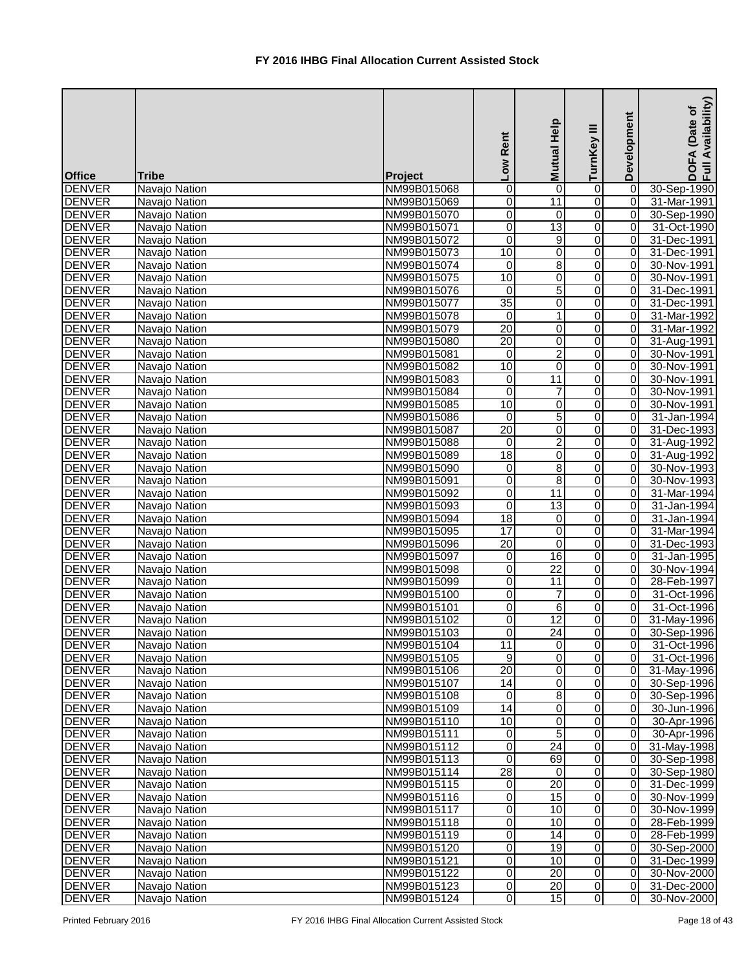| <b>Office</b>                  | <b>Tribe</b>                   | Project                    | Rent<br><b>NOT</b>      | Mutual Help     | Ξ<br>TurnKey   | Development    | Availability)<br>Date of<br><b>DOFA</b><br>Full Av |
|--------------------------------|--------------------------------|----------------------------|-------------------------|-----------------|----------------|----------------|----------------------------------------------------|
| <b>DENVER</b>                  | Navajo Nation                  | NM99B015068                | $\mathbf 0$             | 0               | 0              | 0              | 30-Sep-1990                                        |
| <b>DENVER</b>                  | Navajo Nation                  | NM99B015069                | 0                       | 11              | 0              | $\overline{0}$ | 31-Mar-1991                                        |
| <b>DENVER</b>                  | Navajo Nation                  | NM99B015070                | $\overline{0}$          | 0               | 0              | $\overline{0}$ | 30-Sep-1990                                        |
| <b>DENVER</b>                  | Navajo Nation                  | NM99B015071                | $\overline{\mathsf{o}}$ | 13              | $\overline{0}$ | $\overline{0}$ | 31-Oct-1990                                        |
| <b>DENVER</b>                  | Navajo Nation                  | NM99B015072                | $\overline{0}$          | 9               | 0              | $\overline{0}$ | 31-Dec-1991                                        |
| <b>DENVER</b>                  | Navajo Nation                  | NM99B015073                | 10                      | 0               | 0              | $\overline{0}$ | 31-Dec-1991                                        |
| <b>DENVER</b>                  | Navajo Nation                  | NM99B015074                | $\mathbf 0$             | 8               | 0              | $\overline{0}$ | 30-Nov-1991                                        |
| <b>DENVER</b>                  | Navajo Nation                  | NM99B015075                | 10                      | $\overline{0}$  | 0              | $\overline{0}$ | 30-Nov-1991                                        |
| <b>DENVER</b>                  | Navajo Nation                  | NM99B015076                | $\mathbf 0$             | 5               | 0              | $\overline{0}$ | 31-Dec-1991                                        |
| <b>DENVER</b>                  | Navajo Nation                  | NM99B015077                | $\overline{35}$         | 0               | 0              | $\overline{0}$ | 31-Dec-1991                                        |
| <b>DENVER</b>                  | Navajo Nation                  | NM99B015078                | $\Omega$                | 1               | 0              | 0              | 31-Mar-1992                                        |
| <b>DENVER</b>                  | Navajo Nation                  | NM99B015079                | 20                      | 0               | 0              | $\Omega$       | 31-Mar-1992                                        |
| <b>DENVER</b>                  | Navajo Nation                  | NM99B015080                | $\overline{20}$         | 0               | 0              | $\overline{0}$ | 31-Aug-1991                                        |
| <b>DENVER</b>                  | Navajo Nation                  | NM99B015081                | $\mathbf 0$             | $\overline{2}$  | 0              | $\overline{0}$ | 30-Nov-1991                                        |
| <b>DENVER</b>                  | Navajo Nation                  | NM99B015082                | 10                      | $\overline{0}$  | 0              | $\overline{0}$ | 30-Nov-1991                                        |
| <b>DENVER</b>                  | Navajo Nation                  | NM99B015083                | $\overline{0}$          | $\overline{11}$ | 0              | 0              | 30-Nov-1991                                        |
| <b>DENVER</b>                  | Navajo Nation                  | NM99B015084                | $\mathbf 0$             | $\overline{7}$  | 0              | 0              | 30-Nov-1991                                        |
| <b>DENVER</b>                  | Navajo Nation                  | NM99B015085                | 10                      | 0               | 0              | $\overline{0}$ | 30-Nov-1991                                        |
| <b>DENVER</b>                  | Navajo Nation                  | NM99B015086                | $\mathbf{0}$            | $\overline{5}$  | 0              | $\overline{0}$ | 31-Jan-1994                                        |
| <b>DENVER</b>                  | Navajo Nation                  | NM99B015087                | $\overline{20}$         | 0               | 0              | $\overline{0}$ | 31-Dec-1993                                        |
| <b>DENVER</b>                  | Navajo Nation                  | NM99B015088                | $\Omega$                | $\overline{c}$  | 0              | $\overline{0}$ | 31-Aug-1992                                        |
| <b>DENVER</b>                  | Navajo Nation                  | NM99B015089                | $\overline{18}$         | 0               | 0              | $\overline{0}$ | 31-Aug-1992                                        |
| <b>DENVER</b>                  | Navajo Nation                  | NM99B015090                | 0                       | 8               | 0              | $\overline{0}$ | 30-Nov-1993                                        |
| <b>DENVER</b>                  | Navajo Nation                  | NM99B015091                | 0                       | 8               | 0              | $\overline{0}$ | 30-Nov-1993                                        |
| <b>DENVER</b>                  | Navajo Nation                  | NM99B015092                | $\overline{0}$          | 11              | 0              | 0              | 31-Mar-1994                                        |
| <b>DENVER</b>                  | Navajo Nation                  | NM99B015093                | $\overline{\mathsf{o}}$ | $\overline{13}$ | 0              | $\Omega$       | 31-Jan-1994                                        |
| <b>DENVER</b>                  | Navajo Nation                  | NM99B015094                | 18                      | 0               | 0              | 0              | 31-Jan-1994                                        |
| <b>DENVER</b>                  | Navajo Nation                  | NM99B015095                | 17                      | 0               | 0              | 0              | 31-Mar-1994                                        |
| <b>DENVER</b>                  | Navajo Nation                  | NM99B015096                | 20                      | 0               | 0              | $\overline{0}$ | 31-Dec-1993                                        |
| <b>DENVER</b>                  | Navajo Nation                  | NM99B015097                | $\overline{\mathsf{o}}$ | $\overline{16}$ | 0              | $\overline{0}$ | 31-Jan-1995                                        |
| <b>DENVER</b>                  | Navajo Nation                  | NM99B015098                | $\overline{\mathsf{o}}$ | $\overline{22}$ | 0              | $\overline{0}$ | 30-Nov-1994                                        |
| <b>DENVER</b>                  | Navajo Nation                  | NM99B015099                | $\overline{0}$          | 11              | $\overline{0}$ | $\overline{0}$ | 28-Feb-1997                                        |
| <b>DENVER</b>                  | Navajo Nation                  | NM99B015100                | $\mathbf 0$             | 7               | 0              | 01             | 31-Oct-1996                                        |
| <b>DENVER</b>                  | Navajo Nation                  | NM99B015101                | 0                       | 6               | 0              | $\overline{0}$ | 31-Oct-1996                                        |
| <b>DENVER</b>                  | Navajo Nation                  | NM99B015102                | 0                       | $\overline{12}$ | 0              | $\overline{0}$ | 31-May-1996                                        |
| <b>DENVER</b>                  | Navajo Nation                  | NM99B015103                | 0                       | $\overline{24}$ | 0              | $\overline{0}$ | 30-Sep-1996                                        |
| <b>DENVER</b>                  | Navajo Nation                  | NM99B015104                | 11                      | 0               | 0              | $\overline{0}$ | 31-Oct-1996                                        |
| <b>DENVER</b>                  | Navajo Nation                  | NM99B015105                | 9                       | 0               | 0              | $\overline{0}$ | 31-Oct-1996                                        |
| <b>DENVER</b>                  | Navajo Nation                  | NM99B015106                | $\overline{20}$         | 0               | 0              | $\overline{0}$ | 31-May-1996                                        |
| <b>DENVER</b>                  | Navajo Nation                  | NM99B015107                | 14                      | 0               | 0              | 0              | 30-Sep-1996                                        |
| <b>DENVER</b>                  | Navajo Nation                  | NM99B015108                | 0                       | 8 <sup>1</sup>  | 0              | $\overline{0}$ | 30-Sep-1996                                        |
| <b>DENVER</b>                  | Navajo Nation                  | NM99B015109                | $\overline{14}$         | 0               | $\overline{0}$ | $\overline{0}$ | 30-Jun-1996                                        |
| <b>DENVER</b>                  | Navajo Nation                  | NM99B015110                | 10                      | 0               | 0              | $\overline{0}$ | 30-Apr-1996                                        |
| <b>DENVER</b>                  | Navajo Nation                  | NM99B015111                | 0                       | 5               | 0              | $\overline{0}$ | 30-Apr-1996                                        |
| <b>DENVER</b>                  | Navajo Nation                  | NM99B015112                | 0                       | $\overline{24}$ | 0              | $\overline{0}$ | 31-May-1998                                        |
| <b>DENVER</b>                  | Navajo Nation                  | NM99B015113                | 0                       | 69              | 0              | $\overline{0}$ | 30-Sep-1998                                        |
| <b>DENVER</b>                  | Navajo Nation                  | NM99B015114                | $\overline{28}$         | 0               | 0              | $\overline{0}$ | 30-Sep-1980                                        |
| <b>DENVER</b>                  | Navajo Nation                  | NM99B015115                | 0                       | 20<br>15        | 0              | $\overline{0}$ | 31-Dec-1999                                        |
| <b>DENVER</b>                  | Navajo Nation                  | NM99B015116                | $\overline{0}$          | 10              | 0              | $\overline{0}$ | 30-Nov-1999                                        |
| <b>DENVER</b>                  | Navajo Nation                  | NM99B015117                | $\overline{0}$          |                 | 0              | $\overline{0}$ | 30-Nov-1999                                        |
| <b>DENVER</b><br><b>DENVER</b> | Navajo Nation<br>Navajo Nation | NM99B015118<br>NM99B015119 | 0<br>0                  | 10<br>14        | 0<br>0         | 0 <br> 0       | 28-Feb-1999<br>28-Feb-1999                         |
| <b>DENVER</b>                  | Navajo Nation                  | NM99B015120                | $\overline{0}$          | 19              | 0              | $\overline{0}$ | 30-Sep-2000                                        |
| <b>DENVER</b>                  | Navajo Nation                  | NM99B015121                | $\overline{0}$          | 10              | 0              | $\overline{0}$ | 31-Dec-1999                                        |
| <b>DENVER</b>                  | Navajo Nation                  | NM99B015122                | $\overline{0}$          | 20              | 0              | $\overline{0}$ | 30-Nov-2000                                        |
| <b>DENVER</b>                  | Navajo Nation                  | NM99B015123                | $\overline{0}$          | 20              | $\overline{0}$ | $\overline{0}$ | 31-Dec-2000                                        |
| <b>DENVER</b>                  | Navajo Nation                  | NM99B015124                | $\overline{0}$          | 15              | 0              | $\overline{0}$ | 30-Nov-2000                                        |
|                                |                                |                            |                         |                 |                |                |                                                    |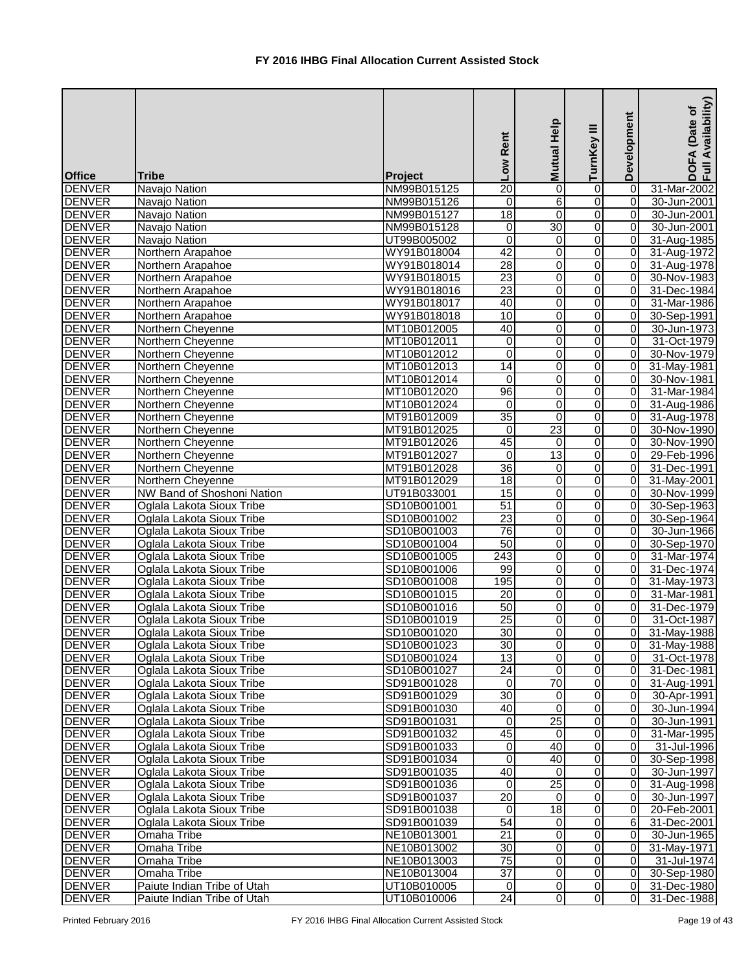| <b>Office</b>                  | <b>Tribe</b>                                           | Project                    | Low Rent         | Mutual Help     | Ξ<br>TurnKey                     | Development          | Availability)<br>Date of<br><b>DOFA</b><br>Full Av |
|--------------------------------|--------------------------------------------------------|----------------------------|------------------|-----------------|----------------------------------|----------------------|----------------------------------------------------|
| <b>DENVER</b>                  | Navajo Nation                                          | NM99B015125                | $\overline{20}$  | $\pmb{0}$       | 0                                | 0                    | 31-Mar-2002                                        |
| <b>DENVER</b>                  | Navajo Nation                                          | NM99B015126                | 0                | $\overline{6}$  | 0                                | 0                    | 30-Jun-2001                                        |
| <b>DENVER</b>                  | Navajo Nation                                          | NM99B015127                | $\overline{18}$  | $\overline{0}$  | 0                                | $\overline{0}$       | 30-Jun-2001                                        |
| <b>DENVER</b>                  | Navajo Nation                                          | NM99B015128                | $\overline{0}$   | 30              | $\overline{0}$                   | $\overline{0}$       | 30-Jun-2001                                        |
| <b>DENVER</b>                  | Navajo Nation                                          | UT99B005002                | $\mathbf 0$      | 0               | $\overline{0}$                   | $\overline{0}$       | 31-Aug-1985                                        |
| <b>DENVER</b>                  | Northern Arapahoe                                      | WY91B018004                | $\overline{42}$  | 0               | 0                                | $\overline{0}$       | 31-Aug-1972                                        |
| <b>DENVER</b>                  | Northern Arapahoe                                      | WY91B018014                | $\overline{28}$  | 0               | 0                                | $\overline{0}$       | 31-Aug-1978                                        |
| <b>DENVER</b>                  | Northern Arapahoe                                      | WY91B018015                | 23               | $\overline{0}$  | $\overline{0}$                   | $\overline{0}$       | 30-Nov-1983                                        |
| <b>DENVER</b>                  | Northern Arapahoe                                      | WY91B018016                | $\overline{23}$  | 0               | $\overline{0}$                   | $\overline{0}$       | 31-Dec-1984                                        |
| <b>DENVER</b>                  | Northern Arapahoe                                      | WY91B018017                | 40               | 0               | 0                                | $\overline{0}$       | 31-Mar-1986                                        |
| <b>DENVER</b>                  | Northern Arapahoe                                      | WY91B018018                | 10               | $\mathbf 0$     | 0                                | 0                    | 30-Sep-1991                                        |
| <b>DENVER</b>                  | Northern Cheyenne                                      | MT10B012005                | 40               | 0               | 0                                | $\overline{0}$       | 30-Jun-1973                                        |
| <b>DENVER</b>                  | Northern Cheyenne                                      | MT10B012011                | $\boldsymbol{0}$ | 0               | 0                                | 0                    | 31-Oct-1979                                        |
| <b>DENVER</b>                  | Northern Cheyenne                                      | MT10B012012                | $\mathbf 0$      | 0               | 0                                | $\overline{0}$       | 30-Nov-1979                                        |
| <b>DENVER</b>                  | Northern Cheyenne                                      | MT10B012013                | $\overline{14}$  | 0               | 0                                | $\overline{0}$       | 31-May-1981                                        |
| <b>DENVER</b>                  | Northern Cheyenne                                      | MT10B012014                | 0                | 0               | 0                                | $\overline{0}$       | 30-Nov-1981                                        |
| <b>DENVER</b>                  | Northern Cheyenne                                      | MT10B012020                | $\overline{96}$  | 0               | 0                                | $\overline{0}$       | 31-Mar-1984                                        |
| <b>DENVER</b>                  | Northern Cheyenne                                      | MT10B012024                | $\mathbf 0$      | 0               | 0                                | $\overline{0}$       | 31-Aug-1986                                        |
| <b>DENVER</b>                  | Northern Cheyenne                                      | MT91B012009                | $\overline{35}$  | 0               | 0                                | $\overline{0}$       | 31-Aug-1978                                        |
| <b>DENVER</b>                  | Northern Cheyenne                                      | MT91B012025                | 0                | $\overline{23}$ | 0                                | $\overline{0}$       | 30-Nov-1990                                        |
| <b>DENVER</b>                  | Northern Cheyenne                                      | MT91B012026                | 45               | $\pmb{0}$       | 0                                | $\overline{0}$       | 30-Nov-1990                                        |
| <b>DENVER</b>                  | Northern Cheyenne                                      | MT91B012027                | $\Omega$         | $\overline{13}$ | 0                                | $\overline{0}$       | 29-Feb-1996                                        |
| <b>DENVER</b>                  | Northern Cheyenne                                      | MT91B012028                | 36               | 0               | 0                                | $\overline{0}$       | 31-Dec-1991                                        |
| <b>DENVER</b>                  | Northern Cheyenne                                      | MT91B012029                | 18               | $\mathbf 0$     | 0                                | $\overline{0}$       | 31-May-2001                                        |
| <b>DENVER</b>                  | NW Band of Shoshoni Nation                             | UT91B033001                | 15               | $\overline{0}$  | 0                                | $\overline{0}$       | 30-Nov-1999                                        |
| <b>DENVER</b>                  | Oglala Lakota Sioux Tribe                              | SD10B001001                | 51               | 0               | 0                                | $\overline{0}$       | 30-Sep-1963                                        |
| <b>DENVER</b>                  | Oglala Lakota Sioux Tribe                              | SD10B001002                | $\overline{23}$  | 0               | 0                                | $\overline{0}$       | 30-Sep-1964                                        |
| <b>DENVER</b>                  | Oglala Lakota Sioux Tribe                              | SD10B001003                | 76               | $\overline{0}$  | $\overline{0}$                   | $\overline{0}$       | 30-Jun-1966                                        |
| <b>DENVER</b>                  | Oglala Lakota Sioux Tribe                              | SD10B001004                | 50               | 0               | 0                                | $\overline{0}$       | 30-Sep-1970                                        |
| <b>DENVER</b><br><b>DENVER</b> | Oglala Lakota Sioux Tribe                              | SD10B001005                | 243              | $\overline{0}$  | 0                                | $\overline{0}$       | 31-Mar-1974                                        |
|                                | Oglala Lakota Sioux Tribe                              | SD10B001006                | 99               | 0               | $\overline{0}$                   | $\overline{0}$       | 31-Dec-1974                                        |
| <b>DENVER</b><br><b>DENVER</b> | Oglala Lakota Sioux Tribe                              | SD10B001008                | 195<br>20        | $\overline{0}$  | $\overline{0}$<br>$\overline{0}$ | $\overline{0}$       | 31-May-1973<br>31-Mar-1981                         |
| <b>DENVER</b>                  | Oglala Lakota Sioux Tribe                              | SD10B001015                | 50               | 0               |                                  | ΟI                   |                                                    |
| <b>DENVER</b>                  | Oglala Lakota Sioux Tribe<br>Oglala Lakota Sioux Tribe | SD10B001016<br>SD10B001019 | 25               | 0<br>0          | 0<br>0                           | $\overline{0}$<br>ΟI | 31-Dec-1979<br>31-Oct-1987                         |
| <b>DENVER</b>                  | Oglala Lakota Sioux Tribe                              | SD10B001020                | 30               | 0               | 0                                | $\overline{0}$       | 31-May-1988                                        |
| <b>DENVER</b>                  | Oglala Lakota Sioux Tribe                              | SD10B001023                | 30 <sup>°</sup>  | 0               | 0                                | $\overline{0}$       | 31-May-1988                                        |
| <b>DENVER</b>                  | Oglala Lakota Sioux Tribe                              | SD10B001024                | $\overline{13}$  | 0               | 0                                | $\overline{0}$       | 31-Oct-1978                                        |
| <b>DENVER</b>                  | Oglala Lakota Sioux Tribe                              | SD10B001027                | 24               | 0               | 0                                | $\overline{0}$       | 31-Dec-1981                                        |
| <b>DENVER</b>                  | Oglala Lakota Sioux Tribe                              | SD91B001028                | $\overline{0}$   | $\overline{70}$ | 0                                | $\overline{0}$       | 31-Aug-1991                                        |
| <b>DENVER</b>                  | Oglala Lakota Sioux Tribe                              | SD91B001029                | 30               | $\mathbf 0$     | 0                                | $\overline{0}$       | 30-Apr-1991                                        |
| <b>DENVER</b>                  | Oglala Lakota Sioux Tribe                              | SD91B001030                | 40               | $\mathbf 0$     | $\overline{0}$                   | $\overline{0}$       | 30-Jun-1994                                        |
| <b>DENVER</b>                  | Oglala Lakota Sioux Tribe                              | SD91B001031                | 0                | 25              | 0                                | $\overline{0}$       | 30-Jun-1991                                        |
| <b>DENVER</b>                  | Oglala Lakota Sioux Tribe                              | SD91B001032                | 45               | $\mathbf 0$     | 0                                | $\overline{0}$       | 31-Mar-1995                                        |
| <b>DENVER</b>                  | Oglala Lakota Sioux Tribe                              | SD91B001033                | 0                | 40              | 0                                | $\overline{0}$       | 31-Jul-1996                                        |
| <b>DENVER</b>                  | Oglala Lakota Sioux Tribe                              | SD91B001034                | 0                | 40              | 0                                | $\overline{0}$       | 30-Sep-1998                                        |
| <b>DENVER</b>                  | Oglala Lakota Sioux Tribe                              | SD91B001035                | 40               | $\mathbf 0$     | 0                                | $\overline{0}$       | 30-Jun-1997                                        |
| <b>DENVER</b>                  | Oglala Lakota Sioux Tribe                              | SD91B001036                | $\mathbf 0$      | 25              | 0                                | $\overline{0}$       | 31-Aug-1998                                        |
| <b>DENVER</b>                  | Oglala Lakota Sioux Tribe                              | SD91B001037                | 20               | $\mathbf 0$     | 0                                | $\overline{0}$       | 30-Jun-1997                                        |
| <b>DENVER</b>                  | Oglala Lakota Sioux Tribe                              | SD91B001038                | $\overline{0}$   | 18              | 0                                | 0                    | 20-Feb-2001                                        |
| <b>DENVER</b>                  | Oglala Lakota Sioux Tribe                              | SD91B001039                | 54               | $\mathbf 0$     | 0                                | $6 \mid$             | 31-Dec-2001                                        |
| <b>DENVER</b>                  | Omaha Tribe                                            | NE10B013001                | 21               | 0               | 0                                | $\overline{0}$       | 30-Jun-1965                                        |
| <b>DENVER</b>                  | Omaha Tribe                                            | NE10B013002                | 30               | 0               | $\overline{0}$                   | 0                    | 31-May-1971                                        |
| <b>DENVER</b>                  | Omaha Tribe                                            | NE10B013003                | 75               | $\overline{0}$  | 0                                | οI                   | 31-Jul-1974                                        |
| <b>DENVER</b>                  | Omaha Tribe                                            | NE10B013004                | 37               | 0               | $\overline{0}$                   | ΟI                   | 30-Sep-1980                                        |
| <b>DENVER</b>                  | Paiute Indian Tribe of Utah                            | UT10B010005                | $\Omega$         | 0               | $\overline{0}$                   | $\overline{0}$       | 31-Dec-1980                                        |
| <b>DENVER</b>                  | Paiute Indian Tribe of Utah                            | UT10B010006                | 24               | $\overline{0}$  | 0                                | $\overline{0}$       | 31-Dec-1988                                        |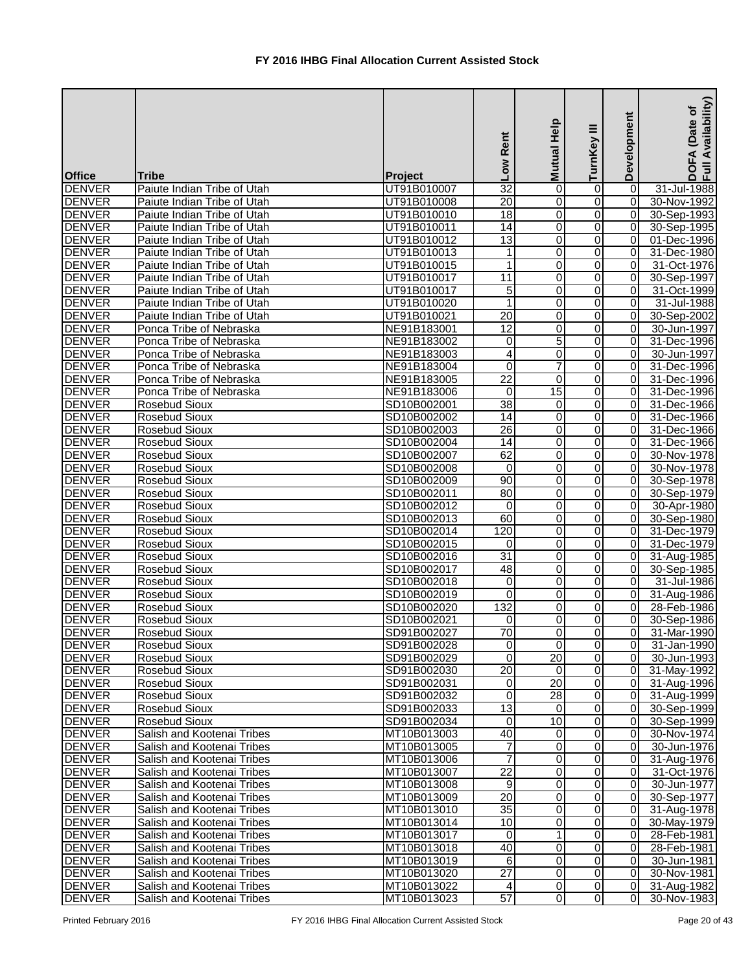| <b>Office</b>                  | <b>Tribe</b>                                             | Project                    | Low Rent                | Mutual Help     | Ξ<br>TurnKey        | Development                      | Availability)<br>Date of<br>$\blacktriangleleft$<br>$rac{1}{2}$ |
|--------------------------------|----------------------------------------------------------|----------------------------|-------------------------|-----------------|---------------------|----------------------------------|-----------------------------------------------------------------|
| <b>DENVER</b>                  | Paiute Indian Tribe of Utah                              | UT91B010007                | 32                      | 0               | 0                   | 0                                | 31-Jul-1988                                                     |
| <b>DENVER</b>                  | Paiute Indian Tribe of Utah                              | UT91B010008                | 20                      | 0               | 0                   | $\overline{0}$                   | 30-Nov-1992                                                     |
| <b>DENVER</b>                  | Paiute Indian Tribe of Utah                              | UT91B010010                | $\overline{18}$         | 0               | 0                   | $\overline{0}$                   | 30-Sep-1993                                                     |
| <b>DENVER</b>                  | Paiute Indian Tribe of Utah                              | UT91B010011                | $\overline{14}$         | 0               | 0                   | $\overline{0}$                   | 30-Sep-1995                                                     |
| <b>DENVER</b>                  | Paiute Indian Tribe of Utah                              | UT91B010012                | 13                      | 0               | 0                   | $\overline{0}$                   | 01-Dec-1996                                                     |
| <b>DENVER</b>                  | Paiute Indian Tribe of Utah                              | UT91B010013                | 1                       | $\mathbf 0$     | 0                   | $\overline{0}$                   | 31-Dec-1980                                                     |
| <b>DENVER</b>                  | Paiute Indian Tribe of Utah                              | UT91B010015                | 1                       | 0               | 0                   | $\overline{0}$                   | 31-Oct-1976                                                     |
| <b>DENVER</b>                  | Paiute Indian Tribe of Utah                              | UT91B010017                | $\overline{11}$         | $\overline{0}$  | 0                   | $\overline{0}$                   | 30-Sep-1997                                                     |
| <b>DENVER</b>                  | Paiute Indian Tribe of Utah                              | UT91B010017                | 5                       | $\overline{0}$  | 0                   | $\overline{0}$                   | 31-Oct-1999                                                     |
| <b>DENVER</b>                  | Paiute Indian Tribe of Utah                              | UT91B010020                | 1                       | 0               | 0                   | $\overline{0}$                   | 31-Jul-1988                                                     |
| <b>DENVER</b>                  | Paiute Indian Tribe of Utah                              | UT91B010021                | 20                      | 0               | 0                   | $\overline{0}$                   | 30-Sep-2002                                                     |
| <b>DENVER</b>                  | Ponca Tribe of Nebraska                                  | NE91B183001                | $\overline{12}$         | $\mathbf 0$     | 0                   | $\overline{0}$                   | 30-Jun-1997                                                     |
| <b>DENVER</b>                  | Ponca Tribe of Nebraska                                  | NE91B183002                | 0                       | 5               | 0                   | $\Omega$                         | 31-Dec-1996                                                     |
| <b>DENVER</b>                  | Ponca Tribe of Nebraska                                  | NE91B183003                | 4                       | 0               | 0                   | $\overline{0}$                   | 30-Jun-1997                                                     |
| <b>DENVER</b>                  | Ponca Tribe of Nebraska                                  | NE91B183004                | 0                       | $\overline{7}$  | 0                   | $\Omega$                         | 31-Dec-1996                                                     |
| <b>DENVER</b>                  | Ponca Tribe of Nebraska                                  | NE91B183005                | $\overline{22}$         | 0               | 0                   | $\overline{0}$                   | 31-Dec-1996                                                     |
| <b>DENVER</b>                  | Ponca Tribe of Nebraska                                  | NE91B183006                | $\mathbf 0$             | $\overline{15}$ | 0                   | $\overline{0}$                   | 31-Dec-1996                                                     |
| <b>DENVER</b>                  | <b>Rosebud Sioux</b>                                     | SD10B002001                | $\overline{38}$         | 0               | 0                   | $\overline{0}$                   | 31-Dec-1966                                                     |
| <b>DENVER</b>                  | <b>Rosebud Sioux</b>                                     | SD10B002002                | 14                      | 0               | 0                   | $\overline{0}$                   | 31-Dec-1966                                                     |
| <b>DENVER</b>                  | <b>Rosebud Sioux</b>                                     | SD10B002003                | 26                      | $\overline{0}$  | 0                   | $\overline{0}$                   | 31-Dec-1966                                                     |
| <b>DENVER</b>                  | <b>Rosebud Sioux</b>                                     | SD10B002004                | 14                      | 0               | 0                   | $\overline{0}$                   | 31-Dec-1966                                                     |
| <b>DENVER</b>                  | <b>Rosebud Sioux</b>                                     | SD10B002007                | 62                      | 0               | 0                   | $\overline{0}$                   | 30-Nov-1978                                                     |
| <b>DENVER</b>                  | Rosebud Sioux                                            | SD10B002008                | 0                       | $\mathbf 0$     | 0                   | $\Omega$                         | 30-Nov-1978                                                     |
| <b>DENVER</b>                  | <b>Rosebud Sioux</b>                                     | SD10B002009                | 90                      | 0               | 0                   | $\overline{0}$                   | 30-Sep-1978                                                     |
| <b>DENVER</b>                  | Rosebud Sioux                                            | SD10B002011                | 80                      | 0               | 0                   | $\overline{0}$                   | 30-Sep-1979                                                     |
| <b>DENVER</b>                  | <b>Rosebud Sioux</b>                                     | SD10B002012                | 0                       | $\overline{0}$  | 0                   | $\overline{0}$                   | 30-Apr-1980                                                     |
| <b>DENVER</b>                  | <b>Rosebud Sioux</b>                                     | SD10B002013                | 60                      | 0               | 0                   | $\overline{0}$                   | 30-Sep-1980                                                     |
| <b>DENVER</b>                  | <b>Rosebud Sioux</b>                                     | SD10B002014                | 120                     | 0               | 0                   | $\overline{0}$                   | 31-Dec-1979                                                     |
| <b>DENVER</b>                  | <b>Rosebud Sioux</b>                                     | SD10B002015                | 0                       | 0               | 0                   | $\overline{0}$                   | 31-Dec-1979                                                     |
| <b>DENVER</b>                  | <b>Rosebud Sioux</b>                                     | SD10B002016                | $\overline{31}$         | 0               | $\Omega$            | $\overline{0}$                   | 31-Aug-1985                                                     |
| <b>DENVER</b>                  | <b>Rosebud Sioux</b>                                     | SD10B002017                | 48                      | 0               | $\Omega$            | $\overline{0}$                   | 30-Sep-1985                                                     |
| <b>DENVER</b>                  | Rosebud Sioux                                            | SD10B002018                | $\overline{0}$          | $\overline{0}$  | $\overline{0}$      | $\overline{0}$                   | 31-Jul-1986                                                     |
| <b>DENVER</b>                  | <b>Rosebud Sioux</b>                                     | SD10B002019                | $\Omega$                | 0               | $\overline{0}$      | ΟI                               | 31-Aug-1986                                                     |
| <b>DENVER</b>                  | <b>Rosebud Sioux</b>                                     | SD10B002020                | 132                     | 0               | 0                   | $\overline{0}$                   | 28-Feb-1986                                                     |
| <b>DENVER</b>                  | Rosebud Sioux                                            | SD10B002021                | $\Omega$                | 0               | 0                   | $\overline{0}$                   | 30-Sep-1986                                                     |
| <b>DENVER</b>                  | Rosebud Sioux                                            | SD91B002027                | 70                      | 0               | 0                   | $\overline{0}$                   | 31-Mar-1990                                                     |
| <b>DENVER</b>                  | <b>Rosebud Sioux</b>                                     | SD91B002028                | $\mathbf 0$             | $\mathbf 0$     | 0                   | $\overline{0}$                   | 31-Jan-1990                                                     |
| <b>DENVER</b>                  | <b>Rosebud Sioux</b>                                     | SD91B002029                | $\mathbf 0$             | $\overline{20}$ | 0                   | $\overline{0}$                   | 30-Jun-1993                                                     |
| <b>DENVER</b>                  | <b>Rosebud Sioux</b>                                     | SD91B002030                | 20                      | $\mathbf 0$     | 0                   | $\overline{0}$                   | 31-May-1992                                                     |
| <b>DENVER</b>                  | <b>Rosebud Sioux</b>                                     | SD91B002031                | $\overline{0}$          | 20              | 0                   | $\overline{0}$                   | 31-Aug-1996                                                     |
| <b>DENVER</b>                  | <b>Rosebud Sioux</b>                                     | SD91B002032                | $\overline{\mathsf{o}}$ | 28              | 0                   | $\overline{0}$                   | 31-Aug-1999                                                     |
| <b>DENVER</b>                  | <b>Rosebud Sioux</b>                                     | SD91B002033                | 13                      | 0               | $\overline{0}$      | $\overline{0}$                   | 30-Sep-1999                                                     |
| <b>DENVER</b>                  | <b>Rosebud Sioux</b>                                     | SD91B002034                | $\overline{0}$          | $\overline{10}$ | $\overline{0}$      | 0                                | 30-Sep-1999                                                     |
| <b>DENVER</b>                  | Salish and Kootenai Tribes                               | MT10B013003                | 40                      | $\mathbf 0$     | 0                   | $\overline{0}$                   | 30-Nov-1974                                                     |
| <b>DENVER</b>                  | Salish and Kootenai Tribes                               | MT10B013005                |                         | 0               | 0                   | ΟI                               | 30-Jun-1976                                                     |
| <b>DENVER</b>                  | Salish and Kootenai Tribes                               | MT10B013006                | 7                       | 0               | 0                   | $\overline{0}$                   | 31-Aug-1976                                                     |
| <b>DENVER</b>                  | Salish and Kootenai Tribes                               | MT10B013007                | 22                      | 0               | 0                   | $\overline{0}$                   | 31-Oct-1976                                                     |
| <b>DENVER</b>                  | Salish and Kootenai Tribes                               | MT10B013008                | 9                       | 0               | 0                   | $\overline{0}$                   | 30-Jun-1977                                                     |
| <b>DENVER</b>                  | Salish and Kootenai Tribes                               | MT10B013009                | $\overline{20}$         | 0               | 0                   | $\overline{0}$                   | 30-Sep-1977                                                     |
| <b>DENVER</b>                  | Salish and Kootenai Tribes                               | MT10B013010                | 35                      | 0               | 0                   | $\overline{0}$                   | 31-Aug-1978                                                     |
| <b>DENVER</b>                  | Salish and Kootenai Tribes                               | MT10B013014                | 10                      | 0               | 0                   | $\overline{0}$                   | 30-May-1979                                                     |
| <b>DENVER</b>                  | Salish and Kootenai Tribes                               | MT10B013017                | $\Omega$                | $\mathbf 1$     | 0                   | $\overline{0}$                   | 28-Feb-1981                                                     |
| <b>DENVER</b>                  | Salish and Kootenai Tribes                               | MT10B013018                | 40<br>6                 | 0<br>0          | 0                   | $\overline{0}$<br>$\overline{0}$ | 28-Feb-1981                                                     |
| <b>DENVER</b><br><b>DENVER</b> | Salish and Kootenai Tribes<br>Salish and Kootenai Tribes | MT10B013019                | $\overline{27}$         | 0               | 0<br>$\overline{0}$ | $\overline{0}$                   | 30-Jun-1981<br>30-Nov-1981                                      |
| <b>DENVER</b>                  | Salish and Kootenai Tribes                               | MT10B013020<br>MT10B013022 | 4                       | 0               | $\overline{0}$      | οI                               | 31-Aug-1982                                                     |
| <b>DENVER</b>                  | Salish and Kootenai Tribes                               | MT10B013023                | 57                      | $\overline{0}$  | $\overline{0}$      | $\overline{0}$                   | 30-Nov-1983                                                     |
|                                |                                                          |                            |                         |                 |                     |                                  |                                                                 |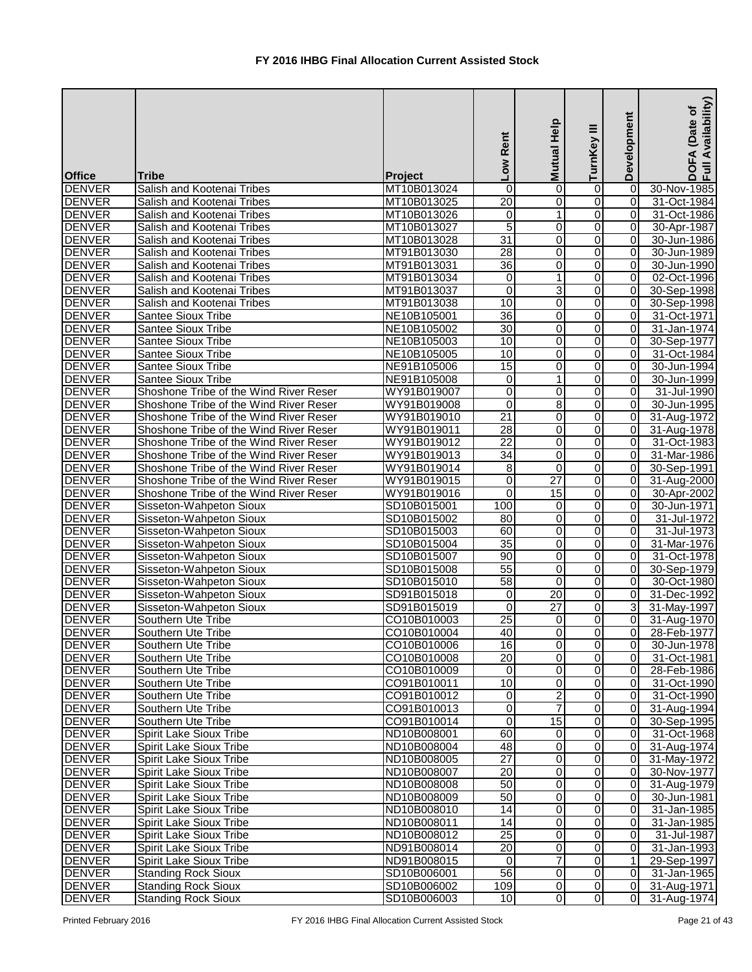| <b>Office</b> | <b>Tribe</b>                           | Project     | Low Rent        | Mutual Help      | Ξ<br>TurnKey            | Development    | Availability)<br>Date of<br>EA<br>$rac{1}{2}$ |
|---------------|----------------------------------------|-------------|-----------------|------------------|-------------------------|----------------|-----------------------------------------------|
| <b>DENVER</b> | Salish and Kootenai Tribes             | MT10B013024 | 0               | 0                | 0                       | 0              | 30-Nov-1985                                   |
| <b>DENVER</b> | Salish and Kootenai Tribes             | MT10B013025 | 20              | 0                | 0                       | $\Omega$       | 31-Oct-1984                                   |
| <b>DENVER</b> | Salish and Kootenai Tribes             | MT10B013026 | 0               | 1                | $\overline{0}$          | $\Omega$       | 31-Oct-1986                                   |
| <b>DENVER</b> | Salish and Kootenai Tribes             | MT10B013027 | $\overline{5}$  | 0                | $\overline{0}$          | 0              | 30-Apr-1987                                   |
| <b>DENVER</b> | Salish and Kootenai Tribes             | MT10B013028 | 31              | 0                | $\overline{0}$          | $\overline{0}$ | 30-Jun-1986                                   |
| <b>DENVER</b> | Salish and Kootenai Tribes             | MT91B013030 | 28              | $\mathbf 0$      | $\overline{0}$          | $\Omega$       | 30-Jun-1989                                   |
| <b>DENVER</b> | Salish and Kootenai Tribes             | MT91B013031 | 36              | $\mathbf 0$      | $\overline{0}$          | $\overline{0}$ | 30-Jun-1990                                   |
| <b>DENVER</b> | Salish and Kootenai Tribes             | MT91B013034 | 0               | 1                | $\overline{0}$          | 0              | 02-Oct-1996                                   |
| <b>DENVER</b> | Salish and Kootenai Tribes             | MT91B013037 | $\overline{0}$  | 3                | $\overline{0}$          | $\overline{0}$ | 30-Sep-1998                                   |
| <b>DENVER</b> | Salish and Kootenai Tribes             | MT91B013038 | 10              | $\mathbf 0$      | $\overline{0}$          | 0              | 30-Sep-1998                                   |
| <b>DENVER</b> | <b>Santee Sioux Tribe</b>              | NE10B105001 | $\overline{36}$ | 0                | $\overline{0}$          | 0              | 31-Oct-1971                                   |
| <b>DENVER</b> | <b>Santee Sioux Tribe</b>              | NE10B105002 | $\overline{30}$ | $\mathbf 0$      | 0                       | 0              | 31-Jan-1974                                   |
| <b>DENVER</b> | <b>Santee Sioux Tribe</b>              | NE10B105003 | 10              | 0                | $\Omega$                | $\Omega$       | 30-Sep-1977                                   |
| <b>DENVER</b> | <b>Santee Sioux Tribe</b>              | NE10B105005 | 10              | $\overline{0}$   | $\Omega$                | 0              | 31-Oct-1984                                   |
| <b>DENVER</b> | <b>Santee Sioux Tribe</b>              | NE91B105006 | $\overline{15}$ | 0                | $\overline{0}$          | $\Omega$       | 30-Jun-1994                                   |
| <b>DENVER</b> | <b>Santee Sioux Tribe</b>              | NE91B105008 | $\overline{0}$  | 1                | $\overline{0}$          | $\Omega$       | 30-Jun-1999                                   |
| <b>DENVER</b> | Shoshone Tribe of the Wind River Reser | WY91B019007 | $\mathbf 0$     | $\mathbf 0$      | $\overline{0}$          | 0              | 31-Jul-1990                                   |
| <b>DENVER</b> | Shoshone Tribe of the Wind River Reser | WY91B019008 | 0               | 8                | 0                       | $\Omega$       | 30-Jun-1995                                   |
| <b>DENVER</b> | Shoshone Tribe of the Wind River Reser | WY91B019010 | $\overline{21}$ | 0                | $\overline{0}$          | $\overline{0}$ | 31-Aug-1972                                   |
| <b>DENVER</b> | Shoshone Tribe of the Wind River Reser | WY91B019011 | 28              | 0                | $\overline{0}$          | $\overline{0}$ | 31-Aug-1978                                   |
| <b>DENVER</b> | Shoshone Tribe of the Wind River Reser | WY91B019012 | 22              | 0                | $\overline{0}$          | $\overline{0}$ | 31-Oct-1983                                   |
| <b>DENVER</b> | Shoshone Tribe of the Wind River Reser | WY91B019013 | 34              | 0                | $\overline{0}$          | 0              | 31-Mar-1986                                   |
| <b>DENVER</b> | Shoshone Tribe of the Wind River Reser | WY91B019014 | 8               | $\mathbf 0$      | 0                       | 0              | 30-Sep-1991                                   |
| <b>DENVER</b> | Shoshone Tribe of the Wind River Reser | WY91B019015 | 0               | 27               | 0                       | 0              | 31-Aug-2000                                   |
| <b>DENVER</b> | Shoshone Tribe of the Wind River Reser | WY91B019016 | $\Omega$        | $\overline{15}$  | 0                       | 0              | 30-Apr-2002                                   |
| <b>DENVER</b> | Sisseton-Wahpeton Sioux                | SD10B015001 | 100             | $\mathbf 0$      | $\overline{0}$          | 0              | 30-Jun-1971                                   |
| <b>DENVER</b> | Sisseton-Wahpeton Sioux                | SD10B015002 | 80              | 0                | $\overline{0}$          | 0              | 31-Jul-1972                                   |
| <b>DENVER</b> | Sisseton-Wahpeton Sioux                | SD10B015003 | $\overline{60}$ | 0                | $\overline{0}$          | 0              | 31-Jul-1973                                   |
| <b>DENVER</b> | Sisseton-Wahpeton Sioux                | SD10B015004 | $\overline{35}$ | 0                | $\overline{0}$          | 0              | 31-Mar-1976                                   |
| <b>DENVER</b> | Sisseton-Wahpeton Sioux                | SD10B015007 | 90              | 0                | $\overline{0}$          | $\overline{0}$ | 31-Oct-1978                                   |
| <b>DENVER</b> | Sisseton-Wahpeton Sioux                | SD10B015008 | 55              | 0                | $\overline{O}$          | $\overline{0}$ | 30-Sep-1979                                   |
| <b>DENVER</b> | Sisseton-Wahpeton Sioux                | SD10B015010 | 58              | $\overline{0}$   | $\overline{0}$          | $\overline{0}$ | 30-Oct-1980                                   |
| <b>DENVER</b> | Sisseton-Wahpeton Sioux                | SD91B015018 | $\overline{0}$  | 20               | $\overline{0}$          | $\overline{0}$ | 31-Dec-1992                                   |
| <b>DENVER</b> | Sisseton-Wahpeton Sioux                | SD91B015019 | $\Omega$        | 27               | $\Omega$                | $\overline{3}$ | 31-May-1997                                   |
| <b>DENVER</b> | Southern Ute Tribe                     | CO10B010003 | $\overline{25}$ | 0                | $\overline{0}$          | $\overline{0}$ | 31-Aug-1970                                   |
| <b>DENVER</b> | Southern Ute Tribe                     | CO10B010004 | 40              | $\boldsymbol{0}$ | $\overline{0}$          | $\overline{0}$ | 28-Feb-1977                                   |
| <b>DENVER</b> | Southern Ute Tribe                     | CO10B010006 | 16              | $\mathbf 0$      | $\overline{0}$          | $\overline{0}$ | 30-Jun-1978                                   |
| <b>DENVER</b> | Southern Ute Tribe                     | CO10B010008 | $\overline{20}$ | 0                | $\overline{0}$          | $\overline{0}$ | 31-Oct-1981                                   |
| <b>DENVER</b> | Southern Ute Tribe                     | CO10B010009 | $\overline{0}$  | 0                | $\overline{0}$          | $\overline{0}$ | 28-Feb-1986                                   |
| <b>DENVER</b> | Southern Ute Tribe                     | CO91B010011 | 10              | $\mathbf 0$      | $\overline{0}$          | $\overline{0}$ | 31-Oct-1990                                   |
| <b>DENVER</b> | Southern Ute Tribe                     | CO91B010012 | $\overline{0}$  | $\overline{2}$   | $\boldsymbol{0}$        | $\overline{0}$ | 31-Oct-1990                                   |
| <b>DENVER</b> | Southern Ute Tribe                     | CO91B010013 | $\overline{0}$  | $\overline{7}$   | Ō                       | $\overline{0}$ | 31-Aug-1994                                   |
| <b>DENVER</b> | Southern Ute Tribe                     | CO91B010014 | $\overline{0}$  | $\overline{15}$  | $\overline{0}$          | $\overline{0}$ | 30-Sep-1995                                   |
| <b>DENVER</b> | <b>Spirit Lake Sioux Tribe</b>         | ND10B008001 | 60              | $\mathbf 0$      | $\overline{0}$          | $\overline{0}$ | 31-Oct-1968                                   |
| <b>DENVER</b> | <b>Spirit Lake Sioux Tribe</b>         | ND10B008004 | 48              | 0                | $\overline{0}$          | $\overline{0}$ | 31-Aug-1974                                   |
| <b>DENVER</b> | <b>Spirit Lake Sioux Tribe</b>         | ND10B008005 | 27              | 0                | 0                       | $\overline{0}$ | 31-May-1972                                   |
| <b>DENVER</b> | <b>Spirit Lake Sioux Tribe</b>         | ND10B008007 | 20              | 0                | $\overline{0}$          | $\overline{0}$ | 30-Nov-1977                                   |
| <b>DENVER</b> | <b>Spirit Lake Sioux Tribe</b>         | ND10B008008 | 50              | $\mathbf 0$      | 0                       | $\overline{0}$ | 31-Aug-1979                                   |
| <b>DENVER</b> | <b>Spirit Lake Sioux Tribe</b>         | ND10B008009 | 50              | 0                | $\mathbf 0$             | $\overline{0}$ | 30-Jun-1981                                   |
| <b>DENVER</b> | Spirit Lake Sioux Tribe                | ND10B008010 | $\overline{14}$ | 0                | $\overline{0}$          | $\overline{0}$ | 31-Jan-1985                                   |
| <b>DENVER</b> | <b>Spirit Lake Sioux Tribe</b>         | ND10B008011 | 14              | 0                | $\overline{0}$          | 0              | 31-Jan-1985                                   |
| <b>DENVER</b> | <b>Spirit Lake Sioux Tribe</b>         | ND10B008012 | $\overline{25}$ | 0                | $\overline{0}$          | $\overline{0}$ | 31-Jul-1987                                   |
| <b>DENVER</b> | <b>Spirit Lake Sioux Tribe</b>         | ND91B008014 | 20              | $\pmb{0}$        | $\overline{\mathsf{o}}$ | $\overline{0}$ | 31-Jan-1993                                   |
| <b>DENVER</b> | <b>Spirit Lake Sioux Tribe</b>         | ND91B008015 | $\overline{0}$  | $\overline{7}$   | $\overline{0}$          | 1 <sup>1</sup> | 29-Sep-1997                                   |
| <b>DENVER</b> | <b>Standing Rock Sioux</b>             | SD10B006001 | 56              | $\mathbf 0$      | $\overline{0}$          | $\overline{0}$ | 31-Jan-1965                                   |
| <b>DENVER</b> | <b>Standing Rock Sioux</b>             | SD10B006002 | 109             | 0                | $\overline{0}$          | $\overline{0}$ | 31-Aug-1971                                   |
| <b>DENVER</b> | <b>Standing Rock Sioux</b>             | SD10B006003 | 10              | $\overline{0}$   | $\overline{0}$          | $\overline{0}$ | 31-Aug-1974                                   |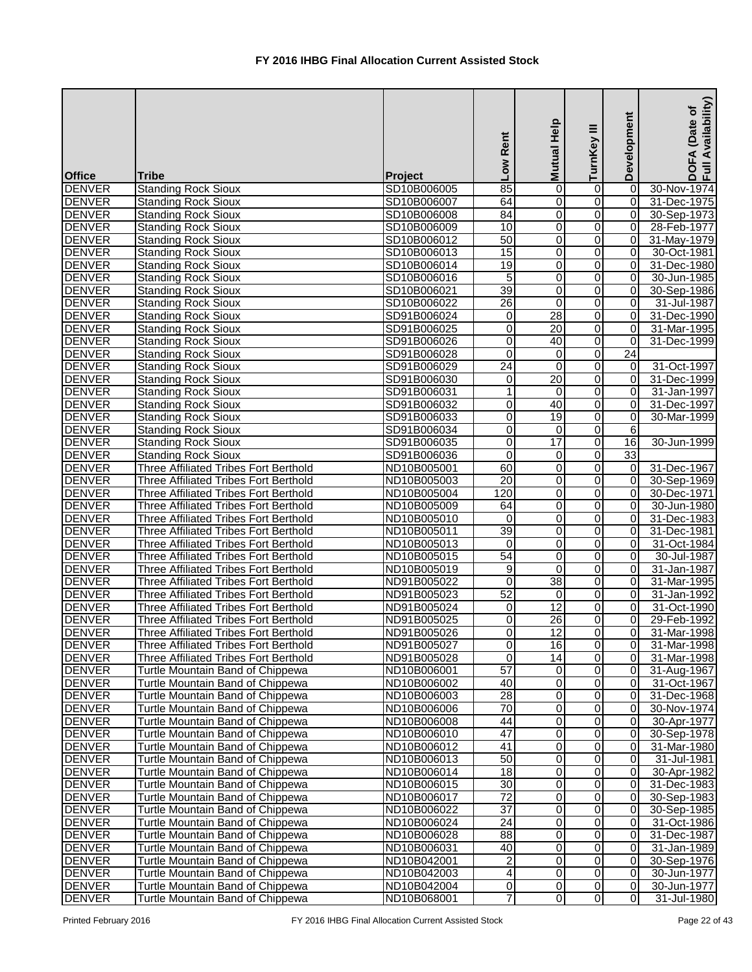|                                |                                                                      |                            | Low Rent                           | Mutual Help      | ≡<br>TurnKey   | Development                      | Availability)<br>(Date of<br>DOFA<br>Full Av |
|--------------------------------|----------------------------------------------------------------------|----------------------------|------------------------------------|------------------|----------------|----------------------------------|----------------------------------------------|
| <b>Office</b>                  | <b>Tribe</b>                                                         | Project                    |                                    |                  |                |                                  |                                              |
| <b>DENVER</b>                  | <b>Standing Rock Sioux</b>                                           | SD10B006005                | 85                                 | 0                | 0              | 0                                | 30-Nov-1974                                  |
| <b>DENVER</b>                  | <b>Standing Rock Sioux</b>                                           | SD10B006007                | 64                                 | 0                | 0              | $\overline{0}$                   | 31-Dec-1975                                  |
| <b>DENVER</b>                  | <b>Standing Rock Sioux</b>                                           | SD10B006008                | $\overline{84}$                    | $\mathbf 0$      | 0              | $\overline{0}$                   | 30-Sep-1973                                  |
| <b>DENVER</b>                  | <b>Standing Rock Sioux</b>                                           | SD10B006009                | $\overline{10}$                    | $\pmb{0}$        | 0              | $\overline{0}$                   | 28-Feb-1977                                  |
| <b>DENVER</b>                  | <b>Standing Rock Sioux</b>                                           | SD10B006012                | 50                                 | 0                | 0              | $\overline{0}$                   | 31-May-1979                                  |
| <b>DENVER</b>                  | <b>Standing Rock Sioux</b>                                           | SD10B006013                | 15                                 | $\pmb{0}$        | 0              | $\overline{0}$                   | 30-Oct-1981                                  |
| <b>DENVER</b>                  | <b>Standing Rock Sioux</b>                                           | SD10B006014                | 19                                 | $\mathbf 0$      | 0              | $\overline{0}$                   | 31-Dec-1980                                  |
| <b>DENVER</b>                  | <b>Standing Rock Sioux</b>                                           | SD10B006016                | $\overline{5}$                     | 0                | 0              | $\overline{0}$                   | 30-Jun-1985                                  |
| <b>DENVER</b>                  | <b>Standing Rock Sioux</b>                                           | SD10B006021                | 39                                 | $\boldsymbol{0}$ | 0              | $\overline{0}$                   | 30-Sep-1986                                  |
| <b>DENVER</b>                  | <b>Standing Rock Sioux</b>                                           | SD10B006022                | $\overline{26}$                    | $\mathbf 0$      | 0              | $\Omega$                         | 31-Jul-1987                                  |
| <b>DENVER</b>                  | <b>Standing Rock Sioux</b>                                           | SD91B006024                | 0                                  | $\overline{28}$  | 0              | $\Omega$                         | 31-Dec-1990                                  |
| <b>DENVER</b>                  | <b>Standing Rock Sioux</b>                                           | SD91B006025                | 0                                  | 20               | 0              | $\Omega$                         | 31-Mar-1995                                  |
| <b>DENVER</b>                  | <b>Standing Rock Sioux</b>                                           | SD91B006026                | $\overline{0}$                     | 40               | 0              | $\overline{0}$                   | 31-Dec-1999                                  |
| <b>DENVER</b>                  | <b>Standing Rock Sioux</b>                                           | SD91B006028                | $\overline{0}$                     | 0                | 0              | $\overline{24}$                  |                                              |
| <b>DENVER</b>                  | <b>Standing Rock Sioux</b>                                           | SD91B006029                | $\overline{24}$                    | $\Omega$         | 0              | 0                                | 31-Oct-1997                                  |
| <b>DENVER</b>                  | <b>Standing Rock Sioux</b>                                           | SD91B006030                | 0                                  | $\overline{20}$  | 0              | $\overline{0}$                   | 31-Dec-1999                                  |
| <b>DENVER</b>                  | <b>Standing Rock Sioux</b>                                           | SD91B006031                |                                    | $\mathbf 0$      | 0              | $\overline{0}$                   | 31-Jan-1997                                  |
| <b>DENVER</b>                  | <b>Standing Rock Sioux</b>                                           | SD91B006032                | 0                                  | 40               | 0              | $\overline{0}$                   | 31-Dec-1997                                  |
| <b>DENVER</b>                  | <b>Standing Rock Sioux</b>                                           | SD91B006033                | $\overline{\mathsf{o}}$            | 19               | 0              | $\overline{0}$                   | 30-Mar-1999                                  |
| <b>DENVER</b>                  | <b>Standing Rock Sioux</b>                                           | SD91B006034                | 0                                  | $\mathbf 0$      | 0              | $6 \mid$                         |                                              |
| <b>DENVER</b>                  | <b>Standing Rock Sioux</b>                                           | SD91B006035                | 0                                  | $\overline{17}$  | 0              | 16                               | 30-Jun-1999                                  |
| <b>DENVER</b>                  | <b>Standing Rock Sioux</b>                                           | SD91B006036                | $\mathbf 0$                        | 0                | 0              | 33                               |                                              |
| <b>DENVER</b>                  | Three Affiliated Tribes Fort Berthold                                | ND10B005001                | 60                                 | $\boldsymbol{0}$ | 0              | $\overline{0}$                   | 31-Dec-1967                                  |
| <b>DENVER</b>                  | Three Affiliated Tribes Fort Berthold                                | ND10B005003                | $\overline{20}$                    | 0                | 0              | $\overline{0}$                   | 30-Sep-1969                                  |
| <b>DENVER</b>                  | Three Affiliated Tribes Fort Berthold                                | ND10B005004                | 120                                | 0                | 0              | $\overline{0}$                   | 30-Dec-1971                                  |
| <b>DENVER</b>                  | Three Affiliated Tribes Fort Berthold                                | ND10B005009                | 64                                 | $\pmb{0}$        | 0              | 0                                | 30-Jun-1980                                  |
| <b>DENVER</b>                  | <b>Three Affiliated Tribes Fort Berthold</b>                         | ND10B005010                | $\overline{0}$                     | $\mathbf 0$      | 0              | $\overline{0}$                   | 31-Dec-1983                                  |
| <b>DENVER</b>                  | Three Affiliated Tribes Fort Berthold                                | ND10B005011                | $\overline{39}$                    | 0                | 0              | $\overline{0}$                   | 31-Dec-1981                                  |
| <b>DENVER</b>                  | Three Affiliated Tribes Fort Berthold                                | ND10B005013                | $\mathbf 0$                        | $\pmb{0}$        | 0              | $\overline{0}$                   | 31-Oct-1984                                  |
| <b>DENVER</b>                  | <b>Three Affiliated Tribes Fort Berthold</b>                         | ND10B005015                | 54                                 | $\mathbf 0$      | $\Omega$       | $\overline{0}$                   | 30-Jul-1987                                  |
| <b>DENVER</b>                  | <b>Three Affiliated Tribes Fort Berthold</b>                         | ND10B005019                | $\overline{9}$                     | 0                | 0              | $\overline{0}$                   | 31-Jan-1987                                  |
| <b>DENVER</b>                  | Three Affiliated Tribes Fort Berthold                                | ND91B005022                | $\overline{0}$                     | 38               | $\overline{0}$ | $\overline{0}$                   | 31-Mar-1995                                  |
| <b>DENVER</b>                  | <b>Three Affiliated Tribes Fort Berthold</b>                         | ND91B005023                | 52                                 | $\mathbf 0$      | 0              | $\overline{0}$                   | 31-Jan-1992                                  |
| <b>DENVER</b>                  | <b>Three Affiliated Tribes Fort Berthold</b>                         | ND91B005024                | 0                                  | 12               | 0              | $\overline{0}$                   | 31-Oct-1990                                  |
| <b>DENVER</b>                  | Three Affiliated Tribes Fort Berthold                                | ND91B005025                | $\overline{0}$                     | $\overline{26}$  | 0              | $\overline{0}$                   | 29-Feb-1992                                  |
| <b>DENVER</b>                  | <b>Three Affiliated Tribes Fort Berthold</b>                         | ND91B005026                | $\overline{0}$                     | $\overline{12}$  | 0              | 0                                | 31-Mar-1998                                  |
| <b>DENVER</b>                  | Three Affiliated Tribes Fort Berthold                                | ND91B005027                | $\overline{0}$                     | 16               | $\overline{0}$ | 0                                | 31-Mar-1998                                  |
| <b>DENVER</b>                  | <b>Three Affiliated Tribes Fort Berthold</b>                         | ND91B005028                | $\overline{0}$                     | 14               | 0              | 0                                | 31-Mar-1998                                  |
| <b>DENVER</b>                  | Turtle Mountain Band of Chippewa                                     | ND10B006001                | 57                                 | 0                | 0              | 0                                | 31-Aug-1967                                  |
| <b>DENVER</b>                  | Turtle Mountain Band of Chippewa                                     | ND10B006002                | 40                                 | $\boldsymbol{0}$ | 0              | 0                                | 31-Oct-1967                                  |
| <b>DENVER</b>                  | Turtle Mountain Band of Chippewa                                     | ND10B006003                | 28<br>70                           | $\boldsymbol{0}$ | 0              | $\overline{0}$<br>$\overline{0}$ | 31-Dec-1968                                  |
| <b>DENVER</b>                  | Turtle Mountain Band of Chippewa                                     | ND10B006006                |                                    | 0                | 0              |                                  | 30-Nov-1974                                  |
| <b>DENVER</b>                  | Turtle Mountain Band of Chippewa                                     | ND10B006008                | 44                                 | $\pmb{0}$        | 0              | $\overline{0}$                   | 30-Apr-1977                                  |
| <b>DENVER</b>                  | Turtle Mountain Band of Chippewa                                     | ND10B006010                | 47                                 | $\pmb{0}$        | 0              | 0                                | 30-Sep-1978                                  |
| <b>DENVER</b>                  | Turtle Mountain Band of Chippewa                                     | ND10B006012                | 41                                 | 0                | 0              | $\overline{0}$                   | 31-Mar-1980                                  |
| <b>DENVER</b>                  | Turtle Mountain Band of Chippewa                                     | ND10B006013                | 50<br>$\overline{18}$              | $\pmb{0}$        | 0              | 0                                | 31-Jul-1981                                  |
| <b>DENVER</b>                  | Turtle Mountain Band of Chippewa                                     | ND10B006014                |                                    | 0                | 0              | 0                                | 30-Apr-1982                                  |
| <b>DENVER</b>                  | Turtle Mountain Band of Chippewa                                     | ND10B006015                | $\overline{30}$<br>$\overline{72}$ | 0                | 0              | 0                                | 31-Dec-1983                                  |
| <b>DENVER</b>                  | Turtle Mountain Band of Chippewa                                     | ND10B006017                | $\overline{37}$                    | 0                | 0              | $\overline{0}$                   | 30-Sep-1983                                  |
| <b>DENVER</b>                  | Turtle Mountain Band of Chippewa                                     | ND10B006022                |                                    | $\boldsymbol{0}$ | 0              | 0 <br> 0                         | 30-Sep-1985                                  |
| <b>DENVER</b><br><b>DENVER</b> | Turtle Mountain Band of Chippewa                                     | ND10B006024                | 24<br>$\frac{8}{2}$                | 0<br>$\pmb{0}$   | 0<br>0         | $\overline{0}$                   | 31-Oct-1986<br>31-Dec-1987                   |
| <b>DENVER</b>                  | Turtle Mountain Band of Chippewa<br>Turtle Mountain Band of Chippewa | ND10B006028<br>ND10B006031 | 40                                 | $\pmb{0}$        | $\overline{0}$ | $\overline{0}$                   |                                              |
| <b>DENVER</b>                  | Turtle Mountain Band of Chippewa                                     | ND10B042001                | $\overline{c}$                     | $\pmb{0}$        | 0              | $\overline{0}$                   | 31-Jan-1989<br>30-Sep-1976                   |
| <b>DENVER</b>                  | Turtle Mountain Band of Chippewa                                     | ND10B042003                | 4                                  | 0                | 0              | $\overline{0}$                   | 30-Jun-1977                                  |
| <b>DENVER</b>                  | Turtle Mountain Band of Chippewa                                     | ND10B042004                | $\overline{0}$                     | 0                | 0              | $\overline{0}$                   | 30-Jun-1977                                  |
| <b>DENVER</b>                  | Turtle Mountain Band of Chippewa                                     | ND10B068001                | $\overline{7}$                     | $\mathbf 0$      | 0              | 0                                | 31-Jul-1980                                  |
|                                |                                                                      |                            |                                    |                  |                |                                  |                                              |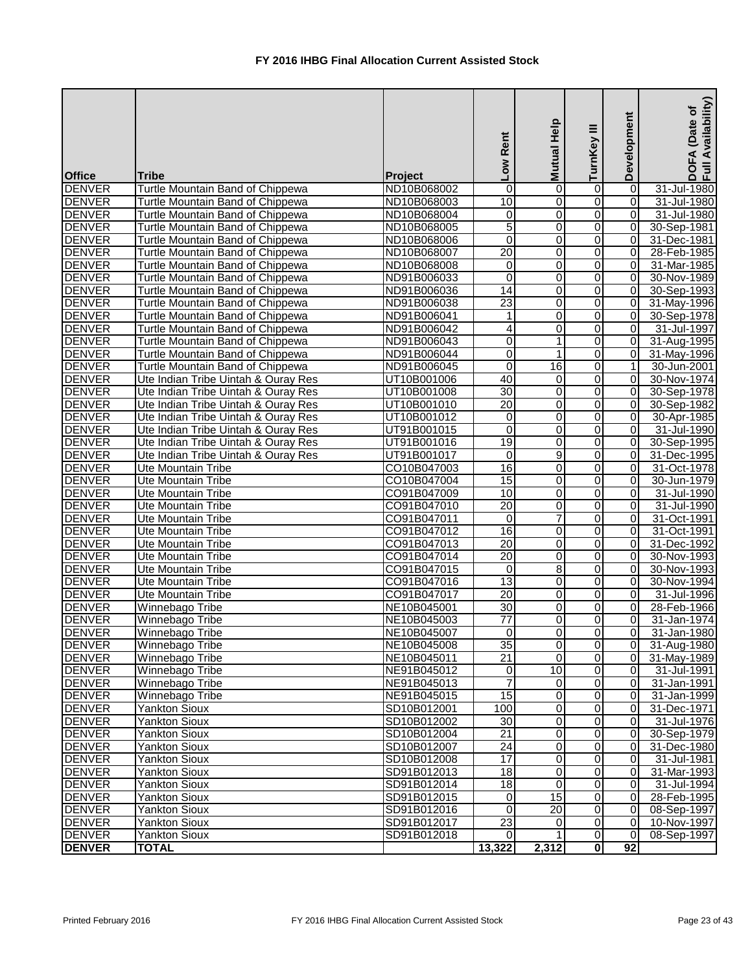| <b>Office</b> | <b>Tribe</b>                        | Project     | Low Rent                | Mutual Help     | TurnKey III             | Development    | Availability)<br>(Date of<br>DOFA<br>Full Av |
|---------------|-------------------------------------|-------------|-------------------------|-----------------|-------------------------|----------------|----------------------------------------------|
| <b>DENVER</b> | Turtle Mountain Band of Chippewa    | ND10B068002 | $\mathbf 0$             | 0               | 0                       | 0              | 31-Jul-1980                                  |
| <b>DENVER</b> | Turtle Mountain Band of Chippewa    | ND10B068003 | $\overline{10}$         | 0               | 0                       | $\Omega$       | 31-Jul-1980                                  |
| <b>DENVER</b> | Turtle Mountain Band of Chippewa    | ND10B068004 | 0                       | 0               | 0                       | 0              | 31-Jul-1980                                  |
| <b>DENVER</b> | Turtle Mountain Band of Chippewa    | ND10B068005 | 5                       | $\overline{0}$  | 0                       | $\Omega$       | 30-Sep-1981                                  |
| <b>DENVER</b> | Turtle Mountain Band of Chippewa    | ND10B068006 | $\overline{0}$          | 0               | 0                       | $\overline{0}$ | 31-Dec-1981                                  |
| <b>DENVER</b> | Turtle Mountain Band of Chippewa    | ND10B068007 | $\overline{20}$         | 0               | 0                       | $\overline{0}$ | 28-Feb-1985                                  |
| <b>DENVER</b> | Turtle Mountain Band of Chippewa    | ND10B068008 | O                       | 0               | 0                       | $\overline{0}$ | 31-Mar-1985                                  |
| <b>DENVER</b> | Turtle Mountain Band of Chippewa    | ND91B006033 | $\overline{\mathsf{o}}$ | 0               | 0                       | $\overline{0}$ | 30-Nov-1989                                  |
| <b>DENVER</b> | Turtle Mountain Band of Chippewa    | ND91B006036 | $\overline{14}$         | $\overline{0}$  | 0                       | $\overline{0}$ | 30-Sep-1993                                  |
| <b>DENVER</b> | Turtle Mountain Band of Chippewa    | ND91B006038 | $\overline{23}$         | 0               | 0                       | $\overline{0}$ | 31-May-1996                                  |
| <b>DENVER</b> | Turtle Mountain Band of Chippewa    | ND91B006041 | 1                       | 0               | 0                       | $\overline{0}$ | 30-Sep-1978                                  |
| <b>DENVER</b> | Turtle Mountain Band of Chippewa    | ND91B006042 | 4                       | 0               | 0                       | $\overline{0}$ | 31-Jul-1997                                  |
| <b>DENVER</b> | Turtle Mountain Band of Chippewa    | ND91B006043 | $\overline{0}$          | 1               | 0                       | $\overline{0}$ | 31-Aug-1995                                  |
| <b>DENVER</b> | Turtle Mountain Band of Chippewa    | ND91B006044 | $\overline{0}$          | 1               | 0                       | $\overline{0}$ | 31-May-1996                                  |
| <b>DENVER</b> | Turtle Mountain Band of Chippewa    | ND91B006045 | $\overline{\mathsf{o}}$ | 16              | 0                       | 1              | 30-Jun-2001                                  |
| <b>DENVER</b> | Ute Indian Tribe Uintah & Ouray Res | UT10B001006 | 40                      | 0               | 0                       | $\Omega$       | 30-Nov-1974                                  |
| <b>DENVER</b> | Ute Indian Tribe Uintah & Ouray Res | UT10B001008 | 30                      | 0               | 0                       | 0              | 30-Sep-1978                                  |
| <b>DENVER</b> | Ute Indian Tribe Uintah & Ouray Res | UT10B001010 | $\overline{20}$         | 0               | 0                       | $\overline{0}$ | 30-Sep-1982                                  |
| <b>DENVER</b> | Ute Indian Tribe Uintah & Ouray Res | UT10B001012 | $\overline{0}$          | 0               | 0                       | $\overline{0}$ | 30-Apr-1985                                  |
| <b>DENVER</b> | Ute Indian Tribe Uintah & Ouray Res | UT91B001015 | $\overline{0}$          | 0               | 0                       | 0              | 31-Jul-1990                                  |
| <b>DENVER</b> | Ute Indian Tribe Uintah & Ouray Res | UT91B001016 | 19                      | 0               | 0                       | $\overline{0}$ | 30-Sep-1995                                  |
| <b>DENVER</b> | Ute Indian Tribe Uintah & Ouray Res | UT91B001017 | 0                       | 9               | 0                       | $\overline{0}$ | 31-Dec-1995                                  |
| <b>DENVER</b> | Ute Mountain Tribe                  | CO10B047003 | $\overline{16}$         | 0               | 0                       | $\Omega$       | 31-Oct-1978                                  |
| <b>DENVER</b> | Ute Mountain Tribe                  | CO10B047004 | 15                      | 0               | 0                       | $\Omega$       | 30-Jun-1979                                  |
| <b>DENVER</b> | Ute Mountain Tribe                  | CO91B047009 | 10                      | 0               | 0                       | 0              | 31-Jul-1990                                  |
| <b>DENVER</b> | <b>Ute Mountain Tribe</b>           | CO91B047010 | $\overline{20}$         | 0               | 0                       | 0              | 31-Jul-1990                                  |
| <b>DENVER</b> | <b>Ute Mountain Tribe</b>           | CO91B047011 | $\overline{0}$          | $\overline{7}$  | 0                       | $\Omega$       | 31-Oct-1991                                  |
| <b>DENVER</b> | Ute Mountain Tribe                  | CO91B047012 | 16                      | 0               | 0                       | 0              | 31-Oct-1991                                  |
| <b>DENVER</b> | <b>Ute Mountain Tribe</b>           | CO91B047013 | $\overline{20}$         | 0               | $\overline{0}$          | $\overline{0}$ | 31-Dec-1992                                  |
| <b>DENVER</b> | Ute Mountain Tribe                  | CO91B047014 | 20                      | 0               | 0                       | $\overline{0}$ | 30-Nov-1993                                  |
| <b>DENVER</b> | <b>Ute Mountain Tribe</b>           | CO91B047015 | $\overline{\mathbf{o}}$ | $\infty$        | 0                       | $\overline{0}$ | 30-Nov-1993                                  |
| <b>DENVER</b> | Ute Mountain Tribe                  | CO91B047016 | 13                      | $\overline{0}$  | O                       | 0              | 30-Nov-1994                                  |
| <b>DENVER</b> | Ute Mountain Tribe                  | CO91B047017 | 20                      | 0               | 0                       | $\overline{0}$ | 31-Jul-1996                                  |
| <b>DENVER</b> | Winnebago Tribe                     | NE10B045001 | 30                      | 0               | $\Omega$                | $\overline{0}$ | 28-Feb-1966                                  |
| <b>DENVER</b> | Winnebago Tribe                     | NE10B045003 | $\overline{77}$         | 0               | 0                       | $\overline{0}$ | 31-Jan-1974                                  |
| <b>DENVER</b> | Winnebago Tribe                     | NE10B045007 | $\overline{0}$          | 0               | 0                       | $\Omega$       | 31-Jan-1980                                  |
| <b>DENVER</b> | Winnebago Tribe                     | NE10B045008 | 35                      | 0               | 0                       | $\overline{0}$ | 31-Aug-1980                                  |
| <b>DENVER</b> | Winnebago Tribe                     | NE10B045011 | 21                      | $\overline{0}$  | $\overline{\mathsf{o}}$ | $\overline{0}$ | 31-May-1989                                  |
| <b>DENVER</b> | Winnebago Tribe                     | NE91B045012 | $\overline{0}$          | 10              | $\overline{0}$          | $\overline{0}$ | 31-Jul-1991                                  |
| <b>DENVER</b> | Winnebago Tribe                     | NE91B045013 | $\overline{7}$          | $\mathbf 0$     | $\overline{0}$          | $\overline{0}$ | 31-Jan-1991                                  |
| <b>DENVER</b> | Winnebago Tribe                     | NE91B045015 | 15                      | 0               | $\overline{\mathsf{o}}$ | $\overline{0}$ | 31-Jan-1999                                  |
| <b>DENVER</b> | Yankton Sioux                       | SD10B012001 | 100                     | 0               | $\overline{0}$          | 0              | 31-Dec-1971                                  |
| <b>DENVER</b> | <b>Yankton Sioux</b>                | SD10B012002 | 30                      | 0               | 0                       | 0I             | 31-Jul-1976                                  |
| <b>DENVER</b> | <b>Yankton Sioux</b>                | SD10B012004 | 21                      | 0               | 0                       | $\overline{0}$ | 30-Sep-1979                                  |
| <b>DENVER</b> | Yankton Sioux                       | SD10B012007 | 24                      | 0               | $\overline{0}$          | 0I             | 31-Dec-1980                                  |
| <b>DENVER</b> | <b>Yankton Sioux</b>                | SD10B012008 | 17                      | 0               | 0                       | $\overline{0}$ | 31-Jul-1981                                  |
| <b>DENVER</b> | Yankton Sioux                       | SD91B012013 | 18                      | 0               | 0                       | $\overline{0}$ | 31-Mar-1993                                  |
| <b>DENVER</b> | Yankton Sioux                       | SD91B012014 | $\overline{18}$         | 0               | 0                       | ΟI             | 31-Jul-1994                                  |
| <b>DENVER</b> | Yankton Sioux                       | SD91B012015 | $\overline{0}$          | $\overline{15}$ | 0                       | $\overline{0}$ | 28-Feb-1995                                  |
| <b>DENVER</b> | Yankton Sioux                       | SD91B012016 | $\overline{0}$          | $\overline{20}$ | 0                       | 0              | 08-Sep-1997                                  |
| <b>DENVER</b> | Yankton Sioux                       | SD91B012017 | 23                      | 0               | 0                       | $\Omega$       | 10-Nov-1997                                  |
| <b>DENVER</b> | Yankton Sioux                       | SD91B012018 | $\overline{0}$          |                 | $\overline{0}$          | $\Omega$       | 08-Sep-1997                                  |
| <b>DENVER</b> | <b>TOTAL</b>                        |             | 13,322                  | 2,312           | 0                       | 92             |                                              |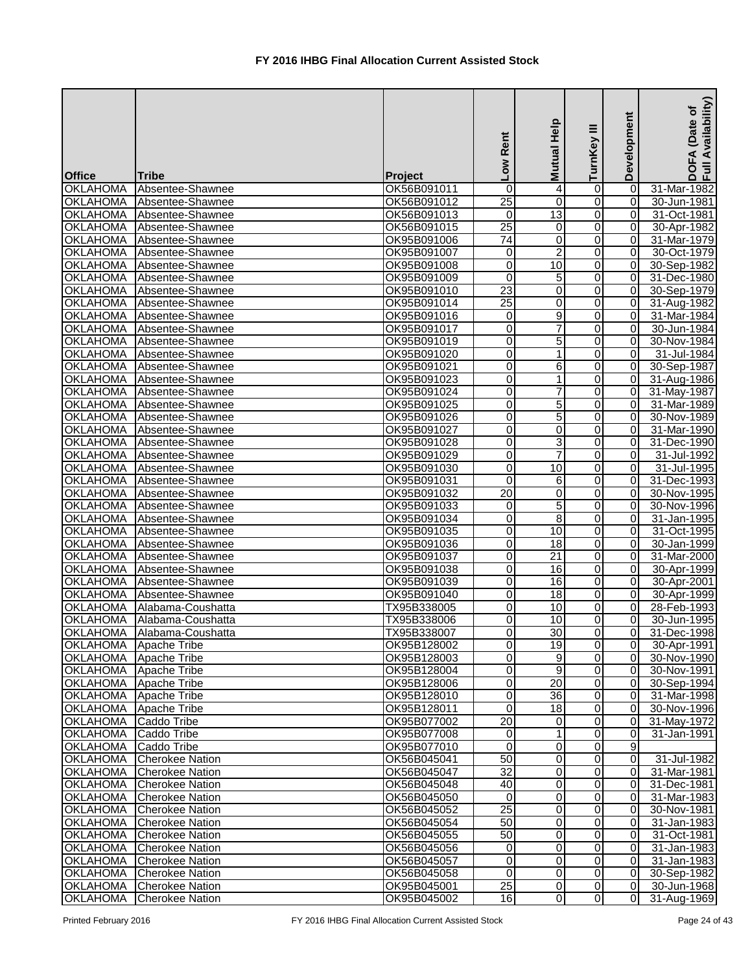|                         |                              |             | Low Rent        | Mutual Help      | Ξ<br>TurnKey   | Development    | Availability)<br>Date of<br><b>DOFA</b><br>Full Av |
|-------------------------|------------------------------|-------------|-----------------|------------------|----------------|----------------|----------------------------------------------------|
| <b>Office</b>           | <b>Tribe</b>                 | Project     |                 |                  |                |                |                                                    |
| <b>OKLAHOMA</b>         | Absentee-Shawnee             | OK56B091011 | 0               | 4                | 0              | 0              | 31-Mar-1982                                        |
| <b>OKLAHOMA</b>         | Absentee-Shawnee             | OK56B091012 | $\overline{25}$ | $\mathbf 0$      | $\overline{0}$ | 0              | 30-Jun-1981                                        |
| <b>OKLAHOMA</b>         | Absentee-Shawnee             | OK56B091013 | 0               | $\overline{13}$  | $\overline{0}$ | $\Omega$       | 31-Oct-1981                                        |
| <b>OKLAHOMA</b>         | Absentee-Shawnee             | OK56B091015 | $\overline{25}$ | $\mathbf 0$      | 0              | 0              | 30-Apr-1982                                        |
| <b>OKLAHOMA</b>         | Absentee-Shawnee             | OK95B091006 | 74              | 0                | 0              | 0              | 31-Mar-1979                                        |
| <b>OKLAHOMA</b>         | Absentee-Shawnee             | OK95B091007 | 0               | $\overline{2}$   | $\overline{0}$ | $\overline{0}$ | 30-Oct-1979                                        |
| <b>OKLAHOMA</b>         | Absentee-Shawnee             | OK95B091008 | $\overline{0}$  | $\overline{10}$  | 0              | $\overline{0}$ | 30-Sep-1982                                        |
| <b>OKLAHOMA</b>         | Absentee-Shawnee             | OK95B091009 | $\overline{0}$  | $\overline{5}$   | 0              | $\overline{0}$ | 31-Dec-1980                                        |
| <b>OKLAHOMA</b>         | Absentee-Shawnee             | OK95B091010 | $\overline{23}$ | 0                | 0              | $\overline{0}$ | 30-Sep-1979                                        |
| <b>OKLAHOMA</b>         | Absentee-Shawnee             | OK95B091014 | $\overline{25}$ | 0                | 0              | 0              | 31-Aug-1982                                        |
| <b>OKLAHOMA</b>         | Absentee-Shawnee             | OK95B091016 | 0               | 9                | 0              | $\overline{0}$ | 31-Mar-1984                                        |
| <b>OKLAHOMA</b>         | Absentee-Shawnee             | OK95B091017 | 0               | $\overline{7}$   | 0              | 0              | 30-Jun-1984                                        |
| <b>OKLAHOMA</b>         | Absentee-Shawnee             | OK95B091019 | 0               | 5                | 0              | 0              | 30-Nov-1984                                        |
| <b>OKLAHOMA</b>         | Absentee-Shawnee             | OK95B091020 | $\overline{0}$  | 1                | 0              | 0              | 31-Jul-1984                                        |
| <b>OKLAHOMA</b>         | Absentee-Shawnee             | OK95B091021 | 0               | 6                | $\overline{0}$ | $\overline{0}$ | 30-Sep-1987                                        |
| <b>OKLAHOMA</b>         | Absentee-Shawnee             | OK95B091023 | $\overline{0}$  | $\mathbf{1}$     | 0              | $\overline{0}$ | 31-Aug-1986                                        |
| <b>OKLAHOMA</b>         | Absentee-Shawnee             | OK95B091024 | 0               | $\overline{7}$   | 0              | 0              | 31-May-1987                                        |
| <b>OKLAHOMA</b>         | Absentee-Shawnee             | OK95B091025 | $\overline{0}$  | $\overline{5}$   | 0              | $\overline{0}$ | 31-Mar-1989                                        |
| <b>OKLAHOMA</b>         | Absentee-Shawnee             | OK95B091026 | $\overline{0}$  | 5                | 0              | $\overline{0}$ | 30-Nov-1989                                        |
| <b>OKLAHOMA</b>         | Absentee-Shawnee             | OK95B091027 | 0               | 0                | 0              | $\Omega$       | 31-Mar-1990                                        |
| <b>OKLAHOMA</b>         | Absentee-Shawnee             | OK95B091028 | 0               | 3                | 0              | $\Omega$       | 31-Dec-1990                                        |
| <b>OKLAHOMA</b>         | Absentee-Shawnee             | OK95B091029 | 0               | $\overline{7}$   | 0              | 0              | 31-Jul-1992                                        |
| <b>OKLAHOMA</b>         | Absentee-Shawnee             | OK95B091030 | 0               | 10               | 0              | $\overline{0}$ | 31-Jul-1995                                        |
| <b>OKLAHOMA</b>         | Absentee-Shawnee             | OK95B091031 | 0               | 6                | 0              | 0              | 31-Dec-1993                                        |
| <b>OKLAHOMA</b>         | Absentee-Shawnee             | OK95B091032 | $\overline{20}$ | $\mathbf 0$      | $\overline{0}$ | $\overline{0}$ | 30-Nov-1995                                        |
| <b>OKLAHOMA</b>         | Absentee-Shawnee             | OK95B091033 | 0               | 5                | $\overline{0}$ | $\overline{0}$ | 30-Nov-1996                                        |
| <b>OKLAHOMA</b>         | Absentee-Shawnee             | OK95B091034 | 0               | $\overline{8}$   | 0              | 0              | 31-Jan-1995                                        |
| <b>OKLAHOMA</b>         | Absentee-Shawnee             | OK95B091035 | $\overline{0}$  | 10               | $\mathbf 0$    | 0              | 31-Oct-1995                                        |
| <b>OKLAHOMA</b>         | Absentee-Shawnee             | OK95B091036 | $\overline{0}$  | 18               | $\mathbf 0$    | 0              | 30-Jan-1999                                        |
| <b>OKLAHOMA</b>         | Absentee-Shawnee             | OK95B091037 | $\overline{0}$  | $\overline{21}$  | $\overline{O}$ | $\overline{0}$ | 31-Mar-2000                                        |
| <b>OKLAHOMA</b>         | Absentee-Shawnee             | OK95B091038 | $\overline{0}$  | 16               | 01             | 0              | 30-Apr-1999                                        |
| <b>OKLAHOMA</b>         | Absentee-Shawnee             | OK95B091039 | $\overline{0}$  | 16               | $\overline{0}$ | $\overline{0}$ | 30-Apr-2001                                        |
|                         | OKLAHOMA Absentee-Shawnee    | OK95B091040 | $\overline{0}$  | $\frac{1}{8}$    | 0              | $\overline{0}$ | 30-Apr-1999                                        |
|                         | OKLAHOMA Alabama-Coushatta   | TX95B338005 | 0               | 10               | 0              | $\overline{0}$ | 28-Feb-1993                                        |
|                         | OKLAHOMA   Alabama-Coushatta | TX95B338006 | 0               | 10               | 0              | 0              | 30-Jun-1995                                        |
|                         | OKLAHOMA   Alabama-Coushatta | TX95B338007 | 0               | 30               | $\mathbf 0$    | $\overline{0}$ | 31-Dec-1998                                        |
| OKLAHOMA   Apache Tribe |                              | OK95B128002 | 0               | 19               | $\overline{0}$ | $\overline{0}$ | 30-Apr-1991                                        |
| OKLAHOMA   Apache Tribe |                              | OK95B128003 | 0               | $\boldsymbol{9}$ | $\overline{0}$ | 0              | 30-Nov-1990                                        |
| OKLAHOMA   Apache Tribe |                              | OK95B128004 | 0               | 9                | $\mathbf 0$    | $\overline{0}$ | 30-Nov-1991                                        |
| OKLAHOMA   Apache Tribe |                              | OK95B128006 | 0               | $\overline{20}$  | $\mathbf 0$    | $\overline{0}$ | 30-Sep-1994                                        |
| OKLAHOMA Apache Tribe   |                              | OK95B128010 | $\overline{0}$  | 36               | 0              | $\overline{0}$ | 31-Mar-1998                                        |
| <b>OKLAHOMA</b>         | Apache Tribe                 | OK95B128011 | $\mathbf 0$     | 18               | $\overline{0}$ | $\overline{0}$ | 30-Nov-1996                                        |
| <b>OKLAHOMA</b>         | Caddo Tribe                  | OK95B077002 | 20              | $\mathbf 0$      | $\overline{0}$ | $\overline{0}$ | 31-May-1972                                        |
| <b>OKLAHOMA</b>         | Caddo Tribe                  | OK95B077008 | 0               | $\mathbf 1$      | 0              | $\Omega$       | 31-Jan-1991                                        |
| <b>OKLAHOMA</b>         | Caddo Tribe                  | OK95B077010 | 0               | $\mathbf 0$      | 0              | 9              |                                                    |
| <b>OKLAHOMA</b>         | <b>Cherokee Nation</b>       | OK56B045041 | 50              | $\mathbf 0$      | 0              | $\overline{0}$ | 31-Jul-1982                                        |
| <b>OKLAHOMA</b>         | <b>Cherokee Nation</b>       | OK56B045047 | $\overline{32}$ | $\overline{0}$   | 0              | 0              | 31-Mar-1981                                        |
| <b>OKLAHOMA</b>         | <b>Cherokee Nation</b>       | OK56B045048 | 40              | $\mathbf 0$      | $\overline{0}$ | 0              | 31-Dec-1981                                        |
| <b>OKLAHOMA</b>         | <b>Cherokee Nation</b>       | OK56B045050 | 0               | $\overline{0}$   | 0              | 0              | 31-Mar-1983                                        |
| <b>OKLAHOMA</b>         | <b>Cherokee Nation</b>       | OK56B045052 | 25              | 0                | 0              | 0              | 30-Nov-1981                                        |
| <b>OKLAHOMA</b>         | <b>Cherokee Nation</b>       | OK56B045054 | 50              | 0                | $\overline{0}$ | 0              | 31-Jan-1983                                        |
| <b>OKLAHOMA</b>         | <b>Cherokee Nation</b>       | OK56B045055 | 50              | $\mathbf 0$      | 0              | $\overline{0}$ | 31-Oct-1981                                        |
| <b>OKLAHOMA</b>         | <b>Cherokee Nation</b>       | OK56B045056 | 0               | $\mathbf 0$      | $\overline{0}$ | $\overline{0}$ | 31-Jan-1983                                        |
| <b>OKLAHOMA</b>         | <b>Cherokee Nation</b>       | OK56B045057 | 0               | $\mathbf 0$      | $\overline{0}$ | $\overline{0}$ | 31-Jan-1983                                        |
| <b>OKLAHOMA</b>         | <b>Cherokee Nation</b>       | OK56B045058 | $\Omega$        | $\mathbf 0$      | 0              | $\overline{0}$ | 30-Sep-1982                                        |
| OKLAHOMA                | <b>Cherokee Nation</b>       | OK95B045001 | 25              | $\Omega$         | $\overline{0}$ | $\overline{0}$ | 30-Jun-1968                                        |
| OKLAHOMA                | <b>Cherokee Nation</b>       | OK95B045002 | 16              | $\Omega$         | 0              | $\overline{0}$ | 31-Aug-1969                                        |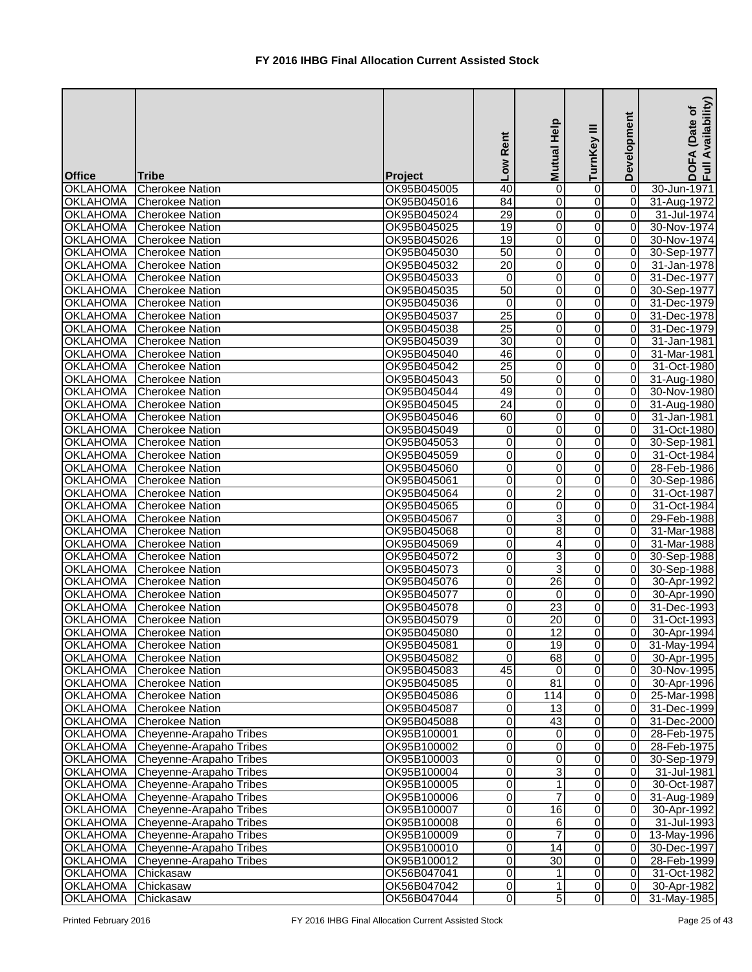|                                  | Tribe                                            |                            | Low Rent                | Mutual Help      | TurnKey III    | Development    | Availability)<br>Date of<br><b>DOFA</b><br>Full Av |
|----------------------------------|--------------------------------------------------|----------------------------|-------------------------|------------------|----------------|----------------|----------------------------------------------------|
| <b>Office</b><br><b>OKLAHOMA</b> | <b>Cherokee Nation</b>                           | Project                    | 40                      | 0                |                | 0              | 30-Jun-1971                                        |
| <b>OKLAHOMA</b>                  |                                                  | OK95B045005                | $\overline{84}$         |                  | 0              | $\overline{0}$ |                                                    |
| <b>OKLAHOMA</b>                  | <b>Cherokee Nation</b><br><b>Cherokee Nation</b> | OK95B045016<br>OK95B045024 | $\overline{29}$         | 0<br>$\mathbf 0$ | 0<br>0         | $\overline{0}$ | 31-Aug-1972<br>31-Jul-1974                         |
| <b>OKLAHOMA</b>                  | <b>Cherokee Nation</b>                           | OK95B045025                | 19                      | $\pmb{0}$        | 0              | 0              | 30-Nov-1974                                        |
| <b>OKLAHOMA</b>                  | <b>Cherokee Nation</b>                           | OK95B045026                | $\overline{19}$         | 0                | 0              | $\overline{0}$ | 30-Nov-1974                                        |
| <b>OKLAHOMA</b>                  | <b>Cherokee Nation</b>                           | OK95B045030                | 50                      | 0                | 0              | $\overline{0}$ | 30-Sep-1977                                        |
| <b>OKLAHOMA</b>                  | <b>Cherokee Nation</b>                           | OK95B045032                | $\overline{20}$         | $\pmb{0}$        | 0              | $\overline{0}$ | 31-Jan-1978                                        |
| <b>OKLAHOMA</b>                  | <b>Cherokee Nation</b>                           | OK95B045033                | $\overline{0}$          | $\mathbf 0$      | 0              | $\overline{0}$ | 31-Dec-1977                                        |
| <b>OKLAHOMA</b>                  | <b>Cherokee Nation</b>                           | OK95B045035                | 50                      | 0                | 0              | $\overline{0}$ | 30-Sep-1977                                        |
| <b>OKLAHOMA</b>                  | <b>Cherokee Nation</b>                           | OK95B045036                | 0                       | 0                | 0              | $\overline{0}$ | 31-Dec-1979                                        |
| <b>OKLAHOMA</b>                  | <b>Cherokee Nation</b>                           | OK95B045037                | $\overline{25}$         | 0                | 0              | $\overline{0}$ | 31-Dec-1978                                        |
| <b>OKLAHOMA</b>                  | <b>Cherokee Nation</b>                           | OK95B045038                | $\overline{25}$         | $\pmb{0}$        | 0              | $\Omega$       | 31-Dec-1979                                        |
| <b>OKLAHOMA</b>                  | <b>Cherokee Nation</b>                           | OK95B045039                | $\overline{30}$         | 0                | 0              | $\overline{0}$ | 31-Jan-1981                                        |
| <b>OKLAHOMA</b>                  | <b>Cherokee Nation</b>                           | OK95B045040                | 46                      | 0                | 0              | $\overline{0}$ | 31-Mar-1981                                        |
| <b>OKLAHOMA</b>                  | <b>Cherokee Nation</b>                           | OK95B045042                | $\overline{25}$         | 0                | 0              | $\Omega$       | 31-Oct-1980                                        |
| <b>OKLAHOMA</b>                  | <b>Cherokee Nation</b>                           | OK95B045043                | 50                      | 0                | 0              | $\overline{0}$ | 31-Aug-1980                                        |
| <b>OKLAHOMA</b>                  | <b>Cherokee Nation</b>                           | OK95B045044                | 49                      | 0                | 0              | $\overline{0}$ | 30-Nov-1980                                        |
| <b>OKLAHOMA</b>                  | <b>Cherokee Nation</b>                           | OK95B045045                | $\overline{24}$         | $\pmb{0}$        | 0              | $\overline{0}$ | 31-Aug-1980                                        |
| <b>OKLAHOMA</b>                  | <b>Cherokee Nation</b>                           | OK95B045046                | 60                      | $\mathbf 0$      | 0              | $\overline{0}$ | 31-Jan-1981                                        |
| <b>OKLAHOMA</b>                  | <b>Cherokee Nation</b>                           | OK95B045049                | $\overline{0}$          | 0                | 0              | $\overline{0}$ | 31-Oct-1980                                        |
| <b>OKLAHOMA</b>                  | <b>Cherokee Nation</b>                           | OK95B045053                | $\overline{0}$          | $\pmb{0}$        | 0              | $\overline{0}$ | 30-Sep-1981                                        |
| <b>OKLAHOMA</b>                  | Cherokee Nation                                  | OK95B045059                | 0                       | 0                | 0              | $\Omega$       | 31-Oct-1984                                        |
| <b>OKLAHOMA</b>                  | <b>Cherokee Nation</b>                           | OK95B045060                | 0                       | 0                | 0              | $\Omega$       | 28-Feb-1986                                        |
| <b>OKLAHOMA</b>                  | <b>Cherokee Nation</b>                           | OK95B045061                | 0                       | $\pmb{0}$        | 0              | $\overline{0}$ | 30-Sep-1986                                        |
| <b>OKLAHOMA</b>                  | <b>Cherokee Nation</b>                           | OK95B045064                | $\overline{\mathsf{o}}$ | $\overline{2}$   | $\Omega$       | $\overline{0}$ | 31-Oct-1987                                        |
| <b>OKLAHOMA</b>                  | Cherokee Nation                                  | OK95B045065                | $\overline{0}$          | $\mathbf 0$      | 0              | $\overline{0}$ | 31-Oct-1984                                        |
| <b>OKLAHOMA</b>                  | <b>Cherokee Nation</b>                           | OK95B045067                | $\overline{0}$          | 3                | 0              | 0              | 29-Feb-1988                                        |
| <b>OKLAHOMA</b>                  | <b>Cherokee Nation</b>                           | OK95B045068                | O                       | $\overline{8}$   | 0              | $\overline{0}$ | 31-Mar-1988                                        |
| <b>OKLAHOMA</b>                  | <b>Cherokee Nation</b>                           | OK95B045069                | $\overline{0}$          | 4                | 0              | $\overline{0}$ | 31-Mar-1988                                        |
| <b>OKLAHOMA</b>                  | <b>Cherokee Nation</b>                           | OK95B045072                | O                       | 3                | 0              | $\overline{0}$ | 30-Sep-1988                                        |
| <b>OKLAHOMA</b>                  | <b>Cherokee Nation</b>                           | OK95B045073                | $\overline{0}$          | ω                | 0              | $\overline{0}$ | 30-Sep-1988                                        |
|                                  | OKLAHOMA Cherokee Nation                         | OK95B045076                | $\overline{0}$          | 26               | $\overline{0}$ | 0              | 30-Apr-1992                                        |
|                                  | OKLAHOMA Cherokee Nation                         | OK95B045077                | $\Omega$                | $\mathbf{0}$     | 0              | $\overline{0}$ | 30-Apr-1990                                        |
| <b>OKLAHOMA</b>                  | <b>Cherokee Nation</b>                           | OK95B045078                | $\overline{0}$          | 23               | 0              | $\overline{0}$ | 31-Dec-1993                                        |
| <b>OKLAHOMA</b>                  | <b>Cherokee Nation</b>                           | OK95B045079                | 0                       | 20               | 0              | $\overline{0}$ | 31-Oct-1993                                        |
| <b>OKLAHOMA</b>                  | <b>Cherokee Nation</b>                           | OK95B045080                | 0                       | $\overline{12}$  | 0              | $\overline{0}$ | 30-Apr-1994                                        |
| <b>OKLAHOMA</b>                  | <b>Cherokee Nation</b>                           | OK95B045081                | $\overline{0}$          | 19               | 0              | $\overline{0}$ | 31-May-1994                                        |
| OKLAHOMA                         | <b>Cherokee Nation</b>                           | OK95B045082                | $\overline{0}$          | $\overline{68}$  | 0              | $\overline{0}$ | 30-Apr-1995                                        |
| <b>OKLAHOMA</b>                  | <b>Cherokee Nation</b>                           | OK95B045083                | 45                      | 0                | 0              | 0              | 30-Nov-1995                                        |
| <b>OKLAHOMA</b>                  | <b>Cherokee Nation</b>                           | OK95B045085                | $\overline{0}$          | 81               | 0              | $\overline{0}$ | 30-Apr-1996                                        |
| <b>OKLAHOMA</b>                  | <b>Cherokee Nation</b>                           | OK95B045086                | $\overline{0}$          | 114              | 0              | $\overline{0}$ | 25-Mar-1998                                        |
| <b>OKLAHOMA</b>                  | <b>Cherokee Nation</b>                           | OK95B045087                | $\overline{\mathsf{o}}$ | 13               | $\overline{0}$ | $\overline{0}$ | 31-Dec-1999                                        |
| <b>OKLAHOMA</b>                  | <b>Cherokee Nation</b>                           | OK95B045088                | $\overline{0}$          | 43               | 0              | $\overline{0}$ | 31-Dec-2000                                        |
| <b>OKLAHOMA</b>                  | Cheyenne-Arapaho Tribes                          | OK95B100001                | 0                       | 0                | 0              | $\overline{0}$ | 28-Feb-1975                                        |
| <b>OKLAHOMA</b>                  | Cheyenne-Arapaho Tribes                          | OK95B100002                | 0                       | $\pmb{0}$        | 0              | $\overline{0}$ | 28-Feb-1975                                        |
| <b>OKLAHOMA</b>                  | Cheyenne-Arapaho Tribes                          | OK95B100003                | 0                       | 0                | 0              | 0              | 30-Sep-1979                                        |
| <b>OKLAHOMA</b>                  | Cheyenne-Arapaho Tribes                          | OK95B100004                | 0                       | 3                | 0              | $\overline{0}$ | 31-Jul-1981                                        |
| <b>OKLAHOMA</b>                  | Cheyenne-Arapaho Tribes                          | OK95B100005                | $\overline{0}$          | 1                | 0              | 0              | 30-Oct-1987                                        |
| OKLAHOMA                         | Cheyenne-Arapaho Tribes                          | OK95B100006                | $\overline{0}$          | $\overline{7}$   | 0              | 0              | 31-Aug-1989                                        |
| <b>OKLAHOMA</b>                  | Cheyenne-Arapaho Tribes                          | OK95B100007                | $\overline{0}$          | 16               | 0              | 0              | 30-Apr-1992                                        |
| <b>OKLAHOMA</b>                  | Cheyenne-Arapaho Tribes                          | OK95B100008                | $\overline{0}$          | 6                | 0              | $\overline{0}$ | 31-Jul-1993                                        |
| <b>OKLAHOMA</b>                  | Cheyenne-Arapaho Tribes                          | OK95B100009                | $\overline{0}$          | $\overline{7}$   | 0              | $\overline{0}$ | 13-May-1996                                        |
| <b>OKLAHOMA</b>                  | Cheyenne-Arapaho Tribes                          | OK95B100010                | $\overline{\mathsf{o}}$ | 14               | 0              | $\overline{0}$ | 30-Dec-1997                                        |
| <b>OKLAHOMA</b>                  | Cheyenne-Arapaho Tribes                          | OK95B100012                | $\overline{0}$          | 30               | 0              | $\overline{0}$ | 28-Feb-1999                                        |
| <b>OKLAHOMA</b>                  | Chickasaw                                        | OK56B047041                | $\overline{0}$          | $\mathbf{1}$     | 0              | $\overline{0}$ | 31-Oct-1982                                        |
| <b>OKLAHOMA</b>                  | Chickasaw                                        | OK56B047042                | $\overline{0}$          | 1                | 0              | $\overline{0}$ | 30-Apr-1982                                        |
| <b>OKLAHOMA</b>                  | Chickasaw                                        | OK56B047044                | $\overline{0}$          | $5\overline{)}$  | 0              | $\overline{0}$ | 31-May-1985                                        |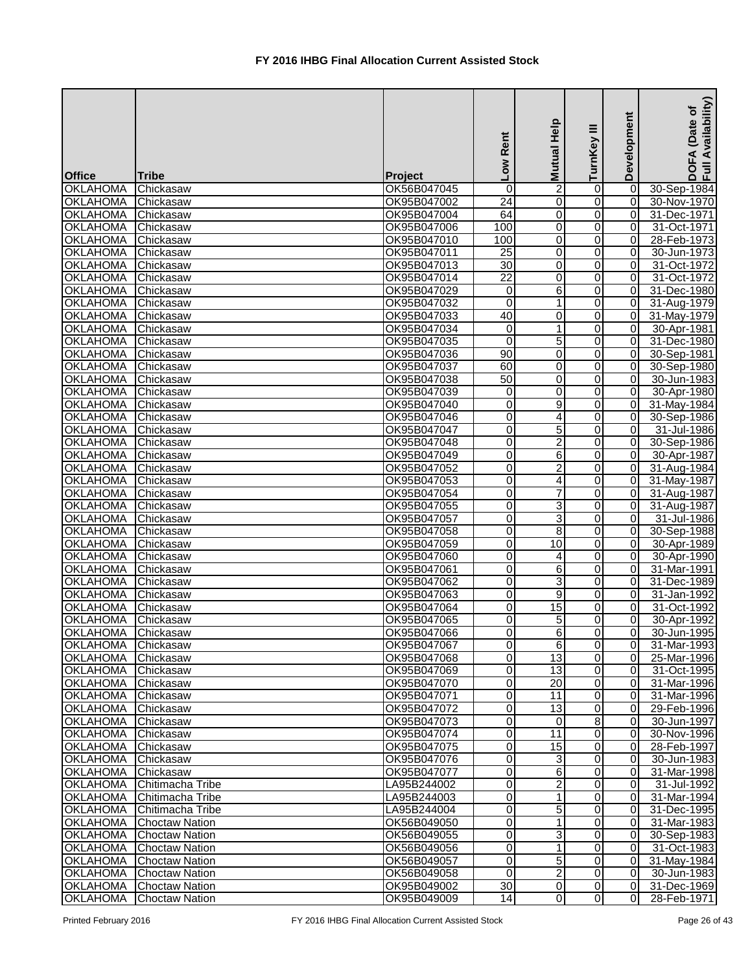|                                    |                        |                            | <b>Rent</b><br><b>NOT</b> | Mutual Help             | Ξ<br>TurnKey        | Development                      | Availability)<br>ځ<br>(Date o<br>⋖<br>DOF<br>Full |
|------------------------------------|------------------------|----------------------------|---------------------------|-------------------------|---------------------|----------------------------------|---------------------------------------------------|
| <b>Office</b>                      | <b>Tribe</b>           | Project                    |                           |                         |                     |                                  |                                                   |
| <b>OKLAHOMA</b>                    | Chickasaw              | OK56B047045                | 0                         | $\overline{2}$          | 0                   | 0                                | 30-Sep-1984                                       |
| <b>OKLAHOMA</b>                    | Chickasaw              | OK95B047002                | $\overline{24}$           | 0                       | $\overline{0}$      | $\overline{0}$                   | 30-Nov-1970                                       |
| <b>OKLAHOMA</b>                    | Chickasaw              | OK95B047004                | 64                        | $\overline{0}$          | $\overline{0}$      | $\overline{0}$                   | 31-Dec-1971                                       |
| <b>OKLAHOMA</b>                    | Chickasaw              | OK95B047006                | 100                       | 0                       | $\overline{0}$      | 0                                | 31-Oct-1971                                       |
| <b>OKLAHOMA</b>                    | Chickasaw              | OK95B047010                | 100                       | 0                       | $\mathbf 0$         | 0                                | 28-Feb-1973                                       |
| <b>OKLAHOMA</b>                    | Chickasaw              | OK95B047011                | $\overline{25}$           | $\overline{\mathsf{o}}$ | $\overline{0}$      | $\overline{0}$                   | 30-Jun-1973                                       |
| <b>OKLAHOMA</b>                    | Chickasaw              | OK95B047013                | 30                        | $\mathbf 0$             | 0                   | $\overline{0}$                   | 31-Oct-1972                                       |
| <b>OKLAHOMA</b>                    | Chickasaw              | OK95B047014                | $\overline{22}$           | $\mathbf 0$             | $\overline{0}$      | $\Omega$                         | 31-Oct-1972                                       |
| <b>OKLAHOMA</b>                    | Chickasaw              | OK95B047029                | 0                         | 6                       | 0                   | $\overline{0}$                   | 31-Dec-1980                                       |
| <b>OKLAHOMA</b>                    | Chickasaw              | OK95B047032                | 0                         | 1                       | 0                   | 0                                | 31-Aug-1979                                       |
| <b>OKLAHOMA</b>                    | Chickasaw              | OK95B047033                | 40                        | 0                       | 0                   | $\overline{0}$                   | 31-May-1979                                       |
| <b>OKLAHOMA</b>                    | Chickasaw              | OK95B047034                | 0                         | 1                       | 0                   | $\overline{0}$                   | 30-Apr-1981                                       |
| <b>OKLAHOMA</b>                    | Chickasaw              | OK95B047035                | 0                         | 5                       | 0                   | $\overline{0}$                   | 31-Dec-1980                                       |
| <b>OKLAHOMA</b>                    | Chickasaw              | OK95B047036                | 90                        | $\mathbf 0$             | $\overline{0}$      | $\overline{0}$                   | 30-Sep-1981                                       |
| <b>OKLAHOMA</b>                    | Chickasaw              | OK95B047037                | 60                        | 0                       | $\overline{0}$      | $\overline{0}$                   | 30-Sep-1980                                       |
| <b>OKLAHOMA</b>                    | Chickasaw              | OK95B047038                | 50                        | 0                       | 0                   | 0                                | 30-Jun-1983                                       |
| <b>OKLAHOMA</b>                    | Chickasaw              | OK95B047039                | 0<br>$\overline{0}$       | 0                       | 0                   | $\overline{0}$<br>$\overline{0}$ | 30-Apr-1980                                       |
| <b>OKLAHOMA</b>                    | Chickasaw              | OK95B047040                |                           | 9                       | 0                   |                                  | 31-May-1984                                       |
| <b>OKLAHOMA</b>                    | Chickasaw              | OK95B047046                | 0                         | $\overline{4}$          | $\overline{0}$      | $\overline{0}$                   | 30-Sep-1986                                       |
| <b>OKLAHOMA</b>                    | Chickasaw              | OK95B047047                | 0                         | 5                       | 0                   | Οl                               | 31-Jul-1986                                       |
| <b>OKLAHOMA</b>                    | Chickasaw              | OK95B047048                | 0                         | $\overline{c}$          | 0                   | 0                                | 30-Sep-1986                                       |
| <b>OKLAHOMA</b>                    | Chickasaw              | OK95B047049                | 0                         | 6                       | 0                   | $\overline{0}$<br> 0             | 30-Apr-1987                                       |
| <b>OKLAHOMA</b>                    | Chickasaw              | OK95B047052                | 0<br>0                    | $\overline{c}$          | 0                   | $\overline{0}$                   | 31-Aug-1984                                       |
| <b>OKLAHOMA</b>                    | Chickasaw              | OK95B047053                | $\overline{0}$            | 4<br>$\overline{7}$     | 0<br>$\overline{0}$ | 0                                | 31-May-1987                                       |
| <b>OKLAHOMA</b>                    | Chickasaw<br>Chickasaw | OK95B047054<br>OK95B047055 | $\overline{0}$            | 3                       | $\overline{0}$      | 0                                | 31-Aug-1987                                       |
| <b>OKLAHOMA</b><br><b>OKLAHOMA</b> | Chickasaw              | OK95B047057                | 0                         | 3                       | $\overline{0}$      | 0                                | 31-Aug-1987<br>31-Jul-1986                        |
| <b>OKLAHOMA</b>                    | Chickasaw              | OK95B047058                | 0                         | 8                       | $\mathbf 0$         | $\overline{0}$                   | 30-Sep-1988                                       |
| <b>OKLAHOMA</b>                    | Chickasaw              | OK95B047059                | $\mathsf 0$               | 10                      | $\mathbf 0$         | $\overline{0}$                   | 30-Apr-1989                                       |
| <b>OKLAHOMA</b>                    | Chickasaw              | OK95B047060                | $\overline{0}$            | $\overline{4}$          | $\Omega$            | $\overline{0}$                   | 30-Apr-1990                                       |
| <b>OKLAHOMA</b>                    | Chickasaw              | OK95B047061                | $\overline{0}$            | 6                       | 0                   | $\overline{0}$                   | 31-Mar-1991                                       |
| <b>OKLAHOMA</b>                    | Chickasaw              | OK95B047062                | $\overline{0}$            | 3                       | $\overline{0}$      | $\overline{0}$                   | 31-Dec-1989                                       |
| OKLAHOMA                           | Chickasaw              | OK95B047063                | $\overline{0}$            | $\overline{9}$          | 0                   | 0                                | 31-Jan-1992                                       |
| <b>OKLAHOMA</b>                    | Chickasaw              | OK95B047064                | 0                         | 15                      | 0                   | 0                                | 31-Oct-1992                                       |
| <b>OKLAHOMA</b>                    | Chickasaw              | OK95B047065                | 0                         | 5                       | 0                   | $\Omega$                         | 30-Apr-1992                                       |
| <b>OKLAHOMA</b>                    | Chickasaw              | OK95B047066                | 0                         | 6                       | 0                   | 0                                | 30-Jun-1995                                       |
| <b>OKLAHOMA</b>                    | Chickasaw              | OK95B047067                | 0                         | $\sigma$                | $\overline{0}$      | 0                                | 31-Mar-1993                                       |
| <b>OKLAHOMA</b>                    | Chickasaw              | OK95B047068                | 0                         | $\overline{13}$         | 0                   | 0                                | 25-Mar-1996                                       |
| <b>OKLAHOMA</b>                    | Chickasaw              | OK95B047069                | 0                         | 13                      | $\mathbf 0$         | 0                                | 31-Oct-1995                                       |
| <b>OKLAHOMA</b>                    | Chickasaw              | OK95B047070                | 0                         | 20                      | $\overline{0}$      | 0                                | 31-Mar-1996                                       |
| <b>OKLAHOMA</b>                    | Chickasaw              | OK95B047071                | 0                         | 11                      | 0                   | $\Omega$                         | 31-Mar-1996                                       |
| <b>OKLAHOMA</b>                    | Chickasaw              | OK95B047072                | 0                         | 13                      | $\overline{0}$      | $\overline{0}$                   | 29-Feb-1996                                       |
| <b>OKLAHOMA</b>                    | Chickasaw              | OK95B047073                | $\Omega$                  | 0                       | 8                   | 0                                | 30-Jun-1997                                       |
| <b>OKLAHOMA</b>                    | Chickasaw              | OK95B047074                | 0                         | 11                      | 0                   | 0                                | 30-Nov-1996                                       |
| <b>OKLAHOMA</b>                    | Chickasaw              | OK95B047075                | 0                         | 15                      | 0                   | 0                                | 28-Feb-1997                                       |
| <b>OKLAHOMA</b>                    | Chickasaw              | OK95B047076                | 0                         | 3                       | 0                   | 0                                | 30-Jun-1983                                       |
| <b>OKLAHOMA</b>                    | Chickasaw              | OK95B047077                | 0                         | 6                       | 0                   | 0                                | 31-Mar-1998                                       |
| <b>OKLAHOMA</b>                    | Chitimacha Tribe       | LA95B244002                | 0                         | $\overline{c}$          | $\overline{0}$      | $\overline{0}$                   | 31-Jul-1992                                       |
| <b>OKLAHOMA</b>                    | Chitimacha Tribe       | LA95B244003                | 0                         | 1                       | 0                   | 0                                | 31-Mar-1994                                       |
| <b>OKLAHOMA</b>                    | Chitimacha Tribe       | LA95B244004                | 0                         | 5                       | 0                   | 0                                | 31-Dec-1995                                       |
| <b>OKLAHOMA</b>                    | <b>Choctaw Nation</b>  | OK56B049050                | 0                         | 1                       | 0                   | 0                                | 31-Mar-1983                                       |
| <b>OKLAHOMA</b>                    | <b>Choctaw Nation</b>  | OK56B049055                | 0                         | 3                       | 0                   | $\overline{0}$                   | 30-Sep-1983                                       |
| <b>OKLAHOMA</b>                    | <b>Choctaw Nation</b>  | OK56B049056                | 0                         | $\mathbf 1$             | $\overline{0}$      | $\overline{0}$                   | 31-Oct-1983                                       |
| <b>OKLAHOMA</b>                    | <b>Choctaw Nation</b>  | OK56B049057                | 0                         | 5                       | $\overline{0}$      | $\overline{0}$                   | 31-May-1984                                       |
| <b>OKLAHOMA</b>                    | <b>Choctaw Nation</b>  | OK56B049058                | $\Omega$                  | $\overline{2}$          | 0                   | $\overline{0}$                   | 30-Jun-1983                                       |
| OKLAHOMA                           | <b>Choctaw Nation</b>  | OK95B049002                | 30                        | $\mathbf 0$             | 0                   | $\overline{0}$                   | 31-Dec-1969                                       |
| OKLAHOMA                           | <b>Choctaw Nation</b>  | OK95B049009                | 14                        | $\overline{0}$          | 0                   | 0                                | 28-Feb-1971                                       |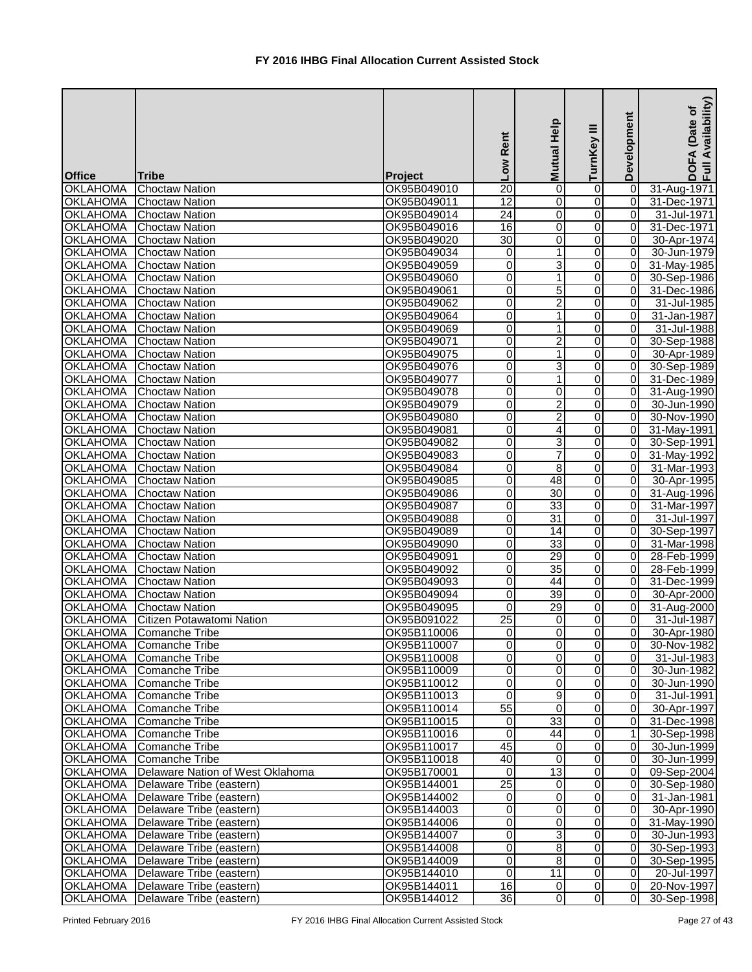|                 |                                           |             | Low Rent                | Mutual Help     | ≡<br>TurnKey   | Development    | Availability)<br>Date of<br>DOFA<br>Full Av |
|-----------------|-------------------------------------------|-------------|-------------------------|-----------------|----------------|----------------|---------------------------------------------|
| <b>Office</b>   | <b>Tribe</b>                              | Project     |                         |                 |                |                |                                             |
| <b>OKLAHOMA</b> | <b>Choctaw Nation</b>                     | OK95B049010 | $\overline{20}$         | 0               | 0              | 0              | 31-Aug-1971                                 |
| <b>OKLAHOMA</b> | <b>Choctaw Nation</b>                     | OK95B049011 | $\overline{12}$         | 0               | 0              | $\overline{0}$ | 31-Dec-1971                                 |
| <b>OKLAHOMA</b> | Choctaw Nation                            | OK95B049014 | $\overline{24}$         | 0               | 0              | $\overline{0}$ | 31-Jul-1971                                 |
| <b>OKLAHOMA</b> | <b>Choctaw Nation</b>                     | OK95B049016 | 16                      | $\pmb{0}$       | 0              | $\overline{0}$ | 31-Dec-1971                                 |
| <b>OKLAHOMA</b> | <b>Choctaw Nation</b>                     | OK95B049020 | 30                      | 0               | 0              | $\overline{0}$ | 30-Apr-1974                                 |
| <b>OKLAHOMA</b> | <b>Choctaw Nation</b>                     | OK95B049034 | 0                       | $\mathbf{1}$    | 0              | $\overline{0}$ | 30-Jun-1979                                 |
| <b>OKLAHOMA</b> | <b>Choctaw Nation</b>                     | OK95B049059 | $\overline{0}$          | 3               | 0              | $\overline{0}$ | 31-May-1985                                 |
| <b>OKLAHOMA</b> | <b>Choctaw Nation</b>                     | OK95B049060 | $\overline{0}$          | $\mathbf{1}$    | 0              | $\overline{0}$ | 30-Sep-1986                                 |
| <b>OKLAHOMA</b> | <b>Choctaw Nation</b>                     | OK95B049061 | 0                       | 5               | 0              | $\overline{0}$ | 31-Dec-1986                                 |
| <b>OKLAHOMA</b> | Choctaw Nation                            | OK95B049062 | 0                       | 2               | 0              | $\Omega$       | 31-Jul-1985                                 |
| <b>OKLAHOMA</b> | Choctaw Nation                            | OK95B049064 | 0                       | $\mathbf 1$     | 0              | $\Omega$       | 31-Jan-1987                                 |
| <b>OKLAHOMA</b> | <b>Choctaw Nation</b>                     | OK95B049069 | 0                       | 1               | 0              | $\Omega$       | 31-Jul-1988                                 |
| <b>OKLAHOMA</b> | <b>Choctaw Nation</b>                     | OK95B049071 | $\overline{\mathsf{o}}$ | $\overline{2}$  | 0              | 0              | 30-Sep-1988                                 |
| <b>OKLAHOMA</b> | <b>Choctaw Nation</b>                     | OK95B049075 | $\overline{0}$          | 1               | 0              | $\overline{0}$ | 30-Apr-1989                                 |
| <b>OKLAHOMA</b> | <b>Choctaw Nation</b>                     | OK95B049076 | $\overline{0}$          | 3               | 0              | $\overline{0}$ | 30-Sep-1989                                 |
| <b>OKLAHOMA</b> | <b>Choctaw Nation</b>                     | OK95B049077 | O                       | $\mathbf{1}$    | 0              | 0              | 31-Dec-1989                                 |
| <b>OKLAHOMA</b> | <b>Choctaw Nation</b>                     | OK95B049078 | $\mathbf 0$             | 0               | 0              | $\overline{0}$ | 31-Aug-1990                                 |
| <b>OKLAHOMA</b> | <b>Choctaw Nation</b>                     | OK95B049079 | $\overline{0}$          | $\overline{2}$  | 0              | $\overline{0}$ | 30-Jun-1990                                 |
| <b>OKLAHOMA</b> | <b>Choctaw Nation</b>                     | OK95B049080 | $\overline{\mathsf{o}}$ | $\overline{2}$  | 0              | $\overline{0}$ | 30-Nov-1990                                 |
| <b>OKLAHOMA</b> | <b>Choctaw Nation</b>                     | OK95B049081 | $\overline{0}$          | 4               | 0              | $\overline{0}$ | 31-May-1991                                 |
| <b>OKLAHOMA</b> | <b>Choctaw Nation</b>                     | OK95B049082 | 0                       | 3               | 0              | $\overline{0}$ | 30-Sep-1991                                 |
| <b>OKLAHOMA</b> | <b>Choctaw Nation</b>                     | OK95B049083 | 0                       | $\overline{7}$  | 0              | $\overline{0}$ | 31-May-1992                                 |
| <b>OKLAHOMA</b> | <b>Choctaw Nation</b>                     | OK95B049084 | 0                       | $\overline{8}$  | 0              | $\overline{0}$ | 31-Mar-1993                                 |
| <b>OKLAHOMA</b> | <b>Choctaw Nation</b>                     | OK95B049085 | 0                       | $\overline{48}$ | 0              | $\overline{0}$ | 30-Apr-1995                                 |
| <b>OKLAHOMA</b> | <b>Choctaw Nation</b>                     | OK95B049086 | $\overline{0}$          | $\overline{30}$ | 0              | $\overline{0}$ | 31-Aug-1996                                 |
| <b>OKLAHOMA</b> | <b>Choctaw Nation</b>                     | OK95B049087 | $\overline{0}$          | 33              | 0              | $\overline{0}$ | 31-Mar-1997                                 |
| <b>OKLAHOMA</b> | <b>Choctaw Nation</b>                     | OK95B049088 | $\overline{0}$          | $\overline{31}$ | 0              | $\overline{0}$ | 31-Jul-1997                                 |
| <b>OKLAHOMA</b> | <b>Choctaw Nation</b>                     | OK95B049089 | $\overline{0}$          | 14              | 0              | $\overline{0}$ | 30-Sep-1997                                 |
| <b>OKLAHOMA</b> | <b>Choctaw Nation</b>                     | OK95B049090 | $\overline{0}$          | 33              | 0              | $\overline{0}$ | 31-Mar-1998                                 |
| <b>OKLAHOMA</b> | Choctaw Nation                            | OK95B049091 | $\overline{\mathsf{o}}$ | $\overline{29}$ | $\Omega$       | $\overline{0}$ | 28-Feb-1999                                 |
| <b>OKLAHOMA</b> | <b>Choctaw Nation</b>                     | OK95B049092 | 0                       | 35              | 0              | $\overline{0}$ | 28-Feb-1999                                 |
| <b>OKLAHOMA</b> | <b>Choctaw Nation</b>                     | OK95B049093 | $\overline{0}$          | 44              | $\overline{0}$ | 0              | 31-Dec-1999                                 |
|                 | <b>OKLAHOMA</b> Choctaw Nation            | OK95B049094 | $\overline{0}$          | 39              | 0              | $\overline{0}$ | 30-Apr-2000                                 |
| <b>OKLAHOMA</b> | Choctaw Nation                            | OK95B049095 | 0                       | 29              | 0              | $\overline{0}$ | 31-Aug-2000                                 |
|                 | <b>OKLAHOMA</b> Citizen Potawatomi Nation | OK95B091022 | 25                      | 0               | 0              | $\overline{0}$ | 31-Jul-1987                                 |
| <b>OKLAHOMA</b> | Comanche Tribe                            | OK95B110006 | $\overline{0}$          | 0               | 0              | $\overline{0}$ | 30-Apr-1980                                 |
| OKLAHOMA        | Comanche Tribe                            | OK95B110007 | $\overline{0}$          | 0               | 0              | 0              | 30-Nov-1982                                 |
| <b>OKLAHOMA</b> | Comanche Tribe                            | OK95B110008 | $\overline{0}$          | 0               | 0              | $\overline{0}$ | 31-Jul-1983                                 |
| <b>OKLAHOMA</b> | Comanche Tribe                            | OK95B110009 | $\overline{0}$          | 0               | 0              | $\overline{0}$ | 30-Jun-1982                                 |
| <b>OKLAHOMA</b> | Comanche Tribe                            | OK95B110012 | $\overline{\mathsf{o}}$ | $\pmb{0}$       | 0              | 0              | 30-Jun-1990                                 |
| <b>OKLAHOMA</b> | Comanche Tribe                            | OK95B110013 | $\overline{0}$          | 9               | 0              | $\overline{0}$ | 31-Jul-1991                                 |
| <b>OKLAHOMA</b> | Comanche Tribe                            | OK95B110014 | 55                      | $\mathbf 0$     | 0              | $\overline{0}$ | 30-Apr-1997                                 |
| <b>OKLAHOMA</b> | Comanche Tribe                            | OK95B110015 | $\overline{0}$          | 33              | 0              | $\overline{0}$ | 31-Dec-1998                                 |
| <b>OKLAHOMA</b> | Comanche Tribe                            | OK95B110016 | $\Omega$                | 44              | 0              | 1 <sup>1</sup> | 30-Sep-1998                                 |
| <b>OKLAHOMA</b> | Comanche Tribe                            | OK95B110017 | 45                      | $\mathbf 0$     | 0              | $\overline{0}$ | 30-Jun-1999                                 |
| <b>OKLAHOMA</b> | Comanche Tribe                            | OK95B110018 | 40                      | 0               | 0              | $\overline{0}$ | 30-Jun-1999                                 |
| <b>OKLAHOMA</b> | Delaware Nation of West Oklahoma          | OK95B170001 | $\overline{0}$          | $\overline{13}$ | 0              | $\overline{0}$ | 09-Sep-2004                                 |
| <b>OKLAHOMA</b> | Delaware Tribe (eastern)                  | OK95B144001 | 25                      | $\mathbf 0$     | 0              | $\overline{0}$ | 30-Sep-1980                                 |
| <b>OKLAHOMA</b> | Delaware Tribe (eastern)                  | OK95B144002 | $\overline{0}$          | 0               | 0              | $\overline{0}$ | 31-Jan-1981                                 |
| <b>OKLAHOMA</b> | Delaware Tribe (eastern)                  | OK95B144003 | $\overline{0}$          | 0               | 0              | $\overline{0}$ | 30-Apr-1990                                 |
| <b>OKLAHOMA</b> | Delaware Tribe (eastern)                  | OK95B144006 | 0                       | 0               | 0              | $\overline{0}$ | 31-May-1990                                 |
| <b>OKLAHOMA</b> | Delaware Tribe (eastern)                  | OK95B144007 | $\overline{0}$          | 3               | 0              | $\overline{0}$ | 30-Jun-1993                                 |
| <b>OKLAHOMA</b> | Delaware Tribe (eastern)                  | OK95B144008 | $\overline{0}$          | $\infty$        | 0              | $\overline{0}$ | 30-Sep-1993                                 |
| <b>OKLAHOMA</b> | Delaware Tribe (eastern)                  | OK95B144009 | $\overline{0}$          | 8               | 0              | $\overline{0}$ | 30-Sep-1995                                 |
| <b>OKLAHOMA</b> | Delaware Tribe (eastern)                  | OK95B144010 | $\Omega$                | 11              | 0              | $\overline{0}$ | 20-Jul-1997                                 |
|                 | OKLAHOMA   Delaware Tribe (eastern)       | OK95B144011 | 16                      | $\mathbf 0$     | $\overline{0}$ |                | 0 20-Nov-1997                               |
| OKLAHOMA        | Delaware Tribe (eastern)                  | OK95B144012 | 36                      | $\overline{0}$  | 0              | $\overline{0}$ | 30-Sep-1998                                 |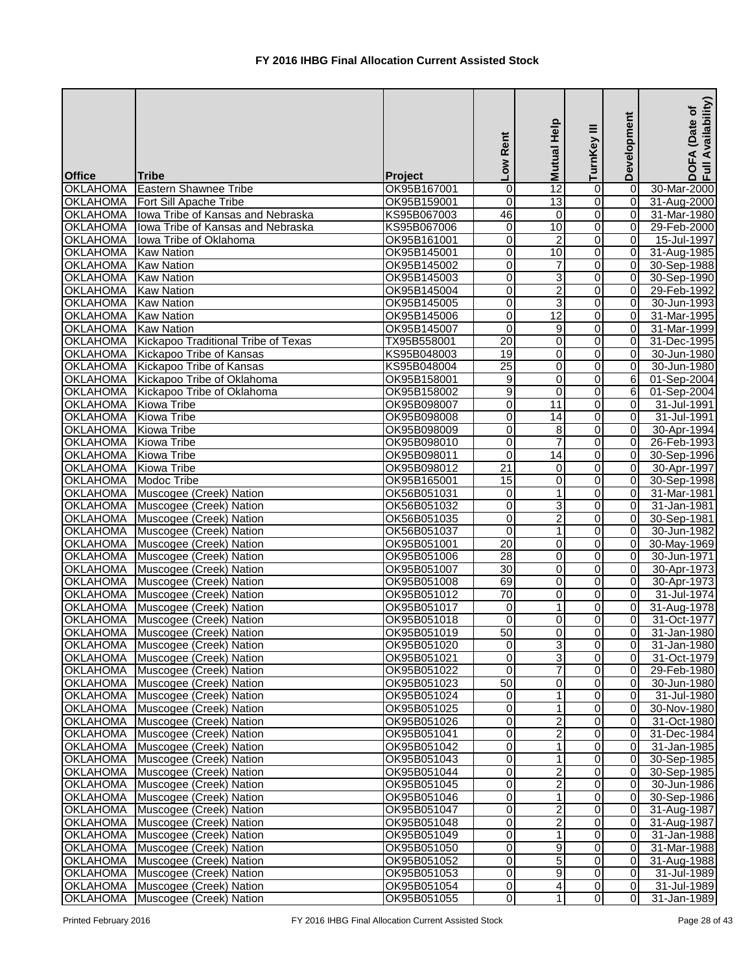| <b>Office</b>   | <b>Tribe</b>                        |                        | Low Rent                | dol<br>12<br>2<br>2 | ≡<br>TurnKey     | Development    | Availability)<br>Date of<br>$F\blacktriangle$<br>$rac{1}{2}$ |
|-----------------|-------------------------------------|------------------------|-------------------------|---------------------|------------------|----------------|--------------------------------------------------------------|
| <b>OKLAHOMA</b> | Eastern Shawnee Tribe               | Project<br>OK95B167001 | 0                       |                     | $\mathbf 0$      | 0              | 30-Mar-2000                                                  |
|                 | OKLAHOMA   Fort Sill Apache Tribe   | OK95B159001            | 0                       | 13                  | $\overline{0}$   | $\overline{0}$ | 31-Aug-2000                                                  |
| <b>OKLAHOMA</b> | Iowa Tribe of Kansas and Nebraska   | KS95B067003            | 46                      | $\mathbf 0$         | $\overline{0}$   | $\overline{0}$ | 31-Mar-1980                                                  |
| <b>OKLAHOMA</b> | Iowa Tribe of Kansas and Nebraska   | KS95B067006            | $\overline{\mathsf{o}}$ | $\overline{10}$     | $\overline{0}$   | $\overline{0}$ | 29-Feb-2000                                                  |
| <b>OKLAHOMA</b> | lowa Tribe of Oklahoma              | OK95B161001            | 0                       | $\overline{2}$      | $\overline{0}$   | $\overline{0}$ | 15-Jul-1997                                                  |
| <b>OKLAHOMA</b> | <b>Kaw Nation</b>                   | OK95B145001            | 0                       | $\overline{10}$     | $\overline{0}$   | $\overline{0}$ | 31-Aug-1985                                                  |
| <b>OKLAHOMA</b> | <b>Kaw Nation</b>                   | OK95B145002            | 0                       | $\overline{7}$      | $\boldsymbol{0}$ | $\overline{0}$ | 30-Sep-1988                                                  |
| <b>OKLAHOMA</b> | <b>Kaw Nation</b>                   | OK95B145003            | $\overline{0}$          | 3                   | $\overline{0}$   | $\overline{0}$ | 30-Sep-1990                                                  |
| <b>OKLAHOMA</b> | <b>Kaw Nation</b>                   | OK95B145004            | 0                       | $\overline{2}$      | $\overline{0}$   | $\overline{0}$ | 29-Feb-1992                                                  |
| <b>OKLAHOMA</b> | <b>Kaw Nation</b>                   | OK95B145005            | 0                       | 3                   | 0                | $\overline{0}$ | 30-Jun-1993                                                  |
| <b>OKLAHOMA</b> | <b>Kaw Nation</b>                   | OK95B145006            | 0                       | $\overline{12}$     | $\overline{0}$   | 0              | 31-Mar-1995                                                  |
| <b>OKLAHOMA</b> | <b>Kaw Nation</b>                   | OK95B145007            | 0                       | 9                   | 0                | 0              | 31-Mar-1999                                                  |
| <b>OKLAHOMA</b> | Kickapoo Traditional Tribe of Texas | TX95B558001            | $\overline{20}$         | 0                   | $\overline{0}$   | 0              | 31-Dec-1995                                                  |
| <b>OKLAHOMA</b> | Kickapoo Tribe of Kansas            | KS95B048003            | 19                      | $\overline{0}$      | $\overline{0}$   | 0              | 30-Jun-1980                                                  |
| <b>OKLAHOMA</b> | Kickapoo Tribe of Kansas            | KS95B048004            | $\overline{25}$         | 0                   | $\overline{0}$   | 0              | 30-Jun-1980                                                  |
| <b>OKLAHOMA</b> | Kickapoo Tribe of Oklahoma          | OK95B158001            | 9                       | 0                   | 0                | 6 <sup>1</sup> | 01-Sep-2004                                                  |
| <b>OKLAHOMA</b> | Kickapoo Tribe of Oklahoma          | OK95B158002            | 9                       | 0                   | $\boldsymbol{0}$ | 6              | 01-Sep-2004                                                  |
| <b>OKLAHOMA</b> | Kiowa Tribe                         | OK95B098007            | 0                       | $\overline{11}$     | $\overline{0}$   | $\overline{0}$ | 31-Jul-1991                                                  |
| <b>OKLAHOMA</b> | <b>Kiowa Tribe</b>                  | OK95B098008            | $\overline{0}$          | 14                  | $\overline{0}$   | 0              | 31-Jul-1991                                                  |
| <b>OKLAHOMA</b> | Kiowa Tribe                         | OK95B098009            | 0                       | 8                   | $\overline{0}$   | $\overline{0}$ | 30-Apr-1994                                                  |
| <b>OKLAHOMA</b> | Kiowa Tribe                         | OK95B098010            | 0                       | $\overline{7}$      | $\overline{0}$   | $\overline{0}$ | 26-Feb-1993                                                  |
| <b>OKLAHOMA</b> | Kiowa Tribe                         | OK95B098011            | 0                       | 14                  | $\overline{0}$   | 0              | 30-Sep-1996                                                  |
| <b>OKLAHOMA</b> | <b>Kiowa Tribe</b>                  | OK95B098012            | 21                      | 0                   | 0                | 0              | 30-Apr-1997                                                  |
| <b>OKLAHOMA</b> | Modoc Tribe                         | OK95B165001            | 15                      | $\mathbf 0$         | 0                | 0              | 30-Sep-1998                                                  |
| <b>OKLAHOMA</b> | Muscogee (Creek) Nation             | OK56B051031            | 0                       | $\mathbf{1}$        | $\overline{0}$   | $\overline{0}$ | 31-Mar-1981                                                  |
| <b>OKLAHOMA</b> | Muscogee (Creek) Nation             | OK56B051032            | 0                       | 3                   | $\overline{0}$   | 0              | 31-Jan-1981                                                  |
| <b>OKLAHOMA</b> | Muscogee (Creek) Nation             | OK56B051035            | $\overline{0}$          | $\overline{2}$      | $\overline{0}$   | 0              | 30-Sep-1981                                                  |
| <b>OKLAHOMA</b> | Muscogee (Creek) Nation             | OK56B051037            | $\overline{0}$          | $\overline{1}$      | $\overline{0}$   | $\overline{0}$ | 30-Jun-1982                                                  |
| <b>OKLAHOMA</b> | Muscogee (Creek) Nation             | OK95B051001            | 20                      | 0                   | $\overline{0}$   | $\overline{0}$ | 30-May-1969                                                  |
| <b>OKLAHOMA</b> | Muscogee (Creek) Nation             | OK95B051006            | 28                      | 0                   | $\overline{0}$   | $\overline{0}$ | 30-Jun-1971                                                  |
|                 | OKLAHOMA Muscogee (Creek) Nation    | OK95B051007            | 30                      | 0                   | $\overline{0}$   | $\overline{0}$ | 30-Apr-1973                                                  |
|                 | OKLAHOMA   Muscogee (Creek) Nation  | OK95B051008            | 69                      | $\overline{0}$      | $\overline{0}$   | $\overline{0}$ | 30-Apr-1973                                                  |
|                 | OKLAHOMA   Muscogee (Creek) Nation  | OK95B051012            | 70                      | 0                   | $\overline{0}$   | ΟI             | 31-Jul-1974                                                  |
|                 | OKLAHOMA   Muscogee (Creek) Nation  | OK95B051017            | $\mathbf 0$             | 1                   | 0                | $\overline{0}$ | 31-Aug-1978                                                  |
|                 | OKLAHOMA   Muscogee (Creek) Nation  | OK95B051018            | 0                       | 0                   | $\overline{0}$   | $\overline{0}$ | 31-Oct-1977                                                  |
|                 | OKLAHOMA   Muscogee (Creek) Nation  | OK95B051019            | 50                      | 0                   | $\overline{0}$   | $\overline{0}$ | 31-Jan-1980                                                  |
| <b>OKLAHOMA</b> | Muscogee (Creek) Nation             | OK95B051020            | 0                       | 3                   | $\overline{0}$   | $\overline{0}$ | 31-Jan-1980                                                  |
|                 | OKLAHOMA   Muscogee (Creek) Nation  | OK95B051021            | $\overline{0}$          | 3                   | $\overline{0}$   | $\overline{0}$ | 31-Oct-1979                                                  |
| <b>OKLAHOMA</b> | Muscogee (Creek) Nation             | OK95B051022            | $\overline{\mathsf{o}}$ | $\overline{7}$      | $\overline{0}$   | $\overline{0}$ | 29-Feb-1980                                                  |
| <b>OKLAHOMA</b> | Muscogee (Creek) Nation             | OK95B051023            | 50                      | 0                   | $\overline{0}$   | $\overline{0}$ | 30-Jun-1980                                                  |
| <b>OKLAHOMA</b> | Muscogee (Creek) Nation             | OK95B051024            | $\overline{0}$          | 1                   | $\overline{0}$   | $\overline{0}$ | 31-Jul-1980                                                  |
| <b>OKLAHOMA</b> | Muscogee (Creek) Nation             | OK95B051025            | $\overline{\mathsf{o}}$ | $\mathbf{1}$        | $\overline{0}$   | $\overline{0}$ | 30-Nov-1980                                                  |
| <b>OKLAHOMA</b> | Muscogee (Creek) Nation             | OK95B051026            | 0                       | $\overline{c}$      | $\overline{0}$   | $\overline{0}$ | 31-Oct-1980                                                  |
|                 | OKLAHOMA   Muscogee (Creek) Nation  | OK95B051041            | 0                       | $\overline{c}$      | 0                | $\overline{0}$ | 31-Dec-1984                                                  |
| <b>OKLAHOMA</b> | Muscogee (Creek) Nation             | OK95B051042            | 0                       | 1                   | 0                | $\overline{0}$ | 31-Jan-1985                                                  |
| <b>OKLAHOMA</b> | Muscogee (Creek) Nation             | OK95B051043            | 0                       | 1                   | 0                | $\overline{0}$ | 30-Sep-1985                                                  |
| <b>OKLAHOMA</b> | Muscogee (Creek) Nation             | OK95B051044            | 0                       | $\overline{c}$      | 0                | $\overline{0}$ | 30-Sep-1985                                                  |
| <b>OKLAHOMA</b> | Muscogee (Creek) Nation             | OK95B051045            | 0                       | $\overline{2}$      | $\overline{0}$   | $\overline{0}$ | 30-Jun-1986                                                  |
| <b>OKLAHOMA</b> | Muscogee (Creek) Nation             | OK95B051046            | $\overline{0}$          | $\mathbf 1$         | $\overline{0}$   | $\overline{0}$ | 30-Sep-1986                                                  |
| <b>OKLAHOMA</b> | Muscogee (Creek) Nation             | OK95B051047            | $\overline{0}$          | 2                   | $\overline{0}$   | $\overline{0}$ | 31-Aug-1987                                                  |
| <b>OKLAHOMA</b> | Muscogee (Creek) Nation             | OK95B051048            | 0                       | $\overline{c}$      | $\overline{0}$   | $\overline{0}$ | 31-Aug-1987                                                  |
| <b>OKLAHOMA</b> | Muscogee (Creek) Nation             | OK95B051049            | $\overline{0}$          | 1                   | $\overline{0}$   | $\overline{0}$ | 31-Jan-1988                                                  |
| <b>OKLAHOMA</b> | Muscogee (Creek) Nation             | OK95B051050            | 0                       | 9                   | $\overline{0}$   | $\overline{0}$ | 31-Mar-1988                                                  |
| <b>OKLAHOMA</b> | Muscogee (Creek) Nation             | OK95B051052            | 0                       | 5                   | $\overline{0}$   | $\overline{0}$ | 31-Aug-1988                                                  |
| <b>OKLAHOMA</b> | Muscogee (Creek) Nation             | OK95B051053            | $\overline{0}$          | $\boldsymbol{9}$    | $\overline{0}$   | $\overline{0}$ | 31-Jul-1989                                                  |
| <b>OKLAHOMA</b> | Muscogee (Creek) Nation             | OK95B051054            | $\overline{0}$          | 4                   | $\overline{0}$   | $\overline{0}$ | 31-Jul-1989                                                  |
| <b>OKLAHOMA</b> | Muscogee (Creek) Nation             | OK95B051055            | $\overline{0}$          | 1                   | $\overline{0}$   | $\overline{0}$ | 31-Jan-1989                                                  |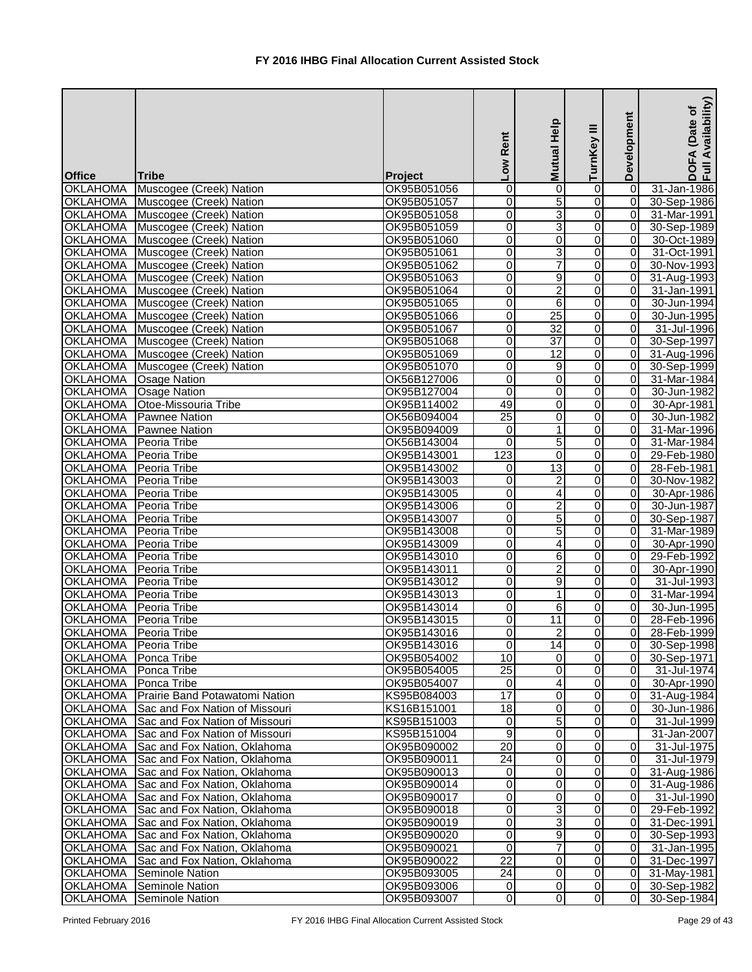| <b>Office</b>           | <b>Tribe</b>                    | Project     | Low Rent                | <b>Mutual Help</b>      | Ξ<br>TurnKey     | Development    | Availability)<br>Date of<br>EA<br>$rac{1}{2}$ |
|-------------------------|---------------------------------|-------------|-------------------------|-------------------------|------------------|----------------|-----------------------------------------------|
| <b>OKLAHOMA</b>         | Muscogee (Creek) Nation         | OK95B051056 | 0                       | 0                       | 0                | 0              | 31-Jan-1986                                   |
| <b>OKLAHOMA</b>         | Muscogee (Creek) Nation         | OK95B051057 | 0                       | $\overline{5}$          | $\overline{0}$   | $\overline{0}$ | 30-Sep-1986                                   |
| <b>OKLAHOMA</b>         | Muscogee (Creek) Nation         | OK95B051058 | 0                       | $\overline{3}$          | $\overline{0}$   | 0              | 31-Mar-1991                                   |
| <b>OKLAHOMA</b>         | Muscogee (Creek) Nation         | OK95B051059 | 0                       | $\overline{3}$          | $\overline{0}$   | $\overline{0}$ | 30-Sep-1989                                   |
| <b>OKLAHOMA</b>         | Muscogee (Creek) Nation         | OK95B051060 | $\overline{0}$          | 0                       | $\overline{0}$   | 0              | 30-Oct-1989                                   |
| <b>OKLAHOMA</b>         | Muscogee (Creek) Nation         | OK95B051061 | O                       | $\overline{3}$          | $\overline{0}$   | 0              | 31-Oct-1991                                   |
| <b>OKLAHOMA</b>         | Muscogee (Creek) Nation         | OK95B051062 | $\overline{0}$          | $\overline{7}$          | $\overline{0}$   | $\overline{0}$ | 30-Nov-1993                                   |
| <b>OKLAHOMA</b>         | Muscogee (Creek) Nation         | OK95B051063 | $\overline{0}$          | $\overline{9}$          | $\overline{0}$   | $\overline{0}$ | 31-Aug-1993                                   |
| <b>OKLAHOMA</b>         | Muscogee (Creek) Nation         | OK95B051064 | $\overline{0}$          | $\overline{2}$          | $\overline{0}$   | $\overline{0}$ | 31-Jan-1991                                   |
| <b>OKLAHOMA</b>         | Muscogee (Creek) Nation         | OK95B051065 | 0                       | 6                       | $\overline{0}$   | $\overline{0}$ | 30-Jun-1994                                   |
| <b>OKLAHOMA</b>         | Muscogee (Creek) Nation         | OK95B051066 | 0                       | $\overline{25}$         | 0                | 0              | 30-Jun-1995                                   |
| <b>OKLAHOMA</b>         | Muscogee (Creek) Nation         | OK95B051067 | 0                       | $\overline{32}$         | 0                | 0              | 31-Jul-1996                                   |
| <b>OKLAHOMA</b>         | Muscogee (Creek) Nation         | OK95B051068 | 0                       | $\overline{37}$         | $\overline{0}$   | 0              | 30-Sep-1997                                   |
| <b>OKLAHOMA</b>         | Muscogee (Creek) Nation         | OK95B051069 | 0                       | $\overline{12}$         | $\overline{0}$   | 0              | 31-Aug-1996                                   |
| <b>OKLAHOMA</b>         | Muscogee (Creek) Nation         | OK95B051070 | 0                       | $\overline{9}$          | $\overline{0}$   | $\overline{0}$ | 30-Sep-1999                                   |
| <b>OKLAHOMA</b>         | <b>Osage Nation</b>             | OK56B127006 | $\overline{0}$          | $\boldsymbol{0}$        | $\overline{0}$   | 0              | 31-Mar-1984                                   |
| <b>OKLAHOMA</b>         | Osage Nation                    | OK95B127004 | $\overline{\mathsf{o}}$ | $\mathbf 0$             | $\overline{0}$   | $\overline{0}$ | 30-Jun-1982                                   |
| <b>OKLAHOMA</b>         | <b>Otoe-Missouria Tribe</b>     | OK95B114002 | 49                      | 0                       | $\overline{0}$   | 0              | 30-Apr-1981                                   |
| <b>OKLAHOMA</b>         | <b>Pawnee Nation</b>            | OK56B094004 | $\overline{25}$         | 0                       | $\overline{0}$   | $\overline{0}$ | 30-Jun-1982                                   |
| <b>OKLAHOMA</b>         | <b>Pawnee Nation</b>            | OK95B094009 | $\mathbf 0$             | $\mathbf{1}$            | $\overline{0}$   | $\overline{0}$ | 31-Mar-1996                                   |
| <b>OKLAHOMA</b>         | Peoria Tribe                    | OK56B143004 | 0                       | 5                       | $\overline{0}$   | $\overline{0}$ | 31-Mar-1984                                   |
| <b>OKLAHOMA</b>         | Peoria Tribe                    | OK95B143001 | 123                     | 0                       | $\overline{0}$   | $\overline{0}$ | 29-Feb-1980                                   |
| <b>OKLAHOMA</b>         | Peoria Tribe                    | OK95B143002 | 0                       | $\overline{13}$         | 0                | 0              | 28-Feb-1981                                   |
| <b>OKLAHOMA</b>         | Peoria Tribe                    | OK95B143003 | 0                       | $\overline{\mathbf{c}}$ | 0                | 0              | 30-Nov-1982                                   |
| <b>OKLAHOMA</b>         | Peoria Tribe                    | OK95B143005 | 0                       | 4                       | 0                | 0              | 30-Apr-1986                                   |
| <b>OKLAHOMA</b>         | Peoria Tribe                    | OK95B143006 | Ō                       | $\overline{2}$          | $\overline{0}$   | 0              | 30-Jun-1987                                   |
| <b>OKLAHOMA</b>         | Peoria Tribe                    | OK95B143007 | 0                       | 5                       | $\overline{0}$   | $\overline{0}$ | 30-Sep-1987                                   |
| <b>OKLAHOMA</b>         | Peoria Tribe                    | OK95B143008 | $\overline{0}$          | $\overline{5}$          | $\overline{0}$   | 0              | 31-Mar-1989                                   |
| <b>OKLAHOMA</b>         | Peoria Tribe                    | OK95B143009 | 0                       | $\overline{\mathbf{4}}$ | $\overline{0}$   | 0              | 30-Apr-1990                                   |
| <b>OKLAHOMA</b>         | Peoria Tribe                    | OK95B143010 | Ō                       | 6                       | $\overline{0}$   | $\overline{0}$ | 29-Feb-1992                                   |
| <b>OKLAHOMA</b>         | Peoria Tribe                    | OK95B143011 | $\overline{0}$          | $\overline{2}$          | $\overline{0}$   | $\overline{0}$ | 30-Apr-1990                                   |
| OKLAHOMA Peoria Tribe   |                                 | OK95B143012 | $\overline{0}$          | 9                       | $\overline{0}$   | $\overline{0}$ | 31-Jul-1993                                   |
| OKLAHOMA   Peoria Tribe |                                 | OK95B143013 | 0                       | $\mathbf 1$             | $\overline{0}$   | $\overline{0}$ | 31-Mar-1994                                   |
| <b>OKLAHOMA</b>         | Peoria Tribe                    | OK95B143014 | $\Omega$                | 6                       | $\Omega$         | 0I             | 30-Jun-1995                                   |
| OKLAHOMA   Peoria Tribe |                                 | OK95B143015 | 0                       | 11                      | 0                | $\overline{0}$ | 28-Feb-1996                                   |
| <b>OKLAHOMA</b>         | Peoria Tribe                    | OK95B143016 | 0                       | $\overline{2}$          | $\overline{0}$   | $\overline{0}$ | 28-Feb-1999                                   |
| OKLAHOMA   Peoria Tribe |                                 | OK95B143016 | 0                       | $\overline{14}$         | $\overline{0}$   | $\overline{0}$ | 30-Sep-1998                                   |
| <b>OKLAHOMA</b>         | Ponca Tribe                     | OK95B054002 | 10                      | 0                       | $\overline{0}$   | $\overline{0}$ | 30-Sep-1971                                   |
| <b>OKLAHOMA</b>         | Ponca Tribe                     | OK95B054005 | 25                      | 0                       | $\overline{0}$   | $\overline{0}$ | 31-Jul-1974                                   |
| <b>OKLAHOMA</b>         | Ponca Tribe                     | OK95B054007 | $\overline{\mathsf{o}}$ | 4                       | $\overline{0}$   | $\overline{0}$ | 30-Apr-1990                                   |
| <b>OKLAHOMA</b>         | Prairie Band Potawatomi Nation  | KS95B084003 | $\overline{17}$         | 0                       | $\overline{0}$   | $\overline{0}$ | 31-Aug-1984                                   |
| <b>OKLAHOMA</b>         | Sac and Fox Nation of Missouri  | KS16B151001 | $\overline{18}$         | $\mathbf 0$             | $\overline{0}$   | $\overline{0}$ | 30-Jun-1986                                   |
| <b>OKLAHOMA</b>         | Sac and Fox Nation of Missouri  | KS95B151003 | $\mathbf 0$             | 5                       | $\overline{0}$   | 0I             | 31-Jul-1999                                   |
| <b>OKLAHOMA</b>         | Sac and Fox Nation of Missouri  | KS95B151004 | 9                       | 0                       | $\overline{0}$   |                | 31-Jan-2007                                   |
| <b>OKLAHOMA</b>         | Sac and Fox Nation, Oklahoma    | OK95B090002 | 20                      | 0                       | $\Omega$         | 0I             | 31-Jul-1975                                   |
| <b>OKLAHOMA</b>         | Sac and Fox Nation, Oklahoma    | OK95B090011 | 24                      | 0                       | 0                | $\overline{0}$ | 31-Jul-1979                                   |
| <b>OKLAHOMA</b>         | Sac and Fox Nation, Oklahoma    | OK95B090013 | 0                       | 0                       | 0                | $\overline{0}$ | 31-Aug-1986                                   |
| <b>OKLAHOMA</b>         | Sac and Fox Nation, Oklahoma    | OK95B090014 | 0                       | 0                       | 0                | $\overline{0}$ | 31-Aug-1986                                   |
| <b>OKLAHOMA</b>         | Sac and Fox Nation, Oklahoma    | OK95B090017 | 0                       | 0                       | $\mathbf 0$      | $\overline{0}$ | 31-Jul-1990                                   |
| <b>OKLAHOMA</b>         | Sac and Fox Nation, Oklahoma    | OK95B090018 | 0                       | 3                       | $\overline{0}$   | $\overline{0}$ | 29-Feb-1992                                   |
| <b>OKLAHOMA</b>         | Sac and Fox Nation, Oklahoma    | OK95B090019 | 0                       | 3                       | $\overline{0}$   | $\overline{0}$ | 31-Dec-1991                                   |
| <b>OKLAHOMA</b>         | Sac and Fox Nation, Oklahoma    | OK95B090020 | 0                       | 9                       | $\overline{0}$   | $\overline{0}$ | 30-Sep-1993                                   |
| <b>OKLAHOMA</b>         | Sac and Fox Nation, Oklahoma    | OK95B090021 | 0                       | $\overline{7}$          | $\boldsymbol{0}$ | $\overline{0}$ | 31-Jan-1995                                   |
| <b>OKLAHOMA</b>         | Sac and Fox Nation, Oklahoma    | OK95B090022 | $\overline{22}$         | 0                       | $\overline{0}$   | 0I             | 31-Dec-1997                                   |
| <b>OKLAHOMA</b>         | Seminole Nation                 | OK95B093005 | 24                      | 0                       | $\overline{0}$   | $\overline{0}$ | 31-May-1981                                   |
|                         | <b>OKLAHOMA</b> Seminole Nation | OK95B093006 | $\overline{0}$          | 0                       | $\overline{0}$   | $\overline{0}$ | 30-Sep-1982                                   |
| <b>OKLAHOMA</b>         | Seminole Nation                 | OK95B093007 | $\overline{0}$          | $\pmb{0}$               | $\overline{0}$   | $\overline{0}$ | 30-Sep-1984                                   |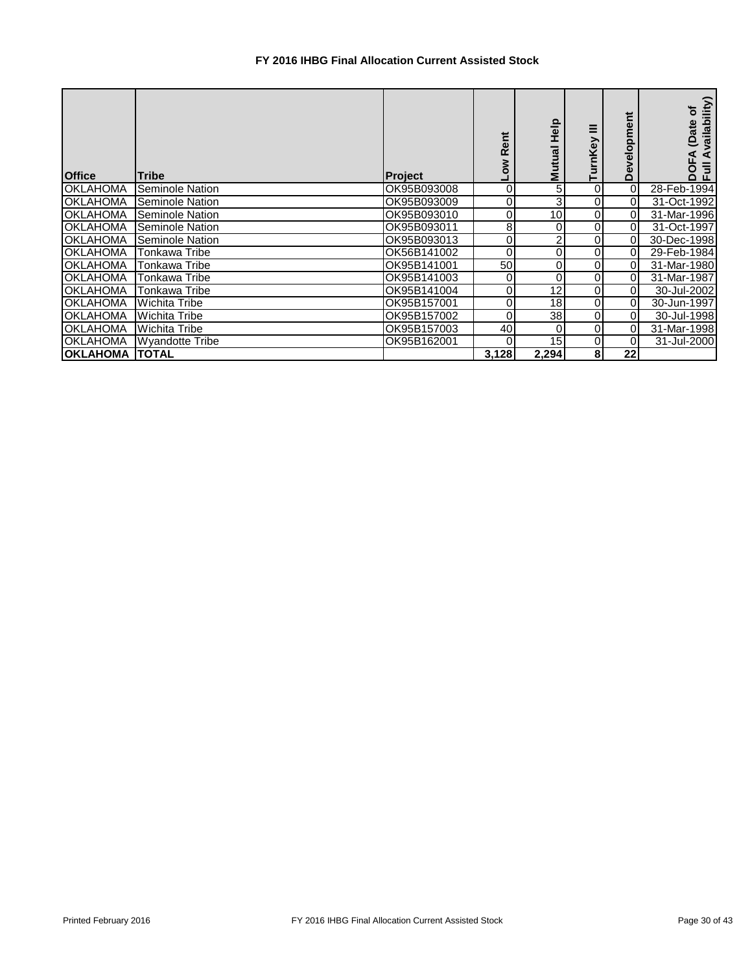## **FY 2016 IHBG Final Allocation Current Assisted Stock**

| <b>Office</b>         | <b>Tribe</b>           | <b>Project</b> | <b>Rent</b> | Help<br><b>Mutual</b> | Ξ<br>rnKey | velopment<br>قا | ailability)<br>៍<br>(Date<br>∢<br>$\bar{5}$<br>효 |
|-----------------------|------------------------|----------------|-------------|-----------------------|------------|-----------------|--------------------------------------------------|
| <b>OKLAHOMA</b>       | <b>Seminole Nation</b> | OK95B093008    | 0           |                       | 0          | 0               | 28-Feb-1994                                      |
| <b>OKLAHOMA</b>       | Seminole Nation        | OK95B093009    |             |                       |            | 01              | 31-Oct-1992                                      |
| <b>OKLAHOMA</b>       | Seminole Nation        | OK95B093010    | 0           | 10                    |            | 0               | 31-Mar-1996                                      |
| <b>OKLAHOMA</b>       | Seminole Nation        | OK95B093011    | 8           | 0                     | 0          | 0               | 31-Oct-1997                                      |
| <b>OKLAHOMA</b>       | <b>Seminole Nation</b> | OK95B093013    | 0           | 2                     | 0          | $\Omega$        | 30-Dec-1998                                      |
| <b>OKLAHOMA</b>       | Tonkawa Tribe          | OK56B141002    | 0           | 01                    | 0          | $\overline{0}$  | 29-Feb-1984                                      |
| <b>OKLAHOMA</b>       | Tonkawa Tribe          | OK95B141001    | 50          | Οl                    | 0          | 01              | 31-Mar-1980                                      |
| <b>OKLAHOMA</b>       | Tonkawa Tribe          | OK95B141003    | 0           | 0                     | 0          | 01              | 31-Mar-1987                                      |
| <b>OKLAHOMA</b>       | <b>Tonkawa Tribe</b>   | OK95B141004    | 0           | 12                    | 0          | $\overline{0}$  | 30-Jul-2002                                      |
| <b>OKLAHOMA</b>       | <b>Wichita Tribe</b>   | OK95B157001    |             | 18                    | 0          | 01              | 30-Jun-1997                                      |
| <b>OKLAHOMA</b>       | <b>Wichita Tribe</b>   | OK95B157002    | 0           | 38                    | 0          | 01              | 30-Jul-1998                                      |
| <b>OKLAHOMA</b>       | <b>Wichita Tribe</b>   | OK95B157003    | 40          | 0                     | 0          | 0l              | 31-Mar-1998                                      |
| <b>OKLAHOMA</b>       | <b>Wyandotte Tribe</b> | OK95B162001    | 0           | 15                    | 0          | 0               | 31-Jul-2000                                      |
| <b>OKLAHOMA TOTAL</b> |                        |                | 3,128       | 2,294                 | 8          | 22              |                                                  |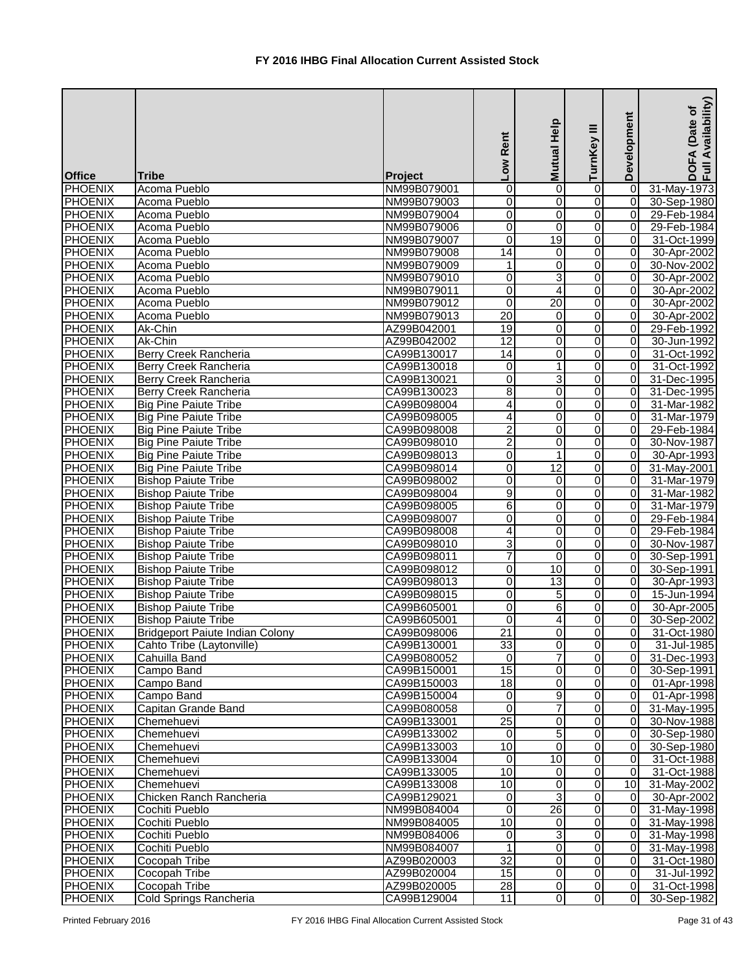|                                  |                                        |                            | Low Rent                         | Mutual Help           | ≡<br>TurnKey                     | Development                      | Availability)<br>Date of<br>DOFA<br>Full Av |
|----------------------------------|----------------------------------------|----------------------------|----------------------------------|-----------------------|----------------------------------|----------------------------------|---------------------------------------------|
| <b>Office</b>                    | <b>Tribe</b>                           | <b>Project</b>             |                                  |                       |                                  |                                  |                                             |
| PHOENIX                          | Acoma Pueblo                           | NM99B079001                | $\pmb{0}$                        | 0                     | 0                                | $\overline{0}$                   | 31-May-1973                                 |
| <b>PHOENIX</b>                   | Acoma Pueblo                           | NM99B079003                | $\overline{0}$                   | 0                     | $\overline{\mathsf{o}}$          | $\overline{0}$                   | 30-Sep-1980                                 |
| <b>PHOENIX</b>                   | Acoma Pueblo                           | NM99B079004                | $\overline{0}$                   | 0                     | $\overline{0}$                   | $\overline{0}$                   | 29-Feb-1984                                 |
| PHOENIX                          | Acoma Pueblo                           | NM99B079006                | $\overline{0}$                   | $\mathbf 0$           | 0                                | 0                                | 29-Feb-1984                                 |
| PHOENIX                          | Acoma Pueblo                           | NM99B079007                | 0                                | $\overline{19}$       | 0                                | $\overline{0}$                   | 31-Oct-1999                                 |
| <b>PHOENIX</b>                   | Acoma Pueblo                           | NM99B079008                | $\overline{14}$                  | $\pmb{0}$             | 0                                | $\overline{0}$                   | 30-Apr-2002                                 |
| <b>PHOENIX</b>                   | Acoma Pueblo                           | NM99B079009                | 1                                | $\overline{0}$        | 0                                | $\overline{0}$                   | 30-Nov-2002                                 |
| <b>PHOENIX</b>                   | Acoma Pueblo                           | NM99B079010                | 0                                | 3                     | 0                                | $\overline{0}$                   | 30-Apr-2002                                 |
| <b>PHOENIX</b>                   | Acoma Pueblo                           | NM99B079011                | 0                                | 4                     | 0                                | $\overline{0}$                   | 30-Apr-2002                                 |
| <b>PHOENIX</b>                   | Acoma Pueblo                           | NM99B079012                | 0                                | $\overline{20}$       | 0                                | 0                                | 30-Apr-2002                                 |
| <b>PHOENIX</b>                   | Acoma Pueblo                           | NM99B079013                | 20                               | 0                     | 0                                | $\overline{0}$                   | 30-Apr-2002                                 |
| <b>PHOENIX</b>                   | Ak-Chin                                | AZ99B042001                | 19                               | 0                     | 0                                | $\overline{0}$                   | 29-Feb-1992                                 |
| <b>PHOENIX</b>                   | Ak-Chin                                | AZ99B042002                | $\overline{12}$                  | $\overline{0}$        | 0                                | 0                                | 30-Jun-1992                                 |
| PHOENIX                          | Berry Creek Rancheria                  | CA99B130017                | 14                               | 0                     | 0                                | $\Omega$                         | 31-Oct-1992                                 |
| PHOENIX                          | Berry Creek Rancheria                  | CA99B130018                | 0                                | 1                     | 0                                | 0                                | 31-Oct-1992                                 |
| <b>PHOENIX</b>                   | Berry Creek Rancheria                  | CA99B130021                | 0                                | 3                     | 0                                | $\overline{0}$                   | 31-Dec-1995                                 |
| PHOENIX                          | Berry Creek Rancheria                  | CA99B130023                | 8                                | 0                     | 0                                | $\overline{0}$                   | 31-Dec-1995                                 |
| <b>PHOENIX</b>                   | <b>Big Pine Paiute Tribe</b>           | CA99B098004                | 4                                | 0                     | 0                                | $\overline{0}$                   | 31-Mar-1982                                 |
| <b>PHOENIX</b>                   | <b>Big Pine Paiute Tribe</b>           | CA99B098005                | 4                                | 0                     | 0                                | $\overline{0}$                   | 31-Mar-1979                                 |
| <b>PHOENIX</b>                   | <b>Big Pine Paiute Tribe</b>           | CA99B098008                | $\overline{2}$                   | 0                     | $\Omega$                         | $\overline{0}$                   | 29-Feb-1984                                 |
| <b>PHOENIX</b>                   | <b>Big Pine Paiute Tribe</b>           | CA99B098010                | $\overline{2}$                   | 0                     | 0                                | $\Omega$                         | 30-Nov-1987                                 |
| PHOENIX                          | <b>Big Pine Paiute Tribe</b>           | CA99B098013                | 0                                | $\mathbf 1$           | 0                                | $\overline{0}$                   | 30-Apr-1993                                 |
| PHOENIX                          | <b>Big Pine Paiute Tribe</b>           | CA99B098014                | 0                                | $\overline{12}$       | 0                                | $\overline{0}$                   | 31-May-2001                                 |
| PHOENIX                          | <b>Bishop Paiute Tribe</b>             | CA99B098002                | 0                                | 0                     | 0                                | $\overline{0}$                   | 31-Mar-1979                                 |
| PHOENIX                          | <b>Bishop Paiute Tribe</b>             | CA99B098004                | 9                                | 0                     | 0                                | $\overline{0}$                   | 31-Mar-1982                                 |
| PHOENIX                          | <b>Bishop Paiute Tribe</b>             | CA99B098005                | 6                                | 0                     | 0                                | $\overline{0}$                   | 31-Mar-1979                                 |
| PHOENIX                          | <b>Bishop Paiute Tribe</b>             | CA99B098007                | $\overline{0}$                   | 0                     | 0                                | $\overline{0}$                   | 29-Feb-1984                                 |
| PHOENIX                          | <b>Bishop Paiute Tribe</b>             | CA99B098008                | 4                                | 0                     | 0                                | $\overline{0}$                   | 29-Feb-1984                                 |
| PHOENIX<br><b>PHOENIX</b>        | <b>Bishop Paiute Tribe</b>             | CA99B098010                | ω<br>7                           | 0                     | 0                                | $\overline{0}$<br>$\overline{0}$ | 30-Nov-1987                                 |
|                                  | <b>Bishop Paiute Tribe</b>             | CA99B098011                |                                  | $\mathbf 0$           | $\Omega$                         |                                  | 30-Sep-1991                                 |
| <b>PHOENIX</b>                   | <b>Bishop Paiute Tribe</b>             | CA99B098012                | $\overline{0}$                   | 10                    | 0                                | $\overline{0}$                   | 30-Sep-1991                                 |
| <b>PHOENIX</b>                   | <b>Bishop Paiute Tribe</b>             | CA99B098013                | $\overline{0}$<br>$\overline{0}$ | 13<br>$\overline{5}$  | $\overline{0}$<br>$\overline{0}$ | $\overline{0}$                   | 30-Apr-1993                                 |
| <b>PHOENIX</b>                   | <b>Bishop Paiute Tribe</b>             | CA99B098015                |                                  |                       |                                  | $\overline{0}$                   | 15-Jun-1994                                 |
| <b>PHOENIX</b>                   | <b>Bishop Paiute Tribe</b>             | CA99B605001                | 0                                | 6                     | 0                                | $\overline{0}$                   | 30-Apr-2005                                 |
| <b>PHOENIX</b>                   | <b>Bishop Paiute Tribe</b>             | CA99B605001                | $\mathbf 0$                      | 4                     | 0                                | $\overline{0}$                   | 30-Sep-2002                                 |
| <b>PHOENIX</b>                   | <b>Bridgeport Paiute Indian Colony</b> | CA99B098006                | $\overline{21}$                  | 0                     | 0                                | $\overline{0}$                   | 31-Oct-1980                                 |
| <b>PHOENIX</b>                   | Cahto Tribe (Laytonville)              | CA99B130001                | 33<br>$\overline{0}$             | 0<br>7                | 0                                | $\overline{0}$                   | 31-Jul-1985                                 |
| PHOENIX                          | Cahuilla Band                          | CA99B080052                | $\overline{15}$                  |                       | 0                                | $\overline{0}$                   | 31-Dec-1993                                 |
| <b>PHOENIX</b><br><b>PHOENIX</b> | Campo Band                             | CA99B150001                | $\frac{1}{8}$                    | 0<br>$\boldsymbol{0}$ | 0<br>0                           | 0 <br>$\overline{0}$             | 30-Sep-1991                                 |
| <b>PHOENIX</b>                   | Campo Band<br>Campo Band               | CA99B150003<br>CA99B150004 | $\overline{0}$                   | $\overline{9}$        | $\overline{0}$                   | $\overline{0}$                   | 01-Apr-1998                                 |
| <b>PHOENIX</b>                   | Capitan Grande Band                    | CA99B080058                | $\mathbf{0}$                     | $\overline{7}$        | 0                                | $\overline{0}$                   | 01-Apr-1998<br>31-May-1995                  |
| <b>PHOENIX</b>                   | Chemehuevi                             | CA99B133001                | $\overline{25}$                  | $\pmb{0}$             | 0                                | $\overline{0}$                   | 30-Nov-1988                                 |
| <b>PHOENIX</b>                   | Chemehuevi                             | CA99B133002                | $\Omega$                         | $\overline{5}$        | 0                                | $\overline{0}$                   | 30-Sep-1980                                 |
| <b>PHOENIX</b>                   | Chemehuevi                             | CA99B133003                | 10                               | 0                     | 0                                | $\overline{0}$                   | 30-Sep-1980                                 |
| <b>PHOENIX</b>                   |                                        |                            | 0                                | 10                    | 0                                | $\overline{0}$                   |                                             |
| <b>PHOENIX</b>                   | Chemehuevi<br>Chemehuevi               | CA99B133004<br>CA99B133005 | $\overline{10}$                  | 0                     | 0                                | $\overline{0}$                   | 31-Oct-1988<br>31-Oct-1988                  |
|                                  |                                        |                            | 10                               | $\boldsymbol{0}$      | 0                                | 10 <sup>1</sup>                  |                                             |
| <b>PHOENIX</b><br><b>PHOENIX</b> | Chemehuevi<br>Chicken Ranch Rancheria  | CA99B133008<br>CA99B129021 | $\overline{0}$                   | 3                     | 0                                | $\overline{0}$                   | 31-May-2002<br>30-Apr-2002                  |
| <b>PHOENIX</b>                   | Cochiti Pueblo                         | NM99B084004                | $\overline{\mathsf{o}}$          | 26                    | 0                                | 0                                | 31-May-1998                                 |
| <b>PHOENIX</b>                   | Cochiti Pueblo                         | NM99B084005                | 10                               | 0                     | 0                                | $\overline{0}$                   | 31-May-1998                                 |
| <b>PHOENIX</b>                   | Cochiti Pueblo                         | NM99B084006                | 0                                | 3                     | 0                                | 0                                | 31-May-1998                                 |
| <b>PHOENIX</b>                   | Cochiti Pueblo                         | NM99B084007                | $\mathbf{1}$                     | $\overline{0}$        | $\overline{0}$                   | 0                                | 31-May-1998                                 |
| <b>PHOENIX</b>                   | Cocopah Tribe                          | AZ99B020003                | $\overline{32}$                  | 0                     | $\overline{0}$                   | $\overline{0}$                   | 31-Oct-1980                                 |
| <b>PHOENIX</b>                   | Cocopah Tribe                          | AZ99B020004                | 15                               | 0                     | $\Omega$                         | $\overline{O}$                   | 31-Jul-1992                                 |
| <b>PHOENIX</b>                   | Cocopah Tribe                          | AZ99B020005                | 28                               | 0                     | 0                                | 0                                | 31-Oct-1998                                 |
| <b>PHOENIX</b>                   | Cold Springs Rancheria                 | CA99B129004                | 11                               | $\overline{0}$        | $\overline{0}$                   | $\overline{0}$                   | 30-Sep-1982                                 |
|                                  |                                        |                            |                                  |                       |                                  |                                  |                                             |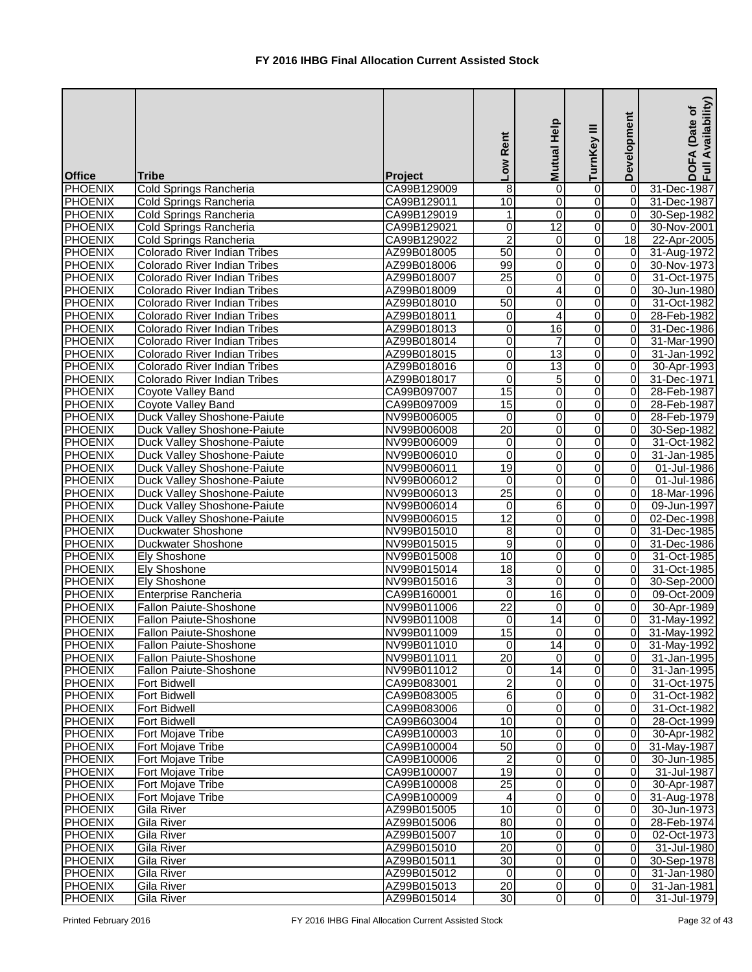| <b>Office</b>                    | <b>Tribe</b>                              | Project                    | Low Rent            | Mutual Help         | ≡<br>TurnKey                     | Development                      | Availability)<br>Date of<br>EÃ<br>$rac{1}{2}$ |
|----------------------------------|-------------------------------------------|----------------------------|---------------------|---------------------|----------------------------------|----------------------------------|-----------------------------------------------|
| PHOENIX                          | Cold Springs Rancheria                    | CA99B129009                | 8                   | 0                   | 0                                | 0                                | 31-Dec-1987                                   |
| <b>PHOENIX</b>                   | Cold Springs Rancheria                    | CA99B129011                | 10                  | 0                   | 0                                | $\overline{0}$                   | 31-Dec-1987                                   |
| PHOENIX                          | Cold Springs Rancheria                    | CA99B129019                | 1                   | $\overline{0}$      | 0                                | $\vert$ 0                        | 30-Sep-1982                                   |
| <b>PHOENIX</b>                   | Cold Springs Rancheria                    | CA99B129021                | $\pmb{0}$           | $\overline{12}$     | 0                                | $\overline{0}$                   | 30-Nov-2001                                   |
| PHOENIX                          | Cold Springs Rancheria                    | CA99B129022                | $\overline{c}$      | 0                   | 0                                | 18                               | 22-Apr-2005                                   |
| PHOENIX                          | <b>Colorado River Indian Tribes</b>       | AZ99B018005                | 50                  | $\overline{0}$      | $\overline{0}$                   | $\vert$ 0                        | 31-Aug-1972                                   |
| <b>PHOENIX</b>                   | <b>Colorado River Indian Tribes</b>       | AZ99B018006                | 99                  | 0                   | 0                                | $\overline{0}$                   | 30-Nov-1973                                   |
| <b>PHOENIX</b>                   | <b>Colorado River Indian Tribes</b>       | AZ99B018007                | $\overline{25}$     | $\overline{0}$      | 0                                | $\overline{0}$                   | 31-Oct-1975                                   |
| <b>PHOENIX</b>                   | <b>Colorado River Indian Tribes</b>       | AZ99B018009                | $\mathbf 0$         | $\overline{4}$      | $\overline{0}$                   | $\overline{0}$                   | 30-Jun-1980                                   |
| <b>PHOENIX</b>                   | Colorado River Indian Tribes              | AZ99B018010                | 50                  | 0                   | 0                                | $\overline{0}$                   | 31-Oct-1982                                   |
| <b>PHOENIX</b>                   | <b>Colorado River Indian Tribes</b>       | AZ99B018011                | 0                   | 4                   | 0                                | $\overline{0}$                   | 28-Feb-1982                                   |
| <b>PHOENIX</b>                   | <b>Colorado River Indian Tribes</b>       | AZ99B018013                | 0                   | 16                  | 0                                | 0                                | 31-Dec-1986                                   |
| <b>PHOENIX</b>                   | Colorado River Indian Tribes              | AZ99B018014                | 0                   | 7                   | 0                                | $\Omega$                         | 31-Mar-1990                                   |
| <b>PHOENIX</b>                   | <b>Colorado River Indian Tribes</b>       | AZ99B018015                | 0                   | 13                  | 0                                | 0                                | 31-Jan-1992                                   |
| PHOENIX                          | <b>Colorado River Indian Tribes</b>       | AZ99B018016                | 0                   | $\overline{13}$     | 0                                | $\overline{0}$                   | 30-Apr-1993                                   |
| PHOENIX                          | Colorado River Indian Tribes              | AZ99B018017                | 0                   | 5                   | 0                                | $\overline{0}$                   | 31-Dec-1971                                   |
| PHOENIX                          | <b>Coyote Valley Band</b>                 | CA99B097007                | $\overline{15}$     | 0                   | 0                                | 0                                | 28-Feb-1987                                   |
| PHOENIX                          | <b>Coyote Valley Band</b>                 | CA99B097009                | $\overline{15}$     | 0                   | 0                                | $\overline{0}$                   | 28-Feb-1987                                   |
| <b>PHOENIX</b>                   | Duck Valley Shoshone-Paiute               | NV99B006005                | 0                   | 0                   | 0                                | $\overline{0}$                   | 28-Feb-1979                                   |
| <b>PHOENIX</b>                   | Duck Valley Shoshone-Paiute               | NV99B006008                | $\overline{20}$     | $\overline{0}$      | 0                                | $\overline{0}$                   | 30-Sep-1982                                   |
| <b>PHOENIX</b>                   | Duck Valley Shoshone-Paiute               | NV99B006009                | 0                   | 0                   | 0                                | $\overline{0}$                   | 31-Oct-1982                                   |
| <b>PHOENIX</b>                   | Duck Valley Shoshone-Paiute               | NV99B006010                | 0                   | 0                   | 0                                | $\overline{0}$                   | 31-Jan-1985                                   |
| <b>PHOENIX</b>                   | Duck Valley Shoshone-Paiute               | NV99B006011                | $\overline{19}$     | $\mathbf 0$         | 0                                | $\overline{0}$                   | 01-Jul-1986                                   |
| PHOENIX                          | Duck Valley Shoshone-Paiute               | NV99B006012                | 0                   | 0                   | 0                                | $\overline{0}$                   | 01-Jul-1986                                   |
| PHOENIX                          | Duck Valley Shoshone-Paiute               | NV99B006013                | $\overline{25}$     | 0                   | 0                                | $\overline{0}$                   | 18-Mar-1996                                   |
| PHOENIX                          | Duck Valley Shoshone-Paiute               | NV99B006014                | $\mathbf 0$         | $\overline{6}$      | 0                                | $\overline{0}$                   | 09-Jun-1997                                   |
| PHOENIX                          | Duck Valley Shoshone-Paiute               | NV99B006015                | $\overline{12}$     | $\mathbf 0$         | 0                                | $\overline{0}$                   | 02-Dec-1998                                   |
| PHOENIX<br>PHOENIX               | Duckwater Shoshone                        | NV99B015010<br>NV99B015015 | 8<br>$\overline{9}$ | 0<br>$\mathbf 0$    | 0                                | $\overline{0}$<br>$\overline{0}$ | 31-Dec-1985                                   |
| <b>PHOENIX</b>                   | Duckwater Shoshone<br><b>Ely Shoshone</b> | NV99B015008                | 10                  | 0                   | 0<br>0                           | $\overline{0}$                   | 31-Dec-1986<br>31-Oct-1985                    |
| <b>PHOENIX</b>                   | <b>Ely Shoshone</b>                       | NV99B015014                | 18                  | $\overline{0}$      | $\Omega$                         | $\overline{0}$                   | 31-Oct-1985                                   |
| <b>PHOENIX</b>                   | Ely Shoshone                              | NV99B015016                | $\overline{3}$      | $\overline{0}$      | $\overline{0}$                   | $\overline{0}$                   | 30-Sep-2000                                   |
| <b>PHOENIX</b>                   | Enterprise Rancheria                      | CA99B160001                | 0                   | 16                  | $\overline{0}$                   | 0I                               | 09-Oct-2009                                   |
| <b>PHOENIX</b>                   | Fallon Paiute-Shoshone                    | NV99B011006                | 22                  | 0                   | 0                                | οI                               | 30-Apr-1989                                   |
| <b>PHOENIX</b>                   | Fallon Paiute-Shoshone                    | NV99B011008                | $\Omega$            | 14                  | 0                                | $\overline{0}$                   | 31-May-1992                                   |
| <b>PHOENIX</b>                   | Fallon Paiute-Shoshone                    | NV99B011009                | 15                  | $\mathbf 0$         | 0                                | $\overline{0}$                   | 31-May-1992                                   |
| <b>PHOENIX</b>                   | <b>Fallon Paiute-Shoshone</b>             | NV99B011010                | $\mathbf{0}$        | 14                  | 0                                | $\overline{0}$                   | 31-May-1992                                   |
| <b>PHOENIX</b>                   | Fallon Paiute-Shoshone                    | NV99B011011                | 20                  | $\mathbf 0$         | 0                                | $\overline{0}$                   | $\overline{31}$ -Jan-1995                     |
| PHOENIX                          | <b>Fallon Paiute-Shoshone</b>             | NV99B011012                | 0                   | 14                  | 0                                | 0                                | 31-Jan-1995                                   |
| <b>PHOENIX</b>                   | <b>Fort Bidwell</b>                       | CA99B083001                | $\overline{2}$      | $\pmb{0}$           | 0                                | $\overline{0}$                   | 31-Oct-1975                                   |
| <b>PHOENIX</b>                   | Fort Bidwell                              | CA99B083005                | 6                   | 0                   | 0                                | 0                                | 31-Oct-1982                                   |
| <b>PHOENIX</b>                   | <b>Fort Bidwell</b>                       | CA99B083006                | $\overline{0}$      | 0                   | 0                                | $\overline{0}$                   | 31-Oct-1982                                   |
| <b>PHOENIX</b>                   | <b>Fort Bidwell</b>                       | CA99B603004                | 10                  | $\overline{0}$      | $\overline{0}$                   | $\overline{0}$                   | 28-Oct-1999                                   |
| <b>PHOENIX</b>                   | Fort Mojave Tribe                         | CA99B100003                | 10                  | 0                   | 0                                | $\overline{0}$                   | 30-Apr-1982                                   |
| <b>PHOENIX</b>                   | Fort Mojave Tribe                         | CA99B100004                | 50                  | 0                   | 0                                | $\overline{0}$                   | 31-May-1987                                   |
| <b>PHOENIX</b>                   | Fort Mojave Tribe                         | CA99B100006                | $\overline{2}$      | 0                   | 0                                | $\overline{0}$                   | 30-Jun-1985                                   |
| <b>PHOENIX</b>                   | Fort Mojave Tribe                         | CA99B100007                | 19                  | 0                   | 0                                | $\overline{0}$                   | 31-Jul-1987                                   |
| <b>PHOENIX</b>                   | Fort Mojave Tribe                         | CA99B100008                | $\overline{25}$     | 0                   | 0                                | $\overline{0}$                   | 30-Apr-1987                                   |
| <b>PHOENIX</b>                   | Fort Mojave Tribe                         | CA99B100009                | 4                   | 0                   | 0                                | $\overline{0}$                   | 31-Aug-1978                                   |
| <b>PHOENIX</b>                   | Gila River                                | AZ99B015005                | 10                  | 0                   | 0                                | $\overline{0}$                   | 30-Jun-1973                                   |
| <b>PHOENIX</b>                   | Gila River                                | AZ99B015006                | 80                  | 0                   | 0                                | $\overline{0}$                   | 28-Feb-1974                                   |
| PHOENIX                          | Gila River                                | AZ99B015007                | 10                  | 0                   | 0                                | 0                                | 02-Oct-1973                                   |
| <b>PHOENIX</b>                   | Gila River                                | AZ99B015010                | 20                  | 0                   | 0                                | $\overline{0}$                   | 31-Jul-1980                                   |
| <b>PHOENIX</b>                   | Gila River                                | AZ99B015011                | $\overline{30}$     | 0                   | $\overline{0}$                   | $\overline{0}$                   | 30-Sep-1978                                   |
| <b>PHOENIX</b>                   | Gila River                                | AZ99B015012                | $\mathbf 0$         | 0                   | $\overline{0}$<br>$\overline{0}$ | $\overline{0}$<br>$\overline{0}$ | 31-Jan-1980                                   |
| <b>PHOENIX</b><br><b>PHOENIX</b> | Gila River<br>Gila River                  | AZ99B015013<br>AZ99B015014 | 20<br>30            | 0<br>$\overline{0}$ | $\overline{0}$                   | $\overline{0}$                   | 31-Jan-1981<br>31-Jul-1979                    |
|                                  |                                           |                            |                     |                     |                                  |                                  |                                               |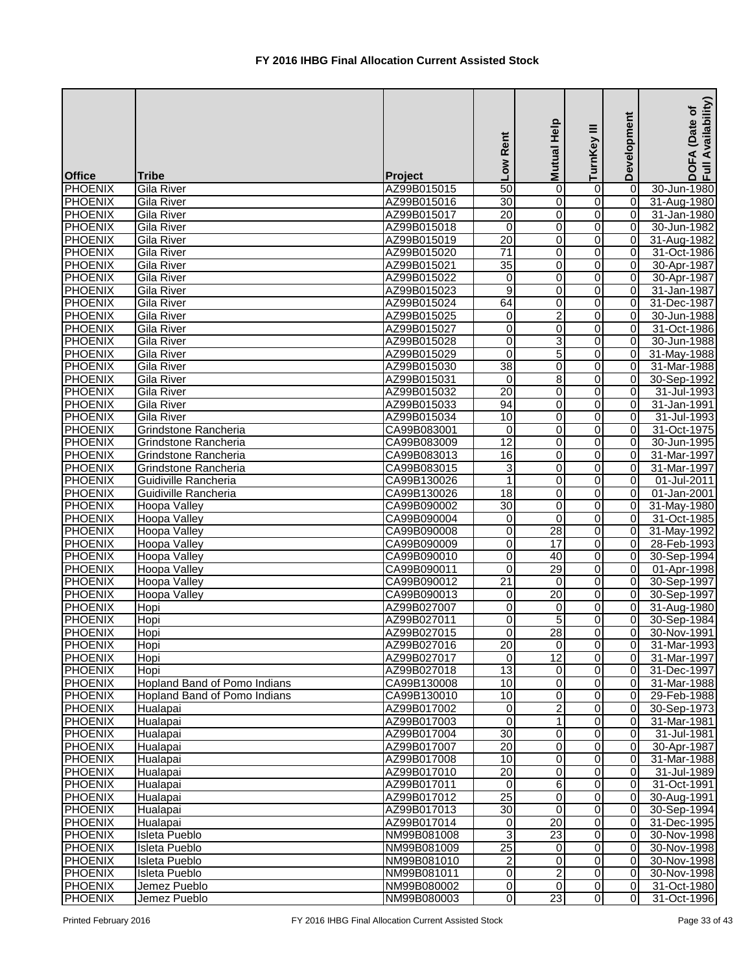|                |                              |                | Low Rent                | Mutual Help             | ≡<br>TurnKey            | Development    | Availability)<br>Date of<br>DOFA<br>Full Av |
|----------------|------------------------------|----------------|-------------------------|-------------------------|-------------------------|----------------|---------------------------------------------|
| <b>Office</b>  | <b>Tribe</b>                 | <b>Project</b> |                         |                         |                         |                |                                             |
| PHOENIX        | Gila River                   | AZ99B015015    | $\overline{50}$         | 0                       | 0                       | 0              | 30-Jun-1980                                 |
| <b>PHOENIX</b> | Gila River                   | AZ99B015016    | 30                      | 0                       | $\overline{0}$          | $\vert$ 0      | 31-Aug-1980                                 |
| <b>PHOENIX</b> | Gila River                   | AZ99B015017    | 20                      | 0                       | $\overline{0}$          | $\overline{0}$ | 31-Jan-1980                                 |
| PHOENIX        | Gila River                   | AZ99B015018    | $\overline{0}$          | 0                       | 0                       | 0              | 30-Jun-1982                                 |
| PHOENIX        | Gila River                   | AZ99B015019    | 20                      | 0                       | 0                       | $\overline{0}$ | 31-Aug-1982                                 |
| <b>PHOENIX</b> | Gila River                   | AZ99B015020    | $\overline{71}$         | 0                       | 0                       | $\overline{0}$ | 31-Oct-1986                                 |
| <b>PHOENIX</b> | Gila River                   | AZ99B015021    | 35                      | $\overline{0}$          | 0                       | $\overline{0}$ | 30-Apr-1987                                 |
| <b>PHOENIX</b> | Gila River                   | AZ99B015022    | 0                       | 0                       | 0                       | $\overline{0}$ | 30-Apr-1987                                 |
| <b>PHOENIX</b> | <b>Gila River</b>            | AZ99B015023    | 9                       | 0                       | 0                       | $\overline{0}$ | 31-Jan-1987                                 |
| <b>PHOENIX</b> | Gila River                   | AZ99B015024    | 64                      | 0                       | 0                       | $\Omega$       | 31-Dec-1987                                 |
| <b>PHOENIX</b> | Gila River                   | AZ99B015025    | 0                       | 2                       | 0                       | 0              | 30-Jun-1988                                 |
| <b>PHOENIX</b> | Gila River                   | AZ99B015027    | 0                       | 0                       | 0                       | 0              | 31-Oct-1986                                 |
| <b>PHOENIX</b> | Gila River                   | AZ99B015028    | 0                       | 3                       | 0                       | 0              | 30-Jun-1988                                 |
| PHOENIX        | Gila River                   | AZ99B015029    | 0                       | $\overline{5}$          | 0                       | $\overline{0}$ | 31-May-1988                                 |
| <b>PHOENIX</b> | Gila River                   | AZ99B015030    | $\overline{38}$         | 0                       | 0                       | $\overline{0}$ | 31-Mar-1988                                 |
| <b>PHOENIX</b> | Gila River                   | AZ99B015031    | $\mathbf 0$             | $\overline{8}$          | 0                       | 0              | 30-Sep-1992                                 |
| PHOENIX        | Gila River                   | AZ99B015032    | 20                      | 0                       | 0                       | $\overline{0}$ | 31-Jul-1993                                 |
| <b>PHOENIX</b> | Gila River                   | AZ99B015033    | 94                      | 0                       | 0                       | 0              | 31-Jan-1991                                 |
| <b>PHOENIX</b> | Gila River                   | AZ99B015034    | 10                      | 0                       | 0                       | $\overline{0}$ | 31-Jul-1993                                 |
| <b>PHOENIX</b> | Grindstone Rancheria         | CA99B083001    | $\Omega$                | 0                       | $\Omega$                | $\Omega$       | 31-Oct-1975                                 |
| <b>PHOENIX</b> | Grindstone Rancheria         | CA99B083009    | $\overline{12}$         | 0                       | 0                       | 0              | 30-Jun-1995                                 |
| PHOENIX        | Grindstone Rancheria         | CA99B083013    | 16                      | 0                       | 0                       | $\Omega$       | 31-Mar-1997                                 |
| PHOENIX        | Grindstone Rancheria         | CA99B083015    | 3                       | 0                       | 0                       | $\Omega$       | 31-Mar-1997                                 |
| PHOENIX        | Guidiville Rancheria         | CA99B130026    | 1                       | $\mathbf 0$             | 0                       | $\overline{0}$ | 01-Jul-2011                                 |
| PHOENIX        | Guidiville Rancheria         | CA99B130026    | $\overline{18}$         | 0                       | 0                       | $\overline{0}$ | 01-Jan-2001                                 |
| PHOENIX        | Hoopa Valley                 | CA99B090002    | $\overline{30}$         | 0                       | $\overline{0}$          | $\overline{0}$ | 31-May-1980                                 |
| PHOENIX        | Hoopa Valley                 | CA99B090004    | $\boldsymbol{0}$        | $\mathbf 0$             | $\overline{0}$          | $\overline{0}$ | 31-Oct-1985                                 |
| PHOENIX        | Hoopa Valley                 | CA99B090008    | 0                       | $\overline{28}$         | 0                       | $\overline{0}$ | 31-May-1992                                 |
| <b>PHOENIX</b> | Hoopa Valley                 | CA99B090009    | 0                       | 17                      | $\overline{0}$          | $\overline{0}$ | 28-Feb-1993                                 |
| <b>PHOENIX</b> | Hoopa Valley                 | CA99B090010    | 0                       | 40                      | $\overline{0}$          | $\overline{0}$ | 30-Sep-1994                                 |
| <b>PHOENIX</b> | <b>Hoopa Valley</b>          | CA99B090011    | 0                       | 29                      | 0                       | $\overline{0}$ | 01-Apr-1998                                 |
| <b>PHOENIX</b> | <b>Hoopa Valley</b>          | CA99B090012    | $\overline{21}$         | 0                       | $\overline{0}$          | $\overline{0}$ | 30-Sep-1997                                 |
| <b>PHOENIX</b> | Hoopa Valley                 | CA99B090013    | 0                       | $\overline{20}$         | $\overline{0}$          | ΟI             | 30-Sep-1997                                 |
| PHOENIX        | Hopi                         | AZ99B027007    | 0                       | 0                       | 0                       | $\overline{0}$ | 31-Aug-1980                                 |
| <b>PHOENIX</b> | Hopi                         | AZ99B027011    | $\pmb{0}$               | $\overline{5}$          | 0                       | $\overline{0}$ | 30-Sep-1984                                 |
| <b>PHOENIX</b> | Hopi                         | AZ99B027015    | $\overline{\mathsf{o}}$ | 28                      | 0                       | $\overline{0}$ | 30-Nov-1991                                 |
| <b>PHOENIX</b> | Hopi                         | AZ99B027016    | 20                      | $\mathbf 0$             | $\overline{\mathsf{o}}$ | $\overline{0}$ | 31-Mar-1993                                 |
| PHOENIX        | Hopi                         | AZ99B027017    | $\overline{0}$          | $\overline{12}$         | 0                       | $\overline{0}$ | 31-Mar-1997                                 |
| PHOENIX        | Hopi                         | AZ99B027018    | 13                      | $\pmb{0}$               | 0                       | $\overline{0}$ | 31-Dec-1997                                 |
| <b>PHOENIX</b> | Hopland Band of Pomo Indians | CA99B130008    | 10                      | 0                       | 0                       | $\overline{0}$ | 31-Mar-1988                                 |
| <b>PHOENIX</b> | Hopland Band of Pomo Indians | CA99B130010    | 10                      | $\overline{0}$          | O                       | $\overline{0}$ | 29-Feb-1988                                 |
| <b>PHOENIX</b> | Hualapai                     | AZ99B017002    | 0                       | $\overline{c}$          | 0                       | $\overline{0}$ | 30-Sep-1973                                 |
| <b>PHOENIX</b> | Hualapai                     | AZ99B017003    | $\mathbf{0}$            | 1                       | 0                       | $\overline{0}$ | 31-Mar-1981                                 |
| <b>PHOENIX</b> | Hualapai                     | AZ99B017004    | $\overline{30}$         | 0                       | 0                       | $\overline{0}$ | 31-Jul-1981                                 |
| <b>PHOENIX</b> | Hualapai                     | AZ99B017007    | 20                      | 0                       | 0                       | $\overline{0}$ | 30-Apr-1987                                 |
| <b>PHOENIX</b> | Hualapai                     | AZ99B017008    | 10                      | 0                       | 0                       | $\overline{0}$ | 31-Mar-1988                                 |
| <b>PHOENIX</b> | Hualapai                     | AZ99B017010    | 20                      | 0                       | 0                       | $\overline{0}$ | 31-Jul-1989                                 |
| <b>PHOENIX</b> | Hualapai                     | AZ99B017011    | $\mathbf 0$             | 6                       | 0                       | $\overline{0}$ | 31-Oct-1991                                 |
| <b>PHOENIX</b> | Hualapai                     | AZ99B017012    | $\overline{25}$         | 0                       | 0                       | 0              | 30-Aug-1991                                 |
| <b>PHOENIX</b> | Hualapai                     | AZ99B017013    | $\overline{30}$         | $\mathbf 0$             | 0                       | $\overline{0}$ | 30-Sep-1994                                 |
| <b>PHOENIX</b> | Hualapai                     | AZ99B017014    | $\pmb{0}$               | 20                      | 0                       | $\overline{0}$ | 31-Dec-1995                                 |
| <b>PHOENIX</b> | Isleta Pueblo                | NM99B081008    | 3                       | $\overline{23}$         | 0                       | $\overline{0}$ | 30-Nov-1998                                 |
| <b>PHOENIX</b> | Isleta Pueblo                | NM99B081009    | 25                      | $\boldsymbol{0}$        | 0                       | $\overline{0}$ | 30-Nov-1998                                 |
| <b>PHOENIX</b> | Isleta Pueblo                | NM99B081010    | 2                       | $\boldsymbol{0}$        | $\overline{0}$          | $\overline{0}$ | 30-Nov-1998                                 |
| <b>PHOENIX</b> | <b>Isleta Pueblo</b>         | NM99B081011    | 0                       | $\overline{\mathbf{c}}$ | $\Omega$                | $\overline{0}$ | 30-Nov-1998                                 |
| <b>PHOENIX</b> | Jemez Pueblo                 | NM99B080002    | 0                       | 0                       | 0                       | $\overline{0}$ | 31-Oct-1980                                 |
| <b>PHOENIX</b> | Jemez Pueblo                 | NM99B080003    | $\overline{0}$          | 23                      | $\overline{0}$          | $\overline{0}$ | 31-Oct-1996                                 |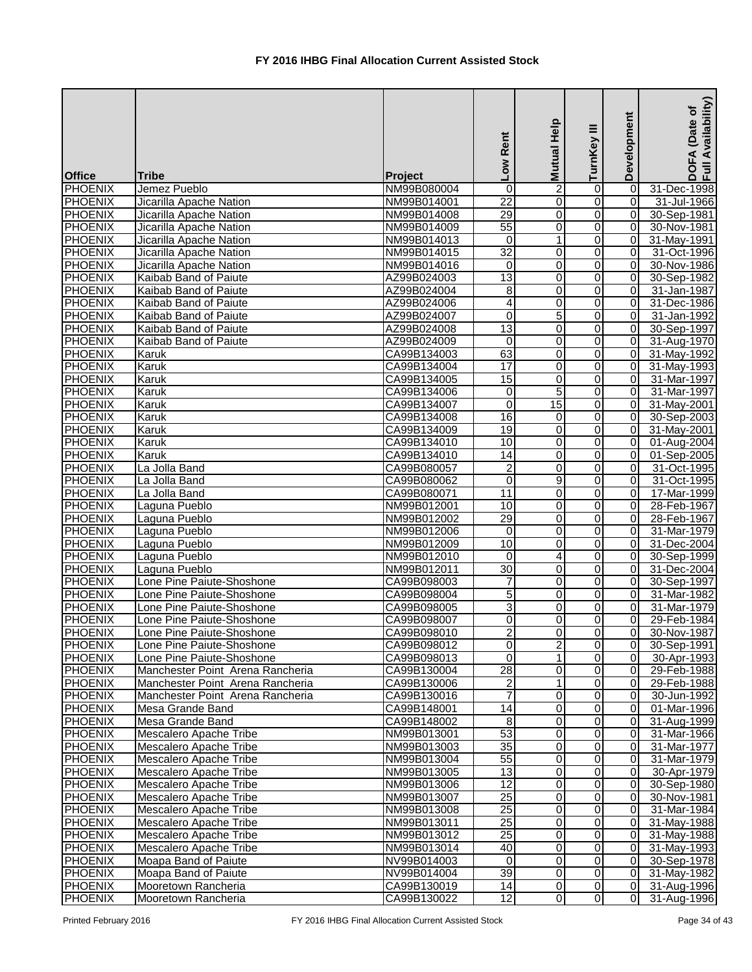| <b>Office</b>  | <b>Tribe</b>                     | Project     | Rent<br>Low     | Mutual Help     | Ξ<br>TurnKey   | Development     | Availability)<br>Date of<br><b>DOFA</b><br>Full Av |
|----------------|----------------------------------|-------------|-----------------|-----------------|----------------|-----------------|----------------------------------------------------|
| <b>PHOENIX</b> | Jemez Pueblo                     | NM99B080004 | 0               | $\overline{c}$  | 0              | $\vert 0 \vert$ | 31-Dec-1998                                        |
| <b>PHOENIX</b> | Jicarilla Apache Nation          | NM99B014001 | $\overline{22}$ | 0               | $\Omega$       | $\overline{0}$  | 31-Jul-1966                                        |
| PHOENIX        | Jicarilla Apache Nation          | NM99B014008 | 29              | 0               | 0              | $\overline{0}$  | 30-Sep-1981                                        |
| PHOENIX        | Jicarilla Apache Nation          | NM99B014009 | 55              | 0               | $\overline{0}$ | $\overline{0}$  | 30-Nov-1981                                        |
| PHOENIX        | Jicarilla Apache Nation          | NM99B014013 | $\overline{0}$  | 1               | 0              | $\overline{0}$  | 31-May-1991                                        |
| PHOENIX        | Jicarilla Apache Nation          | NM99B014015 | $\overline{32}$ | 0               | 0              | $\overline{0}$  | 31-Oct-1996                                        |
| <b>PHOENIX</b> | Jicarilla Apache Nation          | NM99B014016 | $\pmb{0}$       | 0               | 0              | $\overline{0}$  | 30-Nov-1986                                        |
| <b>PHOENIX</b> | Kaibab Band of Paiute            | AZ99B024003 | 13              | $\overline{0}$  | 0              | $\overline{0}$  | 30-Sep-1982                                        |
| <b>PHOENIX</b> | Kaibab Band of Paiute            | AZ99B024004 | 8               | 0               | 0              | $\overline{0}$  | 31-Jan-1987                                        |
| <b>PHOENIX</b> | Kaibab Band of Paiute            | AZ99B024006 | 4               | 0               | 0              | $\Omega$        | 31-Dec-1986                                        |
| <b>PHOENIX</b> | Kaibab Band of Paiute            | AZ99B024007 | 0               | $\overline{5}$  | 0              | $\Omega$        | 31-Jan-1992                                        |
| <b>PHOENIX</b> | Kaibab Band of Paiute            | AZ99B024008 | $\overline{13}$ | 0               | 0              | $\overline{0}$  | 30-Sep-1997                                        |
| <b>PHOENIX</b> | Kaibab Band of Paiute            | AZ99B024009 | 0               | 0               | 0              | $\overline{0}$  | 31-Aug-1970                                        |
| <b>PHOENIX</b> | Karuk                            | CA99B134003 | 63              | 0               | 0              | $\overline{0}$  | 31-May-1992                                        |
| PHOENIX        | Karuk                            | CA99B134004 | $\overline{17}$ | 0               | 0              | 0               | 31-May-1993                                        |
| PHOENIX        | Karuk                            | CA99B134005 | 15              | 0               | 0              | 0               | 31-Mar-1997                                        |
| PHOENIX        | Karuk                            | CA99B134006 | 0               | 5               | 0              | $\overline{0}$  | 31-Mar-1997                                        |
| <b>PHOENIX</b> | Karuk                            | CA99B134007 | 0               | $\overline{15}$ | 0              | $\overline{0}$  | 31-May-2001                                        |
| <b>PHOENIX</b> | Karuk                            | CA99B134008 | $\overline{16}$ | 0               | 0              | $\overline{0}$  | 30-Sep-2003                                        |
| <b>PHOENIX</b> | Karuk                            | CA99B134009 | $\overline{19}$ | 0               | 0              | $\overline{0}$  | 31-May-2001                                        |
| <b>PHOENIX</b> | Karuk                            | CA99B134010 | 10              | 0               | $\Omega$       | $\overline{0}$  | 01-Aug-2004                                        |
| <b>PHOENIX</b> | Karuk                            | CA99B134010 | 14              | 0               | 0              | $\overline{0}$  | 01-Sep-2005                                        |
| <b>PHOENIX</b> | La Jolla Band                    | CA99B080057 | 2               | 0               | 0              | $\Omega$        | 31-Oct-1995                                        |
| PHOENIX        | La Jolla Band                    | CA99B080062 | $\pmb{0}$       | 9               | 0              | $\overline{0}$  | 31-Oct-1995                                        |
| PHOENIX        | La Jolla Band                    | CA99B080071 | $\overline{11}$ | 0               | 0              | $\Omega$        | 17-Mar-1999                                        |
| PHOENIX        | Laguna Pueblo                    | NM99B012001 | 10              | 0               | 0              | $\overline{0}$  | 28-Feb-1967                                        |
| PHOENIX        | Laguna Pueblo                    | NM99B012002 | 29              | 0               | 0              | $\overline{0}$  | 28-Feb-1967                                        |
| <b>PHOENIX</b> | Laguna Pueblo                    | NM99B012006 | $\mathbf 0$     | 0               | 0              | $\overline{0}$  | 31-Mar-1979                                        |
| PHOENIX        | Laguna Pueblo                    | NM99B012009 | 10              | 0               | 0              | $\overline{0}$  | 31-Dec-2004                                        |
| <b>PHOENIX</b> | Laguna Pueblo                    | NM99B012010 | $\mathbf{0}$    | 4               | $\Omega$       | $\overline{0}$  | 30-Sep-1999                                        |
| <b>PHOENIX</b> | Laguna Pueblo                    | NM99B012011 | $\overline{30}$ | 0               | 0              | $\overline{0}$  | 31-Dec-2004                                        |
| <b>PHOENIX</b> | Lone Pine Paiute-Shoshone        | CA99B098003 | $\overline{7}$  | $\overline{0}$  | $\overline{0}$ | $\overline{0}$  | 30-Sep-1997                                        |
| <b>PHOENIX</b> | Lone Pine Paiute-Shoshone        | CA99B098004 | $\overline{5}$  | 0               | $\Omega$       | ΟI              | 31-Mar-1982                                        |
| <b>PHOENIX</b> | Lone Pine Paiute-Shoshone        | CA99B098005 | 3               | 0               | 0              | $\overline{0}$  | 31-Mar-1979                                        |
| <b>PHOENIX</b> | Lone Pine Paiute-Shoshone        | CA99B098007 | 0               | 0               | 0              | ΟI              | 29-Feb-1984                                        |
| <b>PHOENIX</b> | Lone Pine Paiute-Shoshone        | CA99B098010 | $\overline{2}$  | 0               | 0              | $\overline{0}$  | 30-Nov-1987                                        |
| <b>PHOENIX</b> | Lone Pine Paiute-Shoshone        | CA99B098012 | 0               | $\overline{2}$  | 0              | $\overline{0}$  | 30-Sep-1991                                        |
| PHOENIX        | Lone Pine Paiute-Shoshone        | CA99B098013 | $\overline{0}$  | 1               | 0              | $\overline{0}$  | 30-Apr-1993                                        |
| PHOENIX        | Manchester Point Arena Rancheria | CA99B130004 | 28              | 0               | 0              | $\overline{0}$  | 29-Feb-1988                                        |
| PHOENIX        | Manchester Point Arena Rancheria | CA99B130006 | $\overline{2}$  | 1               | 0              | $\overline{0}$  | 29-Feb-1988                                        |
| PHOENIX        | Manchester Point Arena Rancheria | CA99B130016 | 7               | 0               | 0              | $\overline{0}$  | 30-Jun-1992                                        |
| <b>PHOENIX</b> | Mesa Grande Band                 | CA99B148001 | 14              | 0               | $\overline{0}$ | $\overline{0}$  | 01-Mar-1996                                        |
| <b>PHOENIX</b> | Mesa Grande Band                 | CA99B148002 | 8               | 0               | 0              | $\overline{0}$  | 31-Aug-1999                                        |
| <b>PHOENIX</b> | Mescalero Apache Tribe           | NM99B013001 | 53              | 0               | 0              | $\overline{0}$  | 31-Mar-1966                                        |
| <b>PHOENIX</b> | Mescalero Apache Tribe           | NM99B013003 | 35              | 0               | 0              | $\overline{0}$  | 31-Mar-1977                                        |
| <b>PHOENIX</b> | Mescalero Apache Tribe           | NM99B013004 | 55              | 0               | 0              | $\overline{0}$  | 31-Mar-1979                                        |
| <b>PHOENIX</b> | Mescalero Apache Tribe           | NM99B013005 | 13              | 0               | 0              | 0               | 30-Apr-1979                                        |
| <b>PHOENIX</b> | Mescalero Apache Tribe           | NM99B013006 | 12              | 0               | 0              | $\overline{0}$  | 30-Sep-1980                                        |
| <b>PHOENIX</b> | Mescalero Apache Tribe           | NM99B013007 | $\overline{25}$ | 0               | 0              | $\overline{0}$  | 30-Nov-1981                                        |
| PHOENIX        | Mescalero Apache Tribe           | NM99B013008 | 25              | 0               | 0              | $\overline{0}$  | 31-Mar-1984                                        |
| PHOENIX        | Mescalero Apache Tribe           | NM99B013011 | 25              | 0               | 0              | $\overline{0}$  | 31-May-1988                                        |
| PHOENIX        | Mescalero Apache Tribe           | NM99B013012 | 25              | 0               | 0              | 0               | 31-May-1988                                        |
| <b>PHOENIX</b> | Mescalero Apache Tribe           | NM99B013014 | 40              | 0               | $\overline{0}$ | 0               | 31-May-1993                                        |
| <b>PHOENIX</b> | Moapa Band of Paiute             | NV99B014003 | 0               | 0               | 0              | $\overline{0}$  | 30-Sep-1978                                        |
| <b>PHOENIX</b> | Moapa Band of Paiute             | NV99B014004 | 39              | 0               | $\overline{0}$ | $\overline{0}$  | 31-May-1982                                        |
| <b>PHOENIX</b> | Mooretown Rancheria              | CA99B130019 | 14              | 0               | $\overline{0}$ | $\overline{0}$  | 31-Aug-1996                                        |
| <b>PHOENIX</b> | Mooretown Rancheria              | CA99B130022 | 12              | 0               | 0              | $\overline{0}$  | 31-Aug-1996                                        |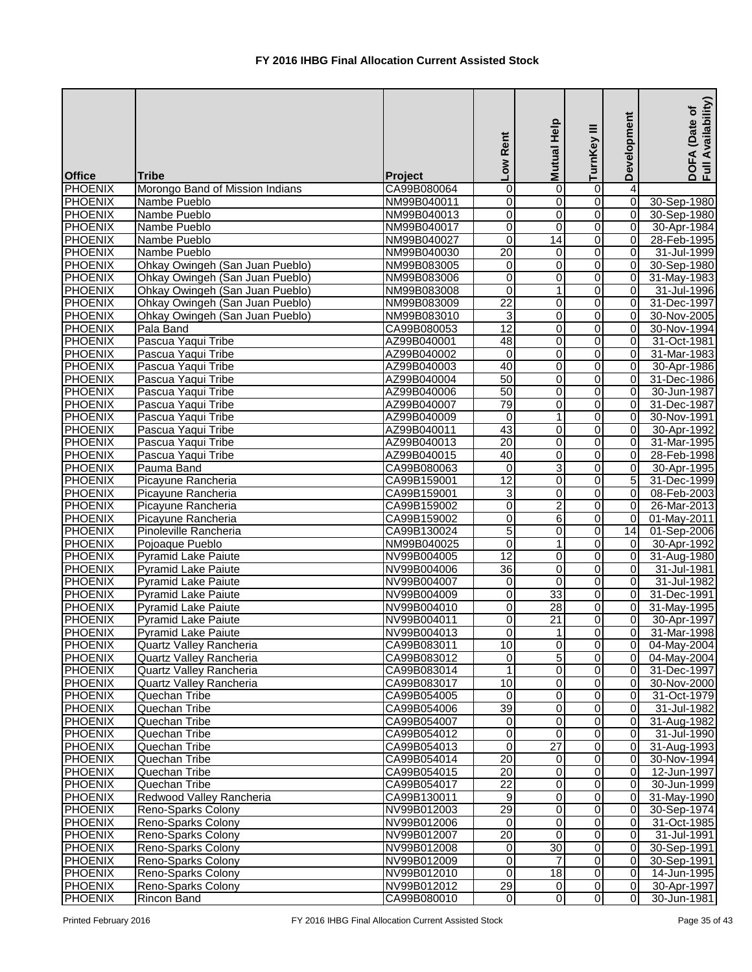| <b>Office</b>  | Tribe                           | Project     | Low Rent        | <b>Mutual Help</b>      | Ξ<br>TurnKey                     | Development     | Availability)<br>(Date of<br>DOFA<br>Full Av |
|----------------|---------------------------------|-------------|-----------------|-------------------------|----------------------------------|-----------------|----------------------------------------------|
| <b>PHOENIX</b> | Morongo Band of Mission Indians | CA99B080064 | 0               | 0                       | $\overline{0}$                   | 4               |                                              |
| <b>PHOENIX</b> | Nambe Pueblo                    | NM99B040011 | 0               | 0                       | $\overline{0}$                   | $\overline{0}$  | 30-Sep-1980                                  |
| PHOENIX        | Nambe Pueblo                    | NM99B040013 | 0               | $\pmb{0}$               | $\overline{0}$                   | $\overline{0}$  | 30-Sep-1980                                  |
| PHOENIX        | Nambe Pueblo                    | NM99B040017 | 0               | $\overline{\mathsf{o}}$ | $\overline{0}$                   | $\overline{0}$  | 30-Apr-1984                                  |
| PHOENIX        | Nambe Pueblo                    | NM99B040027 | $\mathbf 0$     | $\overline{14}$         | $\overline{0}$                   | $\overline{0}$  | 28-Feb-1995                                  |
| <b>PHOENIX</b> | Nambe Pueblo                    | NM99B040030 | $\overline{20}$ | 0                       | $\overline{0}$                   | $\overline{0}$  | 31-Jul-1999                                  |
| <b>PHOENIX</b> | Ohkay Owingeh (San Juan Pueblo) | NM99B083005 | 0               | $\pmb{0}$               | $\overline{0}$                   | $\overline{0}$  | 30-Sep-1980                                  |
| <b>PHOENIX</b> | Ohkay Owingeh (San Juan Pueblo) | NM99B083006 | $\overline{0}$  | $\overline{0}$          | $\overline{0}$                   | $\overline{0}$  | 31-May-1983                                  |
| <b>PHOENIX</b> | Ohkay Owingeh (San Juan Pueblo) | NM99B083008 | 0               | $\mathbf{1}$            | $\overline{0}$                   | $\overline{0}$  | 31-Jul-1996                                  |
| <b>PHOENIX</b> | Ohkay Owingeh (San Juan Pueblo) | NM99B083009 | $\overline{22}$ | $\pmb{0}$               | $\overline{0}$                   | $\overline{0}$  | 31-Dec-1997                                  |
| <b>PHOENIX</b> | Ohkay Owingeh (San Juan Pueblo) | NM99B083010 | 3               | 0                       | $\overline{0}$                   | $\overline{0}$  | 30-Nov-2005                                  |
| <b>PHOENIX</b> | Pala Band                       | CA99B080053 | $\overline{12}$ | 0                       | $\mathbf 0$                      | $\Omega$        | 30-Nov-1994                                  |
| PHOENIX        | Pascua Yaqui Tribe              | AZ99B040001 | 48              | 0                       | $\overline{0}$                   | $\Omega$        | 31-Oct-1981                                  |
| PHOENIX        | Pascua Yaqui Tribe              | AZ99B040002 | $\overline{0}$  | $\overline{0}$          | $\overline{0}$                   | $\overline{0}$  | 31-Mar-1983                                  |
| PHOENIX        | Pascua Yaqui Tribe              | AZ99B040003 | 40              | 0                       | $\overline{0}$                   | $\overline{0}$  | 30-Apr-1986                                  |
| PHOENIX        | Pascua Yaqui Tribe              | AZ99B040004 | 50              | 0                       | $\overline{0}$                   | $\overline{0}$  | 31-Dec-1986                                  |
| <b>PHOENIX</b> | Pascua Yaqui Tribe              | AZ99B040006 | 50              | 0                       | $\overline{0}$                   | $\overline{0}$  | 30-Jun-1987                                  |
| <b>PHOENIX</b> | Pascua Yaqui Tribe              | AZ99B040007 | 79              | $\pmb{0}$               | $\overline{0}$                   | $\overline{0}$  | 31-Dec-1987                                  |
| <b>PHOENIX</b> | Pascua Yaqui Tribe              | AZ99B040009 | $\mathbf 0$     | $\mathbf{1}$            | $\overline{0}$                   | $\overline{0}$  | 30-Nov-1991                                  |
| <b>PHOENIX</b> | Pascua Yaqui Tribe              | AZ99B040011 | 43              | $\overline{\mathsf{o}}$ | $\overline{0}$                   | $\overline{0}$  | 30-Apr-1992                                  |
| <b>PHOENIX</b> | Pascua Yaqui Tribe              | AZ99B040013 | $\overline{20}$ | 0                       | $\overline{0}$                   | $\overline{0}$  | 31-Mar-1995                                  |
| PHOENIX        | Pascua Yaqui Tribe              | AZ99B040015 | 40              | 0                       | $\overline{0}$                   | $\Omega$        | 28-Feb-1998                                  |
| PHOENIX        | Pauma Band                      | CA99B080063 | 0               | 3                       | $\overline{0}$                   | 0               | 30-Apr-1995                                  |
| PHOENIX        | Picayune Rancheria              | CA99B159001 | 12              | 0                       | $\overline{0}$                   | $\overline{5}$  | 31-Dec-1999                                  |
| PHOENIX        | Picayune Rancheria              | CA99B159001 | 3               | $\overline{0}$          | Ō                                | $\overline{0}$  | 08-Feb-2003                                  |
| PHOENIX        | Picayune Rancheria              | CA99B159002 | 0               | $\overline{2}$          | $\overline{0}$                   | $\overline{0}$  | 26-Mar-2013                                  |
| <b>PHOENIX</b> | Picayune Rancheria              | CA99B159002 | 0               | 6                       | $\overline{0}$                   | $\overline{0}$  | 01-May-2011                                  |
| <b>PHOENIX</b> | Pinoleville Rancheria           | CA99B130024 | 5               | 0                       | $\overline{0}$                   | $\overline{14}$ | 01-Sep-2006                                  |
| <b>PHOENIX</b> | Pojoaque Pueblo                 | NM99B040025 | $\mathbf 0$     | $\mathbf{1}$            | $\overline{0}$                   | 0               | 30-Apr-1992                                  |
| <b>PHOENIX</b> | <b>Pyramid Lake Paiute</b>      | NV99B004005 | $\overline{12}$ | 0                       | $\overline{0}$                   | $\overline{0}$  | 31-Aug-1980                                  |
| <b>PHOENIX</b> | <b>Pyramid Lake Paiute</b>      | NV99B004006 | $\overline{36}$ | $\pmb{0}$               | $\overline{0}$                   | $\overline{0}$  | 31-Jul-1981                                  |
| <b>PHOENIX</b> | <b>Pyramid Lake Paiute</b>      | NV99B004007 | $\overline{0}$  | $\overline{0}$          | $\overline{0}$                   | $\overline{0}$  | 31-Jul-1982                                  |
| <b>PHOENIX</b> | <b>Pyramid Lake Paiute</b>      | NV99B004009 | 0               | 33                      | $\overline{0}$                   | $\overline{0}$  | 31-Dec-1991                                  |
| <b>PHOENIX</b> | <b>Pyramid Lake Paiute</b>      | NV99B004010 | 0               | 28                      | $\overline{0}$                   | $\overline{0}$  | 31-May-1995                                  |
| <b>PHOENIX</b> | Pyramid Lake Paiute             | NV99B004011 | 0               | 21                      | $\overline{0}$                   | $\overline{0}$  | 30-Apr-1997                                  |
| <b>PHOENIX</b> | Pyramid Lake Paiute             | NV99B004013 | $\Omega$        | $\mathbf{1}$            | $\overline{0}$                   | $\overline{0}$  | 31-Mar-1998                                  |
| <b>PHOENIX</b> | Quartz Valley Rancheria         | CA99B083011 | 10              | $\overline{\mathsf{o}}$ | $\overline{0}$                   | $\overline{0}$  | 04-May-2004                                  |
| PHOENIX        | Quartz Valley Rancheria         | CA99B083012 | 0               | $\overline{5}$          | $\overline{0}$                   | $\overline{0}$  | 04-May-2004                                  |
| PHOENIX        | Quartz Valley Rancheria         | CA99B083014 |                 | $\overline{\mathsf{o}}$ | $\overline{0}$                   | $\overline{0}$  | 31-Dec-1997                                  |
| <b>PHOENIX</b> | Quartz Valley Rancheria         | CA99B083017 | 10              | 0                       | $\overline{0}$                   | $\overline{0}$  | 30-Nov-2000                                  |
| <b>PHOENIX</b> | Quechan Tribe                   | CA99B054005 | $\mathbf 0$     | 0                       | $\overline{0}$                   | 0               | 31-Oct-1979                                  |
| <b>PHOENIX</b> | <b>Quechan Tribe</b>            | CA99B054006 | 39              | $\overline{\mathsf{o}}$ | $\overline{0}$                   | $\overline{0}$  | 31-Jul-1982                                  |
| <b>PHOENIX</b> | Quechan Tribe                   | CA99B054007 | $\mathbf 0$     | $\pmb{0}$               | $\overline{0}$                   | $\overline{0}$  | 31-Aug-1982                                  |
| <b>PHOENIX</b> | Quechan Tribe                   | CA99B054012 | 0               | $\mathbf 0$             | $\overline{0}$                   | $\overline{0}$  | 31-Jul-1990                                  |
| <b>PHOENIX</b> | Quechan Tribe                   | CA99B054013 | $\mathbf 0$     | $\overline{27}$         | $\mathbf 0$                      | $\overline{0}$  | 31-Aug-1993                                  |
| <b>PHOENIX</b> | Quechan Tribe                   | CA99B054014 | 20              | 0                       | $\mathbf 0$                      | $\overline{0}$  | 30-Nov-1994                                  |
| <b>PHOENIX</b> | Quechan Tribe                   | CA99B054015 | $\overline{20}$ | 0                       | $\overline{0}$                   | $\overline{0}$  | 12-Jun-1997                                  |
| <b>PHOENIX</b> | Quechan Tribe                   | CA99B054017 | $\overline{22}$ | $\overline{\mathsf{o}}$ | $\overline{0}$                   | 0               | 30-Jun-1999                                  |
| <b>PHOENIX</b> | Redwood Valley Rancheria        | CA99B130011 | 9               | $\overline{\mathsf{o}}$ | $\overline{0}$                   | 0               | 31-May-1990                                  |
| <b>PHOENIX</b> | Reno-Sparks Colony              | NV99B012003 | $\overline{29}$ | 0                       | $\overline{0}$                   | 0               | 30-Sep-1974                                  |
| <b>PHOENIX</b> | Reno-Sparks Colony              | NV99B012006 | $\mathbf 0$     | 0                       | $\overline{0}$                   | 0               | 31-Oct-1985                                  |
| <b>PHOENIX</b> | Reno-Sparks Colony              | NV99B012007 | 20              | 0                       | $\overline{0}$                   | $\overline{0}$  | 31-Jul-1991                                  |
| <b>PHOENIX</b> | Reno-Sparks Colony              | NV99B012008 | 0               | 30                      | $\overline{0}$                   | $\overline{0}$  | 30-Sep-1991                                  |
| <b>PHOENIX</b> | <b>Reno-Sparks Colony</b>       | NV99B012009 | 0               | $\overline{7}$          | $\overline{0}$                   | $\overline{0}$  | 30-Sep-1991                                  |
| <b>PHOENIX</b> | <b>Reno-Sparks Colony</b>       | NV99B012010 | $\mathbf 0$     | 18                      | $\overline{0}$                   | $\overline{0}$  | 14-Jun-1995                                  |
| <b>PHOENIX</b> | <b>Reno-Sparks Colony</b>       | NV99B012012 | 29              | $\overline{0}$          | $\overline{0}$<br>$\overline{0}$ | $\overline{0}$  | 30-Apr-1997                                  |
| <b>PHOENIX</b> | <b>Rincon Band</b>              | CA99B080010 | $\overline{0}$  | $\mathbf 0$             |                                  | $\overline{0}$  | 30-Jun-1981                                  |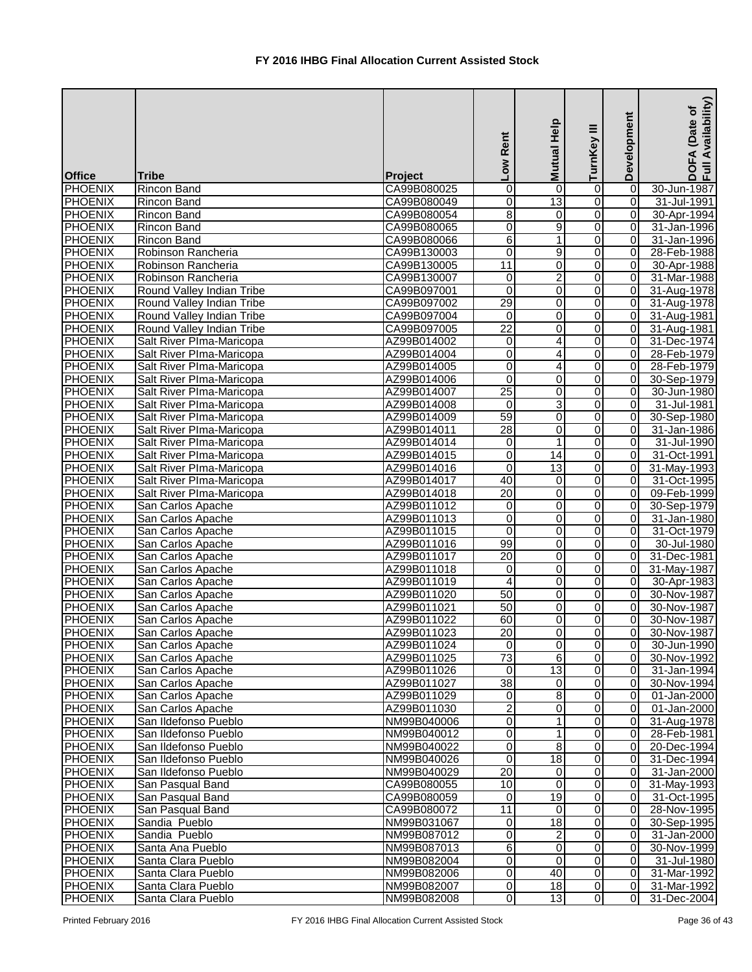| <b>Office</b>                    | <b>Tribe</b>                             | Project                    | Low Rent            | Mutual Help         | Ξ<br>TurnKey        | Development                      | Availability)<br>(Date of<br><b>DOFA</b><br>Full Av |
|----------------------------------|------------------------------------------|----------------------------|---------------------|---------------------|---------------------|----------------------------------|-----------------------------------------------------|
| <b>PHOENIX</b>                   | <b>Rincon Band</b>                       | CA99B080025                | 0                   | 0                   | 0                   | $\vert 0 \vert$                  | 30-Jun-1987                                         |
| <b>PHOENIX</b>                   | <b>Rincon Band</b>                       | CA99B080049                | 0                   | 13                  | 0                   | $\overline{0}$                   | 31-Jul-1991                                         |
| PHOENIX                          | <b>Rincon Band</b>                       | CA99B080054                | 8                   | 0                   | 0                   | $\overline{0}$                   | 30-Apr-1994                                         |
| PHOENIX                          | Rincon Band                              | CA99B080065                | $\overline{0}$      | $\overline{9}$      | 0                   | $\overline{0}$                   | 31-Jan-1996                                         |
| <b>PHOENIX</b>                   | <b>Rincon Band</b>                       | CA99B080066                | 6                   | $\mathbf{1}$        | $\overline{0}$      | 0                                | 31-Jan-1996                                         |
| PHOENIX                          | Robinson Rancheria                       | CA99B130003                | 0                   | $\overline{9}$      | 0                   | $\overline{0}$                   | 28-Feb-1988                                         |
| <b>PHOENIX</b>                   | Robinson Rancheria                       | CA99B130005                | $\overline{11}$     | 0                   | 0                   | $\overline{0}$                   | 30-Apr-1988                                         |
| <b>PHOENIX</b>                   | Robinson Rancheria                       | CA99B130007                | $\mathbf 0$         | $\overline{2}$      | 0                   | $\overline{0}$                   | 31-Mar-1988                                         |
| <b>PHOENIX</b>                   | Round Valley Indian Tribe                | CA99B097001                | 0                   | 0                   | 0                   | $\overline{0}$                   | 31-Aug-1978                                         |
| <b>PHOENIX</b>                   | Round Valley Indian Tribe                | CA99B097002                | $\overline{29}$     | 0                   | 0                   | $\overline{0}$                   | 31-Aug-1978                                         |
| <b>PHOENIX</b>                   | Round Valley Indian Tribe                | CA99B097004                | $\Omega$            | $\mathbf 0$         | 0                   | $\overline{0}$                   | 31-Aug-1981                                         |
| <b>PHOENIX</b>                   | Round Valley Indian Tribe                | CA99B097005                | $\overline{22}$     | 0                   | 0                   | $\overline{0}$                   | 31-Aug-1981                                         |
| PHOENIX                          | Salt River Plma-Maricopa                 | AZ99B014002                | 0                   | 4                   | 0                   | $\overline{0}$                   | 31-Dec-1974                                         |
| <b>PHOENIX</b>                   | Salt River Plma-Maricopa                 | AZ99B014004                | 0                   | 4                   | 0                   | $\overline{0}$                   | 28-Feb-1979                                         |
| PHOENIX                          | Salt River Plma-Maricopa                 | AZ99B014005                | $\overline{0}$      | 4                   | 0                   | $\overline{0}$                   | 28-Feb-1979                                         |
| PHOENIX                          | Salt River PIma-Maricopa                 | AZ99B014006                | 0                   | 0                   | 0                   | 0                                | 30-Sep-1979                                         |
| PHOENIX                          | Salt River Plma-Maricopa                 | AZ99B014007                | $\overline{25}$     | 0                   | 0                   | $\overline{0}$                   | 30-Jun-1980                                         |
| <b>PHOENIX</b>                   | Salt River PIma-Maricopa                 | AZ99B014008                | $\mathbf 0$         | 3                   | 0                   | $\overline{0}$                   | 31-Jul-1981                                         |
| <b>PHOENIX</b>                   | Salt River Plma-Maricopa                 | AZ99B014009                | 59                  | 0                   | 0                   | $\overline{0}$                   | 30-Sep-1980                                         |
| <b>PHOENIX</b>                   | Salt River PIma-Maricopa                 | AZ99B014011                | $\overline{28}$     | 0                   | 0                   | $\overline{0}$                   | 31-Jan-1986                                         |
| <b>PHOENIX</b>                   | Salt River PIma-Maricopa                 | AZ99B014014                | 0                   | $\mathbf{1}$        | $\Omega$            | $\overline{0}$                   | 31-Jul-1990                                         |
| <b>PHOENIX</b>                   | Salt River PIma-Maricopa                 | AZ99B014015                | 0                   | 14                  | 0                   | $\Omega$                         | 31-Oct-1991                                         |
| PHOENIX                          | Salt River PIma-Maricopa                 | AZ99B014016                | 0                   | $\overline{13}$     | 0                   | $\overline{0}$                   | 31-May-1993                                         |
| PHOENIX                          | Salt River PIma-Maricopa                 | AZ99B014017                | 40                  | 0                   | 0                   | $\overline{0}$                   | 31-Oct-1995                                         |
| PHOENIX                          | Salt River PIma-Maricopa                 | AZ99B014018                | 20                  | 0                   | 0                   | $\overline{0}$                   | 09-Feb-1999                                         |
| PHOENIX                          | San Carlos Apache                        | AZ99B011012                | $\pmb{0}$           | 0                   | 0                   | $\overline{0}$                   | 30-Sep-1979                                         |
| PHOENIX                          | San Carlos Apache                        | AZ99B011013                | 0                   | 0                   | 0                   | $\overline{0}$                   | 31-Jan-1980                                         |
| <b>PHOENIX</b>                   | San Carlos Apache                        | AZ99B011015                | $\overline{0}$      | 0                   | 0                   | $\overline{0}$                   | 31-Oct-1979                                         |
| PHOENIX                          | San Carlos Apache                        | AZ99B011016                | 99                  | 0                   | 0                   | $\overline{0}$                   | 30-Jul-1980                                         |
| <b>PHOENIX</b>                   | San Carlos Apache                        | AZ99B011017                | $\overline{20}$     | 0                   | 0                   | $\overline{0}$                   | 31-Dec-1981                                         |
| <b>PHOENIX</b>                   | San Carlos Apache                        | AZ99B011018                | $\overline{0}$      | 0                   | $\overline{0}$      | $\overline{0}$                   | 31-May-1987                                         |
| <b>PHOENIX</b>                   | San Carlos Apache                        | AZ99B011019                | $\overline{4}$      | $\overline{0}$      | $\overline{0}$      | 0                                | 30-Apr-1983                                         |
| <b>PHOENIX</b>                   | San Carlos Apache                        | AZ99B011020                | 50                  | 0                   | 0                   | 01                               | 30-Nov-1987                                         |
| <b>PHOENIX</b>                   | San Carlos Apache                        | AZ99B011021                | 50                  | 0                   | 0                   | $\overline{0}$                   | 30-Nov-1987                                         |
| <b>PHOENIX</b>                   | San Carlos Apache                        | AZ99B011022                | 60                  | 0                   | 0                   | ΟI                               | 30-Nov-1987                                         |
| <b>PHOENIX</b>                   | San Carlos Apache                        | AZ99B011023                | $\overline{20}$     | 0                   | 0                   | $\overline{0}$                   | 30-Nov-1987                                         |
| <b>PHOENIX</b>                   | San Carlos Apache                        | AZ99B011024                | $\mathbf{0}$        | 0                   | 0                   | $\overline{0}$                   | 30-Jun-1990                                         |
| PHOENIX                          | San Carlos Apache                        | AZ99B011025                | $\overline{73}$     | 6                   | 0                   | $\overline{0}$                   | 30-Nov-1992                                         |
| PHOENIX                          | San Carlos Apache                        | AZ99B011026                | $\overline{0}$      | $\overline{13}$     | 0                   | $\overline{0}$                   | 31-Jan-1994                                         |
| PHOENIX                          | San Carlos Apache                        | AZ99B011027                | $\overline{38}$     | $\mathbf 0$         | 0                   | 0                                | 30-Nov-1994                                         |
| <b>PHOENIX</b>                   | San Carlos Apache                        | AZ99B011029                | 0                   | 8                   | 0                   | $\overline{0}$                   | 01-Jan-2000                                         |
| <b>PHOENIX</b>                   | San Carlos Apache                        | AZ99B011030                | $\overline{2}$      | 0                   | $\overline{0}$      | $\overline{0}$                   | 01-Jan-2000                                         |
| <b>PHOENIX</b>                   | San Ildefonso Pueblo                     | NM99B040006                | 0                   | 1                   | 0                   | $\overline{0}$                   | 31-Aug-1978                                         |
| <b>PHOENIX</b>                   | San Ildefonso Pueblo                     | NM99B040012                | 0                   | 1                   | 0                   | $\overline{0}$                   | 28-Feb-1981                                         |
| <b>PHOENIX</b>                   | San Ildefonso Pueblo                     | NM99B040022                | 0                   | $\overline{8}$      | 0                   | $\overline{0}$                   | 20-Dec-1994                                         |
| <b>PHOENIX</b>                   | San Ildefonso Pueblo                     | NM99B040026                | 0                   | 18                  | 0                   | $\overline{0}$                   | 31-Dec-1994                                         |
| <b>PHOENIX</b>                   | San Ildefonso Pueblo                     | NM99B040029                | 20                  | 0                   | 0                   | $\overline{0}$                   | 31-Jan-2000                                         |
| <b>PHOENIX</b>                   | San Pasqual Band                         | CA99B080055                | 10                  | $\mathbf 0$         | 0                   | $\overline{0}$                   | 31-May-1993                                         |
| <b>PHOENIX</b>                   | San Pasqual Band                         | CA99B080059                | $\overline{0}$      | 19                  | 0                   | $\overline{0}$                   | 31-Oct-1995                                         |
| <b>PHOENIX</b>                   | San Pasqual Band                         | CA99B080072                | 11                  | 0                   | 0                   | $\overline{0}$                   | 28-Nov-1995                                         |
| PHOENIX                          | Sandia Pueblo                            | NM99B031067                | 0                   | 18                  | 0                   | 0                                | 30-Sep-1995                                         |
| <b>PHOENIX</b>                   | Sandia Pueblo                            | NM99B087012                | 0                   | $\overline{c}$<br>0 | 0<br>0              | $\overline{0}$<br>$\overline{0}$ | 31-Jan-2000                                         |
| <b>PHOENIX</b>                   | Santa Ana Pueblo                         | NM99B087013                | 6<br>0              | $\mathbf 0$         |                     | $\overline{0}$                   | 30-Nov-1999                                         |
| <b>PHOENIX</b>                   | Santa Clara Pueblo                       | NM99B082004<br>NM99B082006 | $\overline{0}$      |                     | 0<br>$\overline{0}$ | ΟI                               | 31-Jul-1980                                         |
| <b>PHOENIX</b>                   | Santa Clara Pueblo<br>Santa Clara Pueblo | NM99B082007                |                     | 40                  | $\overline{0}$      | $\overline{0}$                   | 31-Mar-1992                                         |
| <b>PHOENIX</b><br><b>PHOENIX</b> | Santa Clara Pueblo                       | NM99B082008                | $\overline{0}$<br>0 | 18<br>13            | 0                   | $\overline{0}$                   | 31-Mar-1992<br>31-Dec-2004                          |
|                                  |                                          |                            |                     |                     |                     |                                  |                                                     |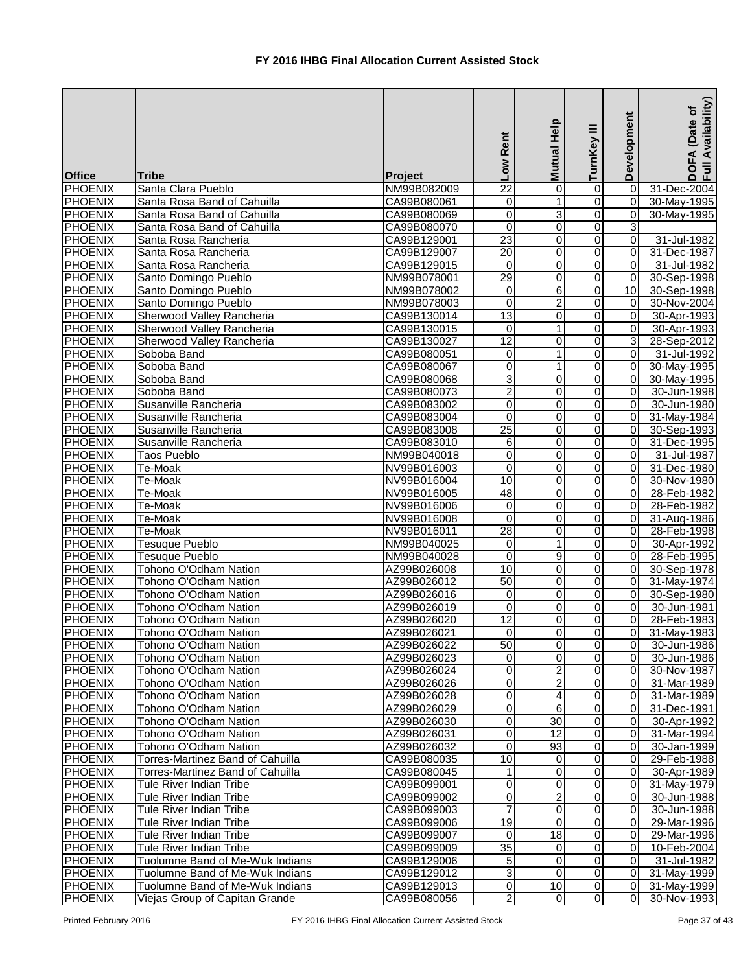| <b>Office</b>  | <b>Tribe</b>                     | Project     | Low Rent                | Mutual Help     | Ξ<br>TurnKey   | Development     | Availability)<br>Date of<br>4<br>$rac{1}{2}$ |
|----------------|----------------------------------|-------------|-------------------------|-----------------|----------------|-----------------|----------------------------------------------|
| <b>PHOENIX</b> | Santa Clara Pueblo               | NM99B082009 | 22                      | 0               | 0              | 0               | 31-Dec-2004                                  |
| <b>PHOENIX</b> | Santa Rosa Band of Cahuilla      | CA99B080061 | 0                       | 1               | 0              | $\overline{0}$  | 30-May-1995                                  |
| PHOENIX        | Santa Rosa Band of Cahuilla      | CA99B080069 | 0                       | 3               | 0              | $\overline{0}$  | 30-May-1995                                  |
| PHOENIX        | Santa Rosa Band of Cahuilla      | CA99B080070 | $\mathbf 0$             | 0               | 0              | $\overline{3}$  |                                              |
| PHOENIX        | Santa Rosa Rancheria             | CA99B129001 | $\overline{23}$         | 0               | 0              | $\overline{0}$  | 31-Jul-1982                                  |
| <b>PHOENIX</b> | Santa Rosa Rancheria             | CA99B129007 | 20                      | $\mathbf 0$     | 0              | $\overline{0}$  | 31-Dec-1987                                  |
| <b>PHOENIX</b> | Santa Rosa Rancheria             | CA99B129015 | $\mathbf 0$             | 0               | 0              | 0               | 31-Jul-1982                                  |
| <b>PHOENIX</b> | Santo Domingo Pueblo             | NM99B078001 | 29                      | 0               | 0              | $\overline{0}$  | 30-Sep-1998                                  |
| <b>PHOENIX</b> | Santo Domingo Pueblo             | NM99B078002 | $\mathbf 0$             | $\overline{6}$  | $\overline{0}$ | 10 <sup>1</sup> | 30-Sep-1998                                  |
| <b>PHOENIX</b> | Santo Domingo Pueblo             | NM99B078003 | 0                       | $\overline{2}$  | 0              | $\overline{0}$  | 30-Nov-2004                                  |
| <b>PHOENIX</b> | Sherwood Valley Rancheria        | CA99B130014 | $\overline{13}$         | 0               | 0              | $\overline{0}$  | 30-Apr-1993                                  |
| <b>PHOENIX</b> | Sherwood Valley Rancheria        | CA99B130015 | 0                       | 1               | 0              | $\overline{0}$  | 30-Apr-1993                                  |
| <b>PHOENIX</b> | Sherwood Valley Rancheria        | CA99B130027 | $\overline{12}$         | 0               | 0              | 3               | 28-Sep-2012                                  |
| <b>PHOENIX</b> | Soboba Band                      | CA99B080051 | 0                       | 1               | 0              | $\Omega$        | 31-Jul-1992                                  |
| PHOENIX        | Soboba Band                      | CA99B080067 | 0                       | 1               | 0              | $\overline{0}$  | 30-May-1995                                  |
| PHOENIX        | Soboba Band                      | CA99B080068 | 3                       | 0               | 0              | $\overline{0}$  | 30-May-1995                                  |
| PHOENIX        | Soboba Band                      | CA99B080073 | $\overline{2}$          | $\mathbf 0$     | 0              | $\overline{0}$  | 30-Jun-1998                                  |
| PHOENIX        | Susanville Rancheria             | CA99B083002 | 0                       | 0               | 0              | $\overline{0}$  | 30-Jun-1980                                  |
| <b>PHOENIX</b> | Susanville Rancheria             | CA99B083004 | 0                       | 0               | 0              | $\overline{0}$  | 31-May-1984                                  |
| <b>PHOENIX</b> | Susanville Rancheria             | CA99B083008 | $\overline{25}$         | 0               | 0              | $\overline{0}$  | 30-Sep-1993                                  |
| <b>PHOENIX</b> | Susanville Rancheria             | CA99B083010 | 6                       | 0               | 0              | $\overline{0}$  | 31-Dec-1995                                  |
| <b>PHOENIX</b> | <b>Taos Pueblo</b>               | NM99B040018 | 0                       | 0               | 0              | $\overline{0}$  | 31-Jul-1987                                  |
| <b>PHOENIX</b> | Te-Moak                          | NV99B016003 | 0                       | $\mathbf 0$     | 0              | $\Omega$        | 31-Dec-1980                                  |
| PHOENIX        | Te-Moak                          | NV99B016004 | 10                      | 0               | 0              | $\overline{0}$  | 30-Nov-1980                                  |
| PHOENIX        | Te-Moak                          | NV99B016005 | 48                      | 0               | 0              | $\overline{0}$  | 28-Feb-1982                                  |
| PHOENIX        | Te-Moak                          | NV99B016006 | $\mathbf 0$             | $\overline{0}$  | 0              | $\Omega$        | 28-Feb-1982                                  |
| PHOENIX        | Te-Moak                          | NV99B016008 | $\mathbf 0$             | 0               | 0              | $\overline{0}$  | 31-Aug-1986                                  |
| PHOENIX        | Te-Moak                          | NV99B016011 | $\overline{28}$         | 0               | 0              | $\overline{0}$  | 28-Feb-1998                                  |
| PHOENIX        | Tesuque Pueblo                   | NM99B040025 | $\pmb{0}$               | $\mathbf{1}$    | 0              | $\overline{0}$  | 30-Apr-1992                                  |
| <b>PHOENIX</b> | <b>Tesuque Pueblo</b>            | NM99B040028 | $\mathbf 0$             | 9               | $\Omega$       | $\overline{0}$  | 28-Feb-1995                                  |
| <b>PHOENIX</b> | Tohono O'Odham Nation            | AZ99B026008 | 10                      | 0               | $\Omega$       | $\overline{0}$  | 30-Sep-1978                                  |
| <b>PHOENIX</b> | Tohono O'Odham Nation            | AZ99B026012 | 50                      | $\overline{0}$  | $\overline{0}$ | $\overline{0}$  | 31-May-1974                                  |
| <b>PHOENIX</b> | Tohono O'Odham Nation            | AZ99B026016 | $\Omega$                | 0               | $\overline{0}$ | 0I              | 30-Sep-1980                                  |
| <b>PHOENIX</b> | Tohono O'Odham Nation            | AZ99B026019 | $\Omega$                | 0               | 0              | ΟI              | 30-Jun-1981                                  |
| <b>PHOENIX</b> | Tohono O'Odham Nation            | AZ99B026020 | 12                      | 0               | 0              | $\overline{0}$  | 28-Feb-1983                                  |
| <b>PHOENIX</b> | Tohono O'Odham Nation            | AZ99B026021 | 0                       | 0               | 0              | $\overline{0}$  | 31-May-1983                                  |
| <b>PHOENIX</b> | Tohono O'Odham Nation            | AZ99B026022 | 50                      | 0               | 0              | $\overline{0}$  | 30-Jun-1986                                  |
| <b>PHOENIX</b> | Tohono O'Odham Nation            | AZ99B026023 | 0                       | 0               | 0              | $\overline{0}$  | 30-Jun-1986                                  |
| PHOENIX        | Tohono O'Odham Nation            | AZ99B026024 | 0                       | $\overline{c}$  | 0              | $\overline{0}$  | 30-Nov-1987                                  |
| PHOENIX        | Tohono O'Odham Nation            | AZ99B026026 | 0                       | $\overline{2}$  | 0              | $\overline{0}$  | 31-Mar-1989                                  |
| PHOENIX        | Tohono O'Odham Nation            | AZ99B026028 | 0                       | 4               | 0              | $\overline{0}$  | 31-Mar-1989                                  |
| <b>PHOENIX</b> | Tohono O'Odham Nation            | AZ99B026029 | 0                       | 6               | 0              | $\overline{0}$  | 31-Dec-1991                                  |
| <b>PHOENIX</b> | Tohono O'Odham Nation            | AZ99B026030 | $\overline{\mathsf{o}}$ | $\overline{30}$ | $\overline{0}$ | $\overline{0}$  | 30-Apr-1992                                  |
| <b>PHOENIX</b> | Tohono O'Odham Nation            | AZ99B026031 | 0                       | 12              | 0              | $\overline{0}$  | 31-Mar-1994                                  |
| <b>PHOENIX</b> | Tohono O'Odham Nation            | AZ99B026032 | $\Omega$                | 93              | 0              | $\Omega$        | 30-Jan-1999                                  |
| <b>PHOENIX</b> | Torres-Martinez Band of Cahuilla | CA99B080035 | 10                      | 0               | 0              | $\overline{0}$  | 29-Feb-1988                                  |
| <b>PHOENIX</b> | Torres-Martinez Band of Cahuilla | CA99B080045 |                         | 0               | 0              | $\overline{0}$  | 30-Apr-1989                                  |
| <b>PHOENIX</b> | Tule River Indian Tribe          | CA99B099001 | 0                       | 0               | 0              | $\overline{0}$  | 31-May-1979                                  |
| <b>PHOENIX</b> | Tule River Indian Tribe          | CA99B099002 | 0                       | $\overline{c}$  | 0              | 0               | 30-Jun-1988                                  |
| <b>PHOENIX</b> | Tule River Indian Tribe          | CA99B099003 |                         | 0               | 0              | 0               | 30-Jun-1988                                  |
| PHOENIX        | Tule River Indian Tribe          | CA99B099006 | 19                      | $\Omega$        | 0              | $\overline{0}$  | 29-Mar-1996                                  |
| PHOENIX        | Tule River Indian Tribe          | CA99B099007 | $\Omega$                | 18              | 0              | $\overline{0}$  | 29-Mar-1996                                  |
| <b>PHOENIX</b> | <b>Tule River Indian Tribe</b>   | CA99B099009 | 35                      | 0               | 0              | $\overline{0}$  | 10-Feb-2004                                  |
| <b>PHOENIX</b> | Tuolumne Band of Me-Wuk Indians  | CA99B129006 | 5                       | $\mathbf 0$     | $\overline{0}$ | $\overline{0}$  | 31-Jul-1982                                  |
| <b>PHOENIX</b> | Tuolumne Band of Me-Wuk Indians  | CA99B129012 | 3                       | 0               | $\overline{0}$ | $\overline{0}$  | 31-May-1999                                  |
| <b>PHOENIX</b> | Tuolumne Band of Me-Wuk Indians  | CA99B129013 | 0                       | 10              | $\overline{0}$ | $\overline{0}$  | 31-May-1999                                  |
| <b>PHOENIX</b> | Viejas Group of Capitan Grande   | CA99B080056 | $\overline{2}$          | $\mathbf 0$     | 0              | $\overline{0}$  | 30-Nov-1993                                  |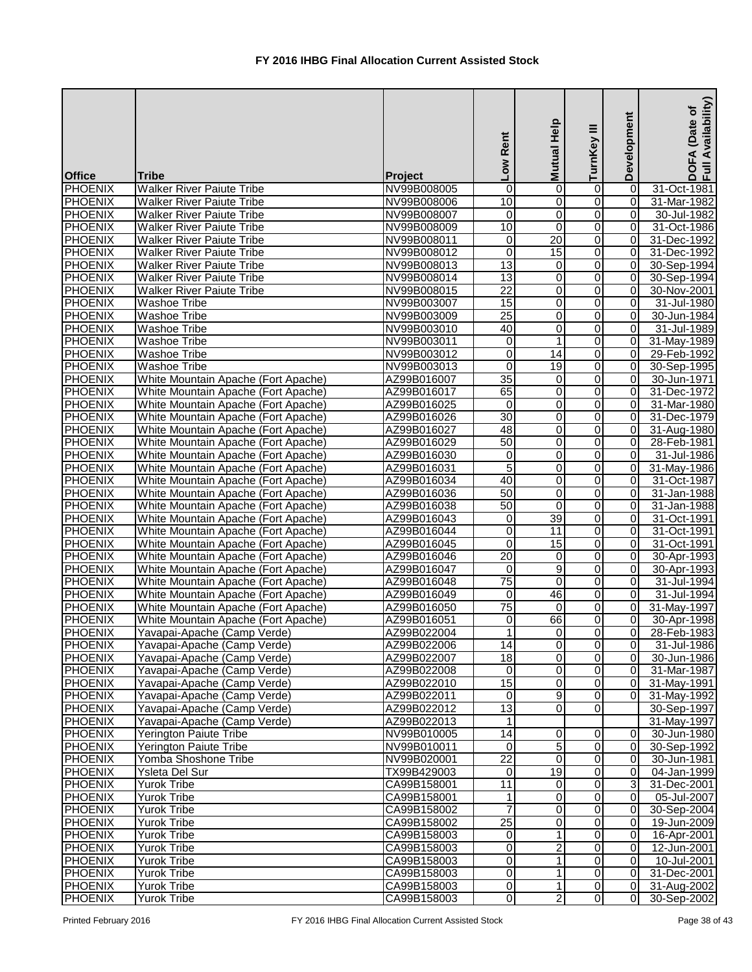| <b>Office</b>  | Tribe                               | Project     | Rent<br>NOT     | <b>Mutual Help</b>      | ≡<br>TurnKey   | Development    | Availability)<br>(Date of<br>DOFA<br>Full Av |
|----------------|-------------------------------------|-------------|-----------------|-------------------------|----------------|----------------|----------------------------------------------|
| PHOENIX        | <b>Walker River Paiute Tribe</b>    | NV99B008005 | 0               | 0                       | $\mathbf 0$    | $\Omega$       | 31-Oct-1981                                  |
| PHOENIX        | <b>Walker River Paiute Tribe</b>    | NV99B008006 | 10              | 0                       | $\overline{0}$ | 0              | 31-Mar-1982                                  |
| <b>PHOENIX</b> | <b>Walker River Paiute Tribe</b>    | NV99B008007 | 0               | $\overline{0}$          | $\overline{0}$ | 0              | 30-Jul-1982                                  |
| PHOENIX        | <b>Walker River Paiute Tribe</b>    | NV99B008009 | 10              | $\mathbf 0$             | $\overline{0}$ | 0              | 31-Oct-1986                                  |
| PHOENIX        | <b>Walker River Paiute Tribe</b>    | NV99B008011 | 0               | 20                      | $\overline{0}$ | 0              | 31-Dec-1992                                  |
| <b>PHOENIX</b> | <b>Walker River Paiute Tribe</b>    | NV99B008012 | $\overline{0}$  | 15                      | $\overline{0}$ | $\overline{0}$ | 31-Dec-1992                                  |
| <b>PHOENIX</b> | <b>Walker River Paiute Tribe</b>    | NV99B008013 | $\overline{13}$ | 0                       | $\overline{0}$ | $\overline{0}$ | 30-Sep-1994                                  |
| <b>PHOENIX</b> | <b>Walker River Paiute Tribe</b>    | NV99B008014 | $\overline{13}$ | 0                       | $\overline{0}$ | $\overline{0}$ | 30-Sep-1994                                  |
| <b>PHOENIX</b> | <b>Walker River Paiute Tribe</b>    | NV99B008015 | $\overline{22}$ | $\overline{0}$          | $\overline{0}$ | $\overline{0}$ | 30-Nov-2001                                  |
| <b>PHOENIX</b> | <b>Washoe Tribe</b>                 | NV99B003007 | $\overline{15}$ | $\pmb{0}$               | $\overline{0}$ | $\overline{0}$ | 31-Jul-1980                                  |
| <b>PHOENIX</b> | <b>Washoe Tribe</b>                 | NV99B003009 | $\overline{25}$ | 0                       | $\overline{0}$ | $\Omega$       | 30-Jun-1984                                  |
| <b>PHOENIX</b> | <b>Washoe Tribe</b>                 | NV99B003010 | 40              | 0                       | $\mathbf 0$    | 0              | 31-Jul-1989                                  |
| <b>PHOENIX</b> | <b>Washoe Tribe</b>                 | NV99B003011 | 0               | 1                       | $\overline{0}$ | 0              | 31-May-1989                                  |
| PHOENIX        | <b>Washoe Tribe</b>                 | NV99B003012 | 0               | 14                      | $\overline{0}$ | $\overline{0}$ | 29-Feb-1992                                  |
| PHOENIX        | <b>Washoe Tribe</b>                 | NV99B003013 | 0               | $\overline{19}$         | $\overline{0}$ | 0              | 30-Sep-1995                                  |
| PHOENIX        | White Mountain Apache (Fort Apache) | AZ99B016007 | $\overline{35}$ | $\mathbf 0$             | $\overline{0}$ | $\overline{0}$ | 30-Jun-1971                                  |
| <b>PHOENIX</b> | White Mountain Apache (Fort Apache) | AZ99B016017 | 65              | 0                       | $\overline{0}$ | $\overline{0}$ | 31-Dec-1972                                  |
| <b>PHOENIX</b> | White Mountain Apache (Fort Apache) | AZ99B016025 | $\mathbf 0$     | 0                       | $\overline{0}$ | $\overline{0}$ | 31-Mar-1980                                  |
| <b>PHOENIX</b> | White Mountain Apache (Fort Apache) | AZ99B016026 | 30              | 0                       | $\overline{0}$ | $\overline{0}$ | 31-Dec-1979                                  |
| <b>PHOENIX</b> | White Mountain Apache (Fort Apache) | AZ99B016027 | 48              | 0                       | $\overline{0}$ | $\overline{0}$ | 31-Aug-1980                                  |
| <b>PHOENIX</b> | White Mountain Apache (Fort Apache) | AZ99B016029 | 50              | 0                       | $\overline{0}$ | $\overline{0}$ | 28-Feb-1981                                  |
| <b>PHOENIX</b> | White Mountain Apache (Fort Apache) | AZ99B016030 | 0               | 0                       | $\mathbf 0$    | $\Omega$       | 31-Jul-1986                                  |
| <b>PHOENIX</b> | White Mountain Apache (Fort Apache) | AZ99B016031 | $\overline{5}$  | 0                       | $\overline{0}$ | 0              | 31-May-1986                                  |
| PHOENIX        | White Mountain Apache (Fort Apache) | AZ99B016034 | 40              | 0                       | $\overline{0}$ | 0              | 31-Oct-1987                                  |
| PHOENIX        | White Mountain Apache (Fort Apache) | AZ99B016036 | 50              | 0                       | $\overline{0}$ | $\Omega$       | 31-Jan-1988                                  |
| <b>PHOENIX</b> | White Mountain Apache (Fort Apache) | AZ99B016038 | 50              | $\overline{0}$          | $\overline{0}$ | $\Omega$       | 31-Jan-1988                                  |
| PHOENIX        | White Mountain Apache (Fort Apache) | AZ99B016043 | 0               | $\overline{39}$         | $\overline{0}$ | $\Omega$       | 31-Oct-1991                                  |
| PHOENIX        | White Mountain Apache (Fort Apache) | AZ99B016044 | 0               | $\overline{11}$         | $\overline{0}$ | $\Omega$       | 31-Oct-1991                                  |
| PHOENIX        | White Mountain Apache (Fort Apache) | AZ99B016045 | 0               | 15                      | $\overline{0}$ | $\overline{0}$ | 31-Oct-1991                                  |
| <b>PHOENIX</b> | White Mountain Apache (Fort Apache) | AZ99B016046 | $\overline{20}$ | $\mathbf 0$             | $\overline{0}$ | $\overline{0}$ | 30-Apr-1993                                  |
| <b>PHOENIX</b> | White Mountain Apache (Fort Apache) | AZ99B016047 | 0               | $\overline{9}$          | $\overline{0}$ | $\overline{0}$ | 30-Apr-1993                                  |
| <b>PHOENIX</b> | White Mountain Apache (Fort Apache) | AZ99B016048 | 75              | $\overline{0}$          | 0              | $\overline{0}$ | 31-Jul-1994                                  |
| <b>PHOENIX</b> | White Mountain Apache (Fort Apache) | AZ99B016049 | 0               | 46                      | $\overline{0}$ | $\overline{0}$ | 31-Jul-1994                                  |
| <b>PHOENIX</b> | White Mountain Apache (Fort Apache) | AZ99B016050 | 75              | 0                       | $\overline{0}$ | $\overline{0}$ | 31-May-1997                                  |
| <b>PHOENIX</b> | White Mountain Apache (Fort Apache) | AZ99B016051 | 0               | 66                      | $\mathbf 0$    | $\overline{0}$ | 30-Apr-1998                                  |
| <b>PHOENIX</b> | Yavapai-Apache (Camp Verde)         | AZ99B022004 | 1               | 0                       | $\overline{0}$ | $\overline{0}$ | 28-Feb-1983                                  |
| <b>PHOENIX</b> | Yavapai-Apache (Camp Verde)         | AZ99B022006 | 14              | $\pmb{0}$               | $\overline{0}$ | $\overline{0}$ | 31-Jul-1986                                  |
| <b>PHOENIX</b> | Yavapai-Apache (Camp Verde)         | AZ99B022007 | 18              | $\overline{\mathsf{o}}$ | $\overline{0}$ | $\overline{0}$ | 30-Jun-1986                                  |
| PHOENIX        | Yavapai-Apache (Camp Verde)         | AZ99B022008 | 0               | $\mathbf 0$             | $\overline{0}$ | $\overline{0}$ | 31-Mar-1987                                  |
| <b>PHOENIX</b> | Yavapai-Apache (Camp Verde)         | AZ99B022010 | 15              | $\pmb{0}$               | $\overline{0}$ | $\overline{0}$ | 31-May-1991                                  |
| PHOENIX        | Yavapai-Apache (Camp Verde)         | AZ99B022011 | $\mathbf 0$     | 9                       | $\overline{0}$ | $\overline{0}$ | 31-May-1992                                  |
| <b>PHOENIX</b> | Yavapai-Apache (Camp Verde)         | AZ99B022012 | $\overline{13}$ | 0                       | $\overline{0}$ |                | 30-Sep-1997                                  |
| <b>PHOENIX</b> | Yavapai-Apache (Camp Verde)         | AZ99B022013 | 1               |                         |                |                | 31-May-1997                                  |
| <b>PHOENIX</b> | Yerington Paiute Tribe              | NV99B010005 | 14              | 0                       | $\overline{0}$ | $\overline{0}$ | 30-Jun-1980                                  |
| <b>PHOENIX</b> | Yerington Paiute Tribe              | NV99B010011 | $\Omega$        | 5                       | $\overline{0}$ | $\overline{0}$ | 30-Sep-1992                                  |
| <b>PHOENIX</b> | Yomba Shoshone Tribe                | NV99B020001 | 22              | 0                       | $\mathbf 0$    | 0              | 30-Jun-1981                                  |
| <b>PHOENIX</b> | Ysleta Del Sur                      | TX99B429003 | 0               | 19                      | $\overline{0}$ | $\overline{0}$ | 04-Jan-1999                                  |
| <b>PHOENIX</b> | <b>Yurok Tribe</b>                  | CA99B158001 | 11              | 0                       | $\overline{0}$ | دى             | 31-Dec-2001                                  |
| <b>PHOENIX</b> | <b>Yurok Tribe</b>                  | CA99B158001 | 1               | $\pmb{0}$               | $\overline{0}$ | $\overline{0}$ | 05-Jul-2007                                  |
| <b>PHOENIX</b> | <b>Yurok Tribe</b>                  | CA99B158002 | 7               | $\mathbf 0$             | $\overline{0}$ | 0              | 30-Sep-2004                                  |
| <b>PHOENIX</b> | <b>Yurok Tribe</b>                  | CA99B158002 | 25              | 0                       | $\overline{0}$ | 0              | 19-Jun-2009                                  |
| <b>PHOENIX</b> | <b>Yurok Tribe</b>                  | CA99B158003 | 0               | 1                       | $\overline{0}$ | 0              | 16-Apr-2001                                  |
| <b>PHOENIX</b> | <b>Yurok Tribe</b>                  | CA99B158003 | 0               | $\overline{2}$          | $\overline{0}$ | 0              | 12-Jun-2001                                  |
| <b>PHOENIX</b> | <b>Yurok Tribe</b>                  | CA99B158003 | 0               | $\mathbf{1}$            | $\overline{0}$ | $\overline{0}$ | 10-Jul-2001                                  |
| <b>PHOENIX</b> | <b>Yurok Tribe</b>                  | CA99B158003 | 0               | $\mathbf{1}$            | $\overline{0}$ | $\overline{0}$ | 31-Dec-2001                                  |
| <b>PHOENIX</b> | <b>Yurok Tribe</b>                  | CA99B158003 | 0               | $\mathbf{1}$            | $\overline{0}$ | $\overline{0}$ | 31-Aug-2002                                  |
| <b>PHOENIX</b> | <b>Yurok Tribe</b>                  | CA99B158003 | $\overline{0}$  | $\overline{2}$          | $\overline{0}$ | $\overline{0}$ | 30-Sep-2002                                  |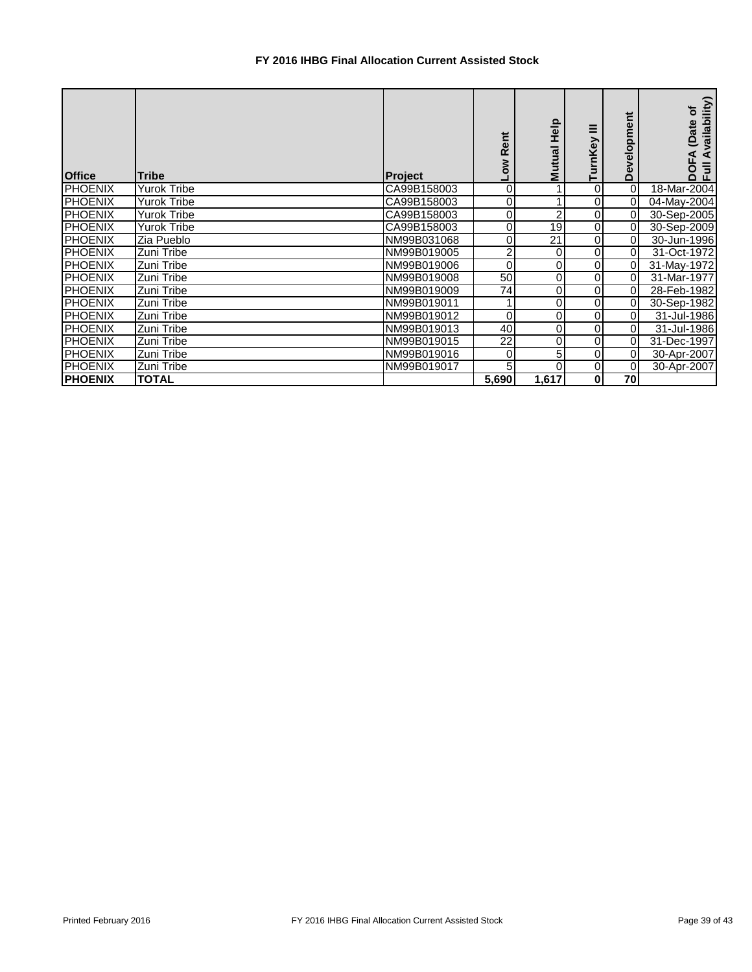## **FY 2016 IHBG Final Allocation Current Assisted Stock**

| <b>Office</b>  | <b>Tribe</b>       | Project     | Rent<br>š | Mutual Help | ≡<br>TurnKey | elopi<br>Φ<br>Ŏ | Availability)<br>đ<br>(Date<br>⋖<br>DOF<br>Ful |
|----------------|--------------------|-------------|-----------|-------------|--------------|-----------------|------------------------------------------------|
| <b>PHOENIX</b> | <b>Yurok Tribe</b> | CA99B158003 | 0         |             | 0            | 0               | 18-Mar-2004                                    |
| <b>PHOENIX</b> | <b>Yurok Tribe</b> | CA99B158003 | 0         |             | 0            | $\Omega$        | 04-May-2004                                    |
| <b>PHOENIX</b> | <b>Yurok Tribe</b> | CA99B158003 | 0         | 2           | 0            | $\Omega$        | 30-Sep-2005                                    |
| <b>PHOENIX</b> | <b>Yurok Tribe</b> | CA99B158003 | 0         | 19          | 0            | $\Omega$        | 30-Sep-2009                                    |
| <b>PHOENIX</b> | Zia Pueblo         | NM99B031068 | 0         | 21          | 0            | 0I              | 30-Jun-1996                                    |
| <b>PHOENIX</b> | Zuni Tribe         | NM99B019005 | 2         | 0           | 0            | $\overline{0}$  | 31-Oct-1972                                    |
| <b>PHOENIX</b> | Zuni Tribe         | NM99B019006 | 0         | 0           | 0            | 0               | 31-May-1972                                    |
| <b>PHOENIX</b> | Zuni Tribe         | NM99B019008 | 50        | 0           | 0            | $\Omega$        | 31-Mar-1977                                    |
| <b>PHOENIX</b> | Zuni Tribe         | NM99B019009 | 74        | 0           | 0            | 0               | 28-Feb-1982                                    |
| <b>PHOENIX</b> | Zuni Tribe         | NM99B019011 |           |             | 0            | $\Omega$        | 30-Sep-1982                                    |
| <b>PHOENIX</b> | Zuni Tribe         | NM99B019012 | 0         |             | 0            | 0               | 31-Jul-1986                                    |
| <b>PHOENIX</b> | Zuni Tribe         | NM99B019013 | 40        | 0           | 0            | $\overline{0}$  | 31-Jul-1986                                    |
| <b>PHOENIX</b> | Zuni Tribe         | NM99B019015 | 22        | 0           | 0            | $\Omega$        | 31-Dec-1997                                    |
| <b>PHOENIX</b> | Zuni Tribe         | NM99B019016 | 0         | 5           | 0            | $\Omega$        | 30-Apr-2007                                    |
| <b>PHOENIX</b> | Zuni Tribe         | NM99B019017 | 5         | 0           | 0            | $\Omega$        | 30-Apr-2007                                    |
| <b>PHOENIX</b> | <b>TOTAL</b>       |             | 5,690     | 1,617       | 0            | 70              |                                                |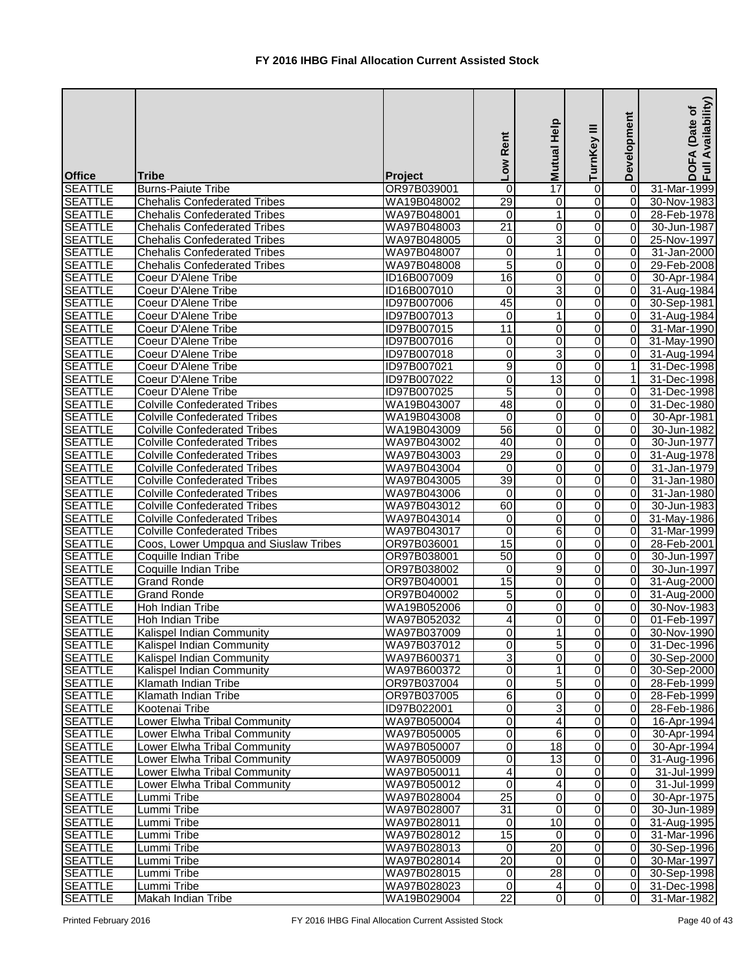|                                 |                                                                            |                            | Low Rent        | $\frac{a}{T}$ and $\frac{b}{T}$ | ≡<br>TurnKey   | Development    | Availability)<br>(Date of<br>DOFA<br>Full Av |
|---------------------------------|----------------------------------------------------------------------------|----------------------------|-----------------|---------------------------------|----------------|----------------|----------------------------------------------|
| <b>Office</b><br><b>SEATTLE</b> | Tribe<br><b>Burns-Paiute Tribe</b>                                         | Project                    | $\mathbf 0$     |                                 | $\overline{0}$ | $\overline{0}$ | 31-Mar-1999                                  |
| <b>SEATTLE</b>                  |                                                                            | OR97B039001                |                 |                                 | $\overline{0}$ | $\overline{0}$ |                                              |
| <b>SEATTLE</b>                  | <b>Chehalis Confederated Tribes</b><br><b>Chehalis Confederated Tribes</b> | WA19B048002<br>WA97B048001 | 29<br>0         | 0<br>$\mathbf{1}$               | $\overline{0}$ | 0              | 30-Nov-1983<br>28-Feb-1978                   |
| <b>SEATTLE</b>                  | <b>Chehalis Confederated Tribes</b>                                        | WA97B048003                | $\overline{21}$ | $\overline{\mathsf{o}}$         | $\overline{0}$ | $\overline{0}$ | 30-Jun-1987                                  |
| <b>SEATTLE</b>                  | <b>Chehalis Confederated Tribes</b>                                        | WA97B048005                | 0               | 3                               | $\overline{0}$ | 0              | 25-Nov-1997                                  |
| <b>SEATTLE</b>                  | <b>Chehalis Confederated Tribes</b>                                        | WA97B048007                | 0               | 1                               | $\overline{0}$ | $\overline{0}$ | 31-Jan-2000                                  |
| <b>SEATTLE</b>                  | <b>Chehalis Confederated Tribes</b>                                        | WA97B048008                | $\overline{5}$  | $\pmb{0}$                       | $\overline{0}$ | $\overline{0}$ | 29-Feb-2008                                  |
| <b>SEATTLE</b>                  | Coeur D'Alene Tribe                                                        | ID16B007009                | 16              | $\overline{0}$                  | $\overline{0}$ | $\overline{0}$ | 30-Apr-1984                                  |
| <b>SEATTLE</b>                  | Coeur D'Alene Tribe                                                        | ID16B007010                | $\mathbf 0$     | دن                              | $\overline{0}$ | $\overline{0}$ | 31-Aug-1984                                  |
| <b>SEATTLE</b>                  | Coeur D'Alene Tribe                                                        | ID97B007006                | 45              | 0                               | $\overline{0}$ | $\overline{0}$ | 30-Sep-1981                                  |
| <b>SEATTLE</b>                  | Coeur D'Alene Tribe                                                        | ID97B007013                | $\mathbf 0$     | $\mathbf{1}$                    | $\overline{0}$ | $\overline{0}$ | 31-Aug-1984                                  |
| <b>SEATTLE</b>                  | Coeur D'Alene Tribe                                                        | ID97B007015                | 11              | 0                               | $\overline{0}$ | 0              | 31-Mar-1990                                  |
| <b>SEATTLE</b>                  | Coeur D'Alene Tribe                                                        | ID97B007016                | 0               | 0                               | $\overline{0}$ | $\overline{0}$ | 31-May-1990                                  |
| <b>SEATTLE</b>                  | Coeur D'Alene Tribe                                                        | <b>ID97B007018</b>         | 0               | $\overline{3}$                  | $\overline{0}$ | 0              | 31-Aug-1994                                  |
| <b>SEATTLE</b>                  | Coeur D'Alene Tribe                                                        | ID97B007021                | 9               | $\mathbf 0$                     | $\overline{0}$ | 1              | 31-Dec-1998                                  |
| <b>SEATTLE</b>                  | Coeur D'Alene Tribe                                                        | ID97B007022                | 0               | $\overline{13}$                 | $\overline{0}$ | 1              | 31-Dec-1998                                  |
| <b>SEATTLE</b>                  | Coeur D'Alene Tribe                                                        | ID97B007025                | 5               | 0                               | $\overline{0}$ | $\overline{0}$ | 31-Dec-1998                                  |
| <b>SEATTLE</b>                  | <b>Colville Confederated Tribes</b>                                        | WA19B043007                | 48              | 0                               | $\overline{0}$ | $\overline{0}$ | 31-Dec-1980                                  |
| <b>SEATTLE</b>                  | <b>Colville Confederated Tribes</b>                                        | WA19B043008                | $\mathbf 0$     | 0                               | $\overline{0}$ | $\overline{0}$ | 30-Apr-1981                                  |
| <b>SEATTLE</b>                  | <b>Colville Confederated Tribes</b>                                        | WA19B043009                | $\overline{56}$ | $\overline{\mathsf{o}}$         | $\overline{0}$ | $\overline{0}$ | 30-Jun-1982                                  |
| <b>SEATTLE</b>                  | <b>Colville Confederated Tribes</b>                                        | WA97B043002                | 40              | 0                               | $\overline{0}$ | $\overline{0}$ | 30-Jun-1977                                  |
| <b>SEATTLE</b>                  | <b>Colville Confederated Tribes</b>                                        | WA97B043003                | 29              | 0                               | $\overline{0}$ | $\Omega$       | 31-Aug-1978                                  |
| <b>SEATTLE</b>                  | <b>Colville Confederated Tribes</b>                                        | WA97B043004                | $\mathbf 0$     | 0                               | $\overline{0}$ | $\Omega$       | 31-Jan-1979                                  |
| <b>SEATTLE</b>                  | <b>Colville Confederated Tribes</b>                                        | WA97B043005                | 39              | 0                               | $\overline{0}$ | $\overline{0}$ | 31-Jan-1980                                  |
| <b>SEATTLE</b>                  | <b>Colville Confederated Tribes</b>                                        | WA97B043006                | 0               | $\overline{0}$                  | Ō              | $\overline{0}$ | 31-Jan-1980                                  |
| <b>SEATTLE</b>                  | <b>Colville Confederated Tribes</b>                                        | WA97B043012                | 60              | $\pmb{0}$                       | $\overline{0}$ | $\overline{0}$ | 30-Jun-1983                                  |
| <b>SEATTLE</b>                  | <b>Colville Confederated Tribes</b>                                        | WA97B043014                | $\mathbf 0$     | $\pmb{0}$                       | $\overline{0}$ | 0              | 31-May-1986                                  |
| <b>SEATTLE</b>                  | <b>Colville Confederated Tribes</b>                                        | WA97B043017                | $\overline{0}$  | $\overline{6}$                  | $\overline{0}$ | $\overline{0}$ | 31-Mar-1999                                  |
| <b>SEATTLE</b>                  | Coos, Lower Umpqua and Siuslaw Tribes                                      | OR97B036001                | 15              | 0                               | $\overline{0}$ | $\overline{0}$ | 28-Feb-2001                                  |
| <b>SEATTLE</b>                  | Coquille Indian Tribe                                                      | OR97B038001                | 50              | 0                               | $\overline{0}$ | $\overline{0}$ | 30-Jun-1997                                  |
| <b>SEATTLE</b>                  | Coquille Indian Tribe                                                      | OR97B038002                | $\mathbf 0$     | $\overline{9}$                  | $\overline{0}$ | $\overline{0}$ | 30-Jun-1997                                  |
| <b>SEATTLE</b>                  | <b>Grand Ronde</b>                                                         | OR97B040001                | 15              | 0                               | $\overline{0}$ | $\overline{0}$ | 31-Aug-2000                                  |
| <b>SEATTLE</b>                  | <b>Grand Ronde</b>                                                         | OR97B040002                | 5               | $\mathbf 0$                     | $\overline{0}$ | $\overline{0}$ | 31-Aug-2000                                  |
| <b>SEATTLE</b>                  | Hoh Indian Tribe                                                           | WA19B052006                | 0               | 0                               | $\overline{0}$ | $\overline{0}$ | 30-Nov-1983                                  |
| <b>SEATTLE</b>                  | Hoh Indian Tribe                                                           | WA97B052032                | 4               | 0                               | $\overline{0}$ | $\overline{0}$ | 01-Feb-1997                                  |
| <b>SEATTLE</b>                  | Kalispel Indian Community                                                  | WA97B037009                | 0               | $\mathbf{1}$                    | $\overline{0}$ | $\overline{0}$ | 30-Nov-1990                                  |
| <b>SEATTLE</b>                  | Kalispel Indian Community                                                  | WA97B037012                | 0               | $\overline{5}$                  | $\overline{0}$ | $\overline{0}$ | 31-Dec-1996                                  |
| <b>SEATTLE</b>                  | Kalispel Indian Community                                                  | WA97B600371                | 3               | $\overline{\mathsf{o}}$         | $\overline{0}$ | 0              | 30-Sep-2000                                  |
| <b>SEATTLE</b>                  | Kalispel Indian Community                                                  | WA97B600372                | 0               | 1                               | $\overline{0}$ | $\overline{0}$ | 30-Sep-2000                                  |
| <b>SEATTLE</b>                  | Klamath Indian Tribe                                                       | OR97B037004                | 0               | $\overline{5}$                  | $\overline{0}$ | $\overline{0}$ | 28-Feb-1999                                  |
| <b>SEATTLE</b>                  | Klamath Indian Tribe                                                       | OR97B037005                | 6               | $\pmb{0}$                       | $\overline{0}$ | $\overline{0}$ | 28-Feb-1999                                  |
| <b>SEATTLE</b>                  | Kootenai Tribe                                                             | ID97B022001                | $\overline{0}$  | $\overline{3}$                  | $\overline{0}$ | $\overline{0}$ | 28-Feb-1986                                  |
| <b>SEATTLE</b>                  | Lower Elwha Tribal Community                                               | WA97B050004                | 0               | $\overline{\mathbf{4}}$         | $\overline{0}$ | $\overline{0}$ | 16-Apr-1994                                  |
| <b>SEATTLE</b>                  | Lower Elwha Tribal Community                                               | WA97B050005                | 0               | $\sigma$                        | $\overline{0}$ | $\overline{0}$ | 30-Apr-1994                                  |
| <b>SEATTLE</b>                  | Lower Elwha Tribal Community                                               | WA97B050007                | 0               | $\frac{1}{8}$                   | $\overline{0}$ | $\overline{0}$ | 30-Apr-1994                                  |
| <b>SEATTLE</b>                  | Lower Elwha Tribal Community                                               | WA97B050009                | 0               | 13                              | $\mathbf 0$    | 0              | 31-Aug-1996                                  |
| <b>SEATTLE</b>                  | Lower Elwha Tribal Community                                               | WA97B050011                | 4               | 0                               | $\overline{0}$ | $\overline{0}$ | 31-Jul-1999                                  |
| <b>SEATTLE</b>                  | Lower Elwha Tribal Community                                               | WA97B050012                | 0               | $\overline{4}$                  | $\overline{0}$ | $\overline{0}$ | 31-Jul-1999                                  |
| <b>SEATTLE</b>                  | Lummi Tribe                                                                | WA97B028004                | $\overline{25}$ | $\overline{\mathsf{o}}$         | $\overline{0}$ | 0              | 30-Apr-1975                                  |
| <b>SEATTLE</b>                  | Lummi Tribe                                                                | WA97B028007                | $\overline{31}$ | 0                               | $\overline{0}$ | 0              | 30-Jun-1989                                  |
| <b>SEATTLE</b>                  | Lummi Tribe                                                                | WA97B028011                | $\mathbf 0$     | 10                              | $\overline{0}$ | $\overline{0}$ | 31-Aug-1995                                  |
| <b>SEATTLE</b>                  | Lummi Tribe                                                                | WA97B028012                | $\overline{15}$ | $\mathbf 0$                     | $\overline{0}$ | $\overline{0}$ | 31-Mar-1996                                  |
| <b>SEATTLE</b>                  | Lummi Tribe                                                                | WA97B028013                | 0               | $\overline{20}$                 | $\overline{0}$ | $\overline{0}$ | 30-Sep-1996                                  |
| <b>SEATTLE</b>                  | Lummi Tribe                                                                | WA97B028014                | 20              | $\Omega$                        | $\overline{0}$ | $\overline{0}$ | 30-Mar-1997                                  |
| <b>SEATTLE</b>                  | Lummi Tribe                                                                | WA97B028015                | $\mathbf 0$     | $\overline{28}$                 | $\overline{0}$ | $\overline{0}$ | 30-Sep-1998                                  |
| <b>SEATTLE</b>                  | Lummi Tribe                                                                | WA97B028023                | $\mathbf{0}$    | 4                               | $\overline{0}$ | $\overline{0}$ | 31-Dec-1998                                  |
| <b>SEATTLE</b>                  | Makah Indian Tribe                                                         | WA19B029004                | 22              | $\mathbf 0$                     | $\overline{0}$ | $\overline{0}$ | 31-Mar-1982                                  |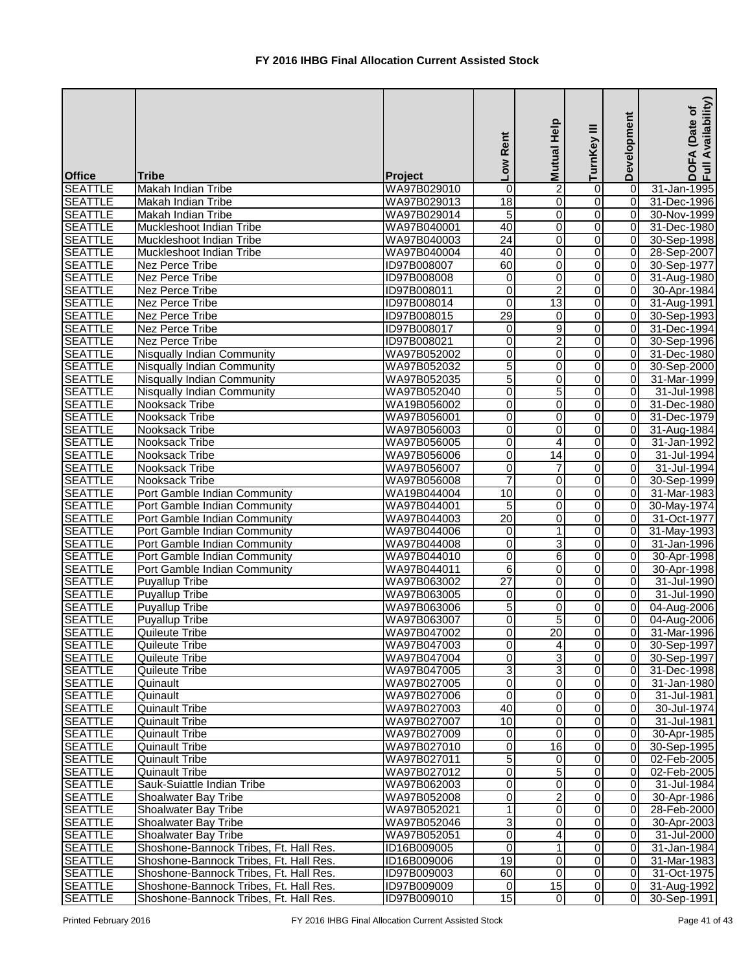| <b>Office</b>                    | Tribe                                          | Project                    | Low Rent        | <b>Mutual Help</b>            | $\equiv$<br>TurnKey              | Development                      | Availability)<br>Date of<br>DOFA<br>Full Av |
|----------------------------------|------------------------------------------------|----------------------------|-----------------|-------------------------------|----------------------------------|----------------------------------|---------------------------------------------|
| <b>SEATTLE</b>                   | Makah Indian Tribe                             | WA97B029010                | 0               | $\overline{2}$                | 0                                | $\Omega$                         | 31-Jan-1995                                 |
| <b>SEATTLE</b>                   | Makah Indian Tribe                             | WA97B029013                | 18              | 0                             | 0                                | 0                                | 31-Dec-1996                                 |
| <b>SEATTLE</b>                   | Makah Indian Tribe                             | WA97B029014                | 5               | Ō                             | 0                                | $\overline{0}$                   | 30-Nov-1999                                 |
| <b>SEATTLE</b>                   | Muckleshoot Indian Tribe                       | WA97B040001                | 40              | $\pmb{0}$                     | $\overline{0}$                   | $\overline{0}$                   | 31-Dec-1980                                 |
| <b>SEATTLE</b>                   | Muckleshoot Indian Tribe                       | WA97B040003                | 24              | $\mathbf 0$                   | $\overline{0}$                   | 0                                | 30-Sep-1998                                 |
| <b>SEATTLE</b>                   | Muckleshoot Indian Tribe                       | WA97B040004                | 40              | 0                             | $\overline{0}$                   | $\overline{0}$                   | 28-Sep-2007                                 |
| <b>SEATTLE</b>                   | Nez Perce Tribe                                | ID97B008007                | 60              | $\pmb{0}$                     | $\overline{0}$                   | $\overline{0}$                   | 30-Sep-1977                                 |
| <b>SEATTLE</b>                   | Nez Perce Tribe                                | ID97B008008                | 0               | 0                             | 0                                | $\overline{0}$                   | 31-Aug-1980                                 |
| <b>SEATTLE</b>                   | <b>Nez Perce Tribe</b>                         | ID97B008011                | $\overline{0}$  | $\overline{2}$                | $\overline{0}$                   | $\overline{0}$                   | 30-Apr-1984                                 |
| <b>SEATTLE</b>                   | <b>Nez Perce Tribe</b>                         | ID97B008014                | 0               | $\overline{13}$               | 0                                | $\overline{0}$                   | 31-Aug-1991                                 |
| <b>SEATTLE</b>                   | Nez Perce Tribe                                | ID97B008015                | 29              | $\mathbf 0$                   | 0                                | $\overline{0}$                   | 30-Sep-1993                                 |
| <b>SEATTLE</b>                   | <b>Nez Perce Tribe</b>                         | ID97B008017                | 0               | $\overline{9}$                | 0                                | $\overline{0}$                   | 31-Dec-1994                                 |
| <b>SEATTLE</b>                   | Nez Perce Tribe                                | ID97B008021                | 0               | $\overline{2}$                | 0                                | 0                                | 30-Sep-1996                                 |
| <b>SEATTLE</b>                   | <b>Nisqually Indian Community</b>              | WA97B052002                | 0               | 0                             | 0                                | $\overline{0}$                   | 31-Dec-1980                                 |
| <b>SEATTLE</b>                   | <b>Nisqually Indian Community</b>              | WA97B052032                | 5               | $\pmb{0}$                     | 0                                | $\overline{0}$                   | 30-Sep-2000                                 |
| <b>SEATTLE</b>                   | <b>Nisqually Indian Community</b>              | WA97B052035                | 5               | 0                             | $\overline{0}$                   | $\overline{0}$                   | 31-Mar-1999                                 |
| <b>SEATTLE</b>                   | <b>Nisqually Indian Community</b>              | WA97B052040                | 0               | 5                             | $\overline{0}$                   | 0                                | 31-Jul-1998                                 |
| <b>SEATTLE</b>                   | Nooksack Tribe                                 | WA19B056002                | 0               | 0                             | 0                                | $\overline{0}$                   | 31-Dec-1980                                 |
| <b>SEATTLE</b>                   | Nooksack Tribe                                 | WA97B056001                | 0               | 0                             | $\overline{0}$                   | $\overline{0}$                   | 31-Dec-1979                                 |
| <b>SEATTLE</b>                   | Nooksack Tribe                                 | WA97B056003                | 0               | 0                             | 0                                | $\overline{0}$                   | 31-Aug-1984                                 |
| <b>SEATTLE</b>                   | Nooksack Tribe                                 | WA97B056005                | 0               | 4                             | 0                                | $\overline{0}$                   | 31-Jan-1992                                 |
| <b>SEATTLE</b>                   | Nooksack Tribe                                 | WA97B056006                | 0               | 14                            | 0                                | $\overline{0}$                   | 31-Jul-1994                                 |
| <b>SEATTLE</b>                   | Nooksack Tribe                                 | WA97B056007                | 0               | 7                             | 0                                | $\Omega$                         | 31-Jul-1994                                 |
| <b>SEATTLE</b>                   | Nooksack Tribe                                 | WA97B056008                | 7               | 0                             | 0                                | 0                                | 30-Sep-1999                                 |
| <b>SEATTLE</b>                   | Port Gamble Indian Community                   | WA19B044004                | 10              | 0                             | 0                                | $\Omega$                         | 31-Mar-1983                                 |
| <b>SEATTLE</b>                   | Port Gamble Indian Community                   | WA97B044001                | 5               | O                             | $\overline{0}$                   | $\overline{0}$                   | 30-May-1974                                 |
| <b>SEATTLE</b>                   | Port Gamble Indian Community                   | WA97B044003                | $\overline{20}$ | 0                             | 0                                | 0                                | 31-Oct-1977                                 |
| <b>SEATTLE</b>                   | Port Gamble Indian Community                   | WA97B044006                | $\pmb{0}$       | 1                             | $\overline{0}$                   | 0                                | 31-May-1993                                 |
| <b>SEATTLE</b>                   | Port Gamble Indian Community                   | WA97B044008                | 0               | 3                             | 0                                | 0                                | 31-Jan-1996                                 |
| <b>SEATTLE</b>                   | Port Gamble Indian Community                   | WA97B044010                | $\mathbf 0$     | $\sigma$                      | $\overline{0}$                   | $\overline{0}$                   | 30-Apr-1998                                 |
| <b>SEATTLE</b>                   | Port Gamble Indian Community                   | WA97B044011                | 6               | 0                             | $\overline{0}$                   | $\overline{0}$                   | 30-Apr-1998                                 |
| <b>SEATTLE</b>                   | Puyallup Tribe                                 | WA97B063002                | 27              | $\overline{0}$                | $\overline{0}$                   | $\overline{0}$                   | 31-Jul-1990                                 |
| <b>SEATTLE</b>                   | <b>Puyallup Tribe</b>                          | WA97B063005                | 0               | 0                             | $\overline{0}$                   | $\overline{0}$                   | 31-Jul-1990                                 |
| <b>SEATTLE</b>                   | Puyallup Tribe                                 | WA97B063006                | 5               | 0                             | $\overline{0}$                   | $\overline{0}$                   | 04-Aug-2006                                 |
| <b>SEATTLE</b>                   | <b>Puyallup Tribe</b>                          | WA97B063007                | 0               | $\overline{5}$                | 0                                | $\overline{0}$                   | 04-Aug-2006                                 |
| <b>SEATTLE</b>                   | Quileute Tribe                                 | WA97B047002                | 0               | 20                            | $\overline{0}$                   | $\overline{0}$                   | 31-Mar-1996                                 |
| <b>SEATTLE</b>                   | Quileute Tribe                                 | WA97B047003                | 0               | $\overline{\mathbf{4}}$       | $\overline{0}$                   | $\overline{0}$                   | 30-Sep-1997                                 |
| <b>SEATTLE</b>                   | Quileute Tribe                                 | WA97B047004                | 0               | دن                            | $\overline{0}$                   | $\overline{0}$                   | 30-Sep-1997                                 |
| <b>SEATTLE</b>                   | Quileute Tribe                                 | WA97B047005                | 3               | $\ensuremath{\mathsf{3}}$     | $\overline{0}$                   | $\overline{0}$                   | 31-Dec-1998                                 |
| <b>SEATTLE</b>                   | Quinault                                       | WA97B027005                | 0               | $\overline{0}$                | $\overline{0}$                   | $\overline{0}$                   | 31-Jan-1980                                 |
| <b>SEATTLE</b>                   | Quinault                                       | WA97B027006                | $\mathbf 0$     | $\mathbf 0$                   | $\overline{0}$                   | 0                                | 31-Jul-1981                                 |
| <b>SEATTLE</b>                   | <b>Quinault Tribe</b>                          | WA97B027003                | 40              | $\pmb{0}$                     | $\overline{0}$                   | $\overline{0}$                   | 30-Jul-1974                                 |
| <b>SEATTLE</b>                   | <b>Quinault Tribe</b>                          | WA97B027007                | 10              | $\overline{0}$<br>$\mathbf 0$ | $\overline{0}$<br>$\overline{0}$ | $\overline{0}$<br>$\overline{0}$ | 31-Jul-1981                                 |
| <b>SEATTLE</b><br><b>SEATTLE</b> | <b>Quinault Tribe</b>                          | WA97B027009<br>WA97B027010 | 0<br>0          | 16                            | $\overline{0}$                   | $\overline{0}$                   | 30-Apr-1985                                 |
| <b>SEATTLE</b>                   | <b>Quinault Tribe</b><br><b>Quinault Tribe</b> | WA97B027011                | 5               | $\mathbf 0$                   | 0                                | $\overline{0}$                   | 30-Sep-1995<br>02-Feb-2005                  |
| <b>SEATTLE</b>                   | <b>Quinault Tribe</b>                          | WA97B027012                | 0               | 5                             | $\overline{0}$                   | $\overline{0}$                   | $\overline{0}$ 2-Feb-2005                   |
| <b>SEATTLE</b>                   | Sauk-Suiattle Indian Tribe                     | WA97B062003                | 0               | $\pmb{0}$                     | 0                                | $\overline{0}$                   | 31-Jul-1984                                 |
| <b>SEATTLE</b>                   | Shoalwater Bay Tribe                           | WA97B052008                | 0               | $\overline{2}$                | $\overline{0}$                   | $\overline{0}$                   | 30-Apr-1986                                 |
| <b>SEATTLE</b>                   | Shoalwater Bay Tribe                           | WA97B052021                |                 | $\overline{0}$                | $\overline{0}$                   | 0                                | 28-Feb-2000                                 |
| <b>SEATTLE</b>                   | Shoalwater Bay Tribe                           | WA97B052046                | 3               | 0                             | $\overline{0}$                   | $\overline{0}$                   | 30-Apr-2003                                 |
| <b>SEATTLE</b>                   | Shoalwater Bay Tribe                           | WA97B052051                | 0               | 4                             | $\overline{0}$                   | $\overline{0}$                   | 31-Jul-2000                                 |
| <b>SEATTLE</b>                   | Shoshone-Bannock Tribes, Ft. Hall Res.         | ID16B009005                | 0               | $\mathbf{1}$                  | $\overline{0}$                   | $\overline{0}$                   | 31-Jan-1984                                 |
| <b>SEATTLE</b>                   | Shoshone-Bannock Tribes, Ft. Hall Res.         | ID16B009006                | $\overline{19}$ | $\overline{\mathbf{o}}$       | $\overline{0}$                   | $\overline{0}$                   | 31-Mar-1983                                 |
| <b>SEATTLE</b>                   | Shoshone-Bannock Tribes, Ft. Hall Res.         | ID97B009003                | 60              | $\overline{0}$                | $\overline{0}$                   | $\overline{0}$                   | 31-Oct-1975                                 |
| <b>SEATTLE</b>                   | Shoshone-Bannock Tribes, Ft. Hall Res.         | ID97B009009                | $\Omega$        | 15                            | $\overline{0}$                   | $\overline{0}$                   | 31-Aug-1992                                 |
| <b>SEATTLE</b>                   | Shoshone-Bannock Tribes, Ft. Hall Res.         | ID97B009010                | 15              | $\overline{0}$                | $\overline{0}$                   | $\overline{0}$                   | 30-Sep-1991                                 |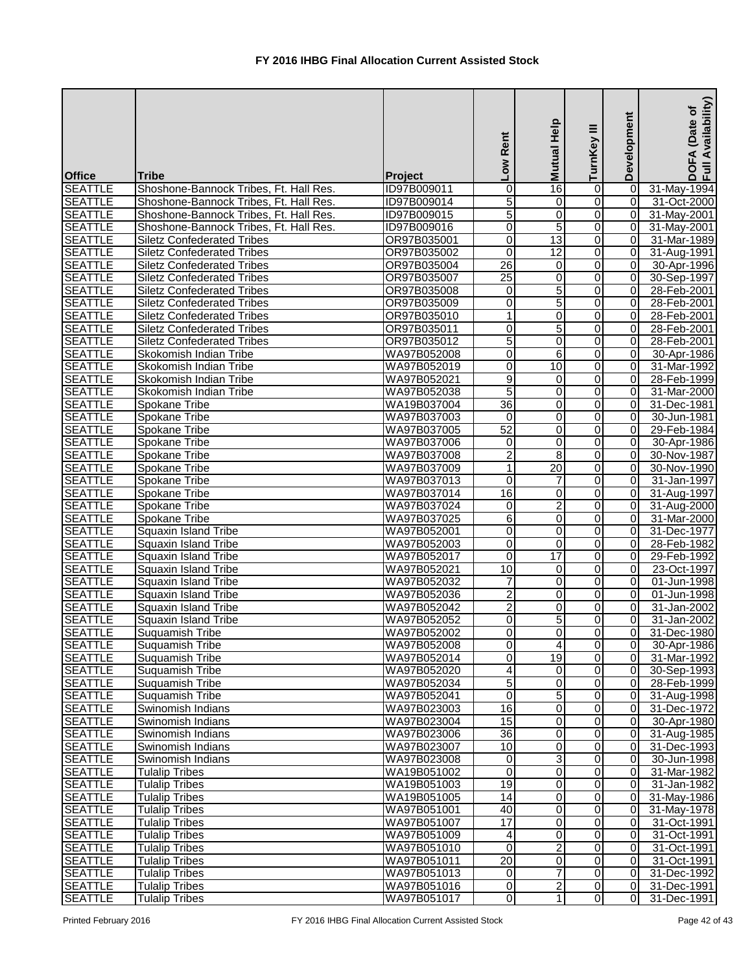| <b>Office</b>  | <b>Tribe</b>                           | <b>Project</b> | Low Rent                | Mutual Help             | ≡<br>TurnKey   | Development    | Availability)<br>(Date of<br>DOFA<br>Full Av |
|----------------|----------------------------------------|----------------|-------------------------|-------------------------|----------------|----------------|----------------------------------------------|
| <b>SEATTLE</b> | Shoshone-Bannock Tribes, Ft. Hall Res. | ID97B009011    | 0                       | $\overline{16}$         | 0              | 0              | 31-May-1994                                  |
| <b>SEATTLE</b> | Shoshone-Bannock Tribes, Ft. Hall Res. | ID97B009014    | 5                       | 0                       | 0              | $\overline{0}$ | 31-Oct-2000                                  |
| <b>SEATTLE</b> | Shoshone-Bannock Tribes, Ft. Hall Res. | ID97B009015    | $\overline{5}$          | $\overline{0}$          | 0              | $\overline{0}$ | 31-May-2001                                  |
| <b>SEATTLE</b> | Shoshone-Bannock Tribes, Ft. Hall Res. | ID97B009016    | 0                       | $\overline{5}$          | 0              | $\overline{0}$ | 31-May-2001                                  |
| <b>SEATTLE</b> | <b>Siletz Confederated Tribes</b>      | OR97B035001    | 0                       | $\overline{13}$         | $\Omega$       | $\overline{0}$ | 31-Mar-1989                                  |
| <b>SEATTLE</b> | <b>Siletz Confederated Tribes</b>      | OR97B035002    | $\overline{0}$          | $\overline{12}$         | $\overline{0}$ | $\overline{0}$ | 31-Aug-1991                                  |
| <b>SEATTLE</b> | <b>Siletz Confederated Tribes</b>      | OR97B035004    | $\overline{26}$         | $\boldsymbol{0}$        | $\overline{0}$ | $\overline{0}$ | 30-Apr-1996                                  |
| <b>SEATTLE</b> | <b>Siletz Confederated Tribes</b>      | OR97B035007    | $\overline{25}$         | 0                       | 0              | $\overline{0}$ | 30-Sep-1997                                  |
| <b>SEATTLE</b> | <b>Siletz Confederated Tribes</b>      | OR97B035008    | $\mathbf 0$             | $\overline{5}$          | 0              | $\overline{0}$ | 28-Feb-2001                                  |
| <b>SEATTLE</b> | <b>Siletz Confederated Tribes</b>      | OR97B035009    | $\mathbf 0$             | 5                       | 0              | $\overline{0}$ | 28-Feb-2001                                  |
| <b>SEATTLE</b> | <b>Siletz Confederated Tribes</b>      | OR97B035010    | 1                       | 0                       | 0              | $\overline{0}$ | 28-Feb-2001                                  |
| <b>SEATTLE</b> | <b>Siletz Confederated Tribes</b>      | OR97B035011    | 0                       | 5                       | 0              | $\Omega$       | 28-Feb-2001                                  |
| <b>SEATTLE</b> | <b>Siletz Confederated Tribes</b>      | OR97B035012    | 5                       | 0                       | 0              | 0              | 28-Feb-2001                                  |
| <b>SEATTLE</b> | Skokomish Indian Tribe                 | WA97B052008    | $\overline{0}$          | $\overline{6}$          | 0              | 0              | 30-Apr-1986                                  |
| <b>SEATTLE</b> | Skokomish Indian Tribe                 | WA97B052019    | 0                       | 10                      | 0              | 0              | 31-Mar-1992                                  |
| <b>SEATTLE</b> | Skokomish Indian Tribe                 | WA97B052021    | 9                       | $\boldsymbol{0}$        | $\overline{0}$ | 0              | 28-Feb-1999                                  |
| <b>SEATTLE</b> | Skokomish Indian Tribe                 | WA97B052038    | $\overline{5}$          | 0                       | $\overline{0}$ | 0              | 31-Mar-2000                                  |
| <b>SEATTLE</b> | Spokane Tribe                          | WA19B037004    | $\overline{36}$         | 0                       | 0              | 0              | 31-Dec-1981                                  |
| <b>SEATTLE</b> | Spokane Tribe                          | WA97B037003    | 0                       | 0                       | 0              | 0              | 30-Jun-1981                                  |
| <b>SEATTLE</b> | Spokane Tribe                          | WA97B037005    | 52                      | 0                       | 0              | $\overline{0}$ | 29-Feb-1984                                  |
| <b>SEATTLE</b> | Spokane Tribe                          | WA97B037006    | 0                       | 0                       | 0              | $\overline{0}$ | 30-Apr-1986                                  |
| <b>SEATTLE</b> | Spokane Tribe                          | WA97B037008    | $\overline{c}$          | 8                       | 0              | $\overline{0}$ | 30-Nov-1987                                  |
| <b>SEATTLE</b> | Spokane Tribe                          | WA97B037009    | 1                       | $\overline{20}$         | 0              | 0              | 30-Nov-1990                                  |
| <b>SEATTLE</b> | Spokane Tribe                          | WA97B037013    | 0                       | 7                       | 0              | $\Omega$       | 31-Jan-1997                                  |
| <b>SEATTLE</b> | Spokane Tribe                          | WA97B037014    | 16                      | 0                       | 0              | 0              | 31-Aug-1997                                  |
| <b>SEATTLE</b> | Spokane Tribe                          | WA97B037024    | 0                       | $\overline{2}$          | 0              | $\overline{0}$ | 31-Aug-2000                                  |
| <b>SEATTLE</b> | Spokane Tribe                          | WA97B037025    | 6                       | $\mathsf 0$             | 0              | $\overline{0}$ | 31-Mar-2000                                  |
| <b>SEATTLE</b> | Squaxin Island Tribe                   | WA97B052001    | $\overline{0}$          | 0                       | $\overline{0}$ | 0              | 31-Dec-1977                                  |
| <b>SEATTLE</b> | <b>Squaxin Island Tribe</b>            | WA97B052003    | $\mathbf 0$             | 0                       | 0              | $\overline{0}$ | 28-Feb-1982                                  |
| <b>SEATTLE</b> | <b>Squaxin Island Tribe</b>            | WA97B052017    | $\overline{\mathsf{o}}$ | $\overline{17}$         | $\overline{0}$ | $\overline{0}$ | 29-Feb-1992                                  |
| <b>SEATTLE</b> | <b>Squaxin Island Tribe</b>            | WA97B052021    | 10                      | 0                       | $\overline{0}$ | $\overline{0}$ | 23-Oct-1997                                  |
| <b>SEATTLE</b> | Squaxin Island Tribe                   | WA97B052032    | $\overline{7}$          | $\overline{0}$          | $\overline{0}$ | $\overline{0}$ | 01-Jun-1998                                  |
| <b>SEATTLE</b> | Squaxin Island Tribe                   | WA97B052036    | $\overline{2}$          | 0                       | $\overline{0}$ | $\overline{0}$ | 01-Jun-1998                                  |
| <b>SEATTLE</b> | Squaxin Island Tribe                   | WA97B052042    | 2                       | 0                       | Οl             | 0I             | 31-Jan-2002                                  |
| <b>SEATTLE</b> | Squaxin Island Tribe                   | WA97B052052    | 0                       | 5                       | 0              | $\overline{0}$ | 31-Jan-2002                                  |
| <b>SEATTLE</b> | Suquamish Tribe                        | WA97B052002    | 0                       | 0                       | 0              | $\overline{0}$ | 31-Dec-1980                                  |
| <b>SEATTLE</b> | Suquamish Tribe                        | WA97B052008    | 0                       | $\overline{\mathbf{4}}$ | $\overline{0}$ | $\overline{0}$ | 30-Apr-1986                                  |
| <b>SEATTLE</b> | Suquamish Tribe                        | WA97B052014    | 0                       | 19                      | $\overline{0}$ | $\overline{0}$ | 31-Mar-1992                                  |
| <b>SEATTLE</b> | Suquamish Tribe                        | WA97B052020    | 4                       | $\mathbf 0$             | $\overline{0}$ | $\overline{0}$ | 30-Sep-1993                                  |
| <b>SEATTLE</b> | Suquamish Tribe                        | WA97B052034    | 5                       | 0                       | $\overline{0}$ | $\overline{0}$ | 28-Feb-1999                                  |
| <b>SEATTLE</b> | Suquamish Tribe                        | WA97B052041    | $\overline{\mathsf{o}}$ | $\overline{5}$          | $\overline{0}$ | $\overline{0}$ | 31-Aug-1998                                  |
| <b>SEATTLE</b> | Swinomish Indians                      | WA97B023003    | $\overline{16}$         | 0                       | 0              | $\overline{0}$ | 31-Dec-1972                                  |
| <b>SEATTLE</b> | Swinomish Indians                      | WA97B023004    | 15                      | 0                       | $\overline{0}$ | $\overline{0}$ | 30-Apr-1980                                  |
| <b>SEATTLE</b> | Swinomish Indians                      | WA97B023006    | 36                      | 0                       | $\overline{0}$ | $\overline{0}$ | 31-Aug-1985                                  |
| <b>SEATTLE</b> | Swinomish Indians                      | WA97B023007    | 10                      | 0                       | 0              | $\overline{0}$ | 31-Dec-1993                                  |
| <b>SEATTLE</b> | Swinomish Indians                      | WA97B023008    | 0                       | 3                       | 0              | $\overline{0}$ | 30-Jun-1998                                  |
| <b>SEATTLE</b> | <b>Tulalip Tribes</b>                  | WA19B051002    | 0                       | 0                       | 0              | $\overline{0}$ | 31-Mar-1982                                  |
| <b>SEATTLE</b> | <b>Tulalip Tribes</b>                  | WA19B051003    | $\overline{19}$         | 0                       | 0              | $\overline{0}$ | 31-Jan-1982                                  |
| <b>SEATTLE</b> | <b>Tulalip Tribes</b>                  | WA19B051005    | 14                      | 0                       | $\Omega$       | $\overline{0}$ | 31-May-1986                                  |
| <b>SEATTLE</b> | <b>Tulalip Tribes</b>                  | WA97B051001    | 40                      | 0                       | 0              | $\overline{0}$ | 31-May-1978                                  |
| <b>SEATTLE</b> | <b>Tulalip Tribes</b>                  | WA97B051007    | $\overline{17}$         | 0                       | $\overline{0}$ | 0              | 31-Oct-1991                                  |
| <b>SEATTLE</b> | <b>Tulalip Tribes</b>                  | WA97B051009    | 4                       | 0                       | 0              | 0              | 31-Oct-1991                                  |
| <b>SEATTLE</b> | <b>Tulalip Tribes</b>                  | WA97B051010    | $\mathbf 0$             | $\overline{\mathbf{c}}$ | $\Omega$       | $\overline{0}$ | 31-Oct-1991                                  |
| <b>SEATTLE</b> | <b>Tulalip Tribes</b>                  | WA97B051011    | $\overline{20}$         | 0                       | $\overline{0}$ | $\overline{0}$ | 31-Oct-1991                                  |
| <b>SEATTLE</b> | <b>Tulalip Tribes</b>                  | WA97B051013    | 0                       | $\overline{7}$          | $\Omega$       | $\overline{0}$ | 31-Dec-1992                                  |
| <b>SEATTLE</b> | <b>Tulalip Tribes</b>                  | WA97B051016    | $\overline{0}$          | $\overline{c}$          | $\overline{0}$ | $\overline{0}$ | 31-Dec-1991                                  |
| <b>SEATTLE</b> | Tulalip Tribes                         | WA97B051017    | $\overline{0}$          | 1                       | $\overline{0}$ | $\overline{0}$ | 31-Dec-1991                                  |